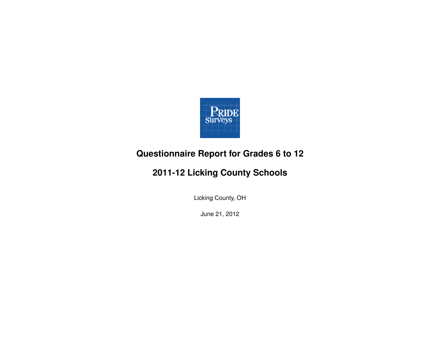

## **Questionnaire Report for Grades 6 to 12**

## **2011-12 Licking County Schools**

Licking County, OH

June 21, 2012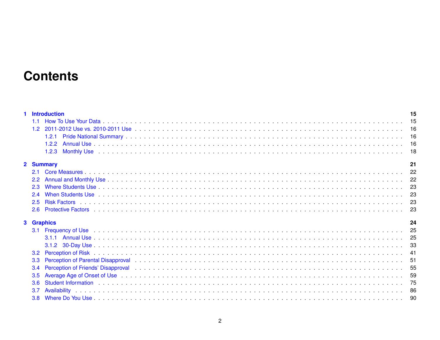# **Contents**

| <b>Introduction</b>                                                                                                                                                                                                                         | 15  |
|---------------------------------------------------------------------------------------------------------------------------------------------------------------------------------------------------------------------------------------------|-----|
| 1.1                                                                                                                                                                                                                                         | 15  |
| 1.2                                                                                                                                                                                                                                         |     |
| 1.2.1                                                                                                                                                                                                                                       | 16  |
| 1.2.2                                                                                                                                                                                                                                       |     |
| 1.2.3                                                                                                                                                                                                                                       | 18  |
|                                                                                                                                                                                                                                             |     |
| 2 Summary                                                                                                                                                                                                                                   | 21  |
|                                                                                                                                                                                                                                             | 22  |
| $2.2^{\circ}$                                                                                                                                                                                                                               |     |
| 2.3                                                                                                                                                                                                                                         | 23  |
| 2.4                                                                                                                                                                                                                                         | 23  |
| $2.5^{\circ}$                                                                                                                                                                                                                               |     |
| 2.6                                                                                                                                                                                                                                         | 23  |
|                                                                                                                                                                                                                                             |     |
| 3 Graphics                                                                                                                                                                                                                                  | 24  |
| Frequency of Use <b>contact the Contract Contact Contract Contract Contract Contract Contract Contract Contract Contract Contract Contract Contract Contract Contract Contract Contract Contract Contract Contract Contract Cont</b><br>3.1 |     |
|                                                                                                                                                                                                                                             |     |
|                                                                                                                                                                                                                                             |     |
| $3.2^{\circ}$                                                                                                                                                                                                                               | -41 |
| 3.3 <sub>2</sub>                                                                                                                                                                                                                            |     |
| Perception of Friends' Disapproval (and a series are contact as a series and a series are contact as a series of the series and series are series and series are series and series are series and series are series and series<br>3.4       |     |
|                                                                                                                                                                                                                                             |     |
| Average Age of Onset of Use New Lines and Servers and Servers and Servers and Servers and Servers and Servers Age of Onset of Use New Lines and Servers and Servers and Servers and Servers and Servers and Servers and Server<br>3.5       |     |
| 3.6                                                                                                                                                                                                                                         |     |
| 3.7                                                                                                                                                                                                                                         |     |
| $3.8^{\circ}$                                                                                                                                                                                                                               | -90 |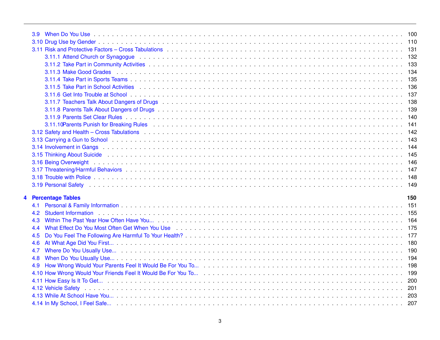|     |                                                                                                                                                                                                                                | 133 |
|-----|--------------------------------------------------------------------------------------------------------------------------------------------------------------------------------------------------------------------------------|-----|
|     |                                                                                                                                                                                                                                | 134 |
|     |                                                                                                                                                                                                                                |     |
|     |                                                                                                                                                                                                                                |     |
|     | 3.11.6 Get Into Trouble at School enterprise in the contract of the contract of the contract of the contract of the contract of the contract of the contract of the contract of the contract of the contract of the contract o |     |
|     |                                                                                                                                                                                                                                |     |
|     |                                                                                                                                                                                                                                |     |
|     |                                                                                                                                                                                                                                |     |
|     |                                                                                                                                                                                                                                |     |
|     |                                                                                                                                                                                                                                |     |
|     |                                                                                                                                                                                                                                |     |
|     |                                                                                                                                                                                                                                |     |
|     |                                                                                                                                                                                                                                |     |
|     |                                                                                                                                                                                                                                |     |
|     |                                                                                                                                                                                                                                |     |
|     |                                                                                                                                                                                                                                |     |
|     |                                                                                                                                                                                                                                |     |
|     | 4 Percentage Tables                                                                                                                                                                                                            | 150 |
| 4.1 |                                                                                                                                                                                                                                |     |
| 4.2 |                                                                                                                                                                                                                                |     |
|     |                                                                                                                                                                                                                                |     |
| 4.3 |                                                                                                                                                                                                                                |     |
| 4.4 | What Effect Do You Most Often Get When You Use enterpresent and the contract of the US of the Contract of the Contract of the Contract of the Contract of the Contract of the Contract of the Contract of the Contract of the  |     |
| 4.5 |                                                                                                                                                                                                                                |     |
| 4.6 |                                                                                                                                                                                                                                |     |
| 4.7 |                                                                                                                                                                                                                                |     |
| 4.8 |                                                                                                                                                                                                                                |     |
| 4.9 |                                                                                                                                                                                                                                |     |
|     |                                                                                                                                                                                                                                |     |
|     |                                                                                                                                                                                                                                |     |
|     |                                                                                                                                                                                                                                |     |
|     |                                                                                                                                                                                                                                |     |
|     |                                                                                                                                                                                                                                |     |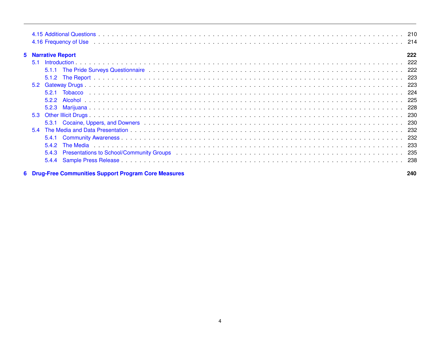| 4.16 Frequency of Use the contract of the contract of the contract of the contract of the contract of the contract of the contract of the contract of the contract of the contract of the contract of the contract of the cont |      |
|--------------------------------------------------------------------------------------------------------------------------------------------------------------------------------------------------------------------------------|------|
| <b>5</b> Narrative Report                                                                                                                                                                                                      | 222  |
| 5.1                                                                                                                                                                                                                            |      |
|                                                                                                                                                                                                                                |      |
|                                                                                                                                                                                                                                |      |
| 5.2                                                                                                                                                                                                                            | -223 |
| 521<br>Tobacco                                                                                                                                                                                                                 | -224 |
| 5.2.2                                                                                                                                                                                                                          |      |
| 5.2.3                                                                                                                                                                                                                          |      |
|                                                                                                                                                                                                                                | -230 |
|                                                                                                                                                                                                                                |      |
| 5.4                                                                                                                                                                                                                            | 232  |
| 5.4.1                                                                                                                                                                                                                          |      |
|                                                                                                                                                                                                                                |      |
| 5.4.3                                                                                                                                                                                                                          |      |
| 5.4.4                                                                                                                                                                                                                          |      |
| <b>Drug-Free Communities Support Program Core Measures</b>                                                                                                                                                                     | 240  |

**6 Drug-Free Communities Support Program Core Measures**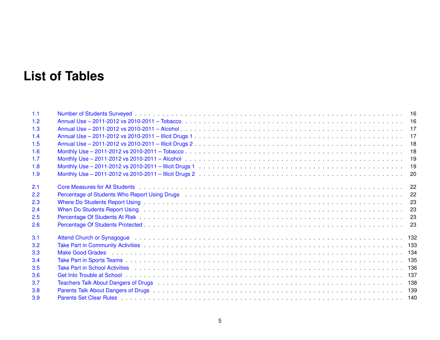# **List of Tables**

| 1.1 |                                                                                                                                                                                                                                |  |
|-----|--------------------------------------------------------------------------------------------------------------------------------------------------------------------------------------------------------------------------------|--|
| 1.2 |                                                                                                                                                                                                                                |  |
| 1.3 |                                                                                                                                                                                                                                |  |
| 1.4 |                                                                                                                                                                                                                                |  |
| 1.5 |                                                                                                                                                                                                                                |  |
| 1.6 |                                                                                                                                                                                                                                |  |
| 1.7 |                                                                                                                                                                                                                                |  |
| 1.8 |                                                                                                                                                                                                                                |  |
| 1.9 |                                                                                                                                                                                                                                |  |
| 2.1 |                                                                                                                                                                                                                                |  |
| 2.2 | Percentage of Students Who Report Using Drugs (Contract of the Canada Contract of the Case of Students Who Report Using Drugs (Contract of the Contract of the Case of the Case of the Case of the Case of the Case of the Cas |  |
| 2.3 |                                                                                                                                                                                                                                |  |
| 2.4 |                                                                                                                                                                                                                                |  |
| 2.5 |                                                                                                                                                                                                                                |  |
| 2.6 |                                                                                                                                                                                                                                |  |
| 3.1 | Attend Church or Synagogue (and a state of the state of the state of the state of the state of the state of the state of the state of the state of the state of the state of the state of the state of the state of the state  |  |
| 3.2 |                                                                                                                                                                                                                                |  |
| 3.3 |                                                                                                                                                                                                                                |  |
| 3.4 |                                                                                                                                                                                                                                |  |
| 3.5 |                                                                                                                                                                                                                                |  |
| 3.6 |                                                                                                                                                                                                                                |  |
| 3.7 |                                                                                                                                                                                                                                |  |
| 3.8 |                                                                                                                                                                                                                                |  |
| 3.9 |                                                                                                                                                                                                                                |  |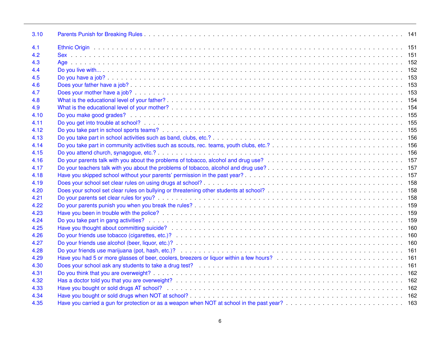| 3.10 |                                                                                                                                                                                    |  |
|------|------------------------------------------------------------------------------------------------------------------------------------------------------------------------------------|--|
| 4.1  |                                                                                                                                                                                    |  |
| 4.2  |                                                                                                                                                                                    |  |
| 4.3  |                                                                                                                                                                                    |  |
| 4.4  |                                                                                                                                                                                    |  |
| 4.5  |                                                                                                                                                                                    |  |
| 4.6  |                                                                                                                                                                                    |  |
| 4.7  |                                                                                                                                                                                    |  |
| 4.8  |                                                                                                                                                                                    |  |
| 4.9  |                                                                                                                                                                                    |  |
| 4.10 |                                                                                                                                                                                    |  |
| 4.11 |                                                                                                                                                                                    |  |
| 4.12 |                                                                                                                                                                                    |  |
| 4.13 |                                                                                                                                                                                    |  |
| 4.14 |                                                                                                                                                                                    |  |
| 4.15 |                                                                                                                                                                                    |  |
| 4.16 |                                                                                                                                                                                    |  |
| 4.17 |                                                                                                                                                                                    |  |
| 4.18 |                                                                                                                                                                                    |  |
| 4.19 |                                                                                                                                                                                    |  |
| 4.20 |                                                                                                                                                                                    |  |
| 4.21 |                                                                                                                                                                                    |  |
| 4.22 |                                                                                                                                                                                    |  |
| 4.23 |                                                                                                                                                                                    |  |
| 4.24 |                                                                                                                                                                                    |  |
| 4.25 |                                                                                                                                                                                    |  |
| 4.26 |                                                                                                                                                                                    |  |
| 4.27 |                                                                                                                                                                                    |  |
| 4.28 |                                                                                                                                                                                    |  |
| 4.29 | Have you had 5 or more glasses of beer, coolers, breezers or liquor within a few hours?<br>Have you had 5 or more glasses of beer, coolers, breezers or liquor within a few hours? |  |
| 4.30 |                                                                                                                                                                                    |  |
| 4.31 |                                                                                                                                                                                    |  |
| 4.32 |                                                                                                                                                                                    |  |
| 4.33 |                                                                                                                                                                                    |  |
| 4.34 |                                                                                                                                                                                    |  |
| 4.35 |                                                                                                                                                                                    |  |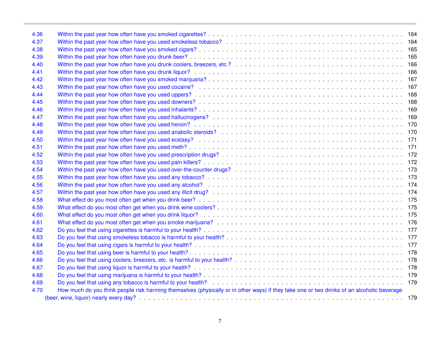| 4.36 |                                                                                                                                            |  |
|------|--------------------------------------------------------------------------------------------------------------------------------------------|--|
| 4.37 |                                                                                                                                            |  |
| 4.38 |                                                                                                                                            |  |
| 4.39 |                                                                                                                                            |  |
| 4.40 |                                                                                                                                            |  |
| 4.41 |                                                                                                                                            |  |
| 4.42 |                                                                                                                                            |  |
| 4.43 |                                                                                                                                            |  |
| 4.44 |                                                                                                                                            |  |
| 4.45 |                                                                                                                                            |  |
| 4.46 |                                                                                                                                            |  |
| 4.47 |                                                                                                                                            |  |
| 4.48 |                                                                                                                                            |  |
| 4.49 |                                                                                                                                            |  |
| 4.50 |                                                                                                                                            |  |
| 4.51 | Within the past year how often have you used meth?<br>171                                                                                  |  |
| 4.52 |                                                                                                                                            |  |
| 4.53 |                                                                                                                                            |  |
| 4.54 |                                                                                                                                            |  |
| 4.55 |                                                                                                                                            |  |
| 4.56 |                                                                                                                                            |  |
| 4.57 |                                                                                                                                            |  |
| 4.58 |                                                                                                                                            |  |
| 4.59 |                                                                                                                                            |  |
| 4.60 |                                                                                                                                            |  |
| 4.61 |                                                                                                                                            |  |
| 4.62 |                                                                                                                                            |  |
| 4.63 |                                                                                                                                            |  |
| 4.64 |                                                                                                                                            |  |
| 4.65 |                                                                                                                                            |  |
| 4.66 |                                                                                                                                            |  |
| 4.67 |                                                                                                                                            |  |
| 4.68 |                                                                                                                                            |  |
| 4.69 | Do you feel that using any tobacco is harmful to your health?<br>179                                                                       |  |
| 4.70 | How much do you think people risk harming themselves (physically or in other ways) if they take one or two drinks of an alcoholic beverage |  |
|      |                                                                                                                                            |  |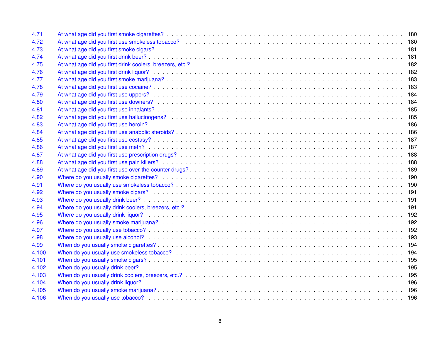| 4.71  |                                                              |  |
|-------|--------------------------------------------------------------|--|
| 4.72  |                                                              |  |
| 4.73  |                                                              |  |
| 4.74  |                                                              |  |
| 4.75  |                                                              |  |
| 4.76  |                                                              |  |
| 4.77  |                                                              |  |
| 4.78  |                                                              |  |
| 4.79  |                                                              |  |
| 4.80  |                                                              |  |
| 4.81  |                                                              |  |
| 4.82  |                                                              |  |
| 4.83  |                                                              |  |
| 4.84  |                                                              |  |
| 4.85  |                                                              |  |
| 4.86  |                                                              |  |
| 4.87  | At what age did you first use prescription drugs?<br>188     |  |
| 4.88  |                                                              |  |
| 4.89  | At what age did you first use over-the-counter drugs?<br>189 |  |
| 4.90  | Where do you usually smoke cigarettes?<br>190                |  |
| 4.91  |                                                              |  |
| 4.92  |                                                              |  |
| 4.93  |                                                              |  |
| 4.94  |                                                              |  |
| 4.95  |                                                              |  |
| 4.96  |                                                              |  |
| 4.97  |                                                              |  |
| 4.98  |                                                              |  |
| 4.99  |                                                              |  |
| 4.100 |                                                              |  |
| 4.101 |                                                              |  |
| 4.102 |                                                              |  |
| 4.103 |                                                              |  |
| 4.104 |                                                              |  |
| 4.105 |                                                              |  |
| 4.106 |                                                              |  |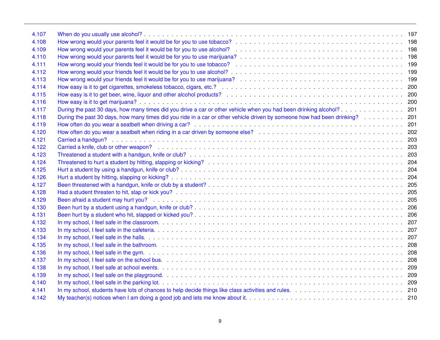| 4.107 |                                                                                                                                                                                                |     |
|-------|------------------------------------------------------------------------------------------------------------------------------------------------------------------------------------------------|-----|
| 4.108 | How wrong would your parents feel it would be for you to use tobacco?<br>exactor contains a serve that is a serve that is a server that is a server that the total of the top server of        |     |
| 4.109 | How wrong would your parents feel it would be for you to use alcohol?<br>Subset of the second of the second of the second term of the 198                                                      |     |
| 4.110 |                                                                                                                                                                                                |     |
| 4.111 |                                                                                                                                                                                                |     |
| 4.112 | How wrong would your friends feel it would be for you to use alcohol?<br>Subset 2010, Containing the contact of the contact of the contact of 199                                              |     |
| 4.113 |                                                                                                                                                                                                |     |
| 4.114 |                                                                                                                                                                                                |     |
| 4.115 |                                                                                                                                                                                                |     |
| 4.116 |                                                                                                                                                                                                |     |
| 4.117 |                                                                                                                                                                                                |     |
| 4.118 | During the past 30 days, how many times did you ride in a car or other vehicle driven by someone how had been drinking?                                                                        | 201 |
| 4.119 |                                                                                                                                                                                                | 201 |
| 4.120 | How often do you wear a seatbelt when riding in a car driven by someone else?<br>Subset 2010 and a case of the case of the case of the case of the case of the case of the car and the case of | 202 |
| 4.121 |                                                                                                                                                                                                | 203 |
| 4.122 |                                                                                                                                                                                                |     |
| 4.123 |                                                                                                                                                                                                |     |
| 4.124 |                                                                                                                                                                                                |     |
| 4.125 |                                                                                                                                                                                                |     |
| 4.126 |                                                                                                                                                                                                |     |
| 4.127 |                                                                                                                                                                                                | 205 |
| 4.128 |                                                                                                                                                                                                | 205 |
| 4.129 |                                                                                                                                                                                                |     |
| 4.130 |                                                                                                                                                                                                |     |
| 4.131 |                                                                                                                                                                                                |     |
| 4.132 |                                                                                                                                                                                                |     |
| 4.133 |                                                                                                                                                                                                |     |
| 4.134 |                                                                                                                                                                                                |     |
| 4.135 |                                                                                                                                                                                                |     |
| 4.136 | In my school, I feel safe in the gym.                                                                                                                                                          |     |
| 4.137 |                                                                                                                                                                                                |     |
| 4.138 |                                                                                                                                                                                                |     |
| 4.139 |                                                                                                                                                                                                |     |
| 4.140 |                                                                                                                                                                                                |     |
| 4.141 |                                                                                                                                                                                                |     |
| 4.142 |                                                                                                                                                                                                |     |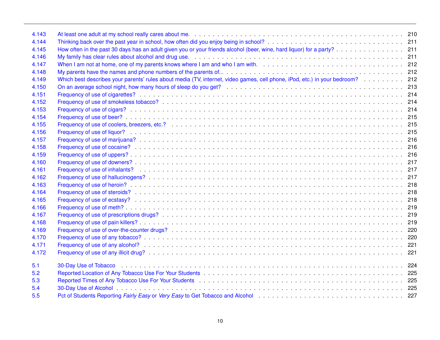| 4.143 |                                                                                                                                                                                                                                       |  |
|-------|---------------------------------------------------------------------------------------------------------------------------------------------------------------------------------------------------------------------------------------|--|
| 4.144 |                                                                                                                                                                                                                                       |  |
| 4.145 | How often in the past 30 days has an adult given you or your friends alcohol (beer, wine, hard liquor) for a party? 211                                                                                                               |  |
| 4.146 |                                                                                                                                                                                                                                       |  |
| 4.147 | When I am not at home, one of my parents knows where I am and who I am with.<br>When I am not at home, one of my parents knows where I am and who I am with.<br>i.e. $1, 2, 3, 4, 5, 6, 6, 7, 8, 8, 9, 10, 10, 10, 10, 10, 10, 10, 1$ |  |
| 4.148 |                                                                                                                                                                                                                                       |  |
| 4.149 |                                                                                                                                                                                                                                       |  |
| 4.150 |                                                                                                                                                                                                                                       |  |
| 4.151 |                                                                                                                                                                                                                                       |  |
| 4.152 |                                                                                                                                                                                                                                       |  |
| 4.153 |                                                                                                                                                                                                                                       |  |
| 4.154 |                                                                                                                                                                                                                                       |  |
| 4.155 |                                                                                                                                                                                                                                       |  |
| 4.156 |                                                                                                                                                                                                                                       |  |
| 4.157 |                                                                                                                                                                                                                                       |  |
| 4.158 |                                                                                                                                                                                                                                       |  |
| 4.159 |                                                                                                                                                                                                                                       |  |
| 4.160 |                                                                                                                                                                                                                                       |  |
| 4.161 |                                                                                                                                                                                                                                       |  |
| 4.162 |                                                                                                                                                                                                                                       |  |
| 4.163 |                                                                                                                                                                                                                                       |  |
| 4.164 |                                                                                                                                                                                                                                       |  |
| 4.165 |                                                                                                                                                                                                                                       |  |
| 4.166 |                                                                                                                                                                                                                                       |  |
| 4.167 |                                                                                                                                                                                                                                       |  |
| 4.168 |                                                                                                                                                                                                                                       |  |
| 4.169 |                                                                                                                                                                                                                                       |  |
| 4.170 |                                                                                                                                                                                                                                       |  |
| 4.171 |                                                                                                                                                                                                                                       |  |
| 4.172 |                                                                                                                                                                                                                                       |  |
| 5.1   |                                                                                                                                                                                                                                       |  |
| 5.2   |                                                                                                                                                                                                                                       |  |
| 5.3   |                                                                                                                                                                                                                                       |  |
| 5.4   |                                                                                                                                                                                                                                       |  |
| 5.5   | Pct of Students Reporting Fairly Easy or Very Easy to Get Tobacco and Alcohol Accord Communication Communication 227                                                                                                                  |  |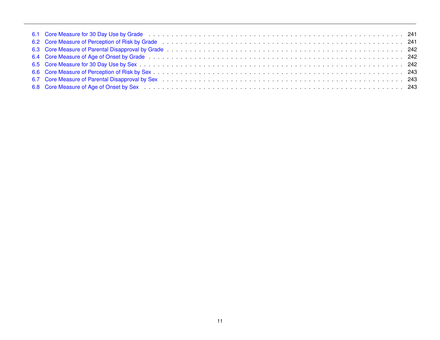| 6.8 Core Measure of Age of Onset by Sex enterprise on the contract of the Case of the Case of Age of Onset by Sex enterprise on the contract of the contract of the Case of Age of Onset by Sex enterprise on the contract of |  |
|-------------------------------------------------------------------------------------------------------------------------------------------------------------------------------------------------------------------------------|--|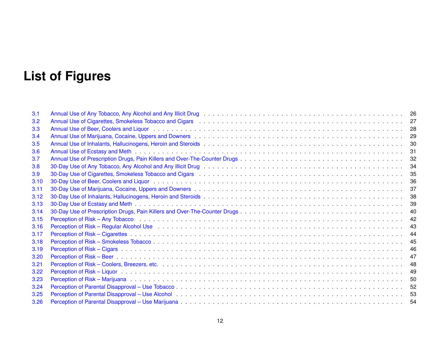# **List of Figures**

| 3.1  |                                                                                                                                                                                                                                |    |
|------|--------------------------------------------------------------------------------------------------------------------------------------------------------------------------------------------------------------------------------|----|
| 3.2  | Annual Use of Cigarettes, Smokeless Tobacco and Cigars (Annual Annual Annual Annual Use of Cigarettes, Smokeless Tobacco and Cigars (Annual Annual Annual Annual Annual Annual 27                                              |    |
| 3.3  |                                                                                                                                                                                                                                |    |
| 3.4  |                                                                                                                                                                                                                                |    |
| 3.5  |                                                                                                                                                                                                                                |    |
| 3.6  |                                                                                                                                                                                                                                |    |
| 3.7  |                                                                                                                                                                                                                                |    |
| 3.8  |                                                                                                                                                                                                                                |    |
| 3.9  |                                                                                                                                                                                                                                |    |
| 3.10 |                                                                                                                                                                                                                                |    |
| 3.11 |                                                                                                                                                                                                                                |    |
| 3.12 |                                                                                                                                                                                                                                |    |
| 3.13 |                                                                                                                                                                                                                                | 39 |
| 3.14 |                                                                                                                                                                                                                                | 40 |
| 3.15 |                                                                                                                                                                                                                                |    |
| 3.16 | Perception of Risk – Regular Alcohol Use enterpresentative and the control of the control of the control of Risk – Regular Alcohol Use                                                                                         | 43 |
| 3.17 |                                                                                                                                                                                                                                |    |
| 3.18 |                                                                                                                                                                                                                                | 45 |
| 3.19 |                                                                                                                                                                                                                                | 46 |
| 3.20 |                                                                                                                                                                                                                                | 47 |
| 3.21 | Perception of Risk – Coolers, Breezers, etc.                                                                                                                                                                                   | 48 |
| 3.22 |                                                                                                                                                                                                                                | 49 |
| 3.23 |                                                                                                                                                                                                                                | 50 |
| 3.24 |                                                                                                                                                                                                                                | 52 |
| 3.25 | Perception of Parental Disapproval – Use Alcohol (Discussion Contract Contract Contract Contract Contract Contract Contract Contract Contract Contract Contract Contract Contract Contract Contract Contract Contract Contract |    |
| 3.26 |                                                                                                                                                                                                                                |    |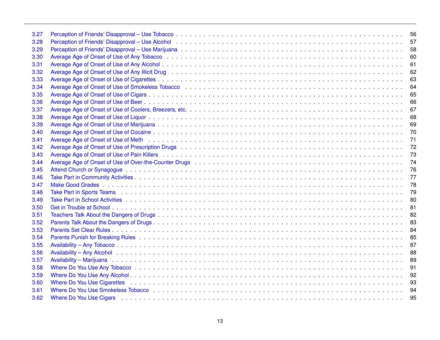| 3.27 |                                                                                                                                                                                                                                | 56 |
|------|--------------------------------------------------------------------------------------------------------------------------------------------------------------------------------------------------------------------------------|----|
| 3.28 | Perception of Friends' Disapproval – Use Alcohol enterpresent and the contract of the Alcohol enterpresent and the Alcohol enterpresent and the contract of the Contract of Terresent and Terresent and Terresent and Terresen | 57 |
| 3.29 |                                                                                                                                                                                                                                | 58 |
| 3.30 |                                                                                                                                                                                                                                | 60 |
| 3.31 |                                                                                                                                                                                                                                | 61 |
| 3.32 |                                                                                                                                                                                                                                | 62 |
| 3.33 |                                                                                                                                                                                                                                | 63 |
| 3.34 |                                                                                                                                                                                                                                | 64 |
| 3.35 |                                                                                                                                                                                                                                | 65 |
| 3.36 |                                                                                                                                                                                                                                | 66 |
| 3.37 |                                                                                                                                                                                                                                | 67 |
| 3.38 |                                                                                                                                                                                                                                | 68 |
| 3.39 |                                                                                                                                                                                                                                | 69 |
| 3.40 |                                                                                                                                                                                                                                | 70 |
| 3.41 | Average Age of Onset of Use of Meth Administration Construction Construction Construction Construction Construction Construction Construction Construction Construction Construction Construction Construction Construction Co | 71 |
| 3.42 |                                                                                                                                                                                                                                | 72 |
| 3.43 |                                                                                                                                                                                                                                | 73 |
| 3.44 |                                                                                                                                                                                                                                | 74 |
| 3.45 |                                                                                                                                                                                                                                | 76 |
| 3.46 |                                                                                                                                                                                                                                | 77 |
| 3.47 |                                                                                                                                                                                                                                | 78 |
| 3.48 | Take Part in Sports Teams recoversance and the control of the control of the control of the control of the control of the control of the control of the control of the control of the control of the control of the control of | 79 |
| 3.49 |                                                                                                                                                                                                                                | 80 |
| 3.50 |                                                                                                                                                                                                                                | 81 |
| 3.51 |                                                                                                                                                                                                                                | 82 |
| 3.52 |                                                                                                                                                                                                                                | 83 |
| 3.53 |                                                                                                                                                                                                                                | 84 |
| 3.54 |                                                                                                                                                                                                                                | 85 |
| 3.55 |                                                                                                                                                                                                                                | 87 |
| 3.56 |                                                                                                                                                                                                                                | 88 |
| 3.57 |                                                                                                                                                                                                                                | 89 |
| 3.58 | Where Do You Use Any Tobacco enterprise to the contract of the contract of the contract of the contract of the contract of the contract of the contract of the contract of the contract of the contract of the contract of the | 91 |
| 3.59 |                                                                                                                                                                                                                                | 92 |
| 3.60 |                                                                                                                                                                                                                                | 93 |
| 3.61 |                                                                                                                                                                                                                                | 94 |
| 3.62 | Where Do You Use Cigars (and a contract of the Cigars) and the contract of the contract of the contract of the contract of the contract of the contract of the contract of the contract of the contract of the contract of the | 95 |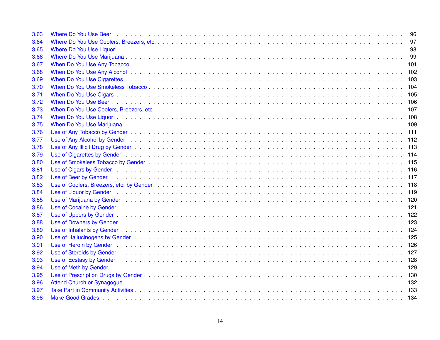| 3.63 |                                                                                                                                                                                                                                | 96  |
|------|--------------------------------------------------------------------------------------------------------------------------------------------------------------------------------------------------------------------------------|-----|
| 3.64 |                                                                                                                                                                                                                                | 97  |
| 3.65 |                                                                                                                                                                                                                                | 98  |
| 3.66 |                                                                                                                                                                                                                                | 99  |
| 3.67 |                                                                                                                                                                                                                                | 101 |
| 3.68 |                                                                                                                                                                                                                                | 102 |
| 3.69 |                                                                                                                                                                                                                                |     |
| 3.70 |                                                                                                                                                                                                                                |     |
| 3.71 |                                                                                                                                                                                                                                |     |
| 3.72 |                                                                                                                                                                                                                                |     |
| 3.73 |                                                                                                                                                                                                                                |     |
| 3.74 |                                                                                                                                                                                                                                |     |
| 3.75 |                                                                                                                                                                                                                                |     |
| 3.76 |                                                                                                                                                                                                                                |     |
| 3.77 |                                                                                                                                                                                                                                |     |
| 3.78 |                                                                                                                                                                                                                                |     |
| 3.79 |                                                                                                                                                                                                                                |     |
| 3.80 |                                                                                                                                                                                                                                |     |
| 3.81 |                                                                                                                                                                                                                                |     |
| 3.82 |                                                                                                                                                                                                                                |     |
| 3.83 | Use of Coolers, Breezers, etc. by Gender enterpreeding to contact the control of the Coolers, Breezers, etc. by Gender enterpreeding to contact the contact of the contact of the contact of the contact of the contact of the |     |
| 3.84 |                                                                                                                                                                                                                                |     |
| 3.85 |                                                                                                                                                                                                                                |     |
| 3.86 |                                                                                                                                                                                                                                |     |
| 3.87 |                                                                                                                                                                                                                                |     |
| 3.88 |                                                                                                                                                                                                                                |     |
| 3.89 |                                                                                                                                                                                                                                |     |
| 3.90 |                                                                                                                                                                                                                                |     |
| 3.91 |                                                                                                                                                                                                                                |     |
| 3.92 |                                                                                                                                                                                                                                |     |
| 3.93 |                                                                                                                                                                                                                                |     |
| 3.94 |                                                                                                                                                                                                                                |     |
| 3.95 |                                                                                                                                                                                                                                |     |
| 3.96 |                                                                                                                                                                                                                                |     |
| 3.97 |                                                                                                                                                                                                                                |     |
| 3.98 |                                                                                                                                                                                                                                |     |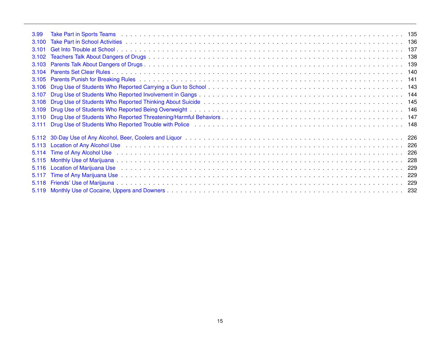| 3.99    | Take Part in Sports Teams (also not also not also not also note that is not also not also not also not also not                                                                                                                |     |
|---------|--------------------------------------------------------------------------------------------------------------------------------------------------------------------------------------------------------------------------------|-----|
| 3,100   |                                                                                                                                                                                                                                |     |
| 3,101   |                                                                                                                                                                                                                                |     |
| 3102    |                                                                                                                                                                                                                                |     |
| 3.103   |                                                                                                                                                                                                                                |     |
| 3104    |                                                                                                                                                                                                                                |     |
| 3.105   |                                                                                                                                                                                                                                |     |
| 3.106   |                                                                                                                                                                                                                                |     |
| 3.107   |                                                                                                                                                                                                                                |     |
| 3.108   |                                                                                                                                                                                                                                |     |
| 3.109   |                                                                                                                                                                                                                                |     |
| 3.110   |                                                                                                                                                                                                                                |     |
| 3.111   |                                                                                                                                                                                                                                |     |
|         |                                                                                                                                                                                                                                |     |
| 5.113   |                                                                                                                                                                                                                                |     |
| 5.114   | Time of Any Alcohol Use the contract of the contract of the contract of the contract of the contract of the contract of the contract of the contract of the contract of the contract of the contract of the contract of the co | 226 |
| 5.115   |                                                                                                                                                                                                                                | 228 |
| 5116    |                                                                                                                                                                                                                                | 229 |
| 5 1 1 7 |                                                                                                                                                                                                                                | 229 |
| 5 1 1 8 |                                                                                                                                                                                                                                |     |
|         |                                                                                                                                                                                                                                | 232 |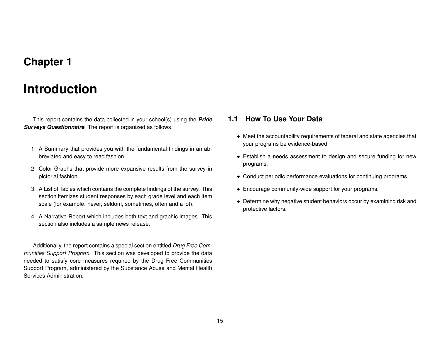## **Chapter 1**

# **Introduction**

<span id="page-15-0"></span>This report contains the data collected in your school(s) using the *Pride Surveys Questionnaire*. The report is organized as follows:

- 1. A Summary that provides you with the fundamental findings in an abbreviated and easy to read fashion.
- 2. Color Graphs that provide more expansive results from the survey in pictorial fashion.
- 3. A List of Tables which contains the complete findings of the survey. This section itemizes student responses by each grade level and each item scale (for example: never, seldom, sometimes, often and a lot).
- 4. A Narrative Report which includes both text and graphic images. This section also includes a sample news release.

Additionally, the report contains a special section entitled *Drug Free Communities Support Program*. This section was developed to provide the data needed to satisfy core measures required by the Drug Free Communities Support Program, administered by the Substance Abuse and Mental Health Services Administration.

### <span id="page-15-1"></span>**1.1 How To Use Your Data**

- Meet the accountability requirements of federal and state agencies that your programs be evidence-based.
- Establish a needs assessment to design and secure funding for new programs.
- Conduct periodic performance evaluations for continuing programs.
- Encourage community-wide support for your programs.
- Determine why negative student behaviors occur by examining risk and protective factors.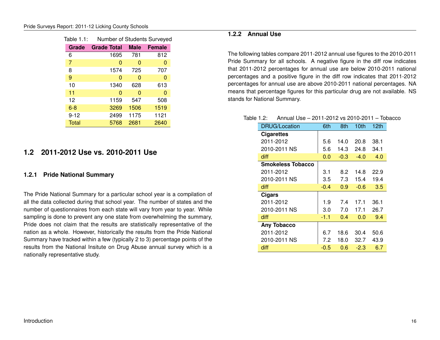<span id="page-16-3"></span>

| Table 1.1: | Number of Students Surveyed |             |               |
|------------|-----------------------------|-------------|---------------|
| Grade      | <b>Grade Total</b>          | <b>Male</b> | <b>Female</b> |
| 6          | 1695                        | 781         | 812           |
| 7          | 0                           | 0           | 0             |
| 8          | 1574                        | 725         | 707           |
| 9          | 0                           | 0           | 0             |
| 10         | 1340                        | 628         | 613           |
| 11         | 0                           | 0           | 0             |
| 12         | 1159                        | 547         | 508           |
| $6 - 8$    | 3269                        | 1506        | 1519          |
| $9 - 12$   | 2499                        | 1175        | 1121          |
| Total      | 5768                        | 2681        | 2640          |

### <span id="page-16-0"></span>**1.2 2011-2012 Use vs. 2010-2011 Use**

#### <span id="page-16-1"></span>**1.2.1 Pride National Summary**

The Pride National Summary for a particular school year is a compilation of all the data collected during that school year. The number of states and the number of questionnaires from each state will vary from year to year. While sampling is done to prevent any one state from overwhelming the summary, Pride does not claim that the results are statistically representative of the nation as a whole. However, historically the results from the Pride National Summary have tracked within a few (typically 2 to 3) percentage points of the results from the National Insitute on Drug Abuse annual survey which is a nationally representative study.

### <span id="page-16-2"></span>**1.2.2 Annual Use**

The following tables compare 2011-2012 annual use figures to the 2010-2011 Pride Summary for all schools. A negative figure in the diff row indicates that 2011-2012 percentages for annual use are below 2010-2011 national percentages and a positive figure in the diff row indicates that 2011-2012 percentages for annual use are above 2010-2011 national percentages. NA means that percentage figures for this particular drug are not available. NS stands for National Summary.

#### Table 1.2: Annual Use – 2011-2012 vs 2010-2011 – Tobacco

<span id="page-16-4"></span>

| <b>DRUG/Location</b>     | 6th    | 8th    | 10th   | 12th |
|--------------------------|--------|--------|--------|------|
| <b>Cigarettes</b>        |        |        |        |      |
| 2011-2012                | 5.6    | 14.0   | 20.8   | 38.1 |
| 2010-2011 NS             | 5.6    | 14.3   | 24.8   | 34.1 |
| diff                     | 0.0    | $-0.3$ | $-4.0$ | 4.0  |
| <b>Smokeless Tobacco</b> |        |        |        |      |
| 2011-2012                | 3.1    | 8.2    | 14.8   | 22.9 |
| 2010-2011 NS             | 3.5    | 7.3    | 15.4   | 19.4 |
| diff                     | $-0.4$ | 0.9    | $-0.6$ | 3.5  |
| <b>Cigars</b>            |        |        |        |      |
| 2011-2012                | 1.9    | 7.4    | 17.1   | 36.1 |
| 2010-2011 NS             | 3.0    | 7.0    | 17.1   | 26.7 |
| diff                     | $-1.1$ | 0.4    | 0.0    | 9.4  |
| <b>Any Tobacco</b>       |        |        |        |      |
| 2011-2012                | 6.7    | 18.6   | 30.4   | 50.6 |
| 2010-2011 NS             | 7.2    | 18.0   | 32.7   | 43.9 |
| diff                     | $-0.5$ | 0.6    | $-2.3$ | 6.7  |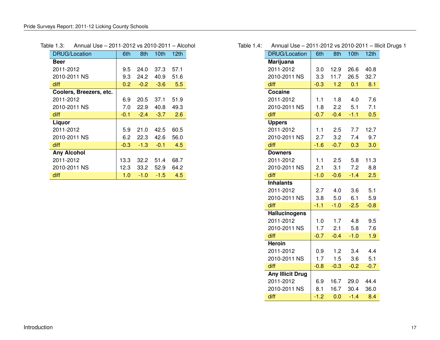<span id="page-17-0"></span>

| <b>DRUG/Location</b>    | 6th    | 8th    | 10th   | 12th |
|-------------------------|--------|--------|--------|------|
| Beer                    |        |        |        |      |
| 2011-2012               | 9.5    | 24.0   | 37.3   | 57.1 |
| 2010-2011 NS            | 9.3    | 24.2   | 40.9   | 51.6 |
| diff                    | 0.2    | $-0.2$ | $-3.6$ | 5.5  |
| Coolers, Breezers, etc. |        |        |        |      |
| 2011-2012               | 6.9    | 20.5   | 37.1   | 51.9 |
| 2010-2011 NS            | 7.0    | 22.9   | 40.8   | 49.3 |
| diff                    | $-0.1$ | $-2.4$ | $-3.7$ | 2.6  |
| Liquor                  |        |        |        |      |
| 2011-2012               | 5.9    | 21.0   | 42.5   | 60.5 |
| 2010-2011 NS            | 6.2    | 22.3   | 42.6   | 56.0 |
| diff                    | $-0.3$ | $-1.3$ | $-0.1$ | 4.5  |
| <b>Any Alcohol</b>      |        |        |        |      |
| 2011-2012               | 13.3   | 32.2   | 51.4   | 68.7 |
| 2010-2011 NS            | 12.3   | 33.2   | 52.9   | 64.2 |
| diff                    | 1.0    | $-1.0$ | $-1.5$ | 4.5  |

### Table 1.3: Annual Use – 2011-2012 vs 2010-2011 – Alcohol

### Table 1.4: Annual Use – 2011-2012 vs 2010-2011 – Illicit Drugs 1

<span id="page-17-1"></span>

| <b>DRUG/Location</b>    | 6th    | 8th    | 10th   | 12th   |
|-------------------------|--------|--------|--------|--------|
| <b>Marijuana</b>        |        |        |        |        |
| 2011-2012               | 3.0    | 12.9   | 26.6   | 40.8   |
| 2010-2011 NS            | 3.3    | 11.7   | 26.5   | 32.7   |
| diff                    | $-0.3$ | 1.2    | 0.1    | 8.1    |
| Cocaine                 |        |        |        |        |
| 2011-2012               | 1.1    | 1.8    | 4.0    | 7.6    |
| 2010-2011 NS            | 1.8    | 2.2    | 5.1    | 7.1    |
| diff                    | $-0.7$ | $-0.4$ | $-1.1$ | 0.5    |
| <b>Uppers</b>           |        |        |        |        |
| 2011-2012               | 1.1    | 2.5    | 7.7    | 12.7   |
| 2010-2011 NS            | 2.7    | 3.2    | 7.4    | 9.7    |
| diff                    | $-1.6$ | $-0.7$ | 0.3    | 3.0    |
| <b>Downers</b>          |        |        |        |        |
| 2011-2012               | 1.1    | 2.5    | 5.8    | 11.3   |
| 2010-2011 NS            | 2.1    | 3.1    | 7.2    | 8.8    |
| diff                    | $-1.0$ | $-0.6$ | $-1.4$ | 2.5    |
| <b>Inhalants</b>        |        |        |        |        |
| 2011-2012               | 2.7    | 4.0    | 3.6    | 5.1    |
| 2010-2011 NS            | 3.8    | 5.0    | 6.1    | 5.9    |
| diff                    | $-1.1$ | $-1.0$ | $-2.5$ | $-0.8$ |
| <b>Hallucinogens</b>    |        |        |        |        |
| 2011-2012               | 1.0    | 1.7    | 4.8    | 9.5    |
| 2010-2011 NS            | 1.7    | 2.1    | 5.8    | 7.6    |
| diff                    | $-0.7$ | $-0.4$ | $-1.0$ | 1.9    |
| <b>Heroin</b>           |        |        |        |        |
| 2011-2012               | 0.9    | 1.2    | 3.4    | 4.4    |
| 2010-2011 NS            | 1.7    | 1.5    | 3.6    | 5.1    |
| diff                    | $-0.8$ | $-0.3$ | $-0.2$ | $-0.7$ |
| <b>Any Illicit Drug</b> |        |        |        |        |
| 2011-2012               | 6.9    | 16.7   | 29.0   | 44.4   |
| 2010-2011 NS            | 8.1    | 16.7   | 30.4   | 36.0   |
| diff                    | $-1.2$ | 0.0    | $-1.4$ | 8.4    |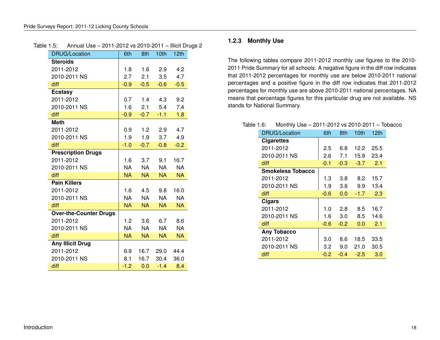<span id="page-18-1"></span>

| <b>DRUG/Location</b>          | 6th       | 8th       | 10 <sub>th</sub> | 12 <sub>th</sub> |
|-------------------------------|-----------|-----------|------------------|------------------|
| <b>Steroids</b>               |           |           |                  |                  |
| 2011-2012                     | 1.8       | 1.6       | 2.9              | 4.2              |
| 2010-2011 NS                  | 2.7       | 2.1       | 3.5              | 4.7              |
| diff                          | $-0.9$    | $-0.5$    | $-0.6$           | $-0.5$           |
| <b>Ecstasy</b>                |           |           |                  |                  |
| 2011-2012                     | 0.7       |           | $1.4$ $4.3$      | 9.2              |
| 2010-2011 NS                  | 1.6       |           | 2.1 5.4          | 7.4              |
| diff                          | $-0.9$    | $-0.7$    | $-1.1$           | 1.8              |
| <b>Meth</b>                   |           |           |                  |                  |
| 2011-2012                     | 0.9       |           | $1.2$ 2.9        | 4.7              |
| 2010-2011 NS                  | 1.9       | 1.9       | 3.7              | 4.9              |
| diff                          | $-1.0$    | $-0.7$    | $-0.8$           | $-0.2$           |
| <b>Prescription Drugs</b>     |           |           |                  |                  |
| 2011-2012                     | 1.6       | 3.7       | 9.1              | 16.7             |
| 2010-2011 NS                  | <b>NA</b> | <b>NA</b> | <b>NA</b>        | <b>NA</b>        |
| diff                          | <b>NA</b> | NA.       | NA               | <b>NA</b>        |
| <b>Pain Killers</b>           |           |           |                  |                  |
| 2011-2012                     | 1.6       | 4.5       | 9.8              | 16.0             |
| 2010-2011 NS                  | NA.       | <b>NA</b> | <b>NA</b>        | <b>NA</b>        |
| diff                          | <b>NA</b> | <b>NA</b> | <b>NA</b>        | <b>NA</b>        |
| <b>Over-the-Counter Drugs</b> |           |           |                  |                  |
| 2011-2012                     | 1.2       | 3.6       | 6.7              | 8.6              |
| 2010-2011 NS                  | <b>NA</b> | <b>NA</b> | <b>NA</b>        | <b>NA</b>        |
| diff                          | <b>NA</b> | <b>NA</b> | <b>NA</b>        | <b>NA</b>        |
| <b>Any Illicit Drug</b>       |           |           |                  |                  |
| 2011-2012                     | 6.9       | 16.7      | 29.0             | 44.4             |
| 2010-2011 NS                  | 8.1       | 16.7      | 30.4             | 36.0             |
| diff                          | $-1.2$    | 0.0       | $-1.4$           | 8.4              |

#### Table 1.5: Annual Use – 2011-2012 vs 2010-2011 – Illicit Drugs 2

#### <span id="page-18-0"></span>**1.2.3 Monthly Use**

The following tables compare 2011-2012 monthly use figures to the 2010- 2011 Pride Summary for all schools. A negative figure in the diff row indicates that 2011-2012 percentages for monthly use are below 2010-2011 national percentages and a positive figure in the diff row indicates that 2011-2012 percentages for monthly use are above 2010-2011 national percentages. NA means that percentage figures for this particular drug are not available. NS stands for National Summary.

#### Table 1.6: Monthly Use – 2011-2012 vs 2010-2011 – Tobacco

<span id="page-18-2"></span>

| <b>DRUG/Location</b>     | 6th    | 8th    | 10th   | 12th |
|--------------------------|--------|--------|--------|------|
| <b>Cigarettes</b>        |        |        |        |      |
| 2011-2012                | 2.5    | 6.8    | 12.2   | 25.5 |
| 2010-2011 NS             | 2.6    | 7.1    | 15.9   | 23.4 |
| diff                     | $-0.1$ | $-0.3$ | $-3.7$ | 2.1  |
| <b>Smokeless Tobacco</b> |        |        |        |      |
| 2011-2012                | 1.3    | 3.8    | 8.2    | 15.7 |
| 2010-2011 NS             | 1.9    | 3.8    | 9.9    | 13.4 |
| diff                     | $-0.6$ | 0.0    | $-1.7$ | 2.3  |
| Cigars                   |        |        |        |      |
| 2011-2012                | 1.0    | 2.8    | 8.5    | 16.7 |
| 2010-2011 NS             | 1.6    | 3.0    | 8.5    | 14.6 |
| diff                     | $-0.6$ | $-0.2$ | 0.0    | 2.1  |
| <b>Any Tobacco</b>       |        |        |        |      |
| 2011-2012                | 3.0    | 8.6    | 18.5   | 33.5 |
| 2010-2011 NS             | 3.2    | 9.0    | 21.0   | 30.5 |
| diff                     | $-0.2$ | $-0.4$ | $-2.5$ | 3.0  |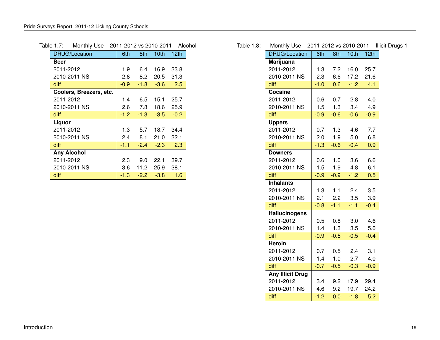<span id="page-19-0"></span>

| <b>DRUG/Location</b>    | 6th    | 8th    | 10 <sub>th</sub> | 12th   |
|-------------------------|--------|--------|------------------|--------|
| Beer                    |        |        |                  |        |
| 2011-2012               | 1.9    | 6.4    | 16.9             | 33.8   |
| 2010-2011 NS            | 2.8    | 8.2    | 20.5             | 31.3   |
| diff                    | $-0.9$ | $-1.8$ | $-3.6$           | 2.5    |
| Coolers, Breezers, etc. |        |        |                  |        |
| 2011-2012               | 1.4    | 6.5    | 15.1             | 25.7   |
| 2010-2011 NS            | 2.6    | 7.8    | 18.6             | 25.9   |
| diff                    | $-1.2$ | $-1.3$ | $-3.5$           | $-0.2$ |
| Liquor                  |        |        |                  |        |
| 2011-2012               | 1.3    | 5.7    | 18.7             | 34.4   |
| 2010-2011 NS            | 2.4    | 8.1    | 21.0             | 32.1   |
| diff                    | $-1.1$ | $-2.4$ | $-2.3$           | 2.3    |
| <b>Any Alcohol</b>      |        |        |                  |        |
| 2011-2012               | 2.3    | 9.0    | 22.1             | 39.7   |
| 2010-2011 NS            | 3.6    | 11.2   | 25.9             | 38.1   |
| diff                    | $-1.3$ | $-2.2$ | $-3.8$           | 1.6    |

### Table 1.7: Monthly Use – 2011-2012 vs 2010-2011 – Alcohol

### Table 1.8: Monthly Use – 2011-2012 vs 2010-2011 – Illicit Drugs 1

<span id="page-19-1"></span>

| <b>DRUG/Location</b>    | 6th    | 8th    | 10 <sub>th</sub> | 12th   |
|-------------------------|--------|--------|------------------|--------|
| Marijuana               |        |        |                  |        |
| 2011-2012               | 1.3    | 7.2    | 16.0             | 25.7   |
| 2010-2011 NS            | 2.3    | 6.6    | 17.2             | 21.6   |
| diff                    | $-1.0$ | 0.6    | $-1.2$           | 4.1    |
| Cocaine                 |        |        |                  |        |
| 2011-2012               | 0.6    | 0.7    | 2.8              | 4.0    |
| 2010-2011 NS            | 1.5    | 1.3    | 3.4              | 4.9    |
| diff                    | $-0.9$ | $-0.6$ | $-0.6$           | $-0.9$ |
| <b>Uppers</b>           |        |        |                  |        |
| 2011-2012               | 0.7    | 1.3    | 4.6              | 7.7    |
| 2010-2011 NS            | 2.0    | 1.9    | 5.0              | 6.8    |
| diff                    | $-1.3$ | $-0.6$ | $-0.4$           | 0.9    |
| <b>Downers</b>          |        |        |                  |        |
| 2011-2012               | 0.6    | 1.0    | 3.6              | 6.6    |
| 2010-2011 NS            | 1.5    | 1.9    | 4.8              | 6.1    |
| diff                    | $-0.9$ | $-0.9$ | $-1.2$           | 0.5    |
| <b>Inhalants</b>        |        |        |                  |        |
| 2011-2012               | 1.3    | 1.1    | 2.4              | 3.5    |
| 2010-2011 NS            | 2.1    | 2.2    | 3.5              | 3.9    |
| diff                    | $-0.8$ | $-1.1$ | $-1.1$           | $-0.4$ |
| <b>Hallucinogens</b>    |        |        |                  |        |
| 2011-2012               | 0.5    | 0.8    | 3.0              | 4.6    |
| 2010-2011 NS            | 1.4    | 1.3    | 3.5              | 5.0    |
| diff                    | $-0.9$ | $-0.5$ | $-0.5$           | $-0.4$ |
| <b>Heroin</b>           |        |        |                  |        |
| 2011-2012               | 0.7    | 0.5    | 2.4              | 3.1    |
| 2010-2011 NS            | 1.4    | 1.0    | 2.7              | 4.0    |
| diff                    | $-0.7$ | $-0.5$ | $-0.3$           | $-0.9$ |
| <b>Any Illicit Drug</b> |        |        |                  |        |
| 2011-2012               | 3.4    | 9.2    | 17.9             | 29.4   |
| 2010-2011 NS            | 4.6    | 9.2    | 19.7             | 24.2   |
| diff                    | $-1.2$ | 0.0    | $-1.8$           | 5.2    |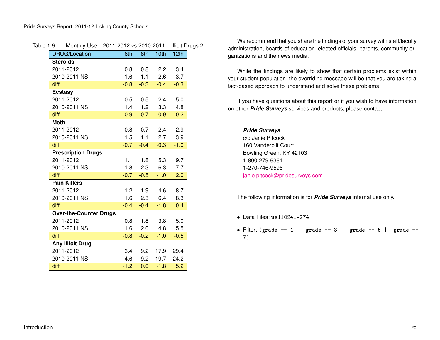<span id="page-20-0"></span>

| <b>DRUG/Location</b>          | 6th    | 8th             | 10th           | 12th   |
|-------------------------------|--------|-----------------|----------------|--------|
| <b>Steroids</b>               |        |                 |                |        |
| 2011-2012                     | 0.8    | 0.8             | 2.2            | 3.4    |
| 2010-2011 NS                  | 1.6    | 1.1             | 2.6            | 3.7    |
| diff                          | $-0.8$ | $-0.3$          | $-0.4$         | $-0.3$ |
| <b>Ecstasy</b>                |        |                 |                |        |
| 2011-2012                     |        |                 | $0.5$ 0.5 2.4  | 5.0    |
| 2010-2011 NS                  |        | $1.4$ $1.2$     | 3.3            | 4.8    |
| diff                          | $-0.9$ | $-0.7$          | $-0.9$         | 0.2    |
| <b>Meth</b>                   |        |                 |                |        |
| 2011-2012                     |        |                 | $0.8$ 0.7 2.4  | 2.9    |
| 2010-2011 NS                  | 1.5    | 1.1             | 2.7            | 3.9    |
| diff                          | $-0.7$ | $-0.4$          | $-0.3$         | $-1.0$ |
| <b>Prescription Drugs</b>     |        |                 |                |        |
| 2011-2012                     |        | $1.1 \t1.8$     | 5.3            | 9.7    |
| 2010-2011 NS                  |        | $1.8$ 2.3       | 6.3            | 7.7    |
| diff                          |        | $-0.7 -0.5$     | $-1.0$         | 2.0    |
| <b>Pain Killers</b>           |        |                 |                |        |
| 2011-2012                     |        | $1.2 \quad 1.9$ | 4.6            | 8.7    |
| 2010-2011 NS                  |        |                 | 1.6 2.3 6.4    | 8.3    |
| diff                          | $-0.4$ | $-0.4$          | $-1.8$         | 0.4    |
| <b>Over-the-Counter Drugs</b> |        |                 |                |        |
| 2011-2012                     | 0.8    | 1.8             | 3.8            | 5.0    |
| 2010-2011 NS                  | 1.6    |                 | $2.0\quad 4.8$ | 5.5    |
| diff                          | $-0.8$ | $-0.2$          | $-1.0$         | $-0.5$ |
| <b>Any Illicit Drug</b>       |        |                 |                |        |
| 2011-2012                     | 3.4    | 9.2             | 17.9           | 29.4   |
| 2010-2011 NS                  | 4.6    | 9.2             | 19.7           | 24.2   |
| diff                          | $-1.2$ | 0.0             | $-1.8$         | 5.2    |

#### Table 1.9: Monthly Use – 2011-2012 vs 2010-2011 – Illicit Drugs 2

We recommend that you share the findings of your survey with staff/faculty, administration, boards of education, elected officials, parents, community organizations and the news media.

While the findings are likely to show that certain problems exist within your student population, the overriding message will be that you are taking a fact-based approach to understand and solve these problems

If you have questions about this report or if you wish to have information on other *Pride Surveys* services and products, please contact:

*Pride Surveys* c/o Janie Pitcock 160 Vanderbilt Court Bowling Green, KY 42103 1-800-279-6361 1-270-746-9596 [janie.pitcock@pridesurveys.com](mail:janie.pitcock@pridesurveys.com)

The following information is for *Pride Surveys* internal use only.

- Data Files: us110241-274
- Filter: (grade == 1 || grade == 3 || grade == 5 || grade == 7)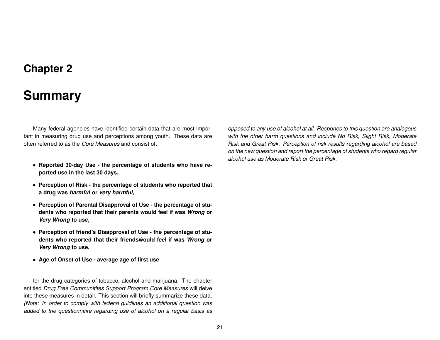## **Chapter 2**

## **Summary**

<span id="page-21-0"></span>Many federal agencies have identified certain data that are most important in measuring drug use and perceptions among youth. These data are often referred to as the *Core Measures* and consist of:

- **Reported 30-day Use the percentage of students who have reported use in the last 30 days,**
- **Perception of Risk the percentage of students who reported that a drug was** *harmful* **or** *very harmful***,**
- **Perception of Parental Disapproval of Use the percentage of students who reported that their parents would feel if was** *Wrong* **or** *Very Wrong* **to use,**
- **Perception of friend's Disapproval of Use the percentage of students who reported that their friendswould feel if was ´** *Wrong* **or** *Very Wrong* **to use,**
- **Age of Onset of Use average age of first use**

for the drug categories of tobacco, alcohol and marijuana. The chapter entitled *Drug Free Communitites Support Program Core Measures* will delve into these measures in detail. This section will briefly summarize these data. *(Note: In order to comply with federal guidlines an additional question was added to the questionnaire regarding use of alcohol on a regular basis as*

*opposed to any use of alcohol at all. Respones to this question are analogous with the other harm questions and include No Risk, Slight Risk, Moderate Risk and Great Risk. Perception of risk results regarding alcohol are based on the new question and report the percentage of students who regard regular alcohol use as Moderate Risk or Great Risk.*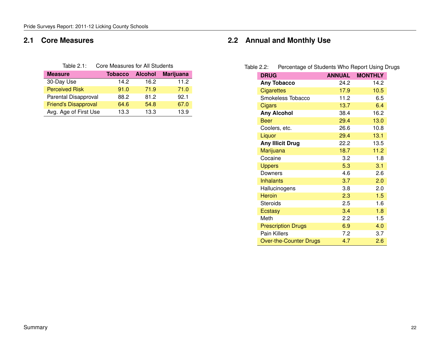### <span id="page-22-0"></span>**2.1 Core Measures**

<span id="page-22-2"></span>

| Table $2.1$ : | Core Measures for All Students |
|---------------|--------------------------------|
|---------------|--------------------------------|

| <b>Measure</b>              | <b>Tobacco</b> | <b>Alcohol</b> | <b>Marijuana</b> |
|-----------------------------|----------------|----------------|------------------|
| 30-Day Use                  | 14.2           | 16.2           | 11.2             |
| <b>Perceived Risk</b>       | 91.0           | 71.9           | 71.0             |
| Parental Disapproval        | 88.2           | 81.2           | 92.1             |
| <b>Friend's Disapproval</b> | 64.6           | 54.8           | 67.0             |
| Avg. Age of First Use       | 13.3           | 13.3           | 13.9             |

## <span id="page-22-1"></span>**2.2 Annual and Monthly Use**

| Table 2.2: | Percentage of Students Who Report Using Drugs |  |  |
|------------|-----------------------------------------------|--|--|
|------------|-----------------------------------------------|--|--|

<span id="page-22-3"></span>

| <b>DRUG</b>                   | <b>ANNUAL</b> | <b>MONTHLY</b> |
|-------------------------------|---------------|----------------|
| <b>Any Tobacco</b>            | 24.2          | 14.2           |
| <b>Cigarettes</b>             | 17.9          | 10.5           |
| Smokeless Tobacco             | 11.2          | 6.5            |
| Cigars                        | 13.7          | 6.4            |
| <b>Any Alcohol</b>            | 38.4          | 16.2           |
| <b>Beer</b>                   | 29.4          | 13.0           |
| Coolers, etc.                 | 26.6          | 10.8           |
| Liquor                        | 29.4          | 13.1           |
| <b>Any Illicit Drug</b>       | 22.2          | 13.5           |
| Marijuana                     | 18.7          | 11.2           |
| Cocaine                       | 3.2           | 1.8            |
| <b>Uppers</b>                 | 5.3           | 3.1            |
| Downers                       | 4.6           | 2.6            |
| <b>Inhalants</b>              | 3.7           | 2.0            |
| Hallucinogens                 | 3.8           | 2.0            |
| <b>Heroin</b>                 | 2.3           | 1.5            |
| <b>Steroids</b>               | 2.5           | 1.6            |
| <b>Ecstasy</b>                | 3.4           | 1.8            |
| Meth                          | 2.2           | 1.5            |
| <b>Prescription Drugs</b>     | 6.9           | 4.0            |
| <b>Pain Killers</b>           | 7.2           | 3.7            |
| <b>Over-the-Counter Drugs</b> | 4.7           | 2.6            |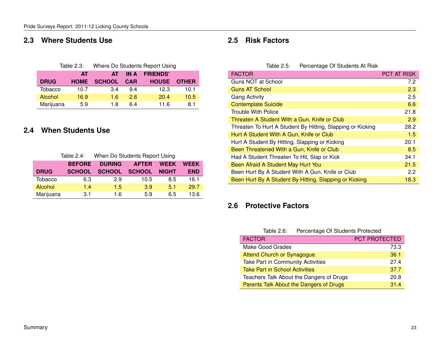### <span id="page-23-0"></span>**2.3 Where Students Use**

<span id="page-23-4"></span>

|             | Table 2.3:  | Where Do Students Report Using |            |                 |              |
|-------------|-------------|--------------------------------|------------|-----------------|--------------|
|             | AT          | AT                             | IN A       | <b>FRIENDS'</b> |              |
| <b>DRUG</b> | <b>HOME</b> | <b>SCHOOL</b>                  | <b>CAR</b> | <b>HOUSE</b>    | <b>OTHER</b> |
| Tobacco     | 10.7        | 3.4                            | 94         | 12.3            | 10.1         |
| Alcohol     | 16.9        | 1.6                            | 2.6        | 20.4            | 10.5         |
| Marijuana   | 5.9         | 18                             | 6 4        | 11.6            | 8.1          |

### <span id="page-23-1"></span>**2.4 When Students Use**

<span id="page-23-5"></span>

| Table 2.4: |  | When Do Students Report Using |  |
|------------|--|-------------------------------|--|
|            |  |                               |  |

|             | <b>BEFORE</b> | <b>DURING</b> | <b>AFTER</b>  | <b>WEEK</b>  | <b>WEEK</b> |
|-------------|---------------|---------------|---------------|--------------|-------------|
| <b>DRUG</b> | <b>SCHOOL</b> | <b>SCHOOL</b> | <b>SCHOOL</b> | <b>NIGHT</b> | <b>END</b>  |
| Tobacco     | 6.3           | 2.9           | 10.5          | 8.5          | 16.1        |
| Alcohol     | 1.4           | 1.5           | 3.9           | 5.1          | 29.7        |
| Marijuana   | 3.1           | 1.6           | 5.9           | 6.5          | 13.6        |

### <span id="page-23-2"></span>**2.5 Risk Factors**

<span id="page-23-6"></span>Table 2.5: Percentage Of Students At Risk

| <b>FACTOR</b>                                              | <b>PCT AT RISK</b> |
|------------------------------------------------------------|--------------------|
| Guns NOT at School                                         | 7.2                |
| <b>Guns AT School</b>                                      | 2.3                |
| <b>Gang Activity</b>                                       | 2.5                |
| <b>Contemplate Suicide</b>                                 | 6.6                |
| <b>Trouble With Police</b>                                 | 21.8               |
| Threaten A Student With a Gun, Knife or Club               | 2.9                |
| Threaten To Hurt A Student By Hitting, Slapping or Kicking | 28.2               |
| Hurt A Student With A Gun, Knife or Club                   | 1.5                |
| Hurt A Student By Hitting, Slapping or Kicking             | 20.1               |
| Been Threatened With a Gun, Knife or Club                  | 8.5                |
| Had A Student Threaten To Hit, Slap or Kick                | 34.1               |
| Been Afraid A Student May Hurt You                         | 21.5               |
| Been Hurt By A Student With A Gun, Knife or Club           | 2.2                |
| Been Hurt By A Student By Hitting, Slapping or Kicking     | 18.3               |

### <span id="page-23-3"></span>**2.6 Protective Factors**

#### <span id="page-23-7"></span>Table 2.6: Percentage Of Students Protected

| <b>FACTOR</b>                            | <b>PCT PROTECTED</b> |
|------------------------------------------|----------------------|
| Make Good Grades                         | 73.3                 |
| Attend Church or Synagogue               | 36.1                 |
| Take Part in Community Activities        | 27.4                 |
| <b>Take Part in School Activities</b>    | 37.7                 |
| Teachers Talk About the Dangers of Drugs | 20.8                 |
| Parents Talk About the Dangers of Drugs  | 314                  |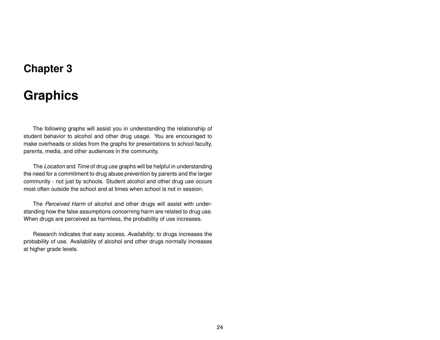## **Chapter 3**

# **Graphics**

<span id="page-24-0"></span>The following graphs will assist you in understanding the relationship of student behavior to alcohol and other drug usage. You are encouraged to make overheads or slides from the graphs for presentations to school faculty, parents, media, and other audiences in the community.

The *Location* and *Time* of drug use graphs will be helpful in understanding the need for a commitment to drug abuse prevention by parents and the larger community - not just by schools. Student alcohol and other drug use occurs most often outside the school and at times when school is not in session.

The *Perceived Harm* of alcohol and other drugs will assist with understanding how the false assumptions concerning harm are related to drug use. When drugs are perceived as harmless, the probability of use increases.

Research indicates that easy access, *Availability*, to drugs increases the probability of use. Availability of alcohol and other drugs normally increases at higher grade levels.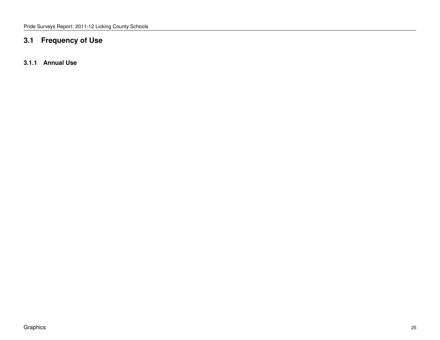## <span id="page-25-0"></span>**3.1 Frequency of Use**

<span id="page-25-1"></span>**3.1.1 Annual Use**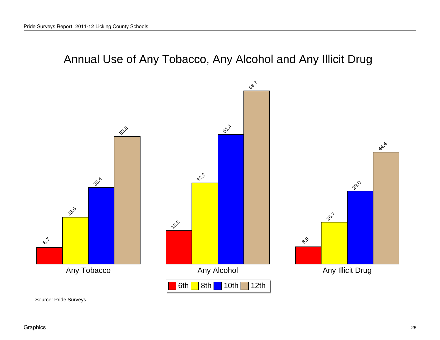# Annual Use of Any Tobacco, Any Alcohol and Any Illicit Drug

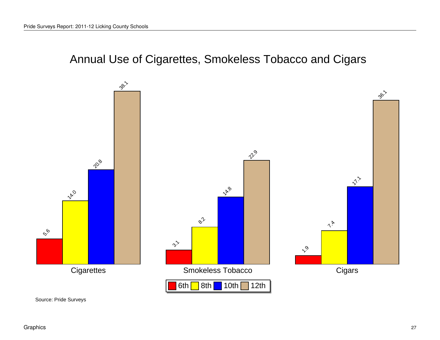Annual Use of Cigarettes, Smokeless Tobacco and Cigars

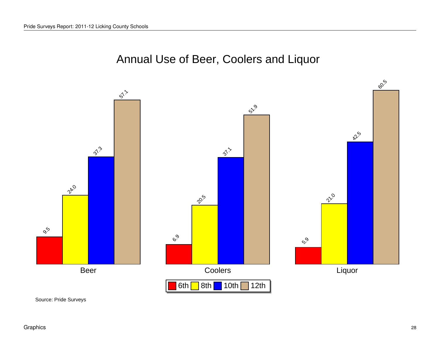## Annual Use of Beer, Coolers and Liquor

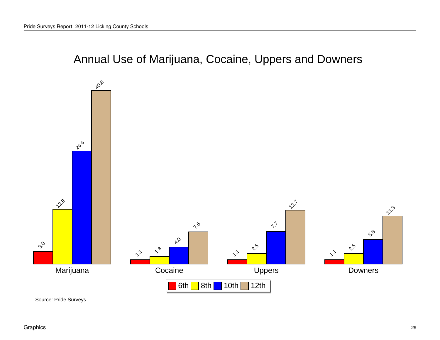Annual Use of Marijuana, Cocaine, Uppers and Downers

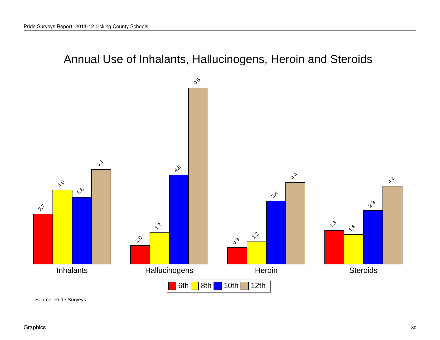Annual Use of Inhalants, Hallucinogens, Heroin and Steroids

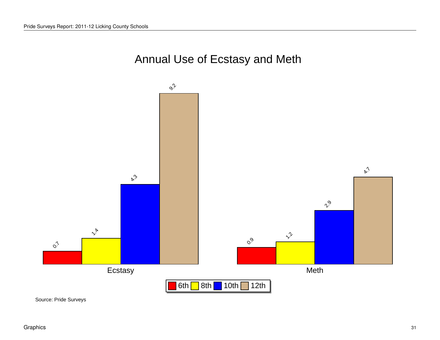

Annual Use of Ecstasy and Meth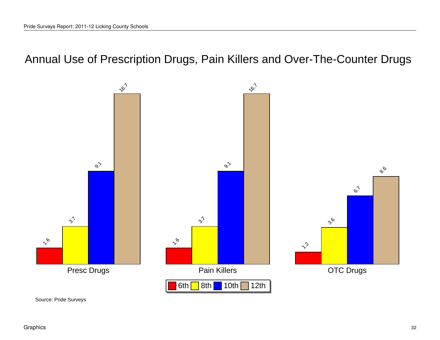## Annual Use of Prescription Drugs, Pain Killers and Over-The-Counter Drugs

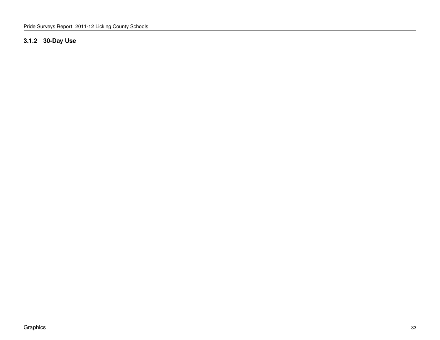### <span id="page-33-0"></span>**3.1.2 30-Day Use**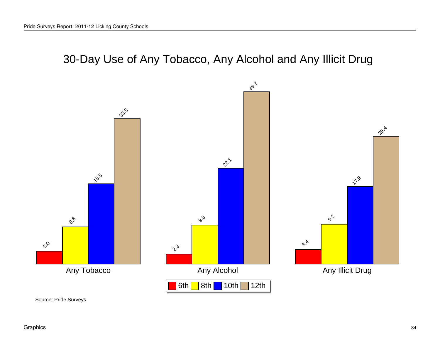# 30-Day Use of Any Tobacco, Any Alcohol and Any Illicit Drug

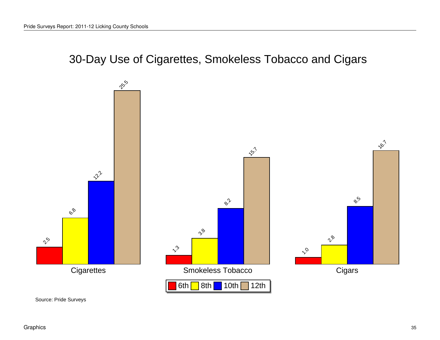# 30-Day Use of Cigarettes, Smokeless Tobacco and Cigars

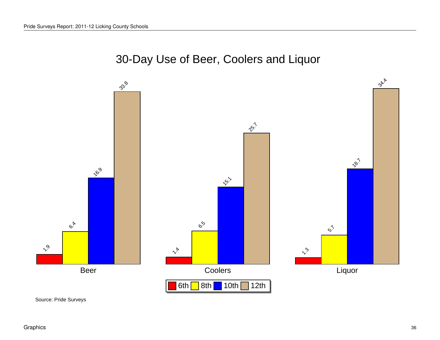## 30-Day Use of Beer, Coolers and Liquor

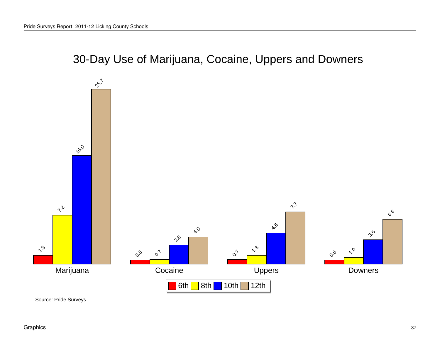30-Day Use of Marijuana, Cocaine, Uppers and Downers

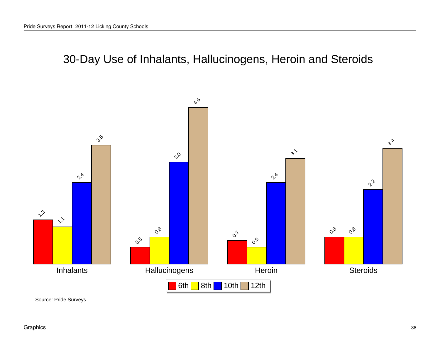30-Day Use of Inhalants, Hallucinogens, Heroin and Steroids



Source: Pride Surveys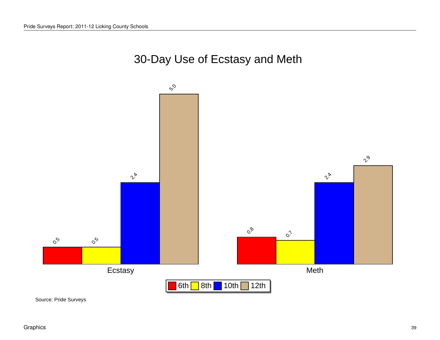

# 30-Day Use of Ecstasy and Meth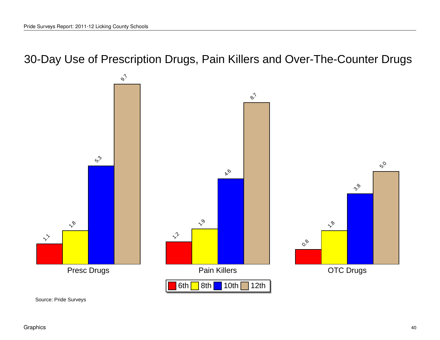30-Day Use of Prescription Drugs, Pain Killers and Over-The-Counter Drugs



Source: Pride Surveys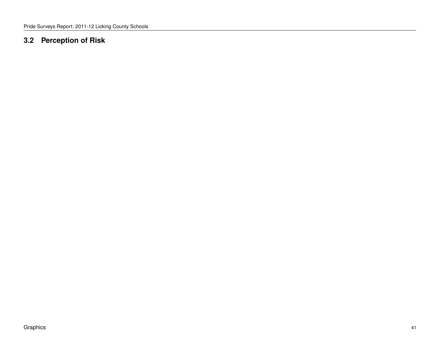#### **3.2 Perception of Risk**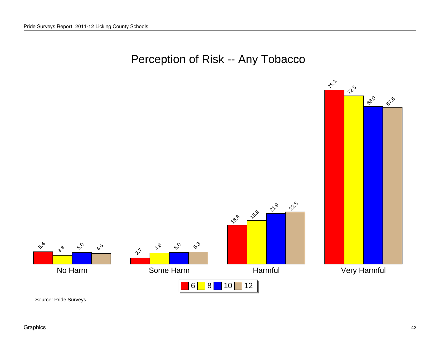## Perception of Risk -- Any Tobacco

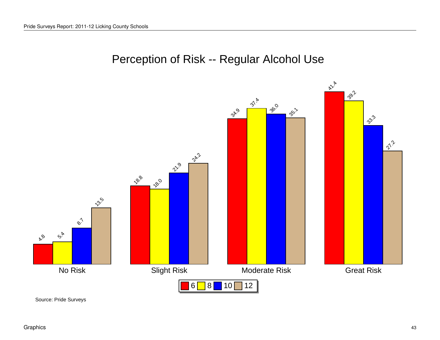# Perception of Risk -- Regular Alcohol Use

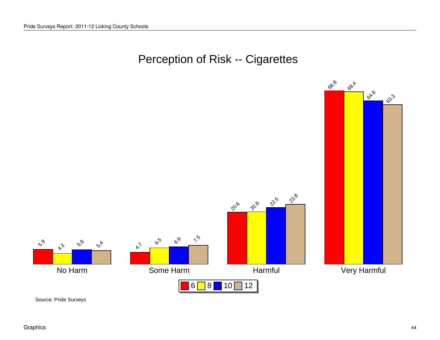## Perception of Risk -- Cigarettes

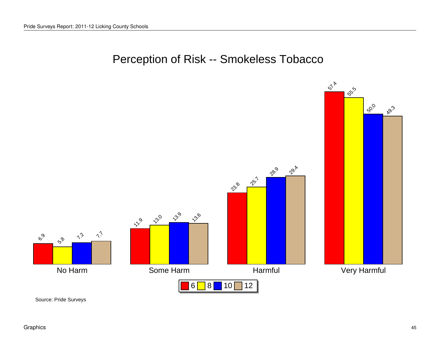## Perception of Risk -- Smokeless Tobacco

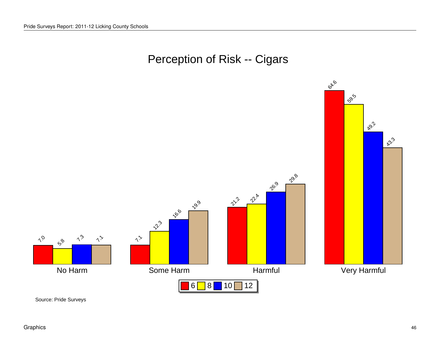# Perception of Risk -- Cigars

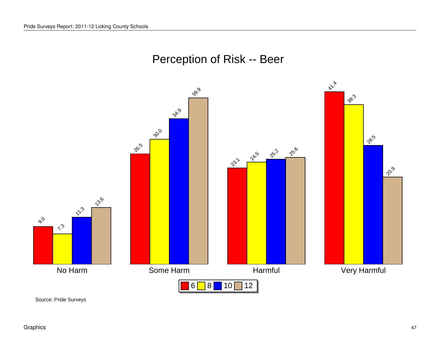# Perception of Risk -- Beer

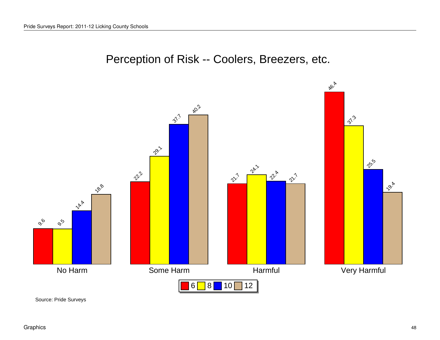

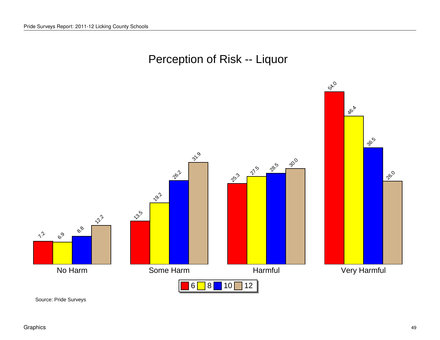

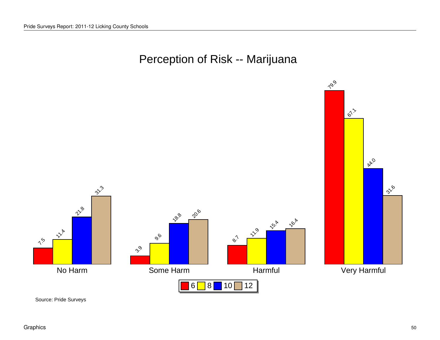## Perception of Risk -- Marijuana

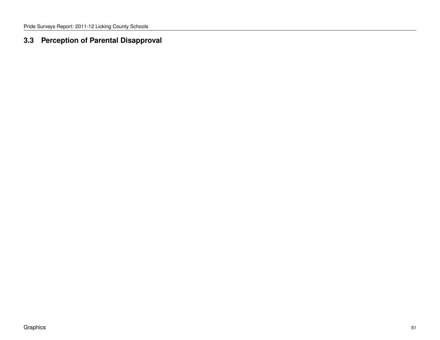#### **3.3 Perception of Parental Disapproval**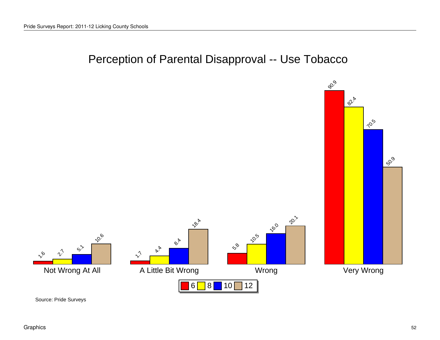## Perception of Parental Disapproval -- Use Tobacco

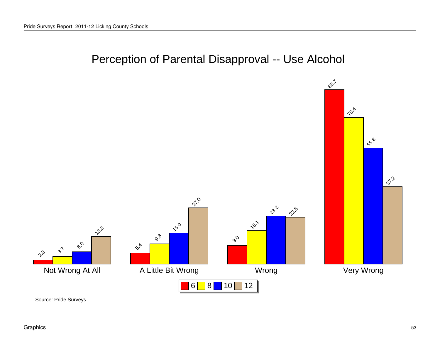## Perception of Parental Disapproval -- Use Alcohol

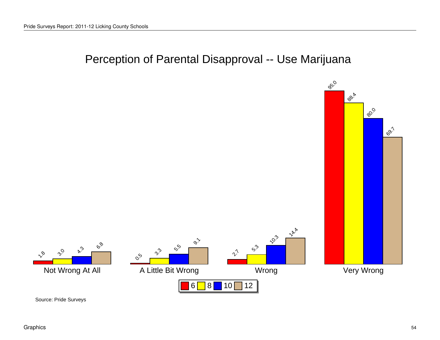## Perception of Parental Disapproval -- Use Marijuana

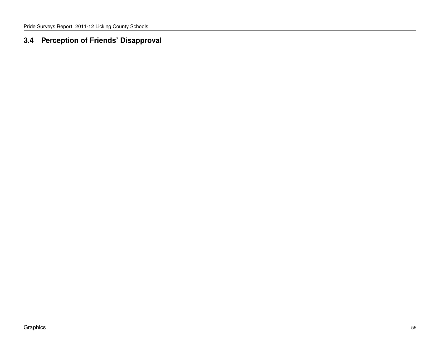#### **3.4 Perception of Friends' Disapproval**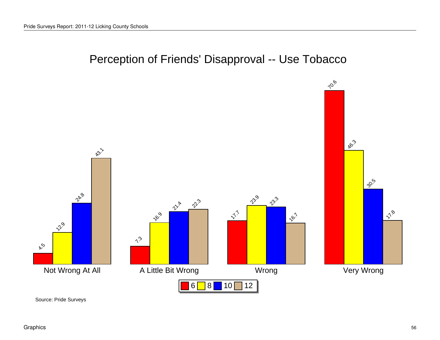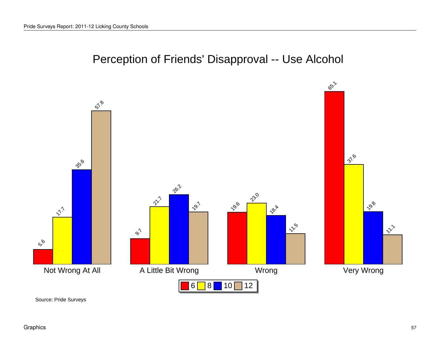

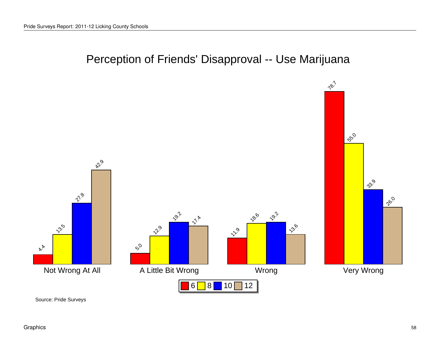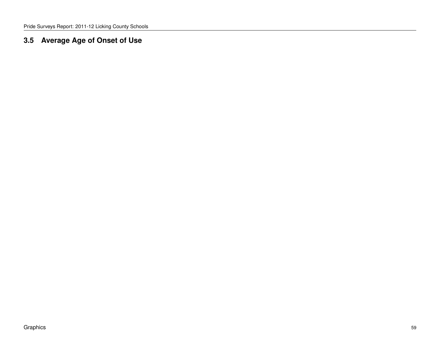#### **3.5 Average Age of Onset of Use**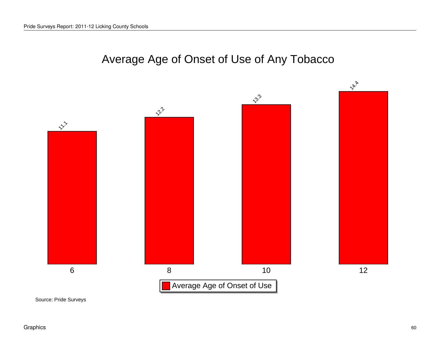## Average Age of Onset of Use of Any Tobacco

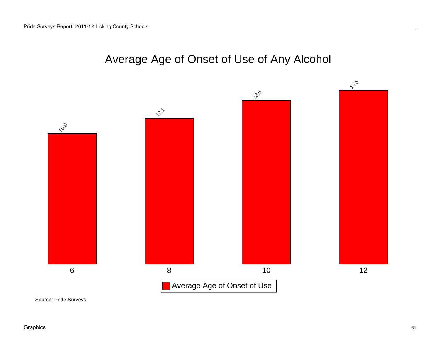## Average Age of Onset of Use of Any Alcohol

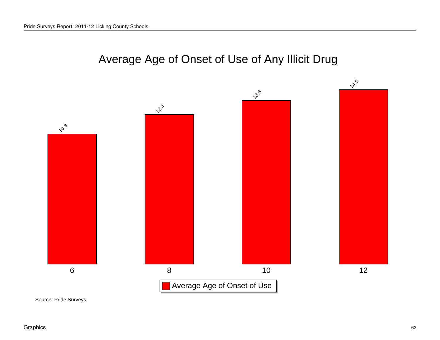## Average Age of Onset of Use of Any Illicit Drug

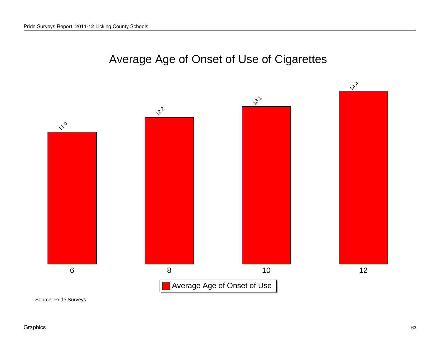## Average Age of Onset of Use of Cigarettes

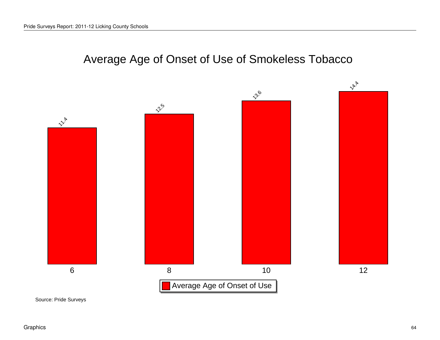# Average Age of Onset of Use of Smokeless Tobacco

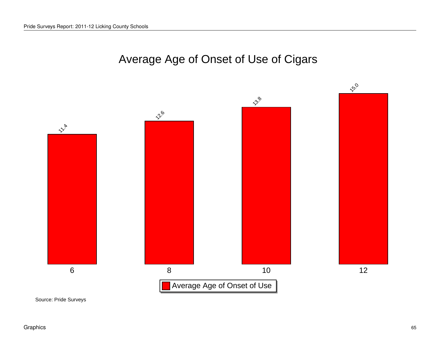## Average Age of Onset of Use of Cigars

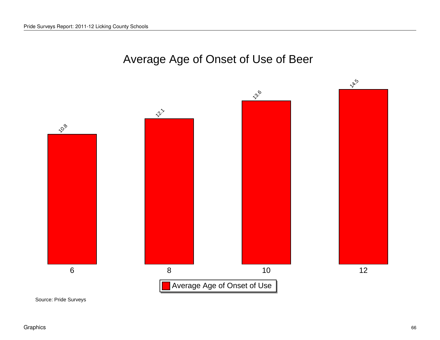## Average Age of Onset of Use of Beer

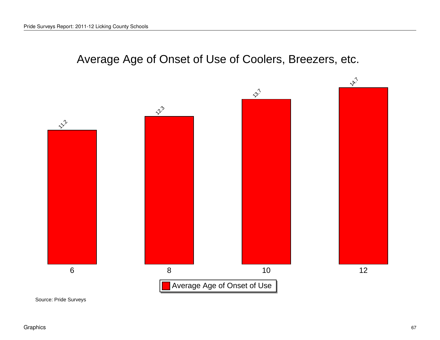## Average Age of Onset of Use of Coolers, Breezers, etc.

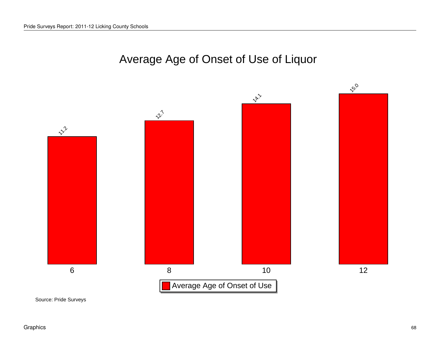## Average Age of Onset of Use of Liquor

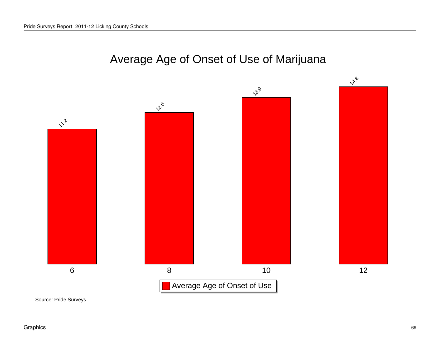## Average Age of Onset of Use of Marijuana

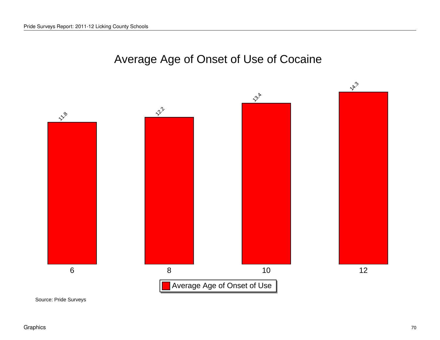## Average Age of Onset of Use of Cocaine

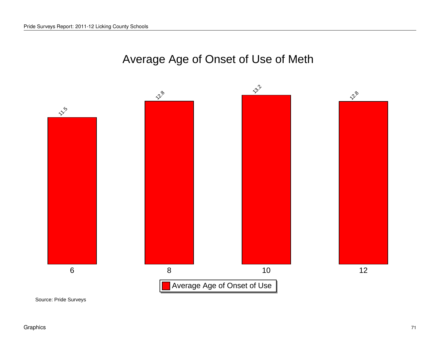## Average Age of Onset of Use of Meth

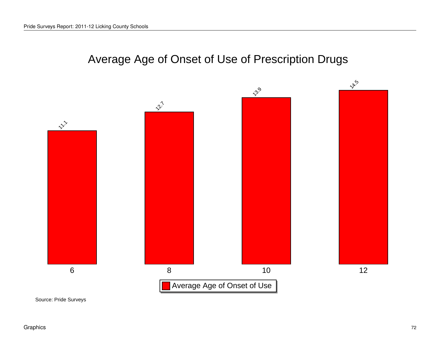## Average Age of Onset of Use of Prescription Drugs

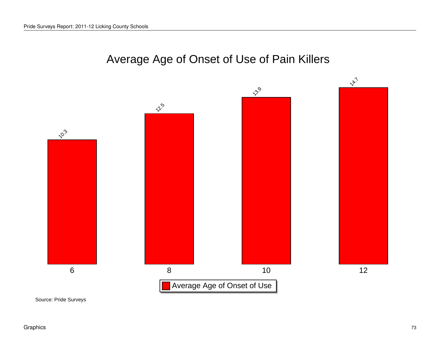#### Average Age of Onset of Use of Pain Killers

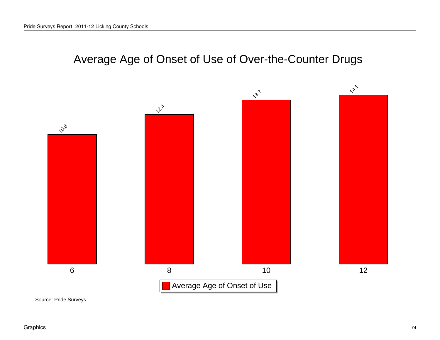# Average Age of Onset of Use of Over-the-Counter Drugs

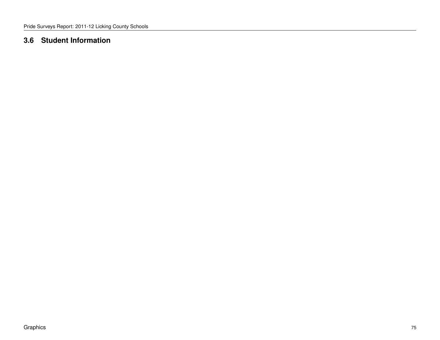#### **3.6 Student Information**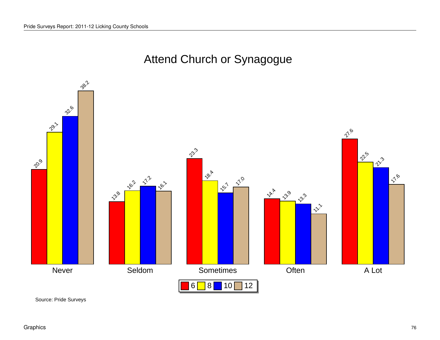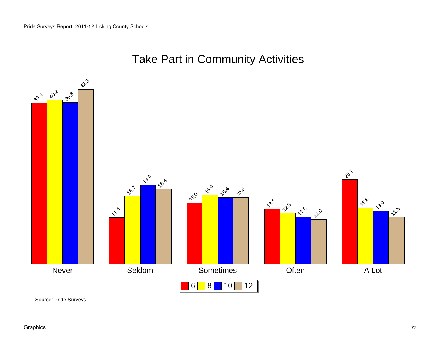

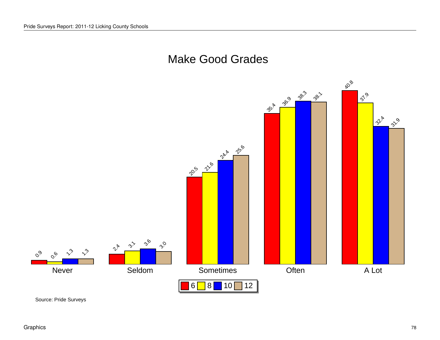#### Make Good Grades

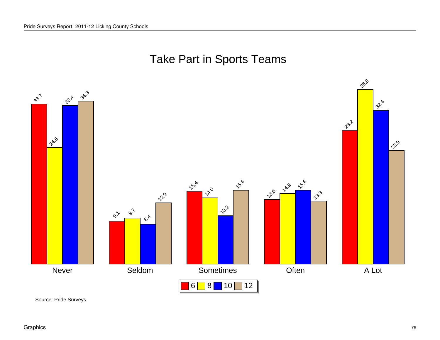# Take Part in Sports Teams

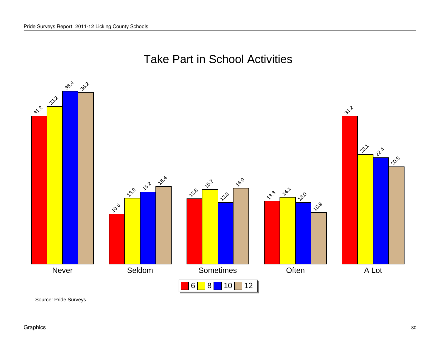# Take Part in School Activities

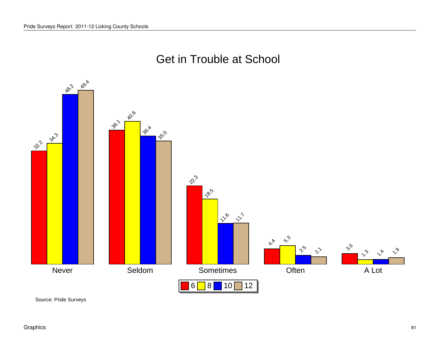

#### Get in Trouble at School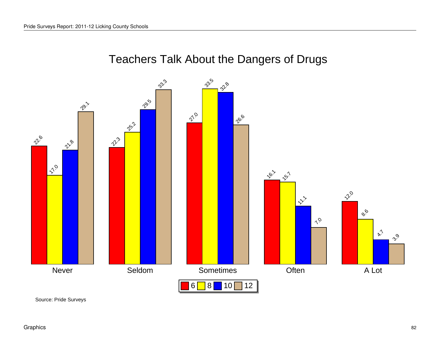# Teachers Talk About the Dangers of Drugs

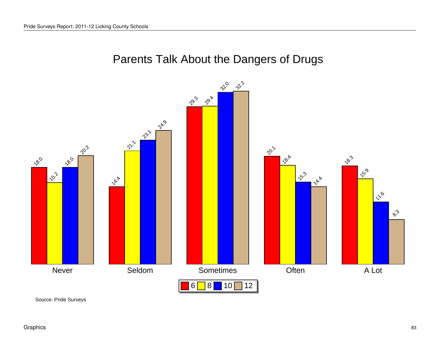

#### Parents Talk About the Dangers of Drugs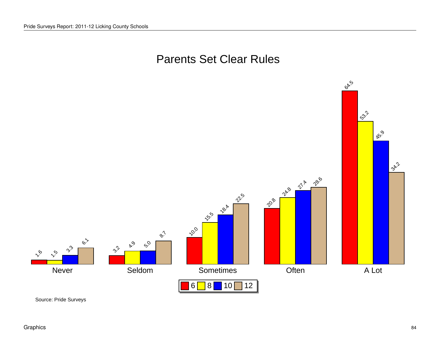

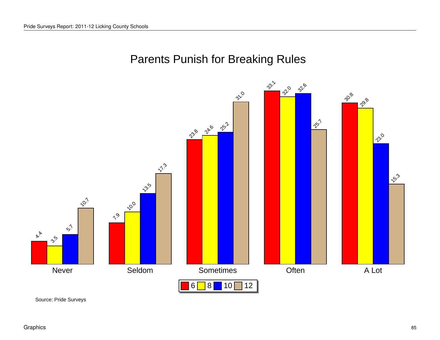## Parents Punish for Breaking Rules

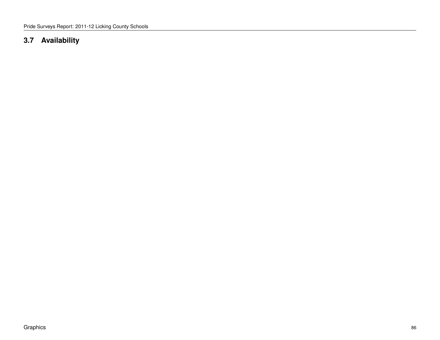#### **3.7 Availability**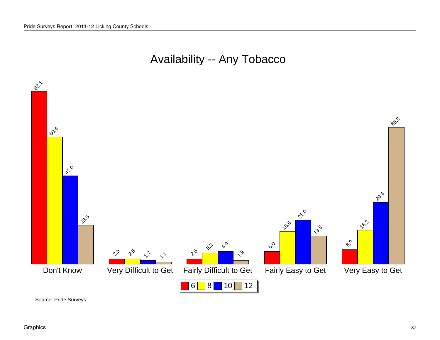### Availability -- Any Tobacco



Source: Pride Surveys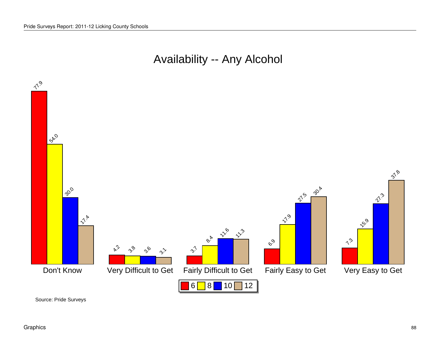## Availability -- Any Alcohol

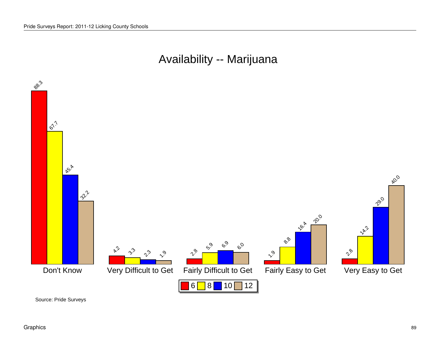#### Availability -- Marijuana



Source: Pride Surveys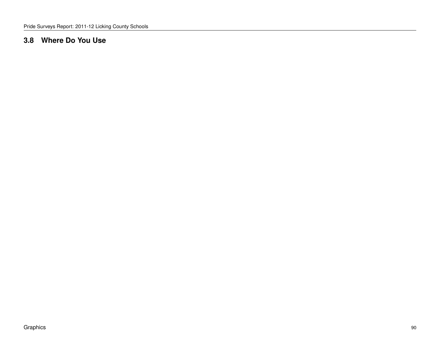#### **3.8 Where Do You Use**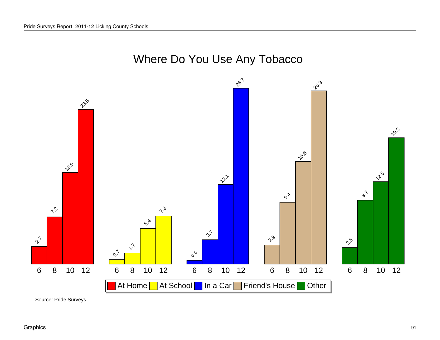# Where Do You Use Any Tobacco

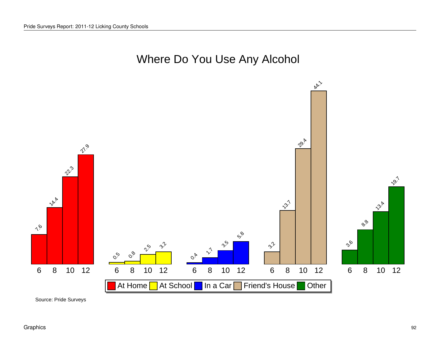

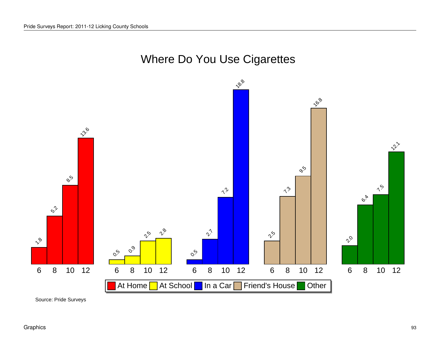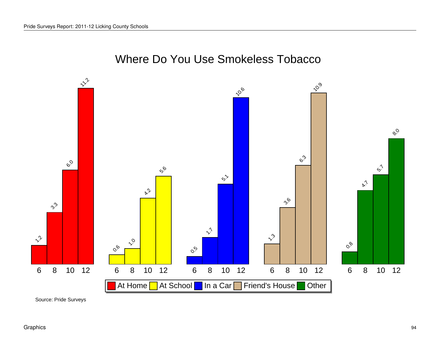

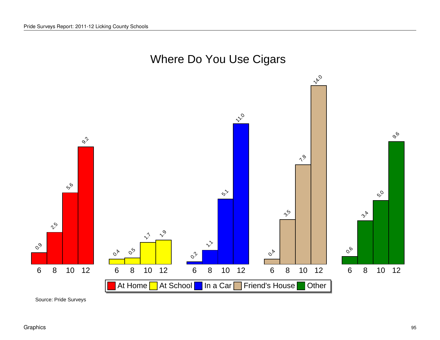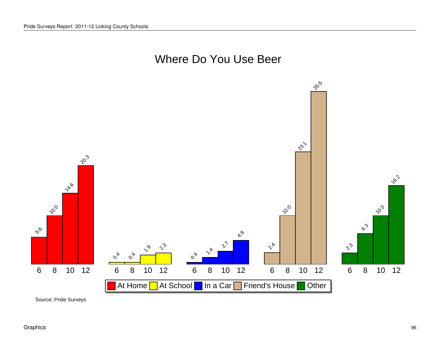

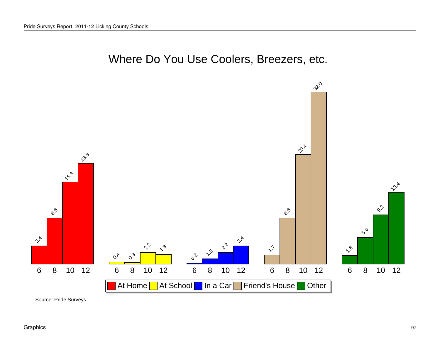



Source: Pride Surveys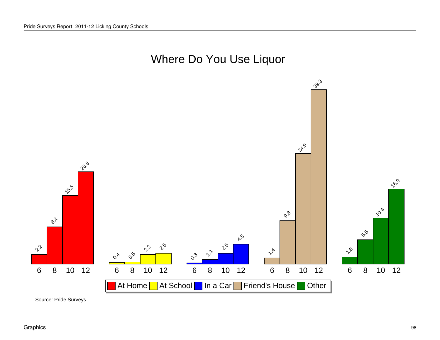

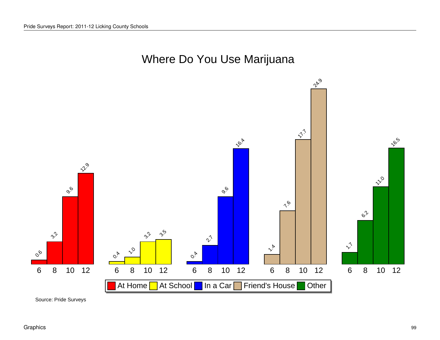

Source: Pride Surveys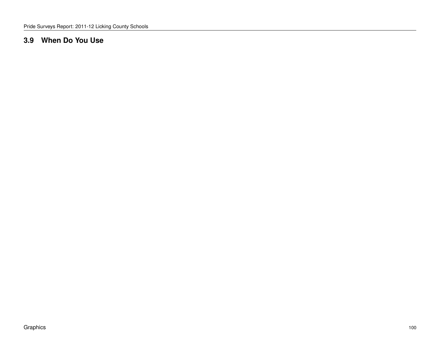#### **3.9 When Do You Use**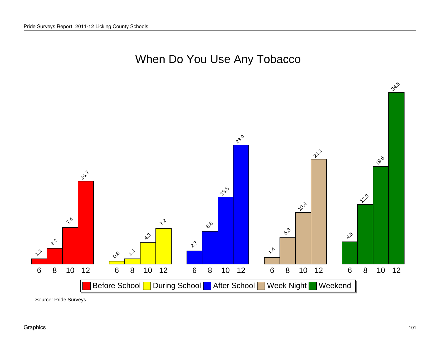



Source: Pride Surveys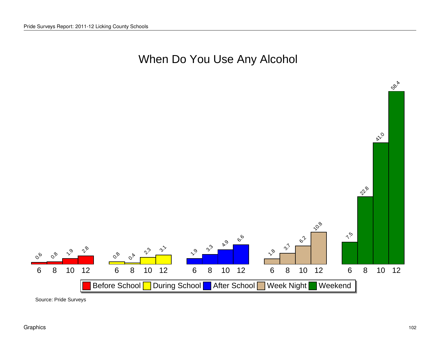# When Do You Use Any Alcohol



Source: Pride Surveys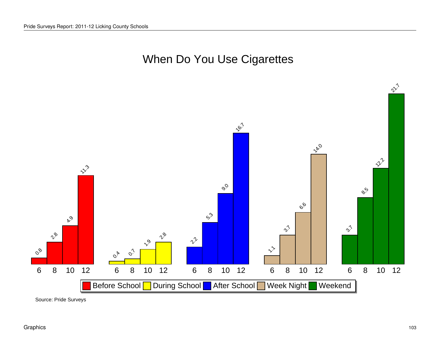# When Do You Use Cigarettes



Source: Pride Surveys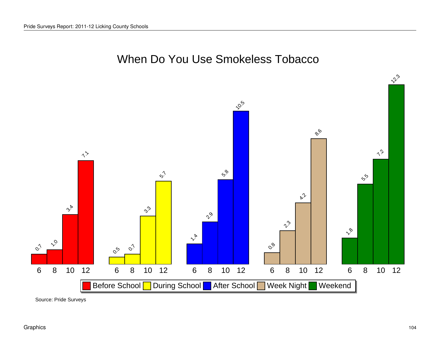

When Do You Use Smokeless Tobacco

Source: Pride Surveys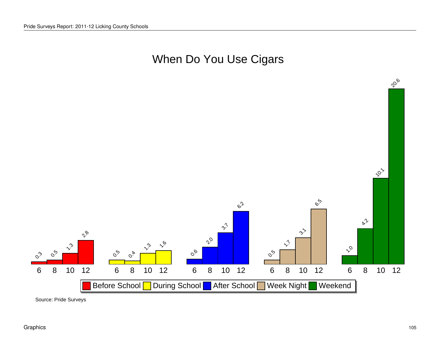# When Do You Use Cigars



Source: Pride Surveys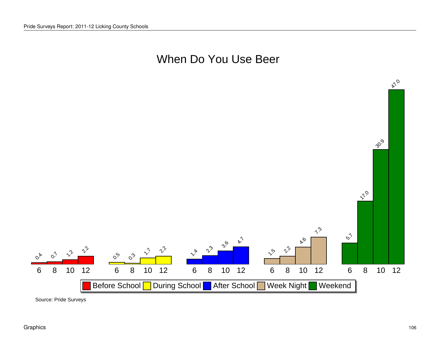#### When Do You Use Beer



Source: Pride Surveys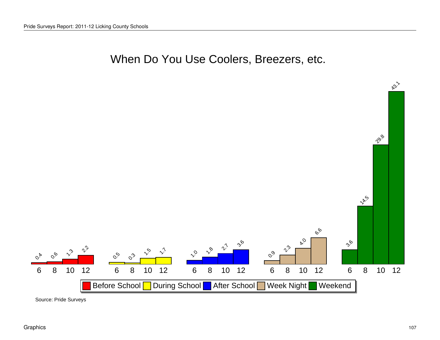#### When Do You Use Coolers, Breezers, etc.



Source: Pride Surveys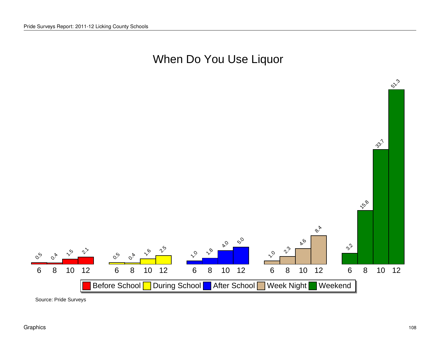### When Do You Use Liquor



Source: Pride Surveys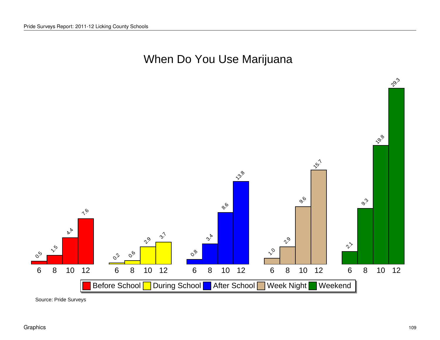# When Do You Use Marijuana



Source: Pride Surveys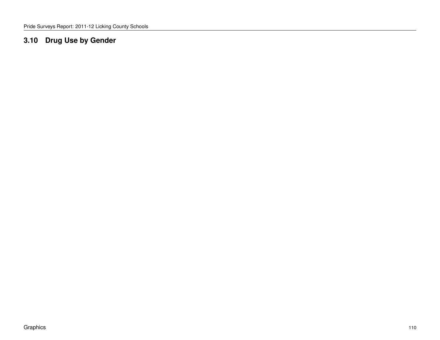### **3.10 Drug Use by Gender**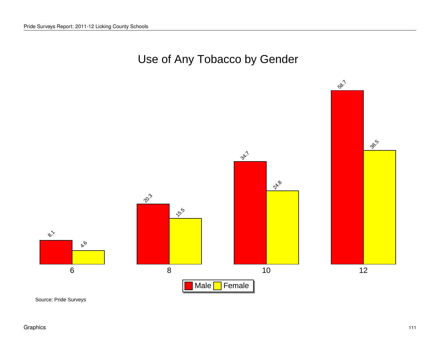



 $58.7$ 

28.5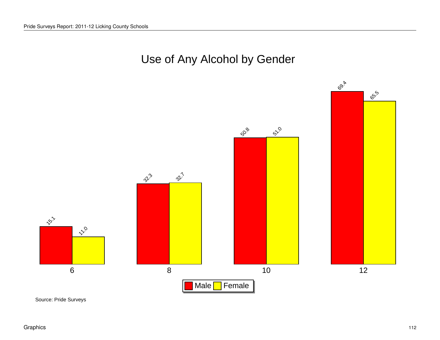### Use of Any Alcohol by Gender

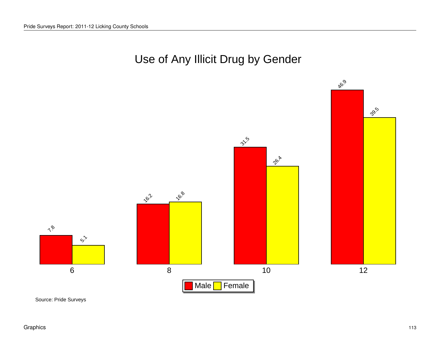

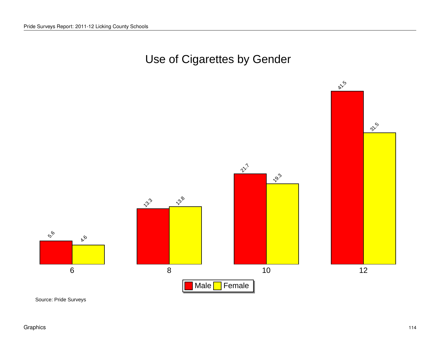# Use of Cigarettes by Gender

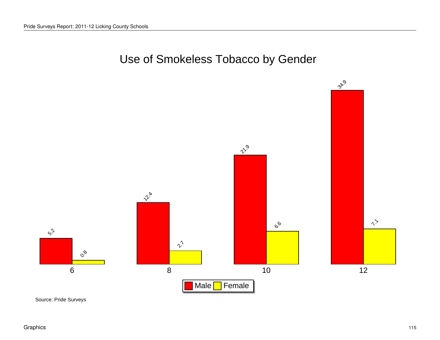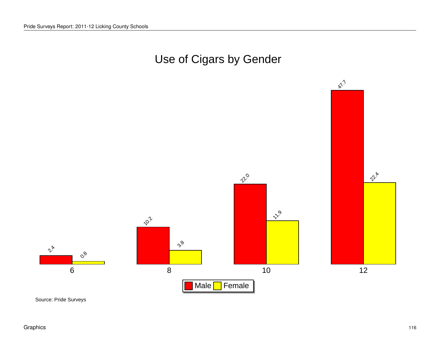

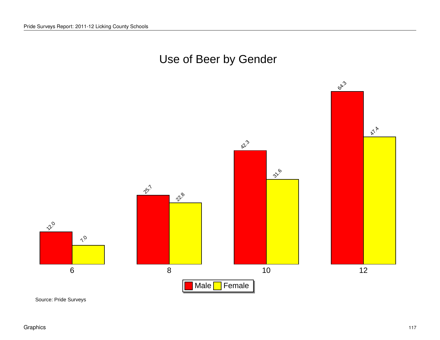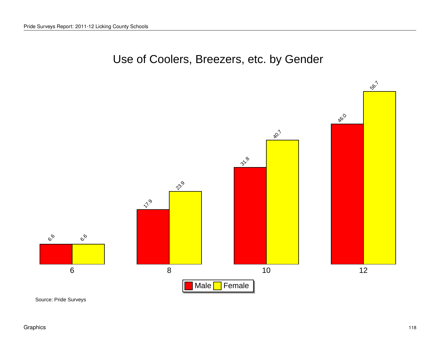

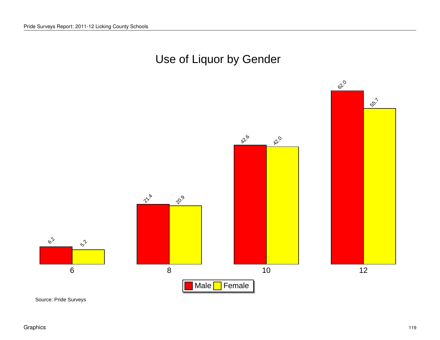



 $55.7$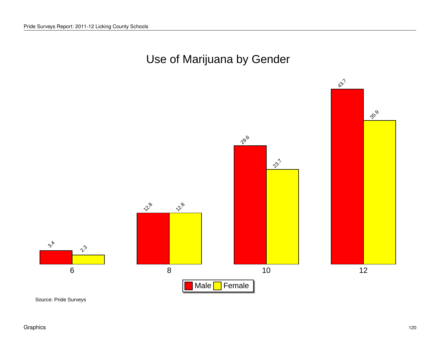

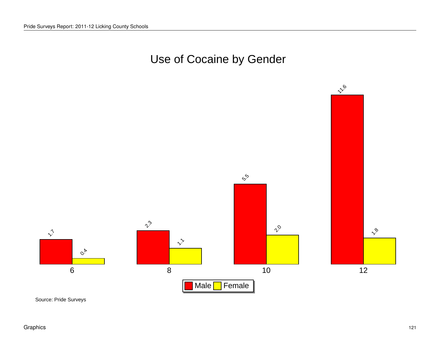# Use of Cocaine by Gender



Source: Pride Surveys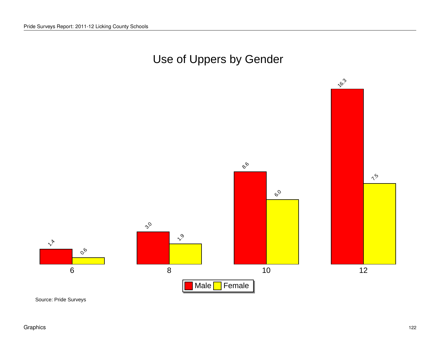

Source: Pride Surveys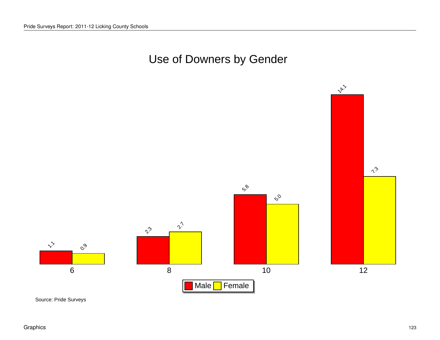# Use of Downers by Gender

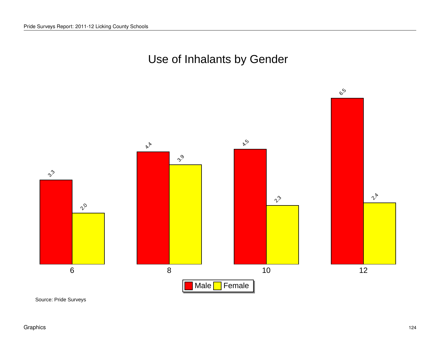



 $\mathcal{C}^{\mathcal{S}}$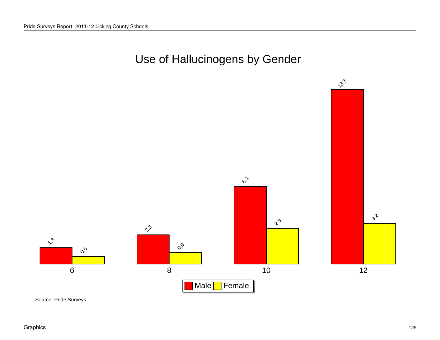# Use of Hallucinogens by Gender

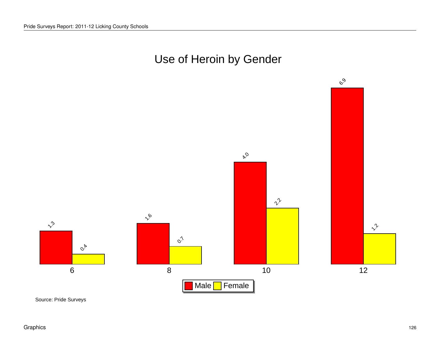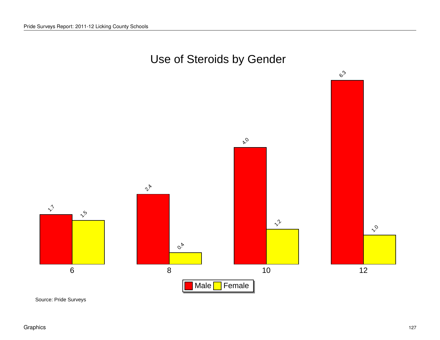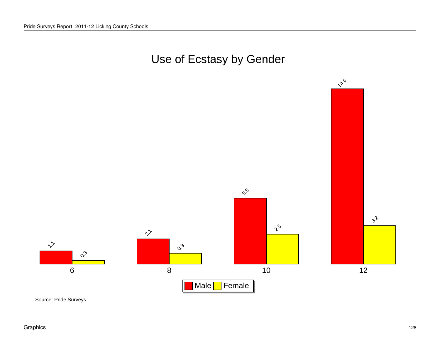# Use of Ecstasy by Gender



Source: Pride Surveys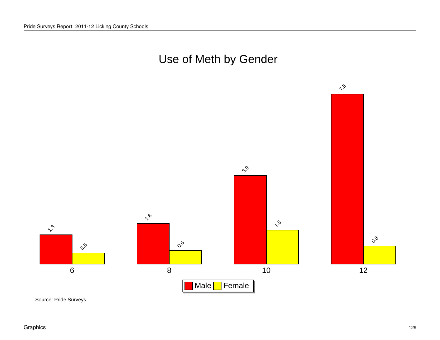



Source: Pride Surveys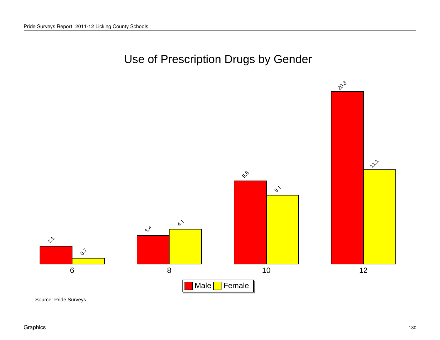# Use of Prescription Drugs by Gender

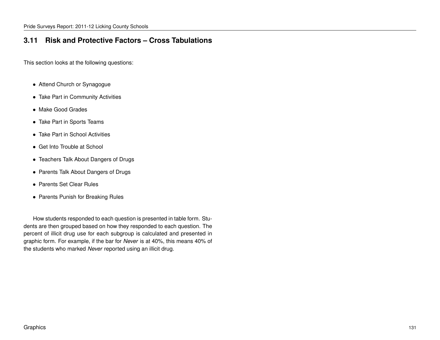### **3.11 Risk and Protective Factors – Cross Tabulations**

This section looks at the following questions:

- Attend Church or Synagogue
- Take Part in Community Activities
- Make Good Grades
- Take Part in Sports Teams
- Take Part in School Activities
- Get Into Trouble at School
- Teachers Talk About Dangers of Drugs
- Parents Talk About Dangers of Drugs
- Parents Set Clear Rules
- Parents Punish for Breaking Rules

How students responded to each question is presented in table form. Students are then grouped based on how they responded to each question. The percent of illicit drug use for each subgroup is calculated and presented in graphic form. For example, if the bar for *Never* is at 40%, this means 40% of the students who marked *Never* reported using an illicit drug.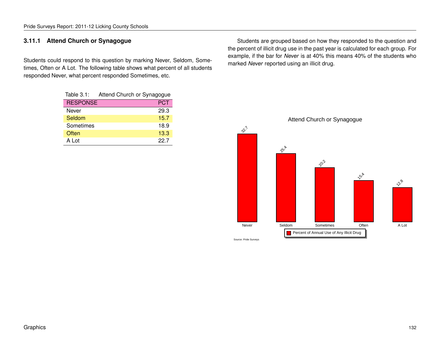#### **3.11.1 Attend Church or Synagogue**

Students could respond to this question by marking Never, Seldom, Sometimes, Often or A Lot. The following table shows what percent of all students responded Never, what percent responded Sometimes, etc.

| Table $3.1$ :   | Attend Church or Synagogue |  |
|-----------------|----------------------------|--|
| <b>RESPONSE</b> | <b>PCT</b>                 |  |
| Never           | 29.3                       |  |
| Seldom          | 15.7                       |  |
| Sometimes       | 18.9                       |  |
| Often           | 13.3                       |  |
| A Lot           | 22.7                       |  |

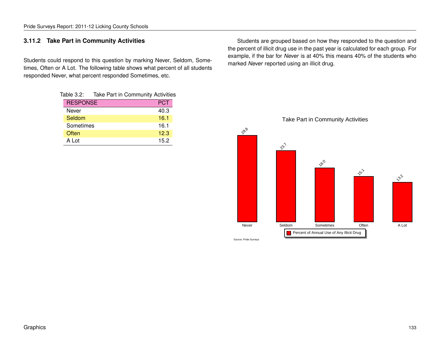#### Pride Surveys Report: 2011-12 Licking County Schools

#### **3.11.2 Take Part in Community Activities**

Students could respond to this question by marking Never, Seldom, Sometimes, Often or A Lot. The following table shows what percent of all students responded Never, what percent responded Sometimes, etc.

| Table 3.2:      | Take Part in Community Activities |      |
|-----------------|-----------------------------------|------|
| <b>RESPONSE</b> |                                   | PCT  |
| Never           |                                   | 40.3 |
| Seldom          |                                   | 16.1 |
| Sometimes       |                                   | 16.1 |
| Often           |                                   | 12.3 |
| A Lot           |                                   | 15.2 |

Students are grouped based on how they responded to the question and the percent of illicit drug use in the past year is calculated for each group. For example, if the bar for *Never* is at 40% this means 40% of the students who marked *Never* reported using an illicit drug.

Take Part in Community Activities



 $28.8$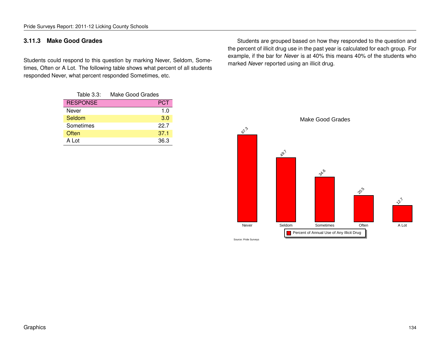**3.11.3 Make Good Grades**

Students could respond to this question by marking Never, Seldom, Sometimes, Often or A Lot. The following table shows what percent of all students responded Never, what percent responded Sometimes, etc.

Pride Surveys Report: 2011-12 Licking County Schools

| Table $3.3$ :   | Make Good Grades |
|-----------------|------------------|
| <b>RESPONSE</b> | PCT              |
| Never           | 1.0              |
| Seldom          | 3.0              |
| Sometimes       | 22.7             |
| Often           | 37.1             |
| A Lot           | 36.3             |

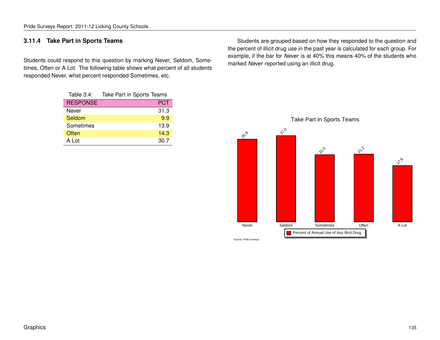#### **3.11.4 Take Part in Sports Teams**

Students could respond to this question by marking Never, Seldom, Sometimes, Often or A Lot. The following table shows what percent of all students responded Never, what percent responded Sometimes, etc.

| Table $3.4$ :   | Take Part in Sports Teams |  |
|-----------------|---------------------------|--|
| <b>RESPONSE</b> | <b>PCT</b>                |  |
| Never           | 31.3                      |  |
| Seldom          | 9.9                       |  |
| Sometimes       | 13.9                      |  |
| Often           | 14.3                      |  |
| A Lot           | 30.7                      |  |

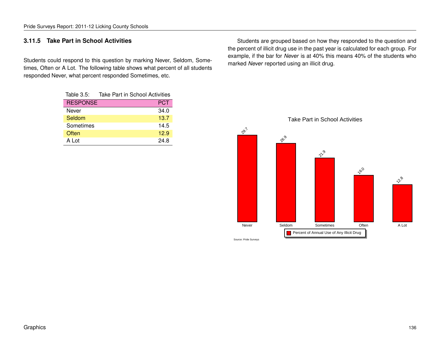#### **3.11.5 Take Part in School Activities**

Students could respond to this question by marking Never, Seldom, Sometimes, Often or A Lot. The following table shows what percent of all students responded Never, what percent responded Sometimes, etc.

| Table $3.5$ :   | <b>Take Part in School Activities</b> |
|-----------------|---------------------------------------|
| <b>RESPONSE</b> | <b>PCT</b>                            |
| Never           | 34.0                                  |
| Seldom          | 13.7                                  |
| Sometimes       | 14.5                                  |
| Often           | 12.9                                  |
| A Lot           | 24.8                                  |

Students are grouped based on how they responded to the question and the percent of illicit drug use in the past year is calculated for each group. For example, if the bar for *Never* is at 40% this means 40% of the students who marked *Never* reported using an illicit drug.



### Take Part in School Activities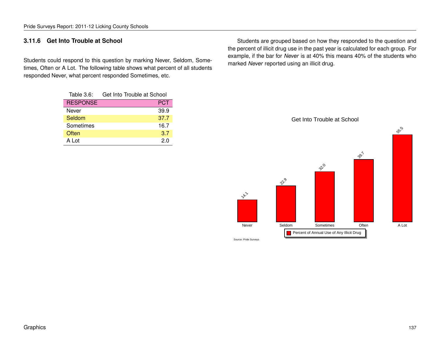#### **3.11.6 Get Into Trouble at School**

Students could respond to this question by marking Never, Seldom, Sometimes, Often or A Lot. The following table shows what percent of all students responded Never, what percent responded Sometimes, etc.

| Table $3.6$ :   | Get Into Trouble at School |  |
|-----------------|----------------------------|--|
| <b>RESPONSE</b> | <b>PCT</b>                 |  |
| Never           | 39.9                       |  |
| Seldom          | 37.7                       |  |
| Sometimes       | 16.7                       |  |
| Often           | 3.7                        |  |
| A Lot           | 2.0                        |  |

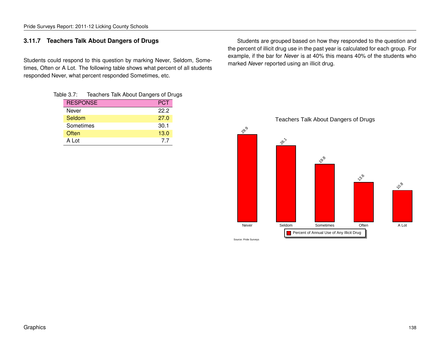#### **3.11.7 Teachers Talk About Dangers of Drugs**

Students could respond to this question by marking Never, Seldom, Sometimes, Often or A Lot. The following table shows what percent of all students responded Never, what percent responded Sometimes, etc.

|                 | Table 3.7: Teachers Talk About Dangers of Drugs |            |  |
|-----------------|-------------------------------------------------|------------|--|
| <b>RESPONSE</b> |                                                 | <b>PCT</b> |  |
| Never           |                                                 | 22.2       |  |
| Seldom          |                                                 | 27.0       |  |
| Sometimes       |                                                 | 30.1       |  |
| Often           |                                                 | 13.0       |  |
| A Lot           |                                                 | 77         |  |

Students are grouped based on how they responded to the question and the percent of illicit drug use in the past year is calculated for each group. For example, if the bar for *Never* is at 40% this means 40% of the students who marked *Never* reported using an illicit drug.



#### Teachers Talk About Dangers of Drugs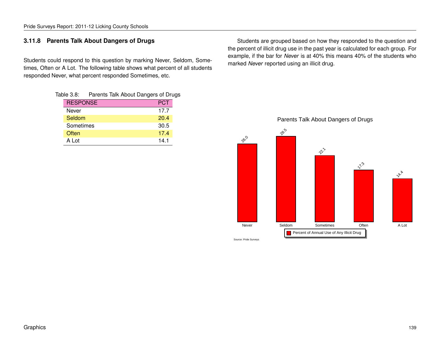#### **3.11.8 Parents Talk About Dangers of Drugs**

Students could respond to this question by marking Never, Seldom, Sometimes, Often or A Lot. The following table shows what percent of all students responded Never, what percent responded Sometimes, etc.

| Table 3.8:      | Parents Talk About Dangers of Drugs |            |  |
|-----------------|-------------------------------------|------------|--|
| <b>RESPONSE</b> |                                     | <b>PCT</b> |  |
| Never           |                                     | 17.7       |  |
| Seldom          |                                     | 20.4       |  |
| Sometimes       |                                     | 30.5       |  |
| Often           |                                     | 17.4       |  |
| A Lot           |                                     | 14.1       |  |

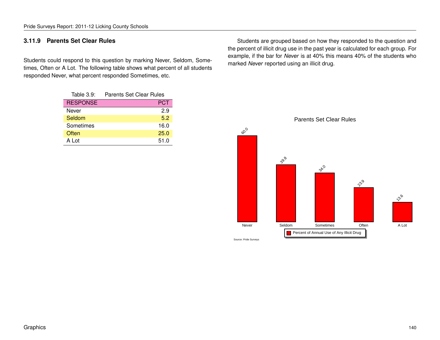### **3.11.9 Parents Set Clear Rules**

Students could respond to this question by marking Never, Seldom, Sometimes, Often or A Lot. The following table shows what percent of all students responded Never, what percent responded Sometimes, etc.

| Table 3.9:      | <b>Parents Set Clear Rules</b> |  |
|-----------------|--------------------------------|--|
| <b>RESPONSE</b> | <b>PCT</b>                     |  |
| Never           | 2.9                            |  |
| Seldom          | 5.2                            |  |
| Sometimes       | 16.0                           |  |
| Often           | 25.0                           |  |
| A Lot           | 51.0                           |  |

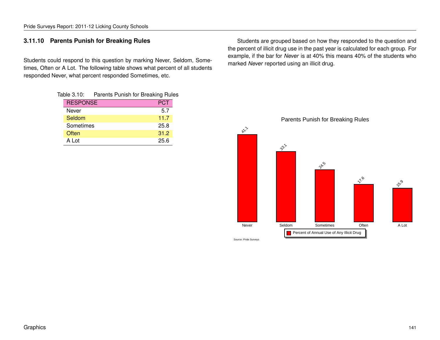#### **3.11.10 Parents Punish for Breaking Rules**

Students could respond to this question by marking Never, Seldom, Sometimes, Often or A Lot. The following table shows what percent of all students responded Never, what percent responded Sometimes, etc.

| Table 3.10:     | Parents Punish for Breaking Rules |            |  |
|-----------------|-----------------------------------|------------|--|
| <b>RESPONSE</b> |                                   | <b>PCT</b> |  |
| Never           |                                   | 5.7        |  |
| Seldom          |                                   | 11.7       |  |
| Sometimes       |                                   | 25.8       |  |
| Often           |                                   | 31.2       |  |
| A Lot           |                                   | 25 R       |  |

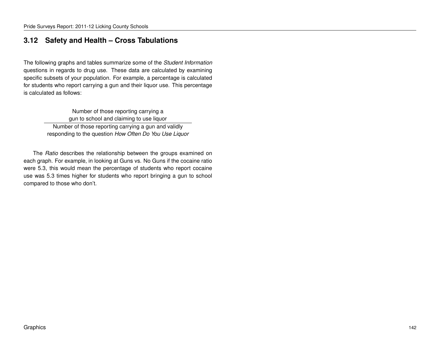### **3.12 Safety and Health – Cross Tabulations**

The following graphs and tables summarize some of the *Student Information* questions in regards to drug use. These data are calculated by examining specific subsets of your population. For example, a percentage is calculated for students who report carrying a gun and their liquor use. This percentage is calculated as follows:

> Number of those reporting carrying a gun to school and claiming to use liquor Number of those reporting carrying a gun and validly responding to the question *How Often Do You Use Liquor*

The *Ratio* describes the relationship between the groups examined on each graph. For example, in looking at Guns vs. No Guns if the cocaine ratio were 5.3, this would mean the percentage of students who report cocaine use was 5.3 times higher for students who report bringing a gun to school compared to those who don't.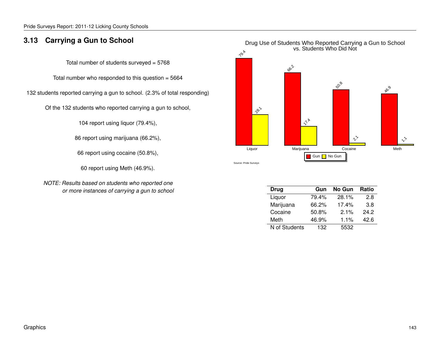### **3.13 Carrying a Gun to School**

Total number of students surveyed = 5768

Total number who responded to this question  $= 5664$ 

132 students reported carrying a gun to school. (2.3% of total responding)

Of the 132 students who reported carrying a gun to school,

104 report using liquor (79.4%),

86 report using marijuana (66.2%),

66 report using cocaine (50.8%),

60 report using Meth (46.9%).

*NOTE: Results based on students who reported one or more instances of carrying a gun to school*



| <b>Drug</b>   | Gun   | No Gun | Ratio |
|---------------|-------|--------|-------|
| Liquor        | 79.4% | 28.1%  | 2.8   |
| Marijuana     | 66.2% | 17.4%  | 3.8   |
| Cocaine       | 50.8% | 2.1%   | 24.2  |
| Meth          | 46.9% | 1.1%   | 42.6  |
| N of Students | 132   | 5532   |       |

### Drug Use of Students Who Reported Carrying a Gun to School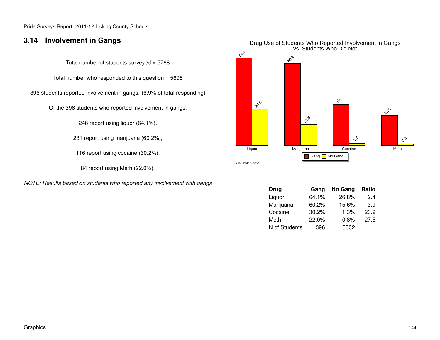#### **3.14 Involvement in Gangs**

Total number of students surveyed = 5768

Total number who responded to this question  $= 5698$ 

396 students reported involvement in gangs. (6.9% of total responding)

Of the 396 students who reported involvement in gangs,

246 report using liquor (64.1%),

231 report using marijuana (60.2%),

116 report using cocaine (30.2%),

84 report using Meth (22.0%).

*NOTE: Results based on students who reported any involvement with gangs*



| Drug          | Gang  | No Gang | Ratio |
|---------------|-------|---------|-------|
| Liquor        | 64.1% | 26.8%   | 24    |
| Marijuana     | 60.2% | 15.6%   | 3.9   |
| Cocaine       | 30.2% | 1.3%    | 23.2  |
| Meth          | 22.0% | 0.8%    | 27.5  |
| N of Students | 396   | 5302    |       |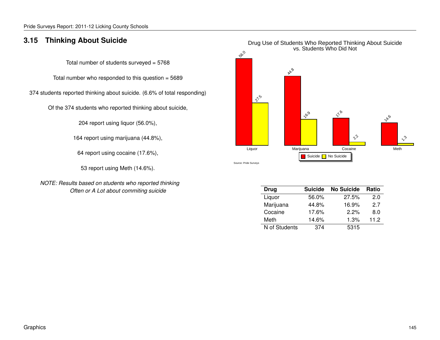### **3.15 Thinking About Suicide**

Total number of students surveyed = 5768

Total number who responded to this question  $= 5689$ 

374 students reported thinking about suicide. (6.6% of total responding)

Of the 374 students who reported thinking about suicide,

204 report using liquor (56.0%),

164 report using marijuana (44.8%),

64 report using cocaine (17.6%),

53 report using Meth (14.6%).

*NOTE: Results based on students who reported thinking Often or A Lot about commiting suicide*



| <b>Suicide</b> | <b>No Suicide</b> | Ratio |
|----------------|-------------------|-------|
| 56.0%          | 27.5%             | 2.0   |
| 44.8%          | 16.9%             | 27    |
| 17.6%          | 2.2%              | 8.0   |
| 14.6%          | 1.3%              | 11.2  |
| 374            | 5315              |       |
|                |                   |       |

# Drug Use of Students Who Reported Thinking About Suicide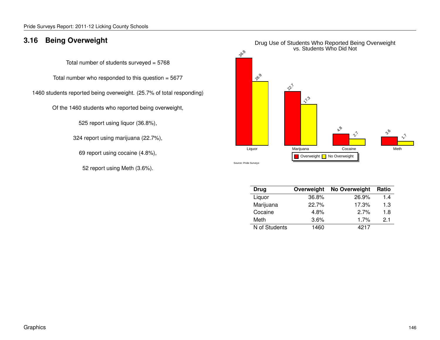### **3.16 Being Overweight**

Total number of students surveyed = 5768

Total number who responded to this question  $= 5677$ 

1460 students reported being overweight. (25.7% of total responding)

Of the 1460 students who reported being overweight,

525 report using liquor (36.8%),

324 report using marijuana (22.7%),

69 report using cocaine (4.8%),

52 report using Meth (3.6%).



| <b>Drug</b>   | Overweight | No Overweight | Ratio |
|---------------|------------|---------------|-------|
| Liquor        | 36.8%      | 26.9%         | 1.4   |
| Marijuana     | 22.7%      | 17.3%         | 1.3   |
| Cocaine       | 4.8%       | 2.7%          | 1.8   |
| Meth          | 3.6%       | 1.7%          | 21    |
| N of Students | 1460       | 4217          |       |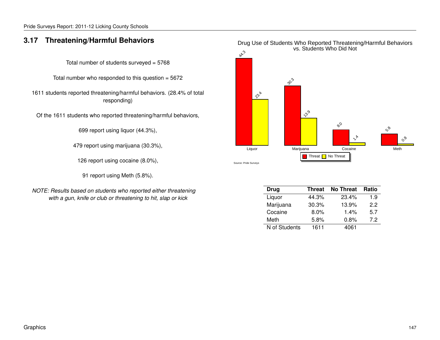#### **3.17 Threatening/Harmful Behaviors**

Total number of students surveyed = 5768

Total number who responded to this question = 5672

1611 students reported threatening/harmful behaviors. (28.4% of total responding)

Of the 1611 students who reported threatening/harmful behaviors,

699 report using liquor (44.3%),

479 report using marijuana (30.3%),

126 report using cocaine (8.0%),

91 report using Meth (5.8%).

*NOTE: Results based on students who reported either threatening with a gun, knife or club or threatening to hit, slap or kick*



| Drug          | <b>Threat</b> | <b>No Threat</b> | <b>Ratio</b> |
|---------------|---------------|------------------|--------------|
| Liquor        | 44.3%         | 23.4%            | 1.9          |
| Marijuana     | 30.3%         | 13.9%            | 22           |
| Cocaine       | $8.0\%$       | 1.4%             | 5.7          |
| Meth          | 5.8%          | 0.8%             | 72           |
| N of Students | 1611          | 4061             |              |

#### Drug Use of Students Who Reported Threatening/Harmful Behaviors vs. Students Who Did Not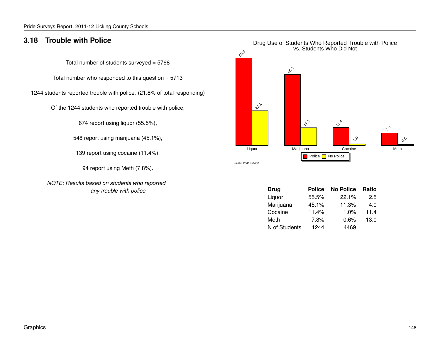#### **3.18 Trouble with Police**

Total number of students surveyed = 5768

Total number who responded to this question = 5713

1244 students reported trouble with police. (21.8% of total responding)

Of the 1244 students who reported trouble with police,

674 report using liquor (55.5%),

548 report using marijuana (45.1%),

139 report using cocaine (11.4%),

94 report using Meth (7.8%).

*NOTE: Results based on students who reported any trouble with police*



| <b>Drug</b>   | <b>Police</b> | <b>No Police</b> | <b>Ratio</b> |
|---------------|---------------|------------------|--------------|
| Liquor        | 55.5%         | 22.1%            | 2.5          |
| Marijuana     | 45.1%         | 11.3%            | 4.0          |
| Cocaine       | 11.4%         | 1.0%             | 11.4         |
| Meth          | 7.8%          | 0.6%             | 13.0         |
| N of Students | 1244          | 4469             |              |

#### Graphics 148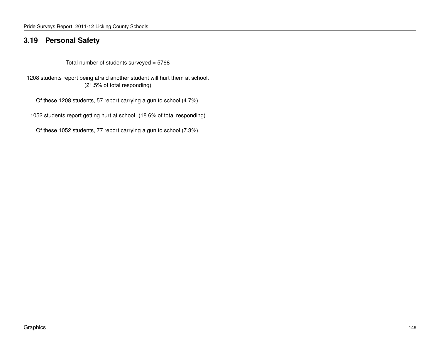#### **3.19 Personal Safety**

Total number of students surveyed = 5768

1208 students report being afraid another student will hurt them at school. (21.5% of total responding)

Of these 1208 students, 57 report carrying a gun to school (4.7%).

1052 students report getting hurt at school. (18.6% of total responding)

Of these 1052 students, 77 report carrying a gun to school (7.3%).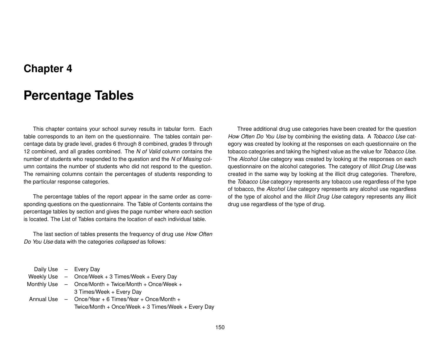## **Chapter 4**

# **Percentage Tables**

This chapter contains your school survey results in tabular form. Each table corresponds to an item on the questionnaire. The tables contain percentage data by grade level, grades 6 through 8 combined, grades 9 through 12 combined, and all grades combined. The *N of Valid* column contains the number of students who responded to the question and the *N of Missing* column contains the number of students who did not respond to the question. The remaining columns contain the percentages of students responding to the particular response categories.

The percentage tables of the report appear in the same order as corresponding questions on the questionnaire. The Table of Contents contains the percentage tables by section and gives the page number where each section is located. The List of Tables contains the location of each individual table.

The last section of tables presents the frequency of drug use *How Often Do You Use* data with the categories *collapsed* as follows:

Three additional drug use categories have been created for the question *How Often Do You Use* by combining the existing data. A *Tobacco Use* category was created by looking at the responses on each questionnaire on the tobacco categories and taking the highest value as the value for *Tobacco Use.* The *Alcohol Use* category was created by looking at the responses on each questionnaire on the alcohol categories. The category of *Illicit Drug Use* was created in the same way by looking at the illicit drug categories. Therefore, the *Tobacco Use* category represents any tobacco use regardless of the type of tobacco, the *Alcohol Use* category represents any alcohol use regardless of the type of alcohol and the *Illicit Drug Use* category represents any illicit drug use regardless of the type of drug.

Daily Use – Every Day

- Weekly Use Once/Week + 3 Times/Week + Every Day
- Monthly Use Once/Month + Twice/Month + Once/Week + 3 Times/Week + Every Day
- Annual Use Once/Year + 6 Times/Year + Once/Month + Twice/Month + Once/Week + 3 Times/Week + Every Day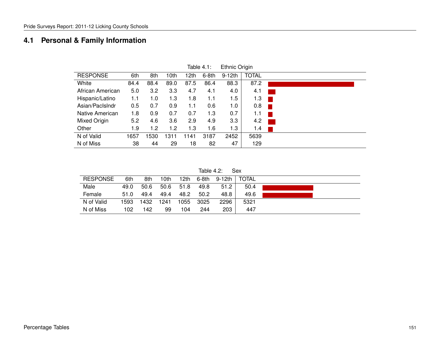## **4.1 Personal & Family Information**

|                  |      |      |      |      | <u>iable</u> 4.1. | <b>Elfinic Origin</b> |              |  |
|------------------|------|------|------|------|-------------------|-----------------------|--------------|--|
| <b>RESPONSE</b>  | 6th  | 8th  | 10th | 12th | $6-8th$           | $9-12th$              | <b>TOTAL</b> |  |
| White            | 84.4 | 88.4 | 89.0 | 87.5 | 86.4              | 88.3                  | 87.2         |  |
| African American | 5.0  | 3.2  | 3.3  | 4.7  | 4.1               | 4.0                   | 4.1          |  |
| Hispanic/Latino  | 1.1  | 1.0  | 1.3  | 1.8  | 1.1               | 1.5                   | 1.3          |  |
| Asian/PacIsIndr  | 0.5  | 0.7  | 0.9  | 1.1  | 0.6               | 1.0                   | 0.8          |  |
| Native American  | 1.8  | 0.9  | 0.7  | 0.7  | 1.3               | 0.7                   | 1.1          |  |
| Mixed Origin     | 5.2  | 4.6  | 3.6  | 2.9  | 4.9               | 3.3                   | 4.2          |  |
| Other            | 1.9  | 1.2  | 1.2  | 1.3  | 1.6               | 1.3                   | 1.4          |  |
| N of Valid       | 1657 | 1530 | 1311 | 1141 | 3187              | 2452                  | 5639         |  |
| N of Miss        | 38   | 44   | 29   | 18   | 82                | 47                    | 129          |  |

 $Table 4.1:$  Ethnic Origin

Table 4.2: Sex

| <b>RESPONSE</b> | 6th  | 8th  | 10th | 12th | 6-8th | 9-12th | <b>TOTAL</b> |
|-----------------|------|------|------|------|-------|--------|--------------|
| Male            | 49.0 | 50.6 | 50.6 | 51.8 | 49.8  | 51.2   | 50.4         |
| Female          | 51.0 | 49.4 | 49.4 | 48.2 | 50.2  | 48.8   | 49.6         |
| N of Valid      | 1593 | 1432 | 1241 | 1055 | 3025  | 2296   | 5321         |
| N of Miss       | 102  | 142  | 99   | 104  | 244   | 203    | 447          |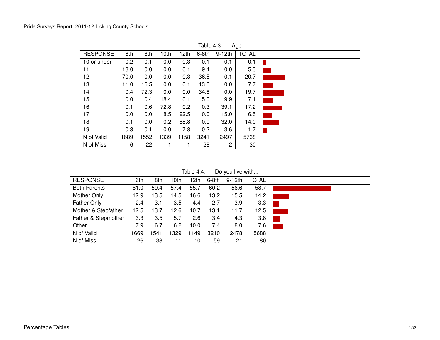| $I$ able 4.3:<br>Age |      |      |      |                  |         |          |              |  |  |  |  |
|----------------------|------|------|------|------------------|---------|----------|--------------|--|--|--|--|
| <b>RESPONSE</b>      | 6th  | 8th  | 10th | 12 <sub>th</sub> | $6-8th$ | $9-12th$ | <b>TOTAL</b> |  |  |  |  |
| 10 or under          | 0.2  | 0.1  | 0.0  | 0.3              | 0.1     | 0.1      | 0.1          |  |  |  |  |
| 11                   | 18.0 | 0.0  | 0.0  | 0.1              | 9.4     | 0.0      | 5.3          |  |  |  |  |
| 12                   | 70.0 | 0.0  | 0.0  | 0.3              | 36.5    | 0.1      | 20.7         |  |  |  |  |
| 13                   | 11.0 | 16.5 | 0.0  | 0.1              | 13.6    | 0.0      | 7.7          |  |  |  |  |
| 14                   | 0.4  | 72.3 | 0.0  | 0.0              | 34.8    | 0.0      | 19.7         |  |  |  |  |
| 15                   | 0.0  | 10.4 | 18.4 | 0.1              | 5.0     | 9.9      | 7.1          |  |  |  |  |
| 16                   | 0.1  | 0.6  | 72.8 | 0.2              | 0.3     | 39.1     | 17.2         |  |  |  |  |
| 17                   | 0.0  | 0.0  | 8.5  | 22.5             | 0.0     | 15.0     | 6.5          |  |  |  |  |
| 18                   | 0.1  | 0.0  | 0.2  | 68.8             | 0.0     | 32.0     | 14.0         |  |  |  |  |
| $19+$                | 0.3  | 0.1  | 0.0  | 7.8              | 0.2     | 3.6      | 1.7          |  |  |  |  |
| N of Valid           | 1689 | 1552 | 1339 | 1158             | 3241    | 2497     | 5738         |  |  |  |  |
| N of Miss            | 6    | 22   |      |                  | 28      | 2        | 30           |  |  |  |  |

 $Table 4.3: A$ 

Table 4.4: Do you live with...

| <b>RESPONSE</b>     | 6th  | 8th  | 10 <sub>th</sub> | 12th | $6-8th$ | $9-12th$ | <b>TOTAL</b> |  |
|---------------------|------|------|------------------|------|---------|----------|--------------|--|
| <b>Both Parents</b> | 61.0 | 59.4 | 57.4             | 55.7 | 60.2    | 56.6     | 58.7         |  |
| Mother Only         | 12.9 | 13.5 | 14.5             | 16.6 | 13.2    | 15.5     | 14.2         |  |
| <b>Father Only</b>  | 2.4  | 3.1  | 3.5              | 4.4  | 2.7     | 3.9      | 3.3          |  |
| Mother & Stepfather | 12.5 | 13.7 | 12.6             | 10.7 | 13.1    | 11.7     | 12.5         |  |
| Father & Stepmother | 3.3  | 3.5  | 5.7              | 2.6  | 3.4     | 4.3      | 3.8          |  |
| Other               | 7.9  | 6.7  | 6.2              | 10.0 | 7.4     | 8.0      | 7.6          |  |
| N of Valid          | 1669 | 1541 | 1329             | 1149 | 3210    | 2478     | 5688         |  |
| N of Miss           | 26   | 33   | 11               | 10   | 59      | 21       | 80           |  |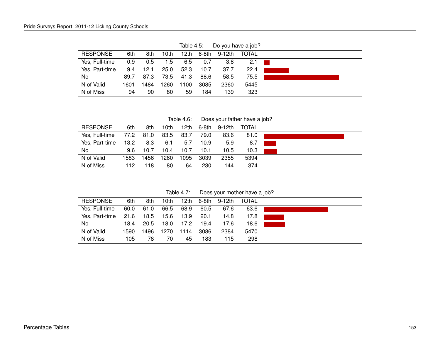|                 |      |      |      | . ט.ד טושטו |       |          | $00 \times 100$ is $00 \times 100$ . |  |
|-----------------|------|------|------|-------------|-------|----------|--------------------------------------|--|
| <b>RESPONSE</b> | 6th  | 8th  | 10th | 12th        | 6-8th | 9-12th l | <b>TOTAL</b>                         |  |
| Yes, Full-time  | 0.9  | 0.5  | 1.5  | 6.5         | 0.7   | 3.8      | 2.1                                  |  |
| Yes, Part-time  | 9.4  | 12.1 | 25.0 | 52.3        | 10.7  | 37.7     | 22.4                                 |  |
| No.             | 89.7 | 87.3 | 73.5 | 41.3        | 88.6  | 58.5     | 75.5                                 |  |
| N of Valid      | 1601 | 1484 | 1260 | 1100        | 3085  | 2360     | 5445                                 |  |
| N of Miss       | 94   | 90   | 80   | 59          | 184   | 139      | 323                                  |  |

Table  $4.5$ : Do you have a job?

Table 4.6: Does your father have a job?

| <b>RESPONSE</b> | 6th  | 8th  | 10th | 12th | 6-8th | – 9-12th ∣ | TOTAL |  |
|-----------------|------|------|------|------|-------|------------|-------|--|
| Yes, Full-time  | 77.2 | 81.0 | 83.5 | 83.7 | 79.0  | 83.6       | 81.0  |  |
| Yes, Part-time  | 13.2 | 8.3  | 6.1  | 5.7  | 10.9  | 5.9        | 8.7   |  |
| No.             | 9.6  | 10.7 | 10.4 | 10.7 | 10.1  | 10.5       | 10.3  |  |
| N of Valid      | 1583 | 1456 | 1260 | 1095 | 3039  | 2355       | 5394  |  |
| N of Miss       | 112  | 118  | 80   | 64   | 230   | 144        | 374   |  |

Table 4.7: Does your mother have a job?

| <b>RESPONSE</b> | 6th  | 8th  | 10th | 12th | 6-8th | 9-12th | <b>TOTAL</b> |  |
|-----------------|------|------|------|------|-------|--------|--------------|--|
| Yes, Full-time  | 60.0 | 61.0 | 66.5 | 68.9 | 60.5  | 67.6   | 63.6         |  |
| Yes, Part-time  | 21.6 | 18.5 | 15.6 | 13.9 | 20.1  | 14.8   | 17.8         |  |
| No.             | 18.4 | 20.5 | 18.0 | 17.2 | 19.4  | 17.6   | 18.6         |  |
|                 |      |      |      |      |       |        |              |  |
| N of Valid      | 1590 | 1496 | 1270 | 1114 | 3086  | 2384   | 5470         |  |
| N of Miss       | 105  | 78   | 70   | 45   | 183   | 115    | 298          |  |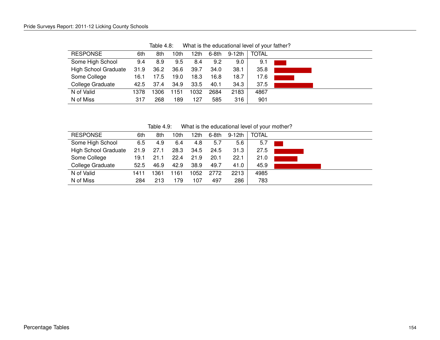| <b>RESPONSE</b>             | 6th  | 8th  | 10th | 12th | $6-8th$ | 9-12th | <b>TOTAL</b> |  |
|-----------------------------|------|------|------|------|---------|--------|--------------|--|
| Some High School            | 9.4  | 8.9  | 9.5  | 8.4  | 9.2     | 9.0    | 9.1          |  |
| <b>High School Graduate</b> | 31.9 | 36.2 | 36.6 | 39.7 | 34.0    | 38.1   | 35.8         |  |
| Some College                | 16.1 | 17.5 | 19.0 | 18.3 | 16.8    | 18.7   | 17.6         |  |
| College Graduate            | 42.5 | 37.4 | 34.9 | 33.5 | 40.1    | 34.3   | 37.5         |  |
| N of Valid                  | 1378 | 1306 | 1151 | 1032 | 2684    | 2183   | 4867         |  |
| N of Miss                   | 317  | 268  | 89   | 127  | 585     | 316    | 901          |  |
|                             |      |      |      |      |         |        |              |  |

Table 4.8: What is the educational level of your father?

Table 4.9: What is the educational level of your mother?

| <b>RESPONSE</b>             | 6th  | 8th  | 10th | 12th | 6-8th | 9-12th | <b>TOTAL</b> |  |
|-----------------------------|------|------|------|------|-------|--------|--------------|--|
| Some High School            | 6.5  | 4.9  | 6.4  | 4.8  | 5.7   | 5.6    | 5.7          |  |
| <b>High School Graduate</b> | 21.9 | 27.1 | 28.3 | 34.5 | 24.5  | 31.3   | 27.5         |  |
| Some College                | 19.1 | 21.1 | 22.4 | 21.9 | 20.1  | 22.1   | 21.0         |  |
| College Graduate            | 52.5 | 46.9 | 42.9 | 38.9 | 49.7  | 41.0   | 45.9         |  |
| N of Valid                  | 1411 | 1361 | 1161 | 1052 | 2772  | 2213   | 4985         |  |
| N of Miss                   | 284  | 213  | 179  | 107  | 497   | 286    | 783          |  |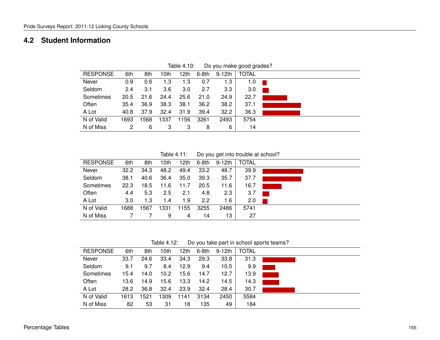#### **4.2 Student Information**

| <b>RESPONSE</b> | 6th  | 8th  | 10th | 12th | 6-8th | 9-12th | <b>TOTAL</b> |  |
|-----------------|------|------|------|------|-------|--------|--------------|--|
| Never           | 0.9  | 0.6  | 1.3  | 1.3  | 0.7   | 1.3    | 1.0          |  |
| Seldom          | 2.4  | 3.1  | 3.6  | 3.0  | 2.7   | 3.3    | 3.0          |  |
| Sometimes       | 20.5 | 21.6 | 24.4 | 25.6 | 21.0  | 24.9   | 22.7         |  |
| Often           | 35.4 | 36.9 | 38.3 | 38.1 | 36.2  | 38.2   | 37.1         |  |
| A Lot           | 40.8 | 37.9 | 32.4 | 31.9 | 39.4  | 32.2   | 36.3         |  |
| N of Valid      | 1693 | 1568 | 1337 | 1156 | 3261  | 2493   | 5754         |  |
| N of Miss       | 2    | 6    | 3    | 3    | 8     | 6      | 14           |  |

Table 4.10: Do you make good grades?

Table 4.11: Do you get into trouble at school?

| <b>RESPONSE</b> | 6th  | 8th  | 10th | 12th | 6-8th | $9-12th$ | <b>TOTAL</b> |  |
|-----------------|------|------|------|------|-------|----------|--------------|--|
| Never           | 32.2 | 34.3 | 48.2 | 49.4 | 33.2  | 48.7     | 39.9         |  |
| Seldom          | 38.1 | 40.6 | 36.4 | 35.0 | 39.3  | 35.7     | 37.7         |  |
| Sometimes       | 22.3 | 18.5 | 11.6 | 11.7 | 20.5  | 11.6     | 16.7         |  |
| Often           | 4.4  | 5.3  | 2.5  | 2.1  | 4.8   | 2.3      | 3.7          |  |
| A Lot           | 3.0  | 1.3  | 1.4  | 1.9  | 2.2   | 1.6      | 2.0          |  |
| N of Valid      | 1688 | 567  | 1331 | 1155 | 3255  | 2486     | 5741         |  |
| N of Miss       |      |      | 9    | 4    | 14    | 13       | 27           |  |

Table 4.12: Do you take part in school sports teams?

| <b>RESPONSE</b> | 6th  | 8th  | 10th | 12th | 6-8th | 9-12th | <b>TOTAL</b> |  |
|-----------------|------|------|------|------|-------|--------|--------------|--|
| Never           | 33.7 | 24.6 | 33.4 | 34.3 | 29.3  | 33.8   | 31.3         |  |
| Seldom          | 9.1  | 9.7  | 8.4  | 12.9 | 9.4   | 10.5   | 9.9          |  |
| Sometimes       | 15.4 | 14.0 | 10.2 | 15.6 | 14.7  | 12.7   | 13.9         |  |
| Often           | 13.6 | 14.9 | 15.6 | 13.3 | 14.2  | 14.5   | 14.3         |  |
| A Lot           | 28.2 | 36.8 | 32.4 | 23.9 | 32.4  | 28.4   | 30.7         |  |
| N of Valid      | 1613 | 1521 | 309  | 1141 | 3134  | 2450   | 5584         |  |
| N of Miss       | 82   | 53   | 31   | 18   | 135   | 49     | 184          |  |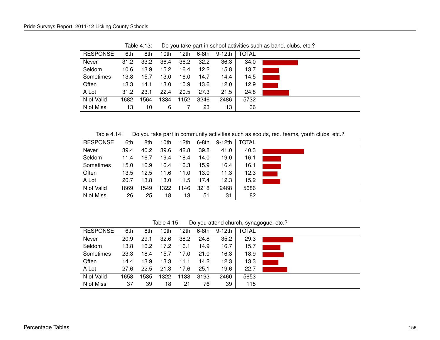| <b>RESPONSE</b> | 6th  | 8th  | 10th | 12th | 6-8th | $9-12th$ | <b>TOTAL</b> |
|-----------------|------|------|------|------|-------|----------|--------------|
| Never           | 31.2 | 33.2 | 36.4 | 36.2 | 32.2  | 36.3     | 34.0         |
| Seldom          | 10.6 | 13.9 | 15.2 | 16.4 | 12.2  | 15.8     | 13.7         |
| Sometimes       | 13.8 | 15.7 | 13.0 | 16.0 | 14.7  | 14.4     | 14.5         |
| Often           | 13.3 | 14.1 | 13.0 | 10.9 | 13.6  | 12.0     | 12.9         |
| A Lot           | 31.2 | 23.1 | 22.4 | 20.5 | 27.3  | 21.5     | 24.8         |
| N of Valid      | 1682 | 564  | 1334 | 1152 | 3246  | 2486     | 5732         |
| N of Miss       | 13   | 10   | 6    |      | 23    | 13       | 36           |

Table 4.13: Do you take part in school activities such as band, clubs, etc.?

Table 4.14: Do you take part in community activities such as scouts, rec. teams, youth clubs, etc.?

| <b>RESPONSE</b> | 6th  | 8th  | 10th | 12th | 6-8th | 9-12th | <b>TOTAL</b> |  |
|-----------------|------|------|------|------|-------|--------|--------------|--|
| Never           | 39.4 | 40.2 | 39.6 | 42.8 | 39.8  | 41.0   | 40.3         |  |
| Seldom          | 11.4 | 16.7 | 19.4 | 18.4 | 14.0  | 19.0   | 16.1         |  |
| Sometimes       | 15.0 | 16.9 | 16.4 | 16.3 | 15.9  | 16.4   | 16.1         |  |
| Often           | 13.5 | 12.5 | 11.6 | 11.0 | 13.0  | 11.3   | 12.3         |  |
| A Lot           | 20.7 | 13.8 | 13.0 | 11.5 | 17.4  | 12.3   | 15.2         |  |
| N of Valid      | 1669 | 1549 | 1322 | 146  | 3218  | 2468   | 5686         |  |
| N of Miss       | 26   | 25   | 18   | 13   | 51    | 31     | 82           |  |

Table 4.15: Do you attend church, synagogue, etc.?

| <b>RESPONSE</b> | 6th  | 8th  | 10th | 12th | 6-8th | 9-12th | <b>TOTAL</b> |  |
|-----------------|------|------|------|------|-------|--------|--------------|--|
| Never           | 20.9 | 29.1 | 32.6 | 38.2 | 24.8  | 35.2   | 29.3         |  |
| Seldom          | 13.8 | 16.2 | 17.2 | 16.1 | 14.9  | 16.7   | 15.7         |  |
| Sometimes       | 23.3 | 18.4 | 15.7 | 17.0 | 21.0  | 16.3   | 18.9         |  |
| Often           | 14.4 | 13.9 | 13.3 | 11.1 | 14.2  | 12.3   | 13.3         |  |
| A Lot           | 27.6 | 22.5 | 21.3 | 17.6 | 25.1  | 19.6   | 22.7         |  |
| N of Valid      | 1658 | 1535 | 1322 | 1138 | 3193  | 2460   | 5653         |  |
| N of Miss       | 37   | 39   | 18   | 21   | 76    | 39     | 115          |  |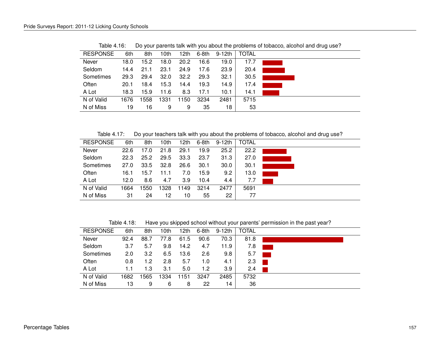| 18.0 | 15.2                         | 18.0                       | 20.2                         | 16.6                        | 19.0                          | 17.7                             |                                      |
|------|------------------------------|----------------------------|------------------------------|-----------------------------|-------------------------------|----------------------------------|--------------------------------------|
|      |                              |                            |                              |                             |                               |                                  |                                      |
|      |                              |                            |                              |                             |                               |                                  |                                      |
| 29.3 | 29.4                         | 32.0                       | 32.2                         | 29.3                        | 32.1                          | 30.5                             |                                      |
| 20.1 | 18.4                         | 15.3                       | 14.4                         | 19.3                        | 14.9                          | 17.4                             |                                      |
|      |                              |                            |                              |                             |                               |                                  |                                      |
|      |                              |                            |                              |                             |                               |                                  |                                      |
|      |                              |                            |                              |                             |                               |                                  |                                      |
| 19   | 16                           | 9                          | 9                            | 35                          | 18                            | 53                               |                                      |
|      | 6th<br>14.4<br>18.3<br>1676. | 8th<br>21.1<br>15.9<br>558 | 10th<br>23.1<br>11.6<br>1331 | 12th<br>24.9<br>8.3<br>1150 | 6-8th<br>17.6<br>17.1<br>3234 | $9-12th$<br>23.9<br>10.1<br>2481 | <b>TOTAL</b><br>20.4<br>14.1<br>5715 |

Table 4.16: Do your parents talk with you about the problems of tobacco, alcohol and drug use?

Table 4.17: Do your teachers talk with you about the problems of tobacco, alcohol and drug use?

| <b>RESPONSE</b> | 6th  | 8th  | 10th | 12th | 6-8th | 9-12th | <b>TOTAL</b> |  |
|-----------------|------|------|------|------|-------|--------|--------------|--|
| Never           | 22.6 | 17.0 | 21.8 | 29.1 | 19.9  | 25.2   | 22.2         |  |
| Seldom          | 22.3 | 25.2 | 29.5 | 33.3 | 23.7  | 31.3   | 27.0         |  |
| Sometimes       | 27.0 | 33.5 | 32.8 | 26.6 | 30.1  | 30.0   | 30.1         |  |
| Often           | 16.1 | 15.7 | 11.1 | 7.0  | 15.9  | 9.2    | 13.0         |  |
| A Lot           | 12.0 | 8.6  | 4.7  | 3.9  | 10.4  | 4.4    | 7.7          |  |
| N of Valid      | 1664 | 1550 | 1328 | 1149 | 3214  | 2477   | 5691         |  |
| N of Miss       | 31   | 24   | 12   | 10   | 55    | 22     | 77           |  |

Table 4.18: Have you skipped school without your parents' permission in the past year?

| <b>RESPONSE</b> | 6th  | 8th  | 10th | 12th | 6-8th | 9-12th           | <b>TOTAL</b> |  |
|-----------------|------|------|------|------|-------|------------------|--------------|--|
| Never           | 92.4 | 88.7 | 77.8 | 61.5 | 90.6  | 70.3             | 81.8         |  |
| Seldom          | 3.7  | 5.7  | 9.8  | 14.2 | 4.7   | 11.9             | 7.8          |  |
| Sometimes       | 2.0  | 3.2  | 6.5  | 13.6 | 2.6   | 9.8              | 5.7          |  |
| Often           | 0.8  | 1.2  | 2.8  | 5.7  | 1.0   | 4.1              | 2.3          |  |
| A Lot           | 1.1  | 1.3  | 3.1  | 5.0  | 1.2   | 3.9 <sup>°</sup> | 2.4          |  |
| N of Valid      | 1682 | 565  | 1334 | 1151 | 3247  | 2485             | 5732         |  |
| N of Miss       | 13   | 9    | 6    | 8    | 22    | 14               | 36           |  |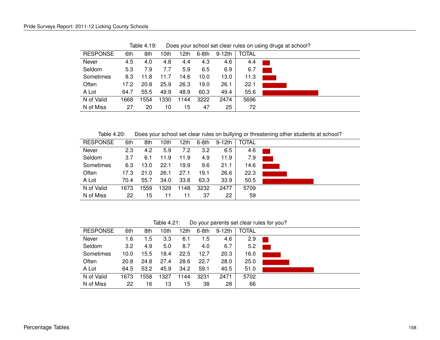| <b>RESPONSE</b> | 6th  | 8th  | 10th | 12th | $6-8th$ | 9-12th | <b>TOTAL</b> |  |
|-----------------|------|------|------|------|---------|--------|--------------|--|
| Never           | 4.5  | 4.0  | 4.8  | 4.4  | 4.3     | 4.6    | 4.4          |  |
| Seldom          | 5.3  | 7.9  | 7.7  | 5.9  | 6.5     | 6.9    | 6.7          |  |
| Sometimes       | 8.3  | 11.8 | 11.7 | 14.6 | 10.0    | 13.0   | 11.3         |  |
| Often           | 17.2 | 20.8 | 25.9 | 26.3 | 19.0    | 26.1   | 22.1         |  |
| A Lot           | 64.7 | 55.5 | 49.9 | 48.9 | 60.3    | 49.4   | 55.6         |  |
| N of Valid      | 1668 | 1554 | 1330 | 1144 | 3222    | 2474   | 5696         |  |
| N of Miss       | 27   | 20   | 10   | 15   | 47      | 25     | 72           |  |

Table 4.19: Does your school set clear rules on using drugs at school?

Table 4.20: Does your school set clear rules on bullying or threatening other students at school?

| <b>RESPONSE</b> | 6th  | 8th  | 10th | 12th | 6-8th | $9-12th$ | <b>TOTAL</b> |                                                                                          |
|-----------------|------|------|------|------|-------|----------|--------------|------------------------------------------------------------------------------------------|
| Never           | 2.3  | 4.2  | 5.9  | 7.2  | 3.2   | 6.5      | 4.6          |                                                                                          |
| Seldom          | 3.7  | 6.1  | 11.9 | 11.9 | 4.9   | 11.9     | 7.9          | $\mathcal{L}(\mathcal{L})$ and $\mathcal{L}(\mathcal{L})$ and $\mathcal{L}(\mathcal{L})$ |
| Sometimes       | 6.3  | 13.0 | 22.1 | 19.9 | 9.6   | 21.1     | 14.6         |                                                                                          |
| Often           | 17.3 | 21.0 | 26.1 | 27.1 | 19.1  | 26.6     | 22.3         |                                                                                          |
| A Lot           | 70.4 | 55.7 | 34.0 | 33.8 | 63.3  | 33.9     | 50.5         |                                                                                          |
| N of Valid      | 1673 | 1559 | 1329 | 148  | 3232  | 2477     | 5709         |                                                                                          |
| N of Miss       | 22   | 15   | 11   | 11   | 37    | 22       | 59           |                                                                                          |

Table 4.21: Do your parents set clear rules for you?

| <b>RESPONSE</b> | 6th              | 8th  | 10th | 12th | 6-8th | 9-12th | <b>TOTAL</b> |  |
|-----------------|------------------|------|------|------|-------|--------|--------------|--|
| Never           | 1.6              | 1.5  | 3.3  | 6.1  | 1.5   | 4.6    | 2.9          |  |
| Seldom          | 3.2 <sub>2</sub> | 4.9  | 5.0  | 8.7  | 4.0   | 6.7    | 5.2          |  |
| Sometimes       | 10.0             | 15.5 | 18.4 | 22.5 | 12.7  | 20.3   | 16.0         |  |
| Often           | 20.8             | 24.8 | 27.4 | 28.6 | 22.7  | 28.0   | 25.0         |  |
| A Lot           | 64.5             | 53.2 | 45.9 | 34.2 | 59.1  | 40.5   | 51.0         |  |
| N of Valid      | 1673             | 558  | 1327 | 1144 | 3231  | 2471   | 5702         |  |
| N of Miss       | 22               | 16   | 13   | 15   | 38    | 28     | 66           |  |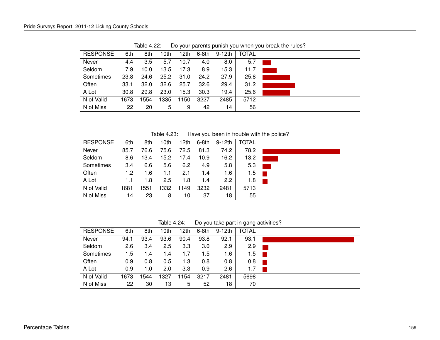| <b>RESPONSE</b> | 6th  | 8th  | 10th | 12th | 6-8th | 9-12th | <b>TOTAL</b> |  |
|-----------------|------|------|------|------|-------|--------|--------------|--|
| Never           | 4.4  | 3.5  | 5.7  | 10.7 | 4.0   | 8.0    | 5.7          |  |
| Seldom          | 7.9  | 10.0 | 13.5 | 17.3 | 8.9   | 15.3   | 11.7         |  |
| Sometimes       | 23.8 | 24.6 | 25.2 | 31.0 | 24.2  | 27.9   | 25.8         |  |
| Often           | 33.1 | 32.0 | 32.6 | 25.7 | 32.6  | 29.4   | 31.2         |  |
| A Lot           | 30.8 | 29.8 | 23.0 | 15.3 | 30.3  | 19.4   | 25.6         |  |
| N of Valid      | 1673 | 1554 | 1335 | 1150 | 3227  | 2485   | 5712         |  |
| N of Miss       | 22   | 20   | 5    | 9    | 42    | 14     | 56           |  |

Table 4.22: Do your parents punish you when you break the rules?

Table 4.23: Have you been in trouble with the police?

| <b>RESPONSE</b> | 6th  | 8th  | 10th | 12th | $6-8th$ | 9-12th        | <b>TOTAL</b> |  |
|-----------------|------|------|------|------|---------|---------------|--------------|--|
|                 |      |      |      |      |         |               |              |  |
| Never           | 85.7 | 76.6 | 75.6 | 72.5 | 81.3    | 74.2          | 78.2         |  |
| Seldom          | 8.6  | 13.4 | 15.2 | 17.4 | 10.9    | 16.2          | 13.2         |  |
| Sometimes       | 3.4  | 6.6  | 5.6  | 6.2  | 4.9     | 5.8           | 5.3          |  |
| Often           | 1.2  | 1.6  | 1.1  | 2.1  | 1.4     | 1.6           | 1.5          |  |
| A Lot           | 1.1  | 1.8  | 2.5  | 1.8  | 1.4     | $2.2^{\circ}$ | 1.8          |  |
| N of Valid      | 1681 | 1551 | 1332 | 1149 | 3232    | 2481          | 5713         |  |
| N of Miss       | 14   | 23   | 8    | 10   | 37      | 18            | 55           |  |

Table 4.24: Do you take part in gang activities?

| <b>RESPONSE</b> | 6th  | 8th  | 10th | 12th | $6-8th$ | 9-12th | <b>TOTAL</b> |
|-----------------|------|------|------|------|---------|--------|--------------|
| Never           | 94.1 | 93.4 | 93.6 | 90.4 | 93.8    | 92.1   | 93.1         |
| Seldom          | 2.6  | 3.4  | 2.5  | 3.3  | 3.0     | 2.9    | 2.9          |
| Sometimes       | 1.5  | 1.4  | 1.4  | 1.7  | 1.5     | 1.6    | 1.5          |
| Often           | 0.9  | 0.8  | 0.5  | 1.3  | 0.8     | 0.8    | 0.8          |
| A Lot           | 0.9  | 1.0  | 2.0  | 3.3  | 0.9     | 2.6    | 1.7          |
| N of Valid      | 1673 | 544  | 1327 | 1154 | 3217    | 2481   | 5698         |
| N of Miss       | 22   | 30   | 13   | 5    | 52      | 18     | 70           |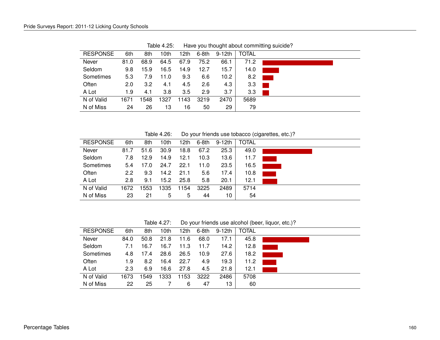| <b>RESPONSE</b> | 6th  |      |      |      |         |                   |              |  |
|-----------------|------|------|------|------|---------|-------------------|--------------|--|
|                 |      | 8th  | 10th | 12th | $6-8th$ | $9-12th$          | <b>TOTAL</b> |  |
| Never           | 81.0 | 68.9 | 64.5 | 67.9 | 75.2    | 66.1              | 71.2         |  |
| Seldom          | 9.8  | 15.9 | 16.5 | 14.9 | 12.7    | 15.7              | 14.0         |  |
| Sometimes       | 5.3  | 7.9  | 11.0 | 9.3  | 6.6     | 10.2 <sub>1</sub> | 8.2          |  |
| Often           | 2.0  | 3.2  | 4.1  | 4.5  | 2.6     | 4.3               | 3.3          |  |
| A Lot           | 1.9  | 4.1  | 3.8  | 3.5  | 2.9     | 3.7               | 3.3          |  |
| N of Valid      | 1671 | 1548 | 1327 | 1143 | 3219    | 2470              | 5689         |  |
| N of Miss       | 24   | 26   | 13   | 16   | 50      | 29                | 79           |  |

Table 4.25: Have you thought about committing suicide?

Table 4.26: Do your friends use tobacco (cigarettes, etc.)?

| <b>RESPONSE</b> | 6th  | 8th  | 10th | 12th | 6-8th | $9-12th$ | <b>TOTAL</b> |  |
|-----------------|------|------|------|------|-------|----------|--------------|--|
| Never           | 81.7 | 51.6 | 30.9 | 18.8 | 67.2  | 25.3     | 49.0         |  |
| Seldom          | 7.8  | 12.9 | 14.9 | 12.1 | 10.3  | 13.6     | 11.7         |  |
| Sometimes       | 5.4  | 17.0 | 24.7 | 22.1 | 11.0  | 23.5     | 16.5         |  |
| Often           | 2.2  | 9.3  | 14.2 | 21.1 | 5.6   | 17.4     | 10.8         |  |
| A Lot           | 2.8  | 9.1  | 15.2 | 25.8 | 5.8   | 20.1     | 12.1         |  |
| N of Valid      | 1672 | 1553 | 1335 | 154  | 3225  | 2489     | 5714         |  |
| N of Miss       | 23   | 21   | 5    | 5    | 44    | 10       | 54           |  |

Table 4.27: Do your friends use alcohol (beer, liquor, etc.)?

| <b>RESPONSE</b> | 6th  | 8th  | 10th | 12th | $6-8th$ | $9-12th$ | TOTAL |  |
|-----------------|------|------|------|------|---------|----------|-------|--|
| Never           | 84.0 | 50.8 | 21.8 | 11.6 | 68.0    | 17.1     | 45.8  |  |
| Seldom          | 7.1  | 16.7 | 16.7 | 11.3 | 11.7    | 14.2     | 12.8  |  |
| Sometimes       | 4.8  | 17.4 | 28.6 | 26.5 | 10.9    | 27.6     | 18.2  |  |
| Often           | 1.9  | 8.2  | 16.4 | 22.7 | 4.9     | 19.3     | 11.2  |  |
| A Lot           | 2.3  | 6.9  | 16.6 | 27.8 | 4.5     | 21.8     | 12.1  |  |
| N of Valid      | 1673 | 1549 | 1333 | 1153 | 3222    | 2486     | 5708  |  |
| N of Miss       | 22   | 25   |      | 6    | 47      | 13.      | 60    |  |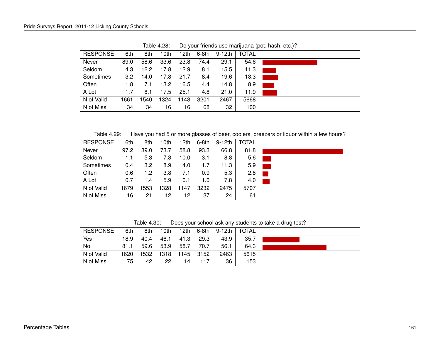| <b>RESPONSE</b> | 6th              | 8th  | 10th | 12th | $6-8th$ | 9-12th | <b>TOTAL</b> |  |
|-----------------|------------------|------|------|------|---------|--------|--------------|--|
| Never           | 89.0             | 58.6 | 33.6 | 23.8 | 74.4    | 29.1   | 54.6         |  |
| Seldom          | 4.3              | 12.2 | 17.8 | 12.9 | 8.1     | 15.5   | 11.3         |  |
| Sometimes       | 3.2 <sub>2</sub> | 14.0 | 17.8 | 21.7 | 8.4     | 19.6   | 13.3         |  |
| Often           | 1.8              | 7.1  | 13.2 | 16.5 | 4.4     | 14.8   | 8.9          |  |
| A Lot           | 1.7              | 8.1  | 17.5 | 25.1 | 4.8     | 21.0   | 11.9         |  |
| N of Valid      | 1661             | 1540 | 1324 | 1143 | 3201    | 2467   | 5668         |  |
| N of Miss       | 34               | 34   | 16   | 16   | 68      | 32     | 100          |  |
|                 |                  |      |      |      |         |        |              |  |

Table 4.28: Do your friends use marijuana (pot, hash, etc.)?

Table 4.29: Have you had 5 or more glasses of beer, coolers, breezers or liquor within a few hours?

| <b>RESPONSE</b> | 6th  | 8th  | 10th | 12th | 6-8th | 9-12th | <b>TOTAL</b> |
|-----------------|------|------|------|------|-------|--------|--------------|
| Never           | 97.2 | 89.0 | 73.7 | 58.8 | 93.3  | 66.8   | 81.8         |
| Seldom          | 1.1  | 5.3  | 7.8  | 10.0 | 3.1   | 8.8    | 5.6          |
| Sometimes       | 0.4  | 3.2  | 8.9  | 14.0 | 1.7   | 11.3   | 5.9          |
| Often           | 0.6  | 1.2  | 3.8  | 7.1  | 0.9   | 5.3    | 2.8          |
| A Lot           | 0.7  | 1.4  | 5.9  | 10.1 | 1.0   | 7.8    | 4.0          |
| N of Valid      | 1679 | 1553 | 1328 | 1147 | 3232  | 2475   | 5707         |
| N of Miss       | 16   | 21   | 12   | 12   | 37    | 24     | 61           |

Table 4.30: Does your school ask any students to take a drug test?

| <b>RESPONSE</b> | 6th  | 8th  | 10th | 12th | 6-8th | 9-12th | <b>TOTAL</b> |  |
|-----------------|------|------|------|------|-------|--------|--------------|--|
| Yes             | 18.9 | 40.4 | 46.1 | 41.3 | 29.3  | 43.9   | 35.7         |  |
| No              | 81.1 | 59.6 | 53.9 | 58.7 | 70.7  | 56.1   | 64.3         |  |
| N of Valid      | 1620 | 1532 | 1318 | 1145 | 3152  | 2463   | 5615         |  |
| N of Miss       | 75   | 42   | 22   | 14   | 117   | 36     | 153          |  |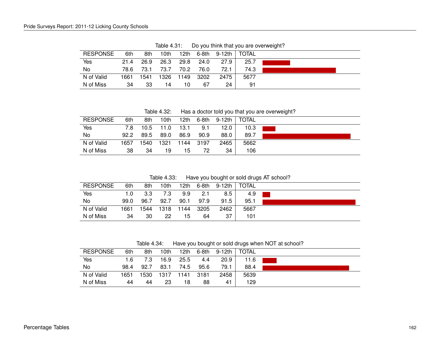| <b>RESPONSE</b> | 6th  | 8th  | 10th | 12th | 6-8th | $9 - 12$ th | TOTAL |  |
|-----------------|------|------|------|------|-------|-------------|-------|--|
| Yes             | 21.4 | 26.9 | 26.3 | 29.8 | 24.0  | 27.9        | 25.7  |  |
| No.             | 78.6 | 73.1 | 73.7 | 70.2 | 76.0  | 72.1        | 74.3  |  |
| N of Valid      | 1661 | 1541 | 1326 | 1149 | 3202  | 2475        | 5677  |  |
| N of Miss       | 34   | 33   | 14   | 10   | 67    | 24          | 91    |  |

Table 4.31: Do you think that you are overweight?

Table 4.32: Has a doctor told you that you are overweight?

| <b>RESPONSE</b> | 6th  | 8th  | 10th | 12th | 6-8th | 9-12th | <b>TOTAL</b> |  |
|-----------------|------|------|------|------|-------|--------|--------------|--|
| Yes             | 7.8  | 10.5 | 11.0 | 13.1 | 9.1   | 12.0   | 10.3         |  |
| No              | 92.2 | 89.5 | 89.0 | 86.9 | 90.9  | 88.0   | 89.7         |  |
| N of Valid      | 1657 | 1540 | 1321 | 1144 | -3197 | 2465   | 5662         |  |
| N of Miss       | 38   | 34   | 19   | 15   | 72    | 34     | 106          |  |

Table 4.33: Have you bought or sold drugs AT school?

| <b>RESPONSE</b> | 6th  | 8th  | 10th | 12th | $6-8th$ | 9-12th | <b>TOTAL</b> |  |
|-----------------|------|------|------|------|---------|--------|--------------|--|
| Yes             | 1.0  | 3.3  | 7.3  | 9.9  | 2.1     | 8.5    | 4.9          |  |
| No              | 99.0 | 96.7 | 92.7 | 90.1 | 97.9    | 91.5   | 95.1         |  |
| N of Valid      | 1661 | 1544 | 1318 | 1144 | 3205    | 2462   | 5667         |  |
| N of Miss       | 34   | 30   | 22   | 15   | 64      | 37     | 101          |  |

Table 4.34: Have you bought or sold drugs when NOT at school?

| <b>RESPONSE</b> | 6th  | 8th   | 10th | 12th | 6-8th | 9-12th | <b>TOTAL</b> |  |
|-----------------|------|-------|------|------|-------|--------|--------------|--|
| Yes             | 1.6  | 7.3   | 16.9 | 25.5 | 4.4   | 20.9   | 11.6         |  |
| No              | 98.4 | 92.7  | 83.1 | 74.5 | 95.6  | 79.1   | 88.4         |  |
| N of Valid      | 1651 | 1530. | 1317 | 1141 | -3181 | 2458   | 5639         |  |
| N of Miss       | 44   | 44    | 23   | 18   | 88    | 41     | 129          |  |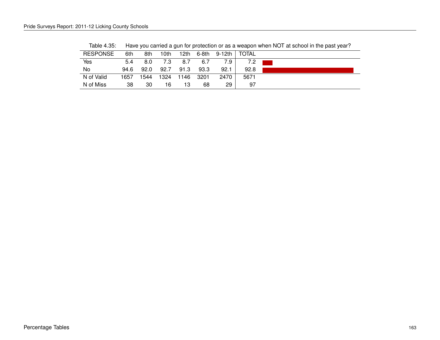| <b>RESPONSE</b> | 6th  | 8th  | 10th | 12th | 6-8th | 9-12th | <b>TOTAL</b> |  |
|-----------------|------|------|------|------|-------|--------|--------------|--|
| Yes             | 5.4  | 8.0  | 7.3  | 8.7  | 6.7   | 7.9    | 7.2          |  |
| No              | 94.6 | 92.0 | 92.7 | 91.3 | 93.3  | 92.1   | 92.8         |  |
| N of Valid      | 1657 | 1544 | 1324 | 1146 | 3201  | 2470   | 5671         |  |
| N of Miss       | 38   | 30   | 16   | 13   | 68    | 29     | 97           |  |

Table 4.35: Have you carried a gun for protection or as a weapon when NOT at school in the past year?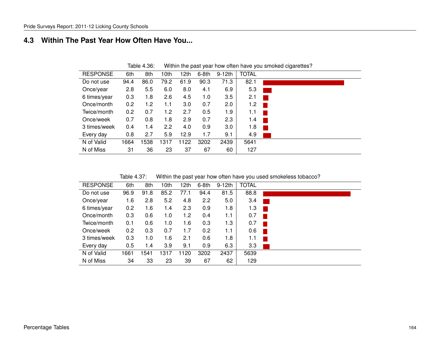#### **4.3 Within The Past Year How Often Have You...**

|                 |      | . טטויי שוטא |                  |      |         |          |              | The main and pack your now onon nave you chronou organization. |
|-----------------|------|--------------|------------------|------|---------|----------|--------------|----------------------------------------------------------------|
| <b>RESPONSE</b> | 6th  | 8th          | 10 <sub>th</sub> | 12th | $6-8th$ | $9-12th$ | <b>TOTAL</b> |                                                                |
| Do not use      | 94.4 | 86.0         | 79.2             | 61.9 | 90.3    | 71.3     | 82.1         |                                                                |
| Once/year       | 2.8  | 5.5          | 6.0              | 8.0  | 4.1     | 6.9      | 5.3          |                                                                |
| 6 times/year    | 0.3  | 1.8          | 2.6              | 4.5  | 1.0     | 3.5      | 2.1          |                                                                |
| Once/month      | 0.2  | 1.2          | 1.1              | 3.0  | 0.7     | 2.0      | 1.2          | a ka                                                           |
| Twice/month     | 0.2  | 0.7          | 1.2              | 2.7  | 0.5     | 1.9      | 1.1          |                                                                |
| Once/week       | 0.7  | 0.8          | 1.8              | 2.9  | 0.7     | 2.3      | 1.4          |                                                                |
| 3 times/week    | 0.4  | 1.4          | 2.2              | 4.0  | 0.9     | 3.0      | 1.8          |                                                                |
| Every day       | 0.8  | 2.7          | 5.9              | 12.9 | 1.7     | 9.1      | 4.9          |                                                                |
| N of Valid      | 1664 | 1538         | 1317             | 1122 | 3202    | 2439     | 5641         |                                                                |
| N of Miss       | 31   | 36           | 23               | 37   | 67      | 60       | 127          |                                                                |

Table 4.36: Within the past year how often have you smoked cigarettes?

Table 4.37: Within the past year how often have you used smokeless tobacco?

| <b>RESPONSE</b> | 6th  | 8th  | 10 <sub>th</sub> | 12th | 6-8th | $9-12th$ | <b>TOTAL</b> |  |
|-----------------|------|------|------------------|------|-------|----------|--------------|--|
| Do not use      | 96.9 | 91.8 | 85.2             | 77.1 | 94.4  | 81.5     | 88.8         |  |
| Once/year       | 1.6  | 2.8  | 5.2              | 4.8  | 2.2   | 5.0      | 3.4          |  |
| 6 times/year    | 0.2  | 1.6  | 1.4              | 2.3  | 0.9   | 1.8      | 1.3          |  |
| Once/month      | 0.3  | 0.6  | 1.0              | 1.2  | 0.4   | 1.1      | 0.7          |  |
| Twice/month     | 0.1  | 0.6  | 1.0              | 1.6  | 0.3   | 1.3      | 0.7          |  |
| Once/week       | 0.2  | 0.3  | 0.7              | 1.7  | 0.2   | 1.1      | 0.6          |  |
| 3 times/week    | 0.3  | 1.0  | 1.6              | 2.1  | 0.6   | 1.8      | 1.1          |  |
| Every day       | 0.5  | 1.4  | 3.9              | 9.1  | 0.9   | 6.3      | 3.3          |  |
| N of Valid      | 1661 | 1541 | 1317             | 1120 | 3202  | 2437     | 5639         |  |
| N of Miss       | 34   | 33   | 23               | 39   | 67    | 62       | 129          |  |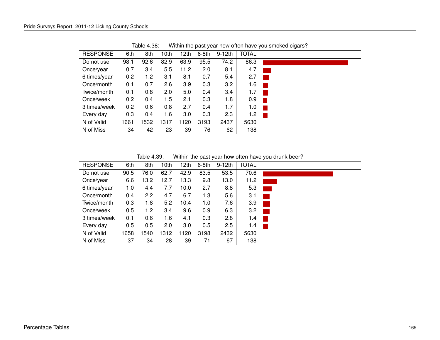| <b>RESPONSE</b> | 6th  | 8th  | 10th | 12th | $6-8th$ | $9-12th$ | <b>TOTAL</b> |  |
|-----------------|------|------|------|------|---------|----------|--------------|--|
| Do not use      | 98.1 | 92.6 | 82.9 | 63.9 | 95.5    | 74.2     | 86.3         |  |
| Once/year       | 0.7  | 3.4  | 5.5  | 11.2 | 2.0     | 8.1      | 4.7          |  |
| 6 times/year    | 0.2  | 1.2  | 3.1  | 8.1  | 0.7     | 5.4      | 2.7          |  |
| Once/month      | 0.1  | 0.7  | 2.6  | 3.9  | 0.3     | 3.2      | 1.6          |  |
| Twice/month     | 0.1  | 0.8  | 2.0  | 5.0  | 0.4     | 3.4      | 1.7          |  |
| Once/week       | 0.2  | 0.4  | 1.5  | 2.1  | 0.3     | 1.8      | 0.9          |  |
| 3 times/week    | 0.2  | 0.6  | 0.8  | 2.7  | 0.4     | 1.7      | 1.0          |  |
| Every day       | 0.3  | 0.4  | 1.6  | 3.0  | 0.3     | 2.3      | 1.2          |  |
| N of Valid      | 1661 | 1532 | 1317 | 1120 | 3193    | 2437     | 5630         |  |
| N of Miss       | 34   | 42   | 23   | 39   | 76      | 62       | 138          |  |

Table 4.38: Within the past year how often have you smoked cigars?

Table 4.39: Within the past year how often have you drunk beer?

| <b>RESPONSE</b> | 6th  | 8th              | 10 <sub>th</sub> | 12th | $6-8th$ | $9-12$ th | <b>TOTAL</b> |  |
|-----------------|------|------------------|------------------|------|---------|-----------|--------------|--|
| Do not use      | 90.5 | 76.0             | 62.7             | 42.9 | 83.5    | 53.5      | 70.6         |  |
| Once/year       | 6.6  | 13.2             | 12.7             | 13.3 | 9.8     | 13.0      | 11.2         |  |
| 6 times/year    | 1.0  | 4.4              | 7.7              | 10.0 | 2.7     | 8.8       | 5.3          |  |
| Once/month      | 0.4  | $2.2\phantom{0}$ | 4.7              | 6.7  | 1.3     | 5.6       | 3.1          |  |
| Twice/month     | 0.3  | 1.8              | 5.2              | 10.4 | 1.0     | 7.6       | 3.9          |  |
| Once/week       | 0.5  | 1.2              | 3.4              | 9.6  | 0.9     | 6.3       | 3.2          |  |
| 3 times/week    | 0.1  | 0.6              | 1.6              | 4.1  | 0.3     | 2.8       | 1.4          |  |
| Every day       | 0.5  | 0.5              | 2.0              | 3.0  | 0.5     | 2.5       | 1.4          |  |
| N of Valid      | 1658 | 1540             | 1312             | 1120 | 3198    | 2432      | 5630         |  |
| N of Miss       | 37   | 34               | 28               | 39   | 71      | 67        | 138          |  |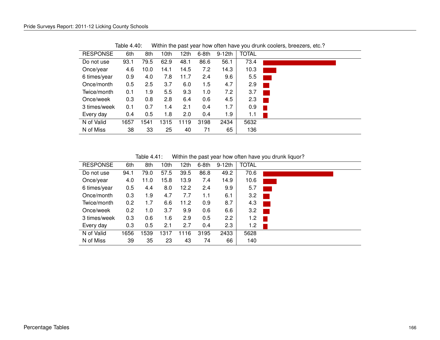| <b>RESPONSE</b> | 6th  | 8th  | 10 <sub>th</sub> | 12th | $6-8th$ | $9-12th$ | <b>TOTAL</b> |  |
|-----------------|------|------|------------------|------|---------|----------|--------------|--|
| Do not use      | 93.1 | 79.5 | 62.9             | 48.1 | 86.6    | 56.1     | 73.4         |  |
| Once/year       | 4.6  | 10.0 | 14.1             | 14.5 | 7.2     | 14.3     | 10.3         |  |
| 6 times/year    | 0.9  | 4.0  | 7.8              | 11.7 | 2.4     | 9.6      | 5.5          |  |
| Once/month      | 0.5  | 2.5  | 3.7              | 6.0  | 1.5     | 4.7      | 2.9          |  |
| Twice/month     | 0.1  | 1.9  | 5.5              | 9.3  | 1.0     | 7.2      | 3.7          |  |
| Once/week       | 0.3  | 0.8  | 2.8              | 6.4  | 0.6     | 4.5      | 2.3          |  |
| 3 times/week    | 0.1  | 0.7  | 1.4              | 2.1  | 0.4     | 1.7      | 0.9          |  |
| Every day       | 0.4  | 0.5  | 1.8              | 2.0  | 0.4     | 1.9      | 1.1          |  |
| N of Valid      | 1657 | 1541 | 1315             | 1119 | 3198    | 2434     | 5632         |  |
| N of Miss       | 38   | 33   | 25               | 40   | 71      | 65       | 136          |  |

Table 4.40: Within the past year how often have you drunk coolers, breezers, etc.?

Table 4.41: Within the past year how often have you drunk liquor?

| <b>RESPONSE</b> | 6th  | 8th  | 10 <sub>th</sub> | 12th | $6-8th$ | $9-12th$         | <b>TOTAL</b> |  |
|-----------------|------|------|------------------|------|---------|------------------|--------------|--|
| Do not use      | 94.1 | 79.0 | 57.5             | 39.5 | 86.8    | 49.2             | 70.6         |  |
| Once/year       | 4.0  | 11.0 | 15.8             | 13.9 | 7.4     | 14.9             | 10.6         |  |
| 6 times/year    | 0.5  | 4.4  | 8.0              | 12.2 | 2.4     | 9.9              | 5.7          |  |
| Once/month      | 0.3  | 1.9  | 4.7              | 7.7  | 1.1     | 6.1              | 3.2          |  |
| Twice/month     | 0.2  | 1.7  | 6.6              | 11.2 | 0.9     | 8.7              | 4.3          |  |
| Once/week       | 0.2  | 1.0  | 3.7              | 9.9  | 0.6     | 6.6              | 3.2          |  |
| 3 times/week    | 0.3  | 0.6  | 1.6              | 2.9  | 0.5     | $2.2\phantom{0}$ | 1.2          |  |
| Every day       | 0.3  | 0.5  | 2.1              | 2.7  | 0.4     | 2.3              | 1.2          |  |
| N of Valid      | 1656 | 1539 | 1317             | 1116 | 3195    | 2433             | 5628         |  |
| N of Miss       | 39   | 35   | 23               | 43   | 74      | 66               | 140          |  |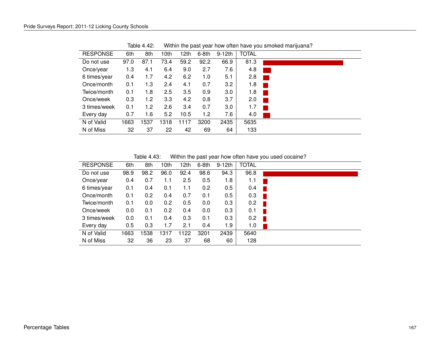| <b>RESPONSE</b> | 6th  | 8th  | 10th | 12th | $6-8th$ | $9-12th$ | <b>TOTAL</b> |
|-----------------|------|------|------|------|---------|----------|--------------|
| Do not use      | 97.0 | 87.1 | 73.4 | 59.2 | 92.2    | 66.9     | 81.3         |
| Once/year       | 1.3  | 4.1  | 6.4  | 9.0  | 2.7     | 7.6      | 4.8          |
| 6 times/year    | 0.4  | 1.7  | 4.2  | 6.2  | 1.0     | 5.1      | 2.8          |
| Once/month      | 0.1  | 1.3  | 2.4  | 4.1  | 0.7     | 3.2      | 1.8          |
| Twice/month     | 0.1  | 1.8  | 2.5  | 3.5  | 0.9     | 3.0      | 1.8          |
| Once/week       | 0.3  | 1.2  | 3.3  | 4.2  | 0.8     | 3.7      | 2.0          |
| 3 times/week    | 0.1  | 1.2  | 2.6  | 3.4  | 0.7     | 3.0      | 1.7          |
| Every day       | 0.7  | 1.6  | 5.2  | 10.5 | 1.2     | 7.6      | 4.0          |
| N of Valid      | 1663 | 1537 | 1318 | 1117 | 3200    | 2435     | 5635         |
| N of Miss       | 32   | 37   | 22   | 42   | 69      | 64       | 133          |

Table 4.42: Within the past year how often have you smoked marijuana?

Table 4.43: Within the past year how often have you used cocaine?

| <b>RESPONSE</b> | 6th  | 8th  | 10th | 12th | $6-8th$ | $9-12th$ | <b>TOTAL</b> |  |
|-----------------|------|------|------|------|---------|----------|--------------|--|
| Do not use      | 98.9 | 98.2 | 96.0 | 92.4 | 98.6    | 94.3     | 96.8         |  |
| Once/year       | 0.4  | 0.7  | 1.1  | 2.5  | 0.5     | 1.8      | 1.1          |  |
| 6 times/year    | 0.1  | 0.4  | 0.1  | 1.1  | 0.2     | 0.5      | 0.4          |  |
| Once/month      | 0.1  | 0.2  | 0.4  | 0.7  | 0.1     | 0.5      | 0.3          |  |
| Twice/month     | 0.1  | 0.0  | 0.2  | 0.5  | 0.0     | 0.3      | 0.2          |  |
| Once/week       | 0.0  | 0.1  | 0.2  | 0.4  | 0.0     | 0.3      | 0.1          |  |
| 3 times/week    | 0.0  | 0.1  | 0.4  | 0.3  | 0.1     | 0.3      | 0.2          |  |
| Every day       | 0.5  | 0.3  | 1.7  | 2.1  | 0.4     | 1.9      | 1.0          |  |
| N of Valid      | 1663 | 1538 | 1317 | 1122 | 3201    | 2439     | 5640         |  |
| N of Miss       | 32   | 36   | 23   | 37   | 68      | 60       | 128          |  |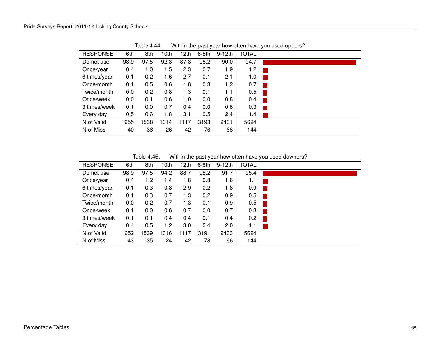| <b>RESPONSE</b> | 6th  | 8th  | 10th | 12th | $6-8th$ | $9-12th$ | <b>TOTAL</b> |      |
|-----------------|------|------|------|------|---------|----------|--------------|------|
| Do not use      | 98.9 | 97.5 | 92.3 | 87.3 | 98.2    | 90.0     | 94.7         |      |
| Once/year       | 0.4  | 1.0  | 1.5  | 2.3  | 0.7     | 1.9      | 1.2          |      |
| 6 times/year    | 0.1  | 0.2  | 1.6  | 2.7  | 0.1     | 2.1      | 1.0          |      |
| Once/month      | 0.1  | 0.5  | 0.6  | 1.8  | 0.3     | 1.2      | 0.7          |      |
| Twice/month     | 0.0  | 0.2  | 0.8  | 1.3  | 0.1     | 1.1      | 0.5          | a ka |
| Once/week       | 0.0  | 0.1  | 0.6  | 1.0  | 0.0     | 0.8      | 0.4          |      |
| 3 times/week    | 0.1  | 0.0  | 0.7  | 0.4  | 0.0     | 0.6      | 0.3          |      |
| Every day       | 0.5  | 0.6  | 1.8  | 3.1  | 0.5     | 2.4      | 1.4          |      |
| N of Valid      | 1655 | 1538 | 1314 | 1117 | 3193    | 2431     | 5624         |      |
| N of Miss       | 40   | 36   | 26   | 42   | 76      | 68       | 144          |      |

Table 4.44: Within the past year how often have you used uppers?

Table 4.45: Within the past year how often have you used downers?

| <b>RESPONSE</b> | 6th  | 8th  | 10th | 12th | $6-8th$ | $9-12th$      | <b>TOTAL</b> |
|-----------------|------|------|------|------|---------|---------------|--------------|
| Do not use      | 98.9 | 97.5 | 94.2 | 88.7 | 98.2    | 91.7          | 95.4         |
| Once/year       | 0.4  | 1.2  | 1.4  | 1.8  | 0.8     | 1.6           | 1.1          |
| 6 times/year    | 0.1  | 0.3  | 0.8  | 2.9  | 0.2     | 1.8           | 0.9          |
| Once/month      | 0.1  | 0.3  | 0.7  | 1.3  | 0.2     | 0.9           | 0.5          |
| Twice/month     | 0.0  | 0.2  | 0.7  | 1.3  | 0.1     | 0.9           | 0.5          |
| Once/week       | 0.1  | 0.0  | 0.6  | 0.7  | 0.0     | 0.7           | 0.3          |
| 3 times/week    | 0.1  | 0.1  | 0.4  | 0.4  | 0.1     | $0.4^{\circ}$ | 0.2          |
| Every day       | 0.4  | 0.5  | 1.2  | 3.0  | 0.4     | 2.0           | 1.1          |
| N of Valid      | 1652 | 1539 | 1316 | 1117 | 3191    | 2433          | 5624         |
| N of Miss       | 43   | 35   | 24   | 42   | 78      | 66            | 144          |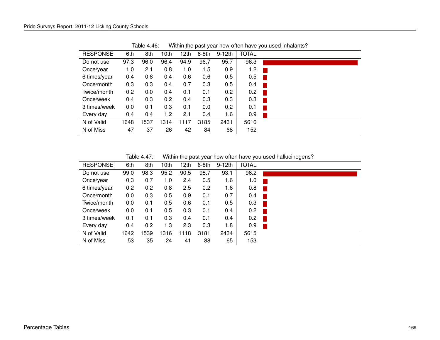| <b>RESPONSE</b> | 6th  | 8th  | 10th | 12th | $6-8th$ | $9-12th$ | <b>TOTAL</b> |  |
|-----------------|------|------|------|------|---------|----------|--------------|--|
| Do not use      | 97.3 | 96.0 | 96.4 | 94.9 | 96.7    | 95.7     | 96.3         |  |
| Once/year       | 1.0  | 2.1  | 0.8  | 1.0  | 1.5     | 0.9      | 1.2          |  |
| 6 times/year    | 0.4  | 0.8  | 0.4  | 0.6  | 0.6     | 0.5      | 0.5          |  |
| Once/month      | 0.3  | 0.3  | 0.4  | 0.7  | 0.3     | 0.5      | 0.4          |  |
| Twice/month     | 0.2  | 0.0  | 0.4  | 0.1  | 0.1     | 0.2      | 0.2          |  |
| Once/week       | 0.4  | 0.3  | 0.2  | 0.4  | 0.3     | 0.3      | 0.3          |  |
| 3 times/week    | 0.0  | 0.1  | 0.3  | 0.1  | 0.0     | 0.2      | 0.1          |  |
| Every day       | 0.4  | 0.4  | 1.2  | 2.1  | 0.4     | 1.6      | 0.9          |  |
| N of Valid      | 1648 | 1537 | 1314 | 1117 | 3185    | 2431     | 5616         |  |
| N of Miss       | 47   | 37   | 26   | 42   | 84      | 68       | 152          |  |

Table 4.46: Within the past year how often have you used inhalants?

Table 4.47: Within the past year how often have you used hallucinogens?

| <b>RESPONSE</b> | 6th  | 8th  | 10th | 12th | $6-8th$ | $9-12th$ | <b>TOTAL</b> |  |
|-----------------|------|------|------|------|---------|----------|--------------|--|
| Do not use      | 99.0 | 98.3 | 95.2 | 90.5 | 98.7    | 93.1     | 96.2         |  |
| Once/year       | 0.3  | 0.7  | 1.0  | 2.4  | 0.5     | 1.6      | 1.0          |  |
| 6 times/year    | 0.2  | 0.2  | 0.8  | 2.5  | 0.2     | 1.6      | 0.8          |  |
| Once/month      | 0.0  | 0.3  | 0.5  | 0.9  | 0.1     | 0.7      | 0.4          |  |
| Twice/month     | 0.0  | 0.1  | 0.5  | 0.6  | 0.1     | 0.5      | 0.3          |  |
| Once/week       | 0.0  | 0.1  | 0.5  | 0.3  | 0.1     | 0.4      | 0.2          |  |
| 3 times/week    | 0.1  | 0.1  | 0.3  | 0.4  | 0.1     | 0.4      | 0.2          |  |
| Every day       | 0.4  | 0.2  | 1.3  | 2.3  | 0.3     | 1.8      | 0.9          |  |
| N of Valid      | 1642 | 1539 | 1316 | 1118 | 3181    | 2434     | 5615         |  |
| N of Miss       | 53   | 35   | 24   | 41   | 88      | 65       | 153          |  |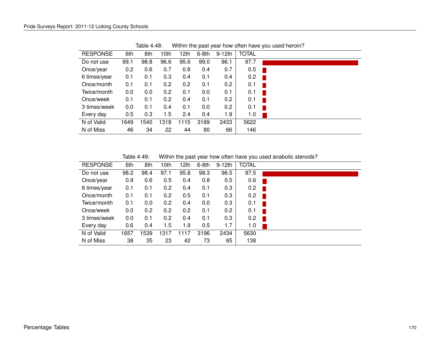| <b>RESPONSE</b> | 6th  | 8th  | 10th | 12th | $6-8th$ | $9-12th$      | <b>TOTAL</b> |
|-----------------|------|------|------|------|---------|---------------|--------------|
| Do not use      | 99.1 | 98.8 | 96.6 | 95.6 | 99.0    | 96.1          | 97.7         |
| Once/year       | 0.2  | 0.6  | 0.7  | 0.8  | 0.4     | 0.7           | 0.5          |
| 6 times/year    | 0.1  | 0.1  | 0.3  | 0.4  | 0.1     | $0.4^{\circ}$ | 0.2          |
| Once/month      | 0.1  | 0.1  | 0.2  | 0.2  | 0.1     | 0.2           | 0.1          |
| Twice/month     | 0.0  | 0.0  | 0.2  | 0.1  | 0.0     | 0.1           | 0.1          |
| Once/week       | 0.1  | 0.1  | 0.2  | 0.4  | 0.1     | 0.2           | 0.1          |
| 3 times/week    | 0.0  | 0.1  | 0.4  | 0.1  | 0.0     | 0.2           | 0.1          |
| Every day       | 0.5  | 0.3  | 1.5  | 2.4  | 0.4     | 1.9           | 1.0          |
| N of Valid      | 1649 | 1540 | 1318 | 1115 | 3189    | 2433          | 5622         |
| N of Miss       | 46   | 34   | 22   | 44   | 80      | 66            | 146          |

Table 4.48: Within the past year how often have you used heroin?

Table 4.49: Within the past year how often have you used anabolic steroids?

| <b>RESPONSE</b> | 6th  | 8th  | 10th          | 12th | $6-8th$ | $9-12th$ | <b>TOTAL</b> |                          |
|-----------------|------|------|---------------|------|---------|----------|--------------|--------------------------|
| Do not use      | 98.2 | 98.4 | 97.1          | 95.8 | 98.3    | 96.5     | 97.5         |                          |
| Once/year       | 0.9  | 0.6  | 0.5           | 0.4  | 0.8     | 0.5      | 0.6          |                          |
| 6 times/year    | 0.1  | 0.1  | $0.2^{\circ}$ | 0.4  | 0.1     | 0.3      | 0.2          | <b>The Second Second</b> |
| Once/month      | 0.1  | 0.1  | 0.2           | 0.5  | 0.1     | 0.3      | 0.2          | <b>D</b>                 |
| Twice/month     | 0.1  | 0.0  | 0.2           | 0.4  | 0.0     | 0.3      | 0.1          |                          |
| Once/week       | 0.0  | 0.2  | $0.2^{\circ}$ | 0.2  | 0.1     | 0.2      | 0.1          | H.                       |
| 3 times/week    | 0.0  | 0.1  | 0.2           | 0.4  | 0.1     | 0.3      | 0.2          | H                        |
| Every day       | 0.6  | 0.4  | 1.5           | 1.9  | 0.5     | 1.7      | 1.0          |                          |
| N of Valid      | 1657 | 539  | 1317          | 1117 | 3196    | 2434     | 5630         |                          |
| N of Miss       | 38   | 35   | 23            | 42   | 73      | 65       | 138          |                          |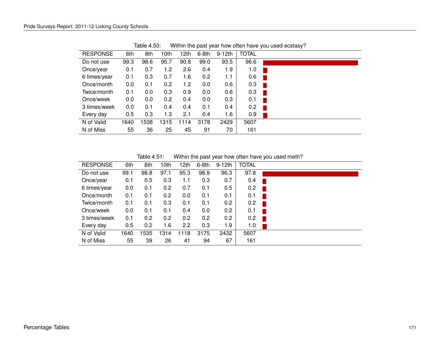| <b>RESPONSE</b> | 6th  | 8th  | 10th | 12th | $6-8th$ | $9-12th$ | <b>TOTAL</b> |
|-----------------|------|------|------|------|---------|----------|--------------|
| Do not use      | 99.3 | 98.6 | 95.7 | 90.8 | 99.0    | 93.5     | 96.6         |
| Once/year       | 0.1  | 0.7  | 1.2  | 2.6  | 0.4     | 1.9      | 1.0          |
| 6 times/year    | 0.1  | 0.3  | 0.7  | 1.6  | 0.2     | 1.1      | 0.6          |
| Once/month      | 0.0  | 0.1  | 0.2  | 1.2  | 0.0     | 0.6      | 0.3          |
| Twice/month     | 0.1  | 0.0  | 0.3  | 0.9  | 0.0     | 0.6      | 0.3          |
| Once/week       | 0.0  | 0.0  | 0.2  | 0.4  | 0.0     | 0.3      | 0.1          |
| 3 times/week    | 0.0  | 0.1  | 0.4  | 0.4  | 0.1     | 0.4      | 0.2          |
| Every day       | 0.5  | 0.3  | 1.3  | 2.1  | 0.4     | 1.6      | 0.9          |
| N of Valid      | 1640 | 1538 | 1315 | 1114 | 3178    | 2429     | 5607         |
| N of Miss       | 55   | 36   | 25   | 45   | 91      | 70       | 161          |

Table 4.50: Within the past year how often have you used ecstasy?

Table 4.51: Within the past year how often have you used meth?

| <b>RESPONSE</b> | 6th  | 8th  | 10th | 12th | $6-8th$ | $9-12$ th | <b>TOTAL</b> |     |
|-----------------|------|------|------|------|---------|-----------|--------------|-----|
| Do not use      | 99.1 | 98.8 | 97.1 | 95.3 | 98.9    | 96.3      | 97.8         |     |
| Once/year       | 0.1  | 0.5  | 0.3  | 1.1  | 0.3     | 0.7       | 0.4          |     |
| 6 times/year    | 0.0  | 0.1  | 0.2  | 0.7  | 0.1     | 0.5       | 0.2          | . . |
| Once/month      | 0.1  | 0.1  | 0.2  | 0.0  | 0.1     | 0.1       | 0.1          |     |
| Twice/month     | 0.1  | 0.1  | 0.3  | 0.1  | 0.1     | 0.2       | 0.2          |     |
| Once/week       | 0.0  | 0.1  | 0.1  | 0.4  | 0.0     | 0.2       | 0.1          |     |
| 3 times/week    | 0.1  | 0.2  | 0.2  | 0.2  | 0.2     | 0.2       | 0.2          |     |
| Every day       | 0.5  | 0.2  | 1.6  | 2.2  | 0.3     | 1.9       | 1.0          |     |
| N of Valid      | 1640 | 1535 | 1314 | 1118 | 3175    | 2432      | 5607         |     |
| N of Miss       | 55   | 39   | 26   | 41   | 94      | 67        | 161          |     |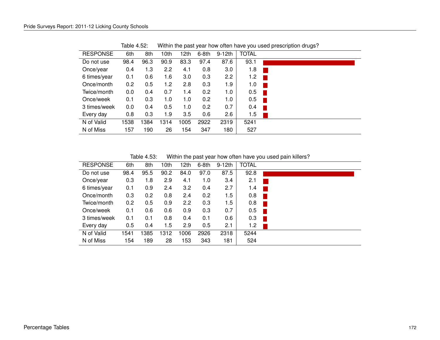| <b>RESPONSE</b> | 6th  | 8th  | 10 <sub>th</sub> | 12th | 6-8th | $9-12th$ | <b>TOTAL</b> |
|-----------------|------|------|------------------|------|-------|----------|--------------|
| Do not use      | 98.4 | 96.3 | 90.9             | 83.3 | 97.4  | 87.6     | 93.1         |
| Once/year       | 0.4  | 1.3  | $2.2\phantom{0}$ | 4.1  | 0.8   | $3.0\,$  | 1.8          |
| 6 times/year    | 0.1  | 0.6  | 1.6              | 3.0  | 0.3   | 2.2      | 1.2          |
| Once/month      | 0.2  | 0.5  | 1.2              | 2.8  | 0.3   | 1.9      | 1.0          |
| Twice/month     | 0.0  | 0.4  | 0.7              | 1.4  | 0.2   | 1.0      | 0.5          |
| Once/week       | 0.1  | 0.3  | 1.0              | 1.0  | 0.2   | 1.0      | 0.5          |
| 3 times/week    | 0.0  | 0.4  | 0.5              | 1.0  | 0.2   | 0.7      | 0.4          |
| Every day       | 0.8  | 0.3  | 1.9              | 3.5  | 0.6   | 2.6      | 1.5          |
| N of Valid      | 1538 | 1384 | 1314             | 1005 | 2922  | 2319     | 5241         |
| N of Miss       | 157  | 190  | 26               | 154  | 347   | 180      | 527          |

Table 4.52: Within the past year how often have you used prescription drugs?

Table 4.53: Within the past year how often have you used pain killers?

| <b>RESPONSE</b> | 6th  | 8th  | 10th | 12th | $6-8th$ | $9-12th$ | <b>TOTAL</b> |  |
|-----------------|------|------|------|------|---------|----------|--------------|--|
| Do not use      | 98.4 | 95.5 | 90.2 | 84.0 | 97.0    | 87.5     | 92.8         |  |
| Once/year       | 0.3  | 1.8  | 2.9  | 4.1  | 1.0     | 3.4      | 2.1          |  |
| 6 times/year    | 0.1  | 0.9  | 2.4  | 3.2  | 0.4     | 2.7      | 1.4          |  |
| Once/month      | 0.3  | 0.2  | 0.8  | 2.4  | 0.2     | 1.5      | 0.8          |  |
| Twice/month     | 0.2  | 0.5  | 0.9  | 2.2  | 0.3     | 1.5      | 0.8          |  |
| Once/week       | 0.1  | 0.6  | 0.6  | 0.9  | 0.3     | 0.7      | 0.5          |  |
| 3 times/week    | 0.1  | 0.1  | 0.8  | 0.4  | 0.1     | 0.6      | 0.3          |  |
| Every day       | 0.5  | 0.4  | 1.5  | 2.9  | 0.5     | 2.1      | 1.2          |  |
| N of Valid      | 1541 | 1385 | 1312 | 1006 | 2926    | 2318     | 5244         |  |
| N of Miss       | 154  | 189  | 28   | 153  | 343     | 181      | 524          |  |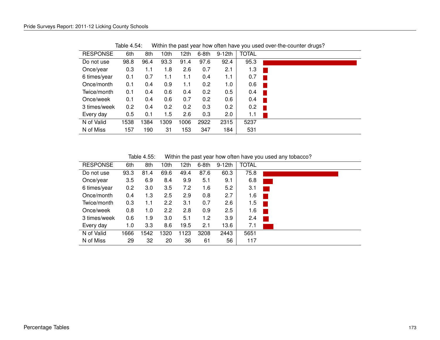| <b>RESPONSE</b> | 6th  | 8th  | 10 <sub>th</sub> | 12th | $6-8th$ | $9-12th$ | <b>TOTAL</b> |
|-----------------|------|------|------------------|------|---------|----------|--------------|
| Do not use      | 98.8 | 96.4 | 93.3             | 91.4 | 97.6    | 92.4     | 95.3         |
| Once/year       | 0.3  | 1.1  | 1.8              | 2.6  | 0.7     | 2.1      | 1.3          |
| 6 times/year    | 0.1  | 0.7  | 1.1              | 1.1  | 0.4     | 1.1      | 0.7          |
| Once/month      | 0.1  | 0.4  | 0.9              | 1.1  | 0.2     | 1.0      | 0.6          |
| Twice/month     | 0.1  | 0.4  | 0.6              | 0.4  | 0.2     | 0.5      | 0.4          |
| Once/week       | 0.1  | 0.4  | 0.6              | 0.7  | 0.2     | 0.6      | 0.4          |
| 3 times/week    | 0.2  | 0.4  | 0.2              | 0.2  | 0.3     | 0.2      | 0.2          |
| Every day       | 0.5  | 0.1  | 1.5              | 2.6  | 0.3     | 2.0      | 1.1          |
| N of Valid      | 1538 | 1384 | 1309             | 1006 | 2922    | 2315     | 5237         |
| N of Miss       | 157  | 190  | 31               | 153  | 347     | 184      | 531          |

Table 4.54: Within the past year how often have you used over-the-counter drugs?

Table 4.55: Within the past year how often have you used any tobacco?

| <b>RESPONSE</b> | 6th     | 8th  | 10th             | 12th | 6-8th | $9-12th$ | <b>TOTAL</b> |  |
|-----------------|---------|------|------------------|------|-------|----------|--------------|--|
| Do not use      | 93.3    | 81.4 | 69.6             | 49.4 | 87.6  | 60.3     | 75.8         |  |
| Once/year       | $3.5\,$ | 6.9  | 8.4              | 9.9  | 5.1   | 9.1      | 6.8          |  |
| 6 times/year    | 0.2     | 3.0  | 3.5              | 7.2  | 1.6   | 5.2      | 3.1          |  |
| Once/month      | 0.4     | 1.3  | 2.5              | 2.9  | 0.8   | 2.7      | 1.6          |  |
| Twice/month     | 0.3     | 1.1  | 2.2              | 3.1  | 0.7   | 2.6      | 1.5          |  |
| Once/week       | 0.8     | 1.0  | $2.2\phantom{0}$ | 2.8  | 0.9   | 2.5      | 1.6          |  |
| 3 times/week    | 0.6     | 1.9  | 3.0              | 5.1  | 1.2   | 3.9      | 2.4          |  |
| Every day       | 1.0     | 3.3  | 8.6              | 19.5 | 2.1   | 13.6     | 7.1          |  |
| N of Valid      | 1666    | 542  | 1320             | 1123 | 3208  | 2443     | 5651         |  |
| N of Miss       | 29      | 32   | 20               | 36   | 61    | 56       | 117          |  |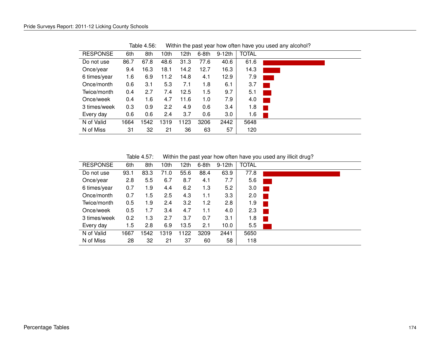| <b>RESPONSE</b> | 6th  | 8th  | 10 <sub>th</sub> | 12th | $6-8th$ | $9-12th$ | <b>TOTAL</b> |                            |
|-----------------|------|------|------------------|------|---------|----------|--------------|----------------------------|
| Do not use      | 86.7 | 67.8 | 48.6             | 31.3 | 77.6    | 40.6     | 61.6         |                            |
| Once/year       | 9.4  | 16.3 | 18.1             | 14.2 | 12.7    | 16.3     | 14.3         |                            |
| 6 times/year    | 1.6  | 6.9  | 11.2             | 14.8 | 4.1     | 12.9     | 7.9          |                            |
| Once/month      | 0.6  | 3.1  | 5.3              | 7.1  | 1.8     | 6.1      | 3.7          |                            |
| Twice/month     | 0.4  | 2.7  | 7.4              | 12.5 | 1.5     | 9.7      | 5.1          | $\mathcal{L}(\mathcal{L})$ |
| Once/week       | 0.4  | 1.6  | 4.7              | 11.6 | 1.0     | 7.9      | 4.0          |                            |
| 3 times/week    | 0.3  | 0.9  | 2.2              | 4.9  | 0.6     | 3.4      | 1.8          |                            |
| Every day       | 0.6  | 0.6  | 2.4              | 3.7  | 0.6     | 3.0      | 1.6          |                            |
| N of Valid      | 1664 | 1542 | 1319             | 1123 | 3206    | 2442     | 5648         |                            |
| N of Miss       | 31   | 32   | 21               | 36   | 63      | 57       | 120          |                            |

Table 4.56: Within the past year how often have you used any alcohol?

Table 4.57: Within the past year how often have you used any illicit drug?

| <b>RESPONSE</b> | 6th  | 8th  | 10th | 12th | 6-8th | $9-12th$ | <b>TOTAL</b> |  |
|-----------------|------|------|------|------|-------|----------|--------------|--|
| Do not use      | 93.1 | 83.3 | 71.0 | 55.6 | 88.4  | 63.9     | 77.8         |  |
| Once/year       | 2.8  | 5.5  | 6.7  | 8.7  | 4.1   | 7.7      | 5.6          |  |
| 6 times/year    | 0.7  | 1.9  | 4.4  | 6.2  | 1.3   | 5.2      | 3.0          |  |
| Once/month      | 0.7  | 1.5  | 2.5  | 4.3  | 1.1   | 3.3      | 2.0          |  |
| Twice/month     | 0.5  | 1.9  | 2.4  | 3.2  | 1.2   | 2.8      | 1.9          |  |
| Once/week       | 0.5  | 1.7  | 3.4  | 4.7  | 1.1   | 4.0      | 2.3          |  |
| 3 times/week    | 0.2  | 1.3  | 2.7  | 3.7  | 0.7   | 3.1      | 1.8          |  |
| Every day       | 1.5  | 2.8  | 6.9  | 13.5 | 2.1   | 10.0     | 5.5          |  |
| N of Valid      | 1667 | 1542 | 1319 | 1122 | 3209  | 2441     | 5650         |  |
| N of Miss       | 28   | 32   | 21   | 37   | 60    | 58       | 118          |  |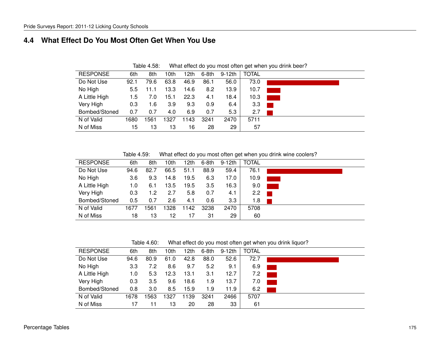#### **4.4 What Effect Do You Most Often Get When You Use**

| <b>RESPONSE</b> | 6th  | 8th  | 10th | 12th | $6-8th$ | 9-12th | <b>TOTAL</b> |  |
|-----------------|------|------|------|------|---------|--------|--------------|--|
| Do Not Use      | 92.1 | 79.6 | 63.8 | 46.9 | 86.1    | 56.0   | 73.0         |  |
| No High         | 5.5  | 11.1 | 13.3 | 14.6 | 8.2     | 13.9   | 10.7         |  |
| A Little High   | 1.5  | 7.0  | 15.1 | 22.3 | 4.1     | 18.4   | 10.3         |  |
| Very High       | 0.3  | 1.6  | 3.9  | 9.3  | 0.9     | 6.4    | 3.3          |  |
| Bombed/Stoned   | 0.7  | 0.7  | 4.0  | 6.9  | 0.7     | 5.3    | 2.7          |  |
| N of Valid      | 1680 | 1561 | 1327 | 1143 | 3241    | 2470   | 5711         |  |
| N of Miss       | 15   | 13   | 13   | 16   | 28      | 29     | 57           |  |

Table 4.58: What effect do you most often get when you drink beer?

Table 4.59: What effect do you most often get when you drink wine coolers?

| <b>RESPONSE</b> | 6th  | 8th  | 10th | 12th | 6-8th | 9-12th | <b>TOTAL</b> |  |
|-----------------|------|------|------|------|-------|--------|--------------|--|
| Do Not Use      | 94.6 | 82.7 | 66.5 | 51.1 | 88.9  | 59.4   | 76.1         |  |
| No High         | 3.6  | 9.3  | 14.8 | 19.5 | 6.3   | 17.0   | 10.9         |  |
| A Little High   | 1.0  | 6.1  | 13.5 | 19.5 | 3.5   | 16.3   | 9.0          |  |
| Very High       | 0.3  | 1.2  | 2.7  | 5.8  | 0.7   | 4.1    | 2.2          |  |
| Bombed/Stoned   | 0.5  | 0.7  | 2.6  | 4.1  | 0.6   | 3.3    | 1.8          |  |
| N of Valid      | 1677 | 561  | 1328 | 1142 | 3238  | 2470   | 5708         |  |
| N of Miss       | 18   | 13   | 12   | 17   | 31    | 29     | 60           |  |

Table 4.60: What effect do you most often get when you drink liquor?

| <b>RESPONSE</b> | 6th  | 8th  | 10th | 12th | $6-8th$ | 9-12th | <b>TOTAL</b> |  |
|-----------------|------|------|------|------|---------|--------|--------------|--|
| Do Not Use      | 94.6 | 80.9 | 61.0 | 42.8 | 88.0    | 52.6   | 72.7         |  |
| No High         | 3.3  | 7.2  | 8.6  | 9.7  | 5.2     | 9.1    | 6.9          |  |
| A Little High   | 1.0  | 5.3  | 12.3 | 13.1 | 3.1     | 12.7   | 7.2          |  |
| Very High       | 0.3  | 3.5  | 9.6  | 18.6 | 1.9     | 13.7   | 7.0          |  |
| Bombed/Stoned   | 0.8  | 3.0  | 8.5  | 15.9 | 1.9     | 11.9   | 6.2          |  |
| N of Valid      | 1678 | 1563 | 1327 | 1139 | 3241    | 2466   | 5707         |  |
| N of Miss       |      |      | 13   | 20   | 28      | 33     | 61           |  |
|                 |      |      |      |      |         |        |              |  |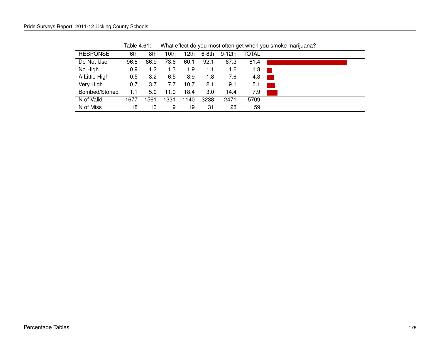| <b>RESPONSE</b> | 6th  | 8th  | 10th | l 2th | $6-8th$ | $9-12th$ | <b>TOTAL</b> |  |
|-----------------|------|------|------|-------|---------|----------|--------------|--|
| Do Not Use      | 96.8 | 86.9 | 73.6 | 60.1  | 92.1    | 67.3     | 81.4         |  |
| No High         | 0.9  | 1.2  | 1.3  | 1.9   | 1.1     | 1.6      | 1.3          |  |
| A Little High   | 0.5  | 3.2  | 6.5  | 8.9   | 1.8     | 7.6      | 4.3          |  |
| Very High       | 0.7  | 3.7  | 7.7  | 10.7  | 2.1     | 9.1      | 5.1          |  |
| Bombed/Stoned   | 1.1  | 5.0  | 11.0 | 18.4  | 3.0     | 14.4     | 7.9          |  |
| N of Valid      | 1677 | 1561 | 1331 | 1140  | 3238    | 2471     | 5709         |  |
| N of Miss       | 18   | 13   | 9    | 19    | 31      | 28       | 59           |  |

Table 4.61: What effect do you most often get when you smoke marijuana?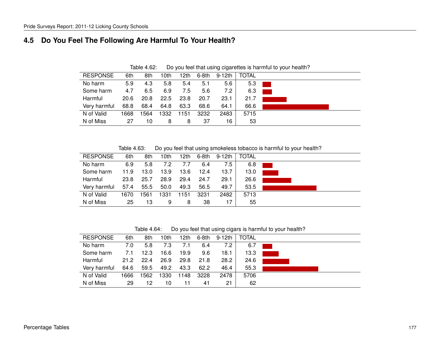#### **4.5 Do You Feel The Following Are Harmful To Your Health?**

| <b>RESPONSE</b> | 6th  | 8th  | 10th | 12th | 6-8th | 9-12th | <b>TOTAL</b> |  |
|-----------------|------|------|------|------|-------|--------|--------------|--|
| No harm         | 5.9  | 4.3  | 5.8  | 5.4  | 5.1   | 5.6    | 5.3          |  |
| Some harm       | 4.7  | 6.5  | 6.9  | 7.5  | 5.6   | 7.2    | 6.3          |  |
| Harmful         | 20.6 | 20.8 | 22.5 | 23.8 | 20.7  | 23.1   | 21.7         |  |
| Very harmful    | 68.8 | 68.4 | 64.8 | 63.3 | 68.6  | 64.1   | 66.6         |  |
| N of Valid      | 1668 | 1564 | 1332 | 151  | 3232  | 2483   | 5715         |  |
| N of Miss       | 27   | 10   | 8    | 8    | 37    | 16     | 53           |  |

Table 4.62: Do you feel that using cigarettes is harmful to your health?

Table 4.63: Do you feel that using smokeless tobacco is harmful to your health?

| <b>RESPONSE</b> | 6th  | 8th  | 10th | 12th | 6-8th | 9-12th | <b>TOTAL</b> |  |
|-----------------|------|------|------|------|-------|--------|--------------|--|
| No harm         | 6.9  | 5.8  | 7.2  | 7.7  | 6.4   | 7.5    | 6.8          |  |
| Some harm       | 11.9 | 13.0 | 13.9 | 13.6 | 12.4  | 13.7   | 13.0         |  |
| Harmful         | 23.8 | 25.7 | 28.9 | 29.4 | 24.7  | 29.1   | 26.6         |  |
| Very harmful    | 57.4 | 55.5 | 50.0 | 49.3 | 56.5  | 49.7   | 53.5         |  |
| N of Valid      | 1670 | 1561 | 1331 | 1151 | 3231  | 2482   | 5713         |  |
| N of Miss       | 25   | 13   | 9    | 8    | 38    | 17     | 55           |  |

Table 4.64: Do you feel that using cigars is harmful to your health?

| <b>RESPONSE</b> | 6th  | 8th  | 10th | 12th | 6-8th | 9-12th | <b>TOTAL</b> |  |
|-----------------|------|------|------|------|-------|--------|--------------|--|
| No harm         | 7.0  | 5.8  | 7.3  | 7.1  | 6.4   | 7.2    | 6.7          |  |
| Some harm       | 7.1  | 12.3 | 16.6 | 19.9 | 9.6   | 18.1   | 13.3         |  |
| Harmful         | 21.2 | 22.4 | 26.9 | 29.8 | 21.8  | 28.2   | 24.6         |  |
| Very harmful    | 64.6 | 59.5 | 49.2 | 43.3 | 62.2  | 46.4   | 55.3         |  |
| N of Valid      | 1666 | 1562 | 1330 | 1148 | 3228  | 2478   | 5706         |  |
| N of Miss       | 29   | 12   | 10   | 11   | 41    | 21     | 62           |  |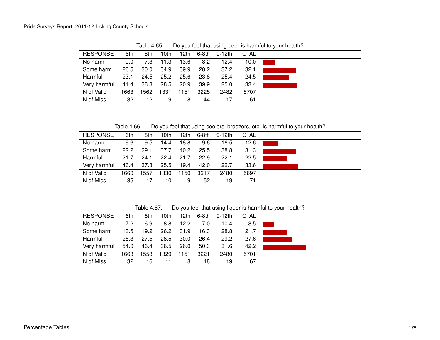| <b>RESPONSE</b> | 6th  | 8th  | 10th | 12th | 6-8th | 9-12th | <b>TOTAL</b> |  |
|-----------------|------|------|------|------|-------|--------|--------------|--|
| No harm         | 9.0  | 7.3  | 11.3 | 13.6 | 8.2   | 12.4   | 10.0         |  |
| Some harm       | 26.5 | 30.0 | 34.9 | 39.9 | 28.2  | 37.2   | 32.1         |  |
| Harmful         | 23.1 | 24.5 | 25.2 | 25.6 | 23.8  | 25.4   | 24.5         |  |
| Very harmful    | 41.4 | 38.3 | 28.5 | 20.9 | 39.9  | 25.0   | 33.4         |  |
| N of Valid      | 1663 | 1562 | 1331 | 1151 | 3225  | 2482   | 5707         |  |
| N of Miss       | 32   | 12   | 9    | 8    | 44    | 17     | 61           |  |

Table 4.65: Do you feel that using beer is harmful to your health?

Table 4.66: Do you feel that using coolers, breezers, etc. is harmful to your health?

| <b>RESPONSE</b> | 6th  | 8th  | 10th | 12th | 6-8th | 9-12th | <b>TOTAL</b> |  |
|-----------------|------|------|------|------|-------|--------|--------------|--|
| No harm         | 9.6  | 9.5  | 14.4 | 18.8 | 9.6   | 16.5   | 12.6         |  |
| Some harm       | 22.2 | 29.1 | 37.7 | 40.2 | 25.5  | 38.8   | 31.3         |  |
| Harmful         | 21.7 | 24.1 | 22.4 | 21.7 | 22.9  | 22.1   | 22.5         |  |
| Very harmful    | 46.4 | 37.3 | 25.5 | 19.4 | 42.0  | 22.7   | 33.6         |  |
| N of Valid      | 1660 | 1557 | 1330 | 150  | 3217  | 2480   | 5697         |  |
| N of Miss       | 35   | 17   | 10   | 9    | 52    | 19     | 71           |  |

Table 4.67: Do you feel that using liquor is harmful to your health?

| <b>RESPONSE</b> | 6th  | 8th  | 10th | 12th              | 6-8th | 9-12th | <b>TOTAL</b> |  |
|-----------------|------|------|------|-------------------|-------|--------|--------------|--|
| No harm         | 7.2  | 6.9  | 8.8  | 12.2              | 7.0   | 10.4   | 8.5          |  |
| Some harm       | 13.5 | 19.2 | 26.2 | 31.9              | 16.3  | 28.8   | 21.7         |  |
| Harmful         | 25.3 | 27.5 | 28.5 | 30.0 <sub>1</sub> | 26.4  | 29.2   | 27.6         |  |
| Very harmful    | 54.0 | 46.4 | 36.5 | 26.0              | 50.3  | 31.6   | 42.2         |  |
| N of Valid      | 1663 | 1558 | 1329 | 1151              | 3221  | 2480   | 5701         |  |
| N of Miss       | 32   | 16   | 11   | 8                 | 48    | 19     | 67           |  |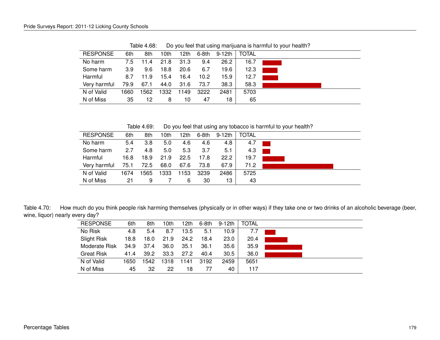| <b>RESPONSE</b> | 6th  | 8th  | l Othl | 12th | 6-8th | 9-12th | <b>TOTAL</b> |  |
|-----------------|------|------|--------|------|-------|--------|--------------|--|
| No harm         | 7.5  | 11.4 | 21.8   | 31.3 | 9.4   | 26.2   | 16.7         |  |
| Some harm       | 3.9  | 9.6  | 18.8   | 20.6 | 6.7   | 19.6   | 12.3         |  |
| Harmful         | 8.7  | 11.9 | 15.4   | 16.4 | 10.2  | 15.9   | 12.7         |  |
| Very harmful    | 79.9 | 67.1 | 44.0   | 31.6 | 73.7  | 38.3   | 58.3         |  |
| N of Valid      | 1660 | 1562 | 1332   | 1149 | 3222  | 2481   | 5703         |  |
| N of Miss       | 35   | 12   | 8      | 10   | 47    | 18     | 65           |  |
|                 |      |      |        |      |       |        |              |  |

Table 4.68: Do you feel that using marijuana is harmful to your health?

Table 4.69: Do you feel that using any tobacco is harmful to your health?

| <b>RESPONSE</b> | 6th  | 8th  | 10th | 12th | 6-8th | 9-12th | <b>TOTAL</b> |  |
|-----------------|------|------|------|------|-------|--------|--------------|--|
| No harm         | 5.4  | 3.8  | 5.0  | 4.6  | 4.6   | 4.8    | 4.7          |  |
| Some harm       | 2.7  | 4.8  | 5.0  | 5.3  | 3.7   | 5.1    | 4.3          |  |
| Harmful         | 16.8 | 18.9 | 21.9 | 22.5 | 17.8  | 22.2   | 19.7         |  |
| Very harmful    | 75.1 | 72.5 | 68.0 | 67.6 | 73.8  | 67.9   | 71.2         |  |
| N of Valid      | 1674 | 1565 | 1333 | 153  | 3239  | 2486   | 5725         |  |
| N of Miss       | 21   | 9    |      | 6    | 30    | 13     | 43           |  |

Table 4.70: How much do you think people risk harming themselves (physically or in other ways) if they take one or two drinks of an alcoholic beverage (beer, wine, liquor) nearly every day?

| <b>RESPONSE</b> | 6th  | 8th  | 10th | 12th | 6-8th | 9-12th | <b>TOTAL</b> |  |
|-----------------|------|------|------|------|-------|--------|--------------|--|
| No Risk         | 4.8  | 5.4  | 8.7  | 13.5 | 5.1   | 10.9   | 7.7          |  |
| Slight Risk     | 18.8 | 18.0 | 21.9 | 24.2 | 18.4  | 23.0   | 20.4         |  |
| Moderate Risk   | 34.9 | 37.4 | 36.0 | 35.1 | 36.1  | 35.6   | 35.9         |  |
| Great Risk      | 41.4 | 39.2 | 33.3 | 27.2 | 40.4  | 30.5   | 36.0         |  |
| N of Valid      | 1650 | 1542 | 1318 | 141  | 3192  | 2459   | 5651         |  |
| N of Miss       | 45   | 32   | 22   | 18   | 77    | 40     | 117          |  |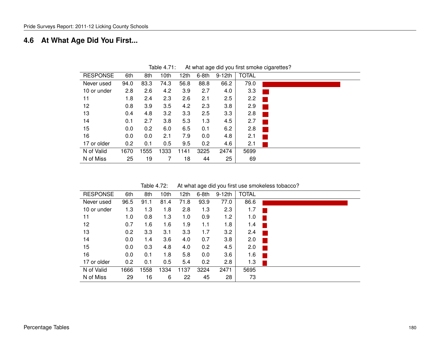# **4.6 At What Age Did You First...**

| <b>RESPONSE</b> | 6th  | 8th  | 10th | 12 <sub>th</sub> | $6-8th$ | $9-12th$ | <b>TOTAL</b> |  |
|-----------------|------|------|------|------------------|---------|----------|--------------|--|
| Never used      | 94.0 | 83.3 | 74.3 | 56.8             | 88.8    | 66.2     | 79.0         |  |
| 10 or under     | 2.8  | 2.6  | 4.2  | 3.9              | 2.7     | 4.0      | 3.3          |  |
| 11              | 1.8  | 2.4  | 2.3  | 2.6              | 2.1     | 2.5      | 2.2          |  |
| 12              | 0.8  | 3.9  | 3.5  | 4.2              | 2.3     | 3.8      | 2.9          |  |
| 13              | 0.4  | 4.8  | 3.2  | 3.3              | 2.5     | 3.3      | 2.8          |  |
| 14              | 0.1  | 2.7  | 3.8  | 5.3              | 1.3     | 4.5      | 2.7          |  |
| 15              | 0.0  | 0.2  | 6.0  | 6.5              | 0.1     | 6.2      | 2.8          |  |
| 16              | 0.0  | 0.0  | 2.1  | 7.9              | 0.0     | 4.8      | 2.1          |  |
| 17 or older     | 0.2  | 0.1  | 0.5  | 9.5              | 0.2     | 4.6      | 2.1          |  |
| N of Valid      | 1670 | 1555 | 1333 | 141              | 3225    | 2474     | 5699         |  |
| N of Miss       | 25   | 19   |      | 18               | 44      | 25       | 69           |  |
|                 |      |      |      |                  |         |          |              |  |

Table 4.71: At what age did you first smoke cigarettes?

| Table 4.72: | At what age did you first use smokeless tobacco? |
|-------------|--------------------------------------------------|
|-------------|--------------------------------------------------|

| <b>RESPONSE</b> | 6th  | 8th  | 10th | 12th | $6-8th$ | $9-12th$ | <b>TOTAL</b> |  |
|-----------------|------|------|------|------|---------|----------|--------------|--|
| Never used      | 96.5 | 91.1 | 81.4 | 71.8 | 93.9    | 77.0     | 86.6         |  |
| 10 or under     | 1.3  | 1.3  | 1.8  | 2.8  | 1.3     | 2.3      | 1.7          |  |
| 11              | 1.0  | 0.8  | 1.3  | 1.0  | 0.9     | 1.2      | 1.0          |  |
| 12              | 0.7  | 1.6  | 1.6  | 1.9  | 1.1     | 1.8      | 1.4          |  |
| 13              | 0.2  | 3.3  | 3.1  | 3.3  | 1.7     | 3.2      | 2.4          |  |
| 14              | 0.0  | 1.4  | 3.6  | 4.0  | 0.7     | 3.8      | 2.0          |  |
| 15              | 0.0  | 0.3  | 4.8  | 4.0  | 0.2     | 4.5      | 2.0          |  |
| 16              | 0.0  | 0.1  | 1.8  | 5.8  | 0.0     | 3.6      | 1.6          |  |
| 17 or older     | 0.2  | 0.1  | 0.5  | 5.4  | 0.2     | 2.8      | 1.3          |  |
| N of Valid      | 1666 | 1558 | 1334 | 1137 | 3224    | 2471     | 5695         |  |
| N of Miss       | 29   | 16   | 6    | 22   | 45      | 28       | 73           |  |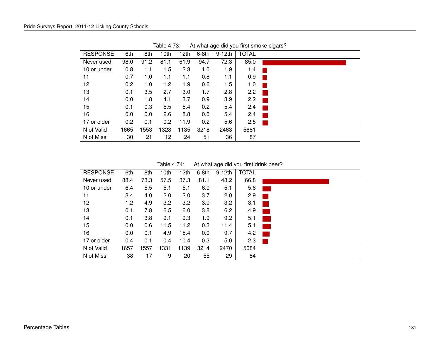| <b>RESPONSE</b> | 6th  | 8th  | 10th | 12th | $6-8th$ | $9-12th$ | <b>TOTAL</b> |  |
|-----------------|------|------|------|------|---------|----------|--------------|--|
| Never used      | 98.0 | 91.2 | 81.1 | 61.9 | 94.7    | 72.3     | 85.0         |  |
| 10 or under     | 0.8  | 1.1  | 1.5  | 2.3  | 1.0     | 1.9      | 1.4          |  |
| 11              | 0.7  | 1.0  | 1.1  | 1.1  | 0.8     | 1.1      | 0.9          |  |
| 12              | 0.2  | 1.0  | 1.2  | 1.9  | 0.6     | 1.5      | 1.0          |  |
| 13              | 0.1  | 3.5  | 2.7  | 3.0  | 1.7     | 2.8      | 2.2          |  |
| 14              | 0.0  | 1.8  | 4.1  | 3.7  | 0.9     | 3.9      | 2.2          |  |
| 15              | 0.1  | 0.3  | 5.5  | 5.4  | 0.2     | 5.4      | 2.4          |  |
| 16              | 0.0  | 0.0  | 2.6  | 8.8  | 0.0     | 5.4      | 2.4          |  |
| 17 or older     | 0.2  | 0.1  | 0.2  | 11.9 | 0.2     | 5.6      | 2.5          |  |
| N of Valid      | 1665 | 1553 | 1328 | 1135 | 3218    | 2463     | 5681         |  |
| N of Miss       | 30   | 21   | 12   | 24   | 51      | 36       | 87           |  |
|                 |      |      |      |      |         |          |              |  |

Table 4.73: At what age did you first smoke cigars?

Table 4.74: At what age did you first drink beer?

| <b>RESPONSE</b> | 6th  |      | 10th | 12th | $6-8th$ | $9-12th$ | <b>TOTAL</b> |  |
|-----------------|------|------|------|------|---------|----------|--------------|--|
|                 |      | 8th  |      |      |         |          |              |  |
| Never used      | 88.4 | 73.3 | 57.5 | 37.3 | 81.1    | 48.2     | 66.8         |  |
| 10 or under     | 6.4  | 5.5  | 5.1  | 5.1  | 6.0     | 5.1      | 5.6          |  |
| 11              | 3.4  | 4.0  | 2.0  | 2.0  | 3.7     | 2.0      | 2.9          |  |
| 12              | 1.2  | 4.9  | 3.2  | 3.2  | 3.0     | 3.2      | 3.1          |  |
| 13              | 0.1  | 7.8  | 6.5  | 6.0  | 3.8     | 6.2      | 4.9          |  |
| 14              | 0.1  | 3.8  | 9.1  | 9.3  | 1.9     | 9.2      | 5.1          |  |
| 15              | 0.0  | 0.6  | 11.5 | 11.2 | 0.3     | 11.4     | 5.1          |  |
| 16              | 0.0  | 0.1  | 4.9  | 15.4 | 0.0     | 9.7      | 4.2          |  |
| 17 or older     | 0.4  | 0.1  | 0.4  | 10.4 | 0.3     | 5.0      | 2.3          |  |
| N of Valid      | 1657 | 1557 | 1331 | 1139 | 3214    | 2470     | 5684         |  |
| N of Miss       | 38   | 17   | 9    | 20   | 55      | 29       | 84           |  |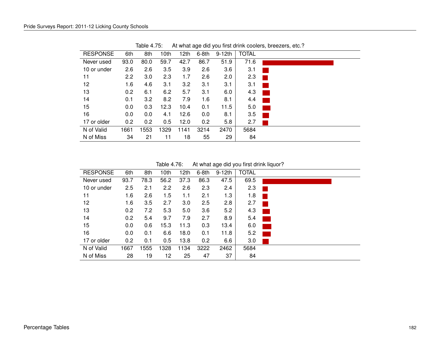| <b>RESPONSE</b> | 6th           | 8th  | 10th | 12th | $6-8th$ | $9-12th$ | <b>TOTAL</b> |  |
|-----------------|---------------|------|------|------|---------|----------|--------------|--|
| Never used      | 93.0          | 80.0 | 59.7 | 42.7 | 86.7    | 51.9     | 71.6         |  |
| 10 or under     | 2.6           | 2.6  | 3.5  | 3.9  | 2.6     | 3.6      | 3.1          |  |
| 11              | $2.2^{\circ}$ | 3.0  | 2.3  | 1.7  | 2.6     | 2.0      | 2.3          |  |
| 12              | 1.6           | 4.6  | 3.1  | 3.2  | 3.1     | 3.1      | 3.1          |  |
| 13              | 0.2           | 6.1  | 6.2  | 5.7  | 3.1     | 6.0      | 4.3          |  |
| 14              | 0.1           | 3.2  | 8.2  | 7.9  | 1.6     | 8.1      | 4.4          |  |
| 15              | 0.0           | 0.3  | 12.3 | 10.4 | 0.1     | 11.5     | 5.0          |  |
| 16              | 0.0           | 0.0  | 4.1  | 12.6 | 0.0     | 8.1      | 3.5          |  |
| 17 or older     | 0.2           | 0.2  | 0.5  | 12.0 | 0.2     | 5.8      | 2.7          |  |
| N of Valid      | 1661          | 1553 | 1329 | 1141 | 3214    | 2470     | 5684         |  |
| N of Miss       | 34            | 21   | 11   | 18   | 55      | 29       | 84           |  |
|                 |               |      |      |      |         |          |              |  |

Table 4.75: At what age did you first drink coolers, breezers, etc.?

Table 4.76: At what age did you first drink liquor?

| <b>RESPONSE</b> | 6th  | 8th  | 10th | 12th | 6-8th | $9-12th$ | <b>TOTAL</b> |                            |
|-----------------|------|------|------|------|-------|----------|--------------|----------------------------|
| Never used      | 93.7 | 78.3 | 56.2 | 37.3 | 86.3  | 47.5     | 69.5         |                            |
| 10 or under     | 2.5  | 2.1  | 2.2  | 2.6  | 2.3   | 2.4      | 2.3          |                            |
| 11              | 1.6  | 2.6  | 1.5  | 1.1  | 2.1   | 1.3      | 1.8          |                            |
| 12              | 1.6  | 3.5  | 2.7  | 3.0  | 2.5   | 2.8      | 2.7          |                            |
| 13              | 0.2  | 7.2  | 5.3  | 5.0  | 3.6   | 5.2      | 4.3          |                            |
| 14              | 0.2  | 5.4  | 9.7  | 7.9  | 2.7   | 8.9      | 5.4          |                            |
| 15              | 0.0  | 0.6  | 15.3 | 11.3 | 0.3   | 13.4     | 6.0          |                            |
| 16              | 0.0  | 0.1  | 6.6  | 18.0 | 0.1   | 11.8     | 5.2          | $\mathcal{L}(\mathcal{L})$ |
| 17 or older     | 0.2  | 0.1  | 0.5  | 13.8 | 0.2   | 6.6      | 3.0          |                            |
| N of Valid      | 1667 | 555  | 1328 | 1134 | 3222  | 2462     | 5684         |                            |
| N of Miss       | 28   | 19   | 12   | 25   | 47    | 37       | 84           |                            |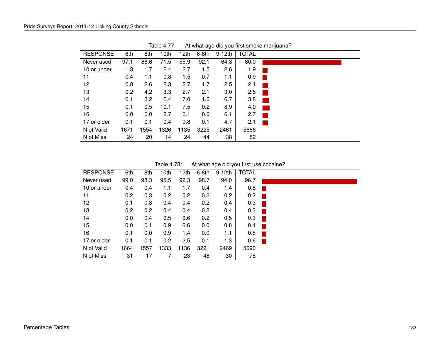| <b>RESPONSE</b> | 6th  | 8th  | 10th | 12th | $6-8th$ | $9-12th$ | <b>TOTAL</b> |  |
|-----------------|------|------|------|------|---------|----------|--------------|--|
| Never used      | 97.1 | 86.6 | 71.5 | 55.9 | 92.1    | 64.3     | 80.0         |  |
| 10 or under     | 1.3  | 1.7  | 2.4  | 2.7  | 1.5     | 2.6      | 1.9          |  |
| 11              | 0.4  | 1.1  | 0.8  | 1.5  | 0.7     | 1.1      | 0.9          |  |
| 12              | 0.8  | 2.6  | 2.3  | 2.7  | 1.7     | 2.5      | 2.1          |  |
| 13              | 0.2  | 4.2  | 3.3  | 2.7  | 2.1     | 3.0      | 2.5          |  |
| 14              | 0.1  | 3.2  | 6.4  | 7.0  | 1.6     | 6.7      | 3.8          |  |
| 15              | 0.1  | 0.5  | 10.1 | 7.5  | 0.2     | 8.9      | 4.0          |  |
| 16              | 0.0  | 0.0  | 2.7  | 10.1 | 0.0     | 6.1      | 2.7          |  |
| 17 or older     | 0.1  | 0.1  | 0.4  | 9.8  | 0.1     | 4.7      | 2.1          |  |
| N of Valid      | 1671 | 1554 | 1326 | 1135 | 3225    | 2461     | 5686         |  |
| N of Miss       | 24   | 20   | 14   | 24   | 44      | 38       | 82           |  |

Table 4.77: At what age did you first smoke marijuana?

Table 4.78: At what age did you first use cocaine?

| <b>RESPONSE</b> | 6th  | 8th  | 10th | 12th | $6-8th$ | $9-12th$ | <b>TOTAL</b> |  |
|-----------------|------|------|------|------|---------|----------|--------------|--|
| Never used      | 99.0 | 98.3 | 95.5 | 92.3 | 98.7    | 94.0     | 96.7         |  |
| 10 or under     | 0.4  | 0.4  | 1.1  | 1.7  | 0.4     | 1.4      | 0.8          |  |
| 11              | 0.2  | 0.3  | 0.2  | 0.2  | 0.2     | 0.2      | 0.2          |  |
| 12              | 0.1  | 0.3  | 0.4  | 0.4  | 0.2     | 0.4      | 0.3          |  |
| 13              | 0.2  | 0.2  | 0.4  | 0.4  | 0.2     | 0.4      | 0.3          |  |
| 14              | 0.0  | 0.4  | 0.5  | 0.6  | 0.2     | 0.5      | 0.3          |  |
| 15              | 0.0  | 0.1  | 0.9  | 0.6  | 0.0     | 0.8      | 0.4          |  |
| 16              | 0.1  | 0.0  | 0.9  | 1.4  | 0.0     | 1.1      | 0.5          |  |
| 17 or older     | 0.1  | 0.1  | 0.2  | 2.5  | 0.1     | 1.3      | 0.6          |  |
| N of Valid      | 1664 | 1557 | 1333 | 1136 | 3221    | 2469     | 5690         |  |
| N of Miss       | 31   | 17   |      | 23   | 48      | 30       | 78           |  |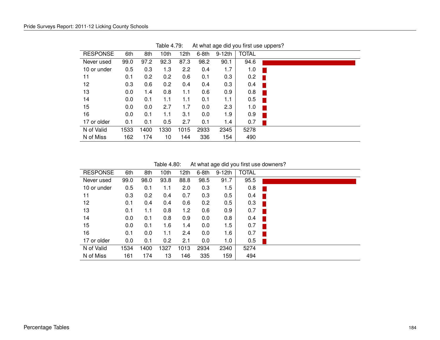| <b>RESPONSE</b> | 6th  | 8th  | 10th | 12th | 6-8th | $9-12th$ | <b>TOTAL</b> |  |
|-----------------|------|------|------|------|-------|----------|--------------|--|
| Never used      | 99.0 | 97.2 | 92.3 | 87.3 | 98.2  | 90.1     | 94.6         |  |
| 10 or under     | 0.5  | 0.3  | 1.3  | 2.2  | 0.4   | 1.7      | 1.0          |  |
| 11              | 0.1  | 0.2  | 0.2  | 0.6  | 0.1   | 0.3      | 0.2          |  |
| 12              | 0.3  | 0.6  | 0.2  | 0.4  | 0.4   | 0.3      | 0.4          |  |
| 13              | 0.0  | 1.4  | 0.8  | 1.1  | 0.6   | 0.9      | 0.8          |  |
| 14              | 0.0  | 0.1  | 1.1  | 1.1  | 0.1   | 1.1      | 0.5          |  |
| 15              | 0.0  | 0.0  | 2.7  | 1.7  | 0.0   | 2.3      | 1.0          |  |
| 16              | 0.0  | 0.1  | 1.1  | 3.1  | 0.0   | 1.9      | 0.9          |  |
| 17 or older     | 0.1  | 0.1  | 0.5  | 2.7  | 0.1   | 1.4      | 0.7          |  |
| N of Valid      | 1533 | 1400 | 1330 | 1015 | 2933  | 2345     | 5278         |  |
| N of Miss       | 162  | 174  | 10   | 144  | 336   | 154      | 490          |  |

Table 4.79: At what age did you first use uppers?

Table 4.80: At what age did you first use downers?

| <b>RESPONSE</b> | 6th  | 8th  | 10th | 12th | $6-8th$ | $9-12th$ | <b>TOTAL</b> |  |
|-----------------|------|------|------|------|---------|----------|--------------|--|
| Never used      | 99.0 | 98.0 | 93.8 | 88.8 | 98.5    | 91.7     | 95.5         |  |
| 10 or under     | 0.5  | 0.1  | 1.1  | 2.0  | 0.3     | 1.5      | 0.8          |  |
| 11              | 0.3  | 0.2  | 0.4  | 0.7  | 0.3     | 0.5      | 0.4          |  |
| 12              | 0.1  | 0.4  | 0.4  | 0.6  | 0.2     | 0.5      | 0.3          |  |
| 13              | 0.1  | 1.1  | 0.8  | 1.2  | 0.6     | 0.9      | 0.7          |  |
| 14              | 0.0  | 0.1  | 0.8  | 0.9  | 0.0     | 0.8      | 0.4          |  |
| 15              | 0.0  | 0.1  | 1.6  | 1.4  | 0.0     | 1.5      | 0.7          |  |
| 16              | 0.1  | 0.0  | 1.1  | 2.4  | 0.0     | 1.6      | 0.7          |  |
| 17 or older     | 0.0  | 0.1  | 0.2  | 2.1  | 0.0     | 1.0      | 0.5          |  |
| N of Valid      | 1534 | 1400 | 1327 | 1013 | 2934    | 2340     | 5274         |  |
| N of Miss       | 161  | 174  | 13   | 146  | 335     | 159      | 494          |  |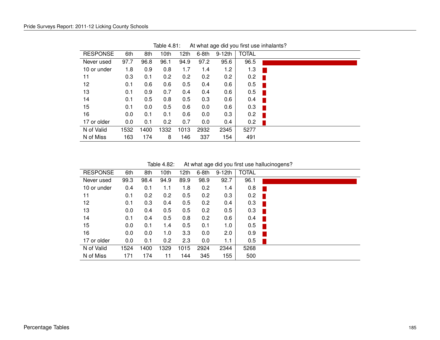| <b>RESPONSE</b> | 6th  | 8th  | 10th | 12th | $6-8th$ | $9-12th$ | <b>TOTAL</b> |  |
|-----------------|------|------|------|------|---------|----------|--------------|--|
| Never used      | 97.7 | 96.8 | 96.1 | 94.9 | 97.2    | 95.6     | 96.5         |  |
| 10 or under     | 1.8  | 0.9  | 0.8  | 1.7  | 1.4     | 1.2      | 1.3          |  |
| 11              | 0.3  | 0.1  | 0.2  | 0.2  | 0.2     | 0.2      | 0.2          |  |
| 12              | 0.1  | 0.6  | 0.6  | 0.5  | 0.4     | 0.6      | 0.5          |  |
| 13              | 0.1  | 0.9  | 0.7  | 0.4  | 0.4     | 0.6      | 0.5          |  |
| 14              | 0.1  | 0.5  | 0.8  | 0.5  | 0.3     | 0.6      | 0.4          |  |
| 15              | 0.1  | 0.0  | 0.5  | 0.6  | 0.0     | 0.6      | 0.3          |  |
| 16              | 0.0  | 0.1  | 0.1  | 0.6  | 0.0     | 0.3      | 0.2          |  |
| 17 or older     | 0.0  | 0.1  | 0.2  | 0.7  | 0.0     | 0.4      | 0.2          |  |
| N of Valid      | 1532 | 1400 | 1332 | 1013 | 2932    | 2345     | 5277         |  |
| N of Miss       | 163  | 174  | 8    | 146  | 337     | 154      | 491          |  |

Table 4.81: At what age did you first use inhalants?

Table 4.82: At what age did you first use hallucinogens?

| <b>RESPONSE</b> | 6th  | 8th  | 10th | 12th | $6-8th$ | $9-12th$ | <b>TOTAL</b> |  |
|-----------------|------|------|------|------|---------|----------|--------------|--|
| Never used      | 99.3 | 98.4 | 94.9 | 89.9 | 98.9    | 92.7     | 96.1         |  |
| 10 or under     | 0.4  | 0.1  | 1.1  | 1.8  | 0.2     | 1.4      | 0.8          |  |
| 11              | 0.1  | 0.2  | 0.2  | 0.5  | 0.2     | 0.3      | 0.2          |  |
| 12              | 0.1  | 0.3  | 0.4  | 0.5  | 0.2     | 0.4      | 0.3          |  |
| 13              | 0.0  | 0.4  | 0.5  | 0.5  | 0.2     | 0.5      | 0.3          |  |
| 14              | 0.1  | 0.4  | 0.5  | 0.8  | 0.2     | 0.6      | 0.4          |  |
| 15              | 0.0  | 0.1  | 1.4  | 0.5  | 0.1     | 1.0      | 0.5          |  |
| 16              | 0.0  | 0.0  | 1.0  | 3.3  | 0.0     | 2.0      | 0.9          |  |
| 17 or older     | 0.0  | 0.1  | 0.2  | 2.3  | 0.0     | 1.1      | 0.5          |  |
| N of Valid      | 1524 | 1400 | 1329 | 1015 | 2924    | 2344     | 5268         |  |
| N of Miss       | 171  | 174  | 11   | 144  | 345     | 155      | 500          |  |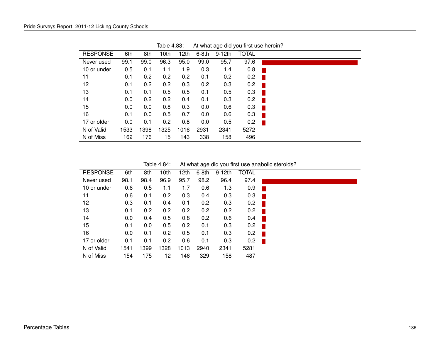| <b>RESPONSE</b> | 6th  | 8th  | 10th | 12 <sub>th</sub> | $6-8th$ | $9-12th$ | <b>TOTAL</b> |
|-----------------|------|------|------|------------------|---------|----------|--------------|
| Never used      | 99.1 | 99.0 | 96.3 | 95.0             | 99.0    | 95.7     | 97.6         |
| 10 or under     | 0.5  | 0.1  | 1.1  | 1.9              | 0.3     | 1.4      | 0.8          |
| 11              | 0.1  | 0.2  | 0.2  | 0.2              | 0.1     | 0.2      | 0.2          |
| 12              | 0.1  | 0.2  | 0.2  | 0.3              | 0.2     | 0.3      | 0.2          |
| 13              | 0.1  | 0.1  | 0.5  | 0.5              | 0.1     | 0.5      | 0.3          |
| 14              | 0.0  | 0.2  | 0.2  | 0.4              | 0.1     | 0.3      | 0.2          |
| 15              | 0.0  | 0.0  | 0.8  | 0.3              | 0.0     | 0.6      | 0.3          |
| 16              | 0.1  | 0.0  | 0.5  | 0.7              | 0.0     | 0.6      | 0.3          |
| 17 or older     | 0.0  | 0.1  | 0.2  | 0.8              | 0.0     | 0.5      | 0.2          |
| N of Valid      | 1533 | 1398 | 1325 | 1016             | 2931    | 2341     | 5272         |
| N of Miss       | 162  | 176  | 15   | 143              | 338     | 158      | 496          |

Table 4.83: At what age did you first use heroin?

Table 4.84: At what age did you first use anabolic steroids?

| <b>RESPONSE</b> | 6th  | 8th  | 10th | 12th | $6-8th$ | $9-12th$ | <b>TOTAL</b> |
|-----------------|------|------|------|------|---------|----------|--------------|
| Never used      | 98.1 | 98.4 | 96.9 | 95.7 | 98.2    | 96.4     | 97.4         |
| 10 or under     | 0.6  | 0.5  | 1.1  | 1.7  | 0.6     | 1.3      | 0.9          |
| 11              | 0.6  | 0.1  | 0.2  | 0.3  | 0.4     | 0.3      | 0.3          |
| 12              | 0.3  | 0.1  | 0.4  | 0.1  | 0.2     | 0.3      | 0.2          |
| 13              | 0.1  | 0.2  | 0.2  | 0.2  | 0.2     | 0.2      | 0.2          |
| 14              | 0.0  | 0.4  | 0.5  | 0.8  | 0.2     | 0.6      | 0.4          |
| 15              | 0.1  | 0.0  | 0.5  | 0.2  | 0.1     | 0.3      | 0.2          |
| 16              | 0.0  | 0.1  | 0.2  | 0.5  | 0.1     | 0.3      | 0.2          |
| 17 or older     | 0.1  | 0.1  | 0.2  | 0.6  | 0.1     | 0.3      | 0.2          |
| N of Valid      | 1541 | 1399 | 1328 | 1013 | 2940    | 2341     | 5281         |
| N of Miss       | 154  | 175  | 12   | 146  | 329     | 158      | 487          |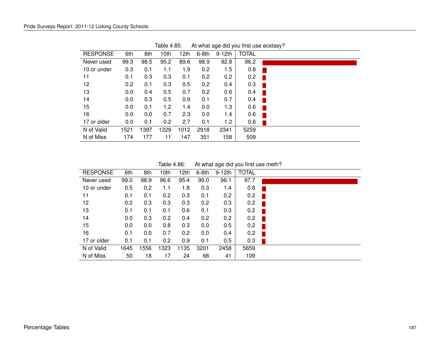| <b>RESPONSE</b> | 6th  | 8th  | 10th | 12th | $6-8th$ | $9-12th$ | <b>TOTAL</b> |  |
|-----------------|------|------|------|------|---------|----------|--------------|--|
| Never used      | 99.3 | 98.5 | 95.2 | 89.6 | 98.9    | 92.8     | 96.2         |  |
| 10 or under     | 0.3  | 0.1  | 1.1  | 1.9  | 0.2     | 1.5      | 0.8          |  |
| 11              | 0.1  | 0.3  | 0.3  | 0.1  | 0.2     | 0.2      | 0.2          |  |
| 12              | 0.2  | 0.1  | 0.3  | 0.5  | 0.2     | 0.4      | 0.3          |  |
| 13              | 0.0  | 0.4  | 0.5  | 0.7  | 0.2     | 0.6      | 0.4          |  |
| 14              | 0.0  | 0.3  | 0.5  | 0.9  | 0.1     | 0.7      | 0.4          |  |
| 15              | 0.0  | 0.1  | 1.2  | 1.4  | 0.0     | 1.3      | 0.6          |  |
| 16              | 0.0  | 0.0  | 0.7  | 2.3  | 0.0     | 1.4      | 0.6          |  |
| 17 or older     | 0.0  | 0.1  | 0.2  | 2.7  | 0.1     | 1.2      | 0.6          |  |
| N of Valid      | 1521 | 1397 | 1329 | 1012 | 2918    | 2341     | 5259         |  |
| N of Miss       | 174  | 177  | 11   | 147  | 351     | 158      | 509          |  |
|                 |      |      |      |      |         |          |              |  |

Table 4.85: At what age did you first use ecstasy?

Table 4.86: At what age did you first use meth?

| <b>RESPONSE</b> | 6th  | 8th  | 10th | 12th | $6-8th$ | $9-12th$ | <b>TOTAL</b> |
|-----------------|------|------|------|------|---------|----------|--------------|
| Never used      | 99.0 | 98.9 | 96.6 | 95.4 | 99.0    | 96.1     | 97.7         |
| 10 or under     | 0.5  | 0.2  | 1.1  | 1.8  | 0.3     | 1.4      | 0.8          |
| 11              | 0.1  | 0.1  | 0.2  | 0.3  | 0.1     | 0.2      | 0.2          |
| 12              | 0.2  | 0.3  | 0.3  | 0.3  | 0.2     | 0.3      | 0.2          |
| 13              | 0.1  | 0.1  | 0.1  | 0.6  | 0.1     | 0.3      | 0.2          |
| 14              | 0.0  | 0.3  | 0.2  | 0.4  | 0.2     | 0.2      | 0.2          |
| 15              | 0.0  | 0.0  | 0.8  | 0.3  | 0.0     | 0.5      | 0.2          |
| 16              | 0.1  | 0.0  | 0.7  | 0.2  | 0.0     | 0.4      | 0.2          |
| 17 or older     | 0.1  | 0.1  | 0.2  | 0.9  | 0.1     | 0.5      | 0.3          |
| N of Valid      | 1645 | 1556 | 1323 | 1135 | 3201    | 2458     | 5659         |
| N of Miss       | 50   | 18   | 17   | 24   | 68      | 41       | 109          |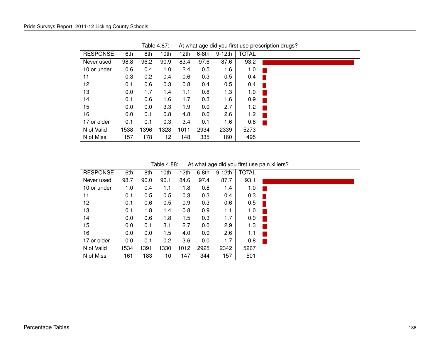| <b>RESPONSE</b> | 6th  | 8th  | 10th | 12th | $6-8th$ | $9-12th$ | <b>TOTAL</b> |  |
|-----------------|------|------|------|------|---------|----------|--------------|--|
| Never used      | 98.8 | 96.2 | 90.9 | 83.4 | 97.6    | 87.6     | 93.2         |  |
| 10 or under     | 0.6  | 0.4  | 1.0  | 2.4  | 0.5     | 1.6      | 1.0          |  |
| 11              | 0.3  | 0.2  | 0.4  | 0.6  | 0.3     | 0.5      | 0.4          |  |
| 12              | 0.1  | 0.6  | 0.3  | 0.8  | 0.4     | 0.5      | 0.4          |  |
| 13              | 0.0  | 1.7  | 1.4  | 1.1  | 0.8     | 1.3      | 1.0          |  |
| 14              | 0.1  | 0.6  | 1.6  | 1.7  | 0.3     | 1.6      | 0.9          |  |
| 15              | 0.0  | 0.0  | 3.3  | 1.9  | 0.0     | 2.7      | 1.2          |  |
| 16              | 0.0  | 0.1  | 0.8  | 4.8  | 0.0     | 2.6      | 1.2          |  |
| 17 or older     | 0.1  | 0.1  | 0.3  | 3.4  | 0.1     | 1.6      | 0.8          |  |
| N of Valid      | 1538 | 1396 | 1328 | 1011 | 2934    | 2339     | 5273         |  |
| N of Miss       | 157  | 178  | 12   | 148  | 335     | 160      | 495          |  |

Table 4.87: At what age did you first use prescription drugs?

Table 4.88: At what age did you first use pain killers?

| <b>RESPONSE</b> | 6th  | 8th  | 10th | 12th | $6-8th$ | $9-12th$ | <b>TOTAL</b> |  |
|-----------------|------|------|------|------|---------|----------|--------------|--|
| Never used      | 98.7 | 96.0 | 90.1 | 84.6 | 97.4    | 87.7     | 93.1         |  |
| 10 or under     | 1.0  | 0.4  | 1.1  | 1.8  | 0.8     | 1.4      | 1.0          |  |
| 11              | 0.1  | 0.5  | 0.5  | 0.3  | 0.3     | 0.4      | 0.3          |  |
| 12              | 0.1  | 0.6  | 0.5  | 0.9  | 0.3     | 0.6      | 0.5          |  |
| 13              | 0.1  | 1.8  | 1.4  | 0.8  | 0.9     | 1.1      | 1.0          |  |
| 14              | 0.0  | 0.6  | 1.8  | 1.5  | 0.3     | 1.7      | 0.9          |  |
| 15              | 0.0  | 0.1  | 3.1  | 2.7  | 0.0     | 2.9      | 1.3          |  |
| 16              | 0.0  | 0.0  | 1.5  | 4.0  | 0.0     | 2.6      | 1.1          |  |
| 17 or older     | 0.0  | 0.1  | 0.2  | 3.6  | 0.0     | 1.7      | 0.8          |  |
| N of Valid      | 1534 | 1391 | 1330 | 1012 | 2925    | 2342     | 5267         |  |
| N of Miss       | 161  | 183  | 10   | 147  | 344     | 157      | 501          |  |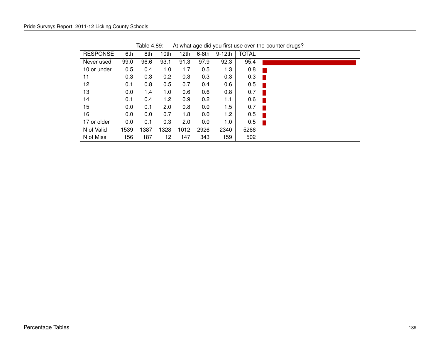| <b>RESPONSE</b> | 6th  | 8th  | 10th | 12th | $6-8th$ | $9-12th$ | <b>TOTAL</b> |  |
|-----------------|------|------|------|------|---------|----------|--------------|--|
| Never used      | 99.0 | 96.6 | 93.1 | 91.3 | 97.9    | 92.3     | 95.4         |  |
| 10 or under     | 0.5  | 0.4  | 1.0  | 1.7  | 0.5     | 1.3      | 0.8          |  |
| 11              | 0.3  | 0.3  | 0.2  | 0.3  | 0.3     | 0.3      | 0.3          |  |
| 12              | 0.1  | 0.8  | 0.5  | 0.7  | 0.4     | 0.6      | 0.5          |  |
| 13              | 0.0  | 1.4  | 1.0  | 0.6  | 0.6     | 0.8      | 0.7          |  |
| 14              | 0.1  | 0.4  | 1.2  | 0.9  | 0.2     | 1.1      | 0.6          |  |
| 15              | 0.0  | 0.1  | 2.0  | 0.8  | 0.0     | 1.5      | 0.7          |  |
| 16              | 0.0  | 0.0  | 0.7  | 1.8  | 0.0     | 1.2      | 0.5          |  |
| 17 or older     | 0.0  | 0.1  | 0.3  | 2.0  | 0.0     | 1.0      | 0.5          |  |
| N of Valid      | 1539 | 1387 | 1328 | 1012 | 2926    | 2340     | 5266         |  |
| N of Miss       | 156  | 187  | 12   | 147  | 343     | 159      | 502          |  |
|                 |      |      |      |      |         |          |              |  |

Table 4.89: At what age did you first use over-the-counter drugs?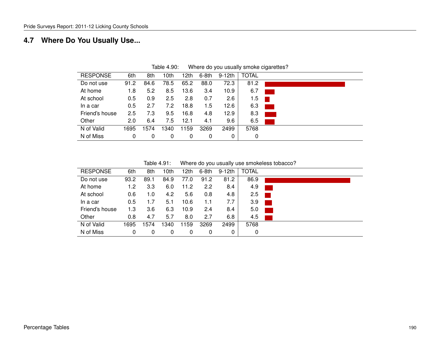## **4.7 Where Do You Usually Use...**

| <b>RESPONSE</b> | 6th  | 8th  | 10th | 12th | 6-8th | 9-12th | <b>TOTAL</b> |  |
|-----------------|------|------|------|------|-------|--------|--------------|--|
| Do not use      | 91.2 | 84.6 | 78.5 | 65.2 | 88.0  | 72.3   | 81.2         |  |
| At home         | 1.8  | 5.2  | 8.5  | 13.6 | 3.4   | 10.9   | 6.7          |  |
| At school       | 0.5  | 0.9  | 2.5  | 2.8  | 0.7   | 2.6    | 1.5          |  |
| In a car        | 0.5  | 2.7  | 7.2  | 18.8 | 1.5   | 12.6   | 6.3          |  |
| Friend's house  | 2.5  | 7.3  | 9.5  | 16.8 | 4.8   | 12.9   | 8.3          |  |
| Other           | 2.0  | 6.4  | 7.5  | 12.1 | 4.1   | 9.6    | 6.5          |  |
| N of Valid      | 1695 | 1574 | 340  | 1159 | 3269  | 2499   | 5768         |  |
| N of Miss       | 0    | 0    | 0    | 0    | 0     | 0      | 0            |  |
|                 |      |      |      |      |       |        |              |  |

Table 4.90: Where do you usually smoke cigarettes?

| Table 4.91: | Where do you usually use smokeless tobacco? |  |  |  |
|-------------|---------------------------------------------|--|--|--|
|-------------|---------------------------------------------|--|--|--|

| <b>RESPONSE</b> | 6th  | 8th  | 10th | 12th | 6-8th | $9-12th$ | <b>TOTAL</b> |                             |
|-----------------|------|------|------|------|-------|----------|--------------|-----------------------------|
| Do not use      | 93.2 | 89.1 | 84.9 | 77.0 | 91.2  | 81.2     | 86.9         |                             |
| At home         | 1.2  | 3.3  | 6.0  | 11.2 | 2.2   | 8.4      | 4.9          |                             |
| At school       | 0.6  | 1.0  | 4.2  | 5.6  | 0.8   | 4.8      | 2.5          |                             |
| In a car        | 0.5  | 1.7  | 5.1  | 10.6 | 1.1   | 7.7      | 3.9          | $\mathcal{L}_{\mathcal{A}}$ |
| Friend's house  | 1.3  | 3.6  | 6.3  | 10.9 | 2.4   | 8.4      | 5.0          |                             |
| Other           | 0.8  | 4.7  | 5.7  | 8.0  | 2.7   | 6.8      | 4.5          |                             |
| N of Valid      | 1695 | 1574 | ا340 | 1159 | 3269  | 2499     | 5768         |                             |
| N of Miss       | 0    | 0    | 0    | 0    | 0     |          | 0            |                             |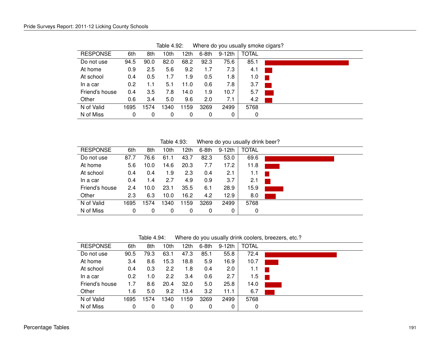| <b>RESPONSE</b> | 6th  | 8th  | 10th | 12th | $6-8th$ | $9-12$ th | <b>TOTAL</b> |  |
|-----------------|------|------|------|------|---------|-----------|--------------|--|
| Do not use      | 94.5 | 90.0 | 82.0 | 68.2 | 92.3    | 75.6      | 85.1         |  |
| At home         | 0.9  | 2.5  | 5.6  | 9.2  | 1.7     | 7.3       | 4.1          |  |
| At school       | 0.4  | 0.5  | 1.7  | 1.9  | 0.5     | 1.8       | 1.0          |  |
| In a car        | 0.2  | 1.1  | 5.1  | 11.0 | 0.6     | 7.8       | 3.7          |  |
| Friend's house  | 0.4  | 3.5  | 7.8  | 14.0 | 1.9     | 10.7      | 5.7          |  |
| Other           | 0.6  | 3.4  | 5.0  | 9.6  | 2.0     | 7.1       | 4.2          |  |
| N of Valid      | 1695 | 1574 | 1340 | 1159 | 3269    | 2499      | 5768         |  |
| N of Miss       | 0    | 0    | 0    | 0    | 0       | 0         | 0            |  |
|                 |      |      |      |      |         |           |              |  |

Table 4.92: Where do you usually smoke cigars?

Table 4.93: Where do you usually drink beer?

| <b>RESPONSE</b> | 6th  | 8th  | 10th | 12th | 6-8th | 9-12th | TOTAL |  |
|-----------------|------|------|------|------|-------|--------|-------|--|
| Do not use      | 87.7 | 76.6 | 61.1 | 43.7 | 82.3  | 53.0   | 69.6  |  |
| At home         | 5.6  | 10.0 | 14.6 | 20.3 | 7.7   | 17.2   | 11.8  |  |
| At school       | 0.4  | 0.4  | 1.9  | 2.3  | 0.4   | 2.1    | 1.1   |  |
| In a car        | 0.4  | 1.4  | 2.7  | 4.9  | 0.9   | 3.7    | 2.1   |  |
| Friend's house  | 2.4  | 10.0 | 23.1 | 35.5 | 6.1   | 28.9   | 15.9  |  |
| Other           | 2.3  | 6.3  | 10.0 | 16.2 | 4.2   | 12.9   | 8.0   |  |
| N of Valid      | 1695 | 1574 | 1340 | 1159 | 3269  | 2499   | 5768  |  |
| N of Miss       | 0    | 0    | 0    | 0    | 0     | 0      | 0     |  |

Table 4.94: Where do you usually drink coolers, breezers, etc.?

| <b>RESPONSE</b> | 6th         | 8th  | 10th | 12th | $6-8th$ | $9-12$ th | <b>TOTAL</b> |  |
|-----------------|-------------|------|------|------|---------|-----------|--------------|--|
| Do not use      | 90.5        | 79.3 | 63.1 | 47.3 | 85.1    | 55.8      | 72.4         |  |
| At home         | 3.4         | 8.6  | 15.3 | 18.8 | 5.9     | 16.9      | 10.7         |  |
| At school       | 0.4         | 0.3  | 2.2  | 1.8  | 0.4     | 2.0       | 1.1          |  |
| In a car        | 0.2         | 1.0  | 2.2  | 3.4  | 0.6     | 2.7       | 1.5          |  |
| Friend's house  | 1.7         | 8.6  | 20.4 | 32.0 | 5.0     | 25.8      | 14.0         |  |
| Other           | 1.6         | 5.0  | 9.2  | 13.4 | 3.2     | 11.1      | 6.7          |  |
| N of Valid      | 1695        | 574  | 340  | 1159 | 3269    | 2499      | 5768         |  |
| N of Miss       | $\mathbf 0$ | 0    | 0    | 0    | 0       | 0         | 0            |  |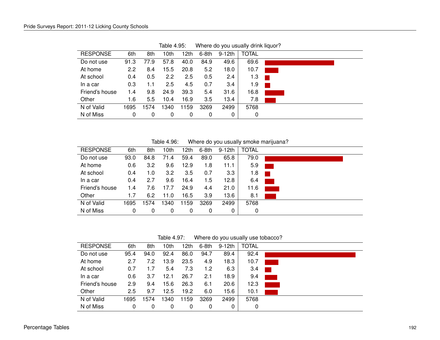| <b>RESPONSE</b> | 6th  | 8th  | 10th | 12th | $6-8th$ | $9-12$ th | <b>TOTAL</b> |  |
|-----------------|------|------|------|------|---------|-----------|--------------|--|
| Do not use      | 91.3 | 77.9 | 57.8 | 40.0 | 84.9    | 49.6      | 69.6         |  |
| At home         | 2.2  | 8.4  | 15.5 | 20.8 | 5.2     | 18.0      | 10.7         |  |
| At school       | 0.4  | 0.5  | 2.2  | 2.5  | 0.5     | 2.4       | 1.3          |  |
| In a car        | 0.3  | 1.1  | 2.5  | 4.5  | 0.7     | 3.4       | 1.9          |  |
| Friend's house  | 1.4  | 9.8  | 24.9 | 39.3 | 5.4     | 31.6      | 16.8         |  |
| Other           | 1.6  | 5.5  | 10.4 | 16.9 | 3.5     | 13.4      | 7.8          |  |
| N of Valid      | 1695 | 574  | 1340 | 1159 | 3269    | 2499      | 5768         |  |
| N of Miss       | 0    | 0    | 0    | 0    | 0       | 0         | 0            |  |
|                 |      |      |      |      |         |           |              |  |

Table 4.95: Where do you usually drink liquor?

Table 4.96: Where do you usually smoke marijuana?

| <b>RESPONSE</b> | 6th  | 8th  | 10th | 12th | $6-8th$ | 9-12th | <b>TOTAL</b> |  |
|-----------------|------|------|------|------|---------|--------|--------------|--|
| Do not use      | 93.0 | 84.8 | 71.4 | 59.4 | 89.0    | 65.8   | 79.0         |  |
| At home         | 0.6  | 3.2  | 9.6  | 12.9 | 1.8     | 11.1   | 5.9          |  |
| At school       | 0.4  | 1.0  | 3.2  | 3.5  | 0.7     | 3.3    | 1.8          |  |
| In a car        | 0.4  | 2.7  | 9.6  | 16.4 | 1.5     | 12.8   | 6.4          |  |
| Friend's house  | 1.4  | 7.6  | 17.7 | 24.9 | 4.4     | 21.0   | 11.6         |  |
| Other           | 1.7  | 6.2  | 11.0 | 16.5 | 3.9     | 13.6   | 8.1          |  |
| N of Valid      | 695  | 1574 | 1340 | 1159 | 3269    | 2499   | 5768         |  |
| N of Miss       | 0    | 0    | 0    | 0    | 0       | 0      | 0            |  |

Table 4.97: Where do you usually use tobacco?

| <b>RESPONSE</b> | 6th  | 8th  | 10th | 12th | $6-8th$ | $9-12$ th | <b>TOTAL</b> |  |
|-----------------|------|------|------|------|---------|-----------|--------------|--|
| Do not use      | 95.4 | 94.0 | 92.4 | 86.0 | 94.7    | 89.4      | 92.4         |  |
| At home         | 2.7  | 7.2  | 13.9 | 23.5 | 4.9     | 18.3      | 10.7         |  |
| At school       | 0.7  | 1.7  | 5.4  | 7.3  | 1.2     | 6.3       | 3.4          |  |
| In a car        | 0.6  | 3.7  | 12.1 | 26.7 | 2.1     | 18.9      | 9.4          |  |
| Friend's house  | 2.9  | 9.4  | 15.6 | 26.3 | 6.1     | 20.6      | 12.3         |  |
| Other           | 2.5  | 9.7  | 12.5 | 19.2 | 6.0     | 15.6      | 10.1         |  |
| N of Valid      | 1695 | 1574 | 1340 | 1159 | 3269    | 2499      | 5768         |  |
| N of Miss       | 0    | 0    | 0    | 0    | 0       | 0         | 0            |  |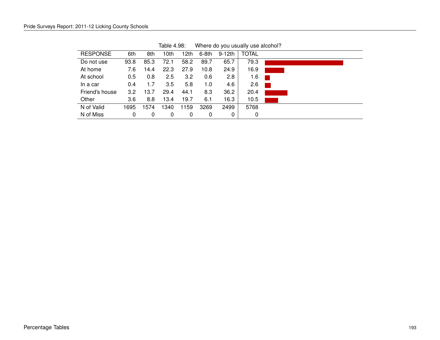| <b>RESPONSE</b> | 6th  | 8th  | 10th | 12th | $6-8th$ | 9-12th | <b>TOTAL</b> |  |
|-----------------|------|------|------|------|---------|--------|--------------|--|
| Do not use      | 93.8 | 85.3 | 72.1 | 58.2 | 89.7    | 65.7   | 79.3         |  |
| At home         | 7.6  | 14.4 | 22.3 | 27.9 | 10.8    | 24.9   | 16.9         |  |
| At school       | 0.5  | 0.8  | 2.5  | 3.2  | 0.6     | 2.8    | 1.6          |  |
| In a car        | 0.4  | 1.7  | 3.5  | 5.8  | 1.0     | 4.6    | 2.6          |  |
| Friend's house  | 3.2  | 13.7 | 29.4 | 44.1 | 8.3     | 36.2   | 20.4         |  |
| Other           | 3.6  | 8.8  | 13.4 | 19.7 | 6.1     | 16.3   | 10.5         |  |
| N of Valid      | 1695 | 1574 | 1340 | 1159 | 3269    | 2499   | 5768         |  |
| N of Miss       | 0    | 0    | 0    | 0    | 0       | 0      | 0            |  |
|                 |      |      |      |      |         |        |              |  |

Table 4.98: Where do you usually use alcohol?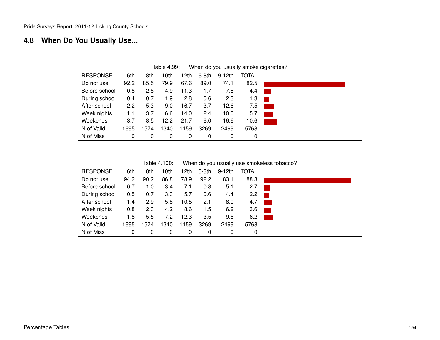## **4.8 When Do You Usually Use...**

| <b>RESPONSE</b> | 6th           | 8th  | 10th | 12th | $6-8th$ | $9-12th$          | <b>TOTAL</b> |                                                                                          |
|-----------------|---------------|------|------|------|---------|-------------------|--------------|------------------------------------------------------------------------------------------|
| Do not use      | 92.2          | 85.5 | 79.9 | 67.6 | 89.0    | 74.1              | 82.5         |                                                                                          |
| Before school   | 0.8           | 2.8  | 4.9  | 11.3 | 1.7     | 7.8               | 4.4          |                                                                                          |
| During school   | 0.4           | 0.7  | 1.9  | 2.8  | 0.6     | 2.3               | 1.3          |                                                                                          |
| After school    | $2.2^{\circ}$ | 5.3  | 9.0  | 16.7 | 3.7     | 12.6              | 7.5          | $\mathcal{L}(\mathcal{L})$ and $\mathcal{L}(\mathcal{L})$ and $\mathcal{L}(\mathcal{L})$ |
| Week nights     | 1.1           | 3.7  | 6.6  | 14.0 | 2.4     | 10.0 <sub>1</sub> | 5.7          |                                                                                          |
| Weekends        | 3.7           | 8.5  | 12.2 | 21.7 | 6.0     | 16.6              | 10.6         |                                                                                          |
| N of Valid      | 1695          | 1574 | 1340 | 1159 | 3269    | 2499              | 5768         |                                                                                          |
| N of Miss       | 0             | 0    | 0    | 0    | 0       | 0                 | 0            |                                                                                          |
|                 |               |      |      |      |         |                   |              |                                                                                          |

Table 4.99: When do you usually smoke cigarettes?

| Table 4.100: | When do you usually use smokeless tobacco? |  |  |  |
|--------------|--------------------------------------------|--|--|--|
|--------------|--------------------------------------------|--|--|--|

| <b>RESPONSE</b> | 6th  | 8th  | 10th | 12th | 6-8th | $9-12th$ | <b>TOTAL</b> |
|-----------------|------|------|------|------|-------|----------|--------------|
| Do not use      | 94.2 | 90.2 | 86.8 | 78.9 | 92.2  | 83.1     | 88.3         |
| Before school   | 0.7  | 1.0  | 3.4  | 7.1  | 0.8   | 5.1      | 2.7          |
| During school   | 0.5  | 0.7  | 3.3  | 5.7  | 0.6   | 4.4      | 2.2          |
| After school    | 1.4  | 2.9  | 5.8  | 10.5 | 2.1   | 8.0      | 4.7          |
| Week nights     | 0.8  | 2.3  | 4.2  | 8.6  | 1.5   | 6.2      | 3.6          |
| Weekends        | 1.8  | 5.5  | 7.2  | 12.3 | 3.5   | 9.6      | 6.2          |
| N of Valid      | 1695 | 1574 | 1340 | 1159 | 3269  | 2499     | 5768         |
| N of Miss       | 0    | 0    | 0    | 0    | 0     | 0        | 0            |
|                 |      |      |      |      |       |          |              |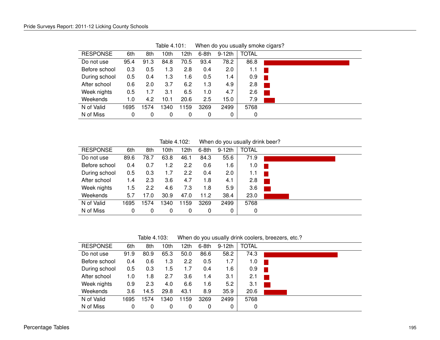| <b>RESPONSE</b> | 6th  | 8th  | 10th | 12th | 6-8th | 9-12th  | <b>TOTAL</b> |  |
|-----------------|------|------|------|------|-------|---------|--------------|--|
| Do not use      | 95.4 | 91.3 | 84.8 | 70.5 | 93.4  | 78.2    | 86.8         |  |
| Before school   | 0.3  | 0.5  | 1.3  | 2.8  | 0.4   | $2.0\,$ | 1.1          |  |
| During school   | 0.5  | 0.4  | 1.3  | 1.6  | 0.5   | 1.4     | 0.9          |  |
| After school    | 0.6  | 2.0  | 3.7  | 6.2  | 1.3   | 4.9     | 2.8          |  |
| Week nights     | 0.5  | 1.7  | 3.1  | 6.5  | 1.0   | 4.7     | 2.6          |  |
| Weekends        | 1.0  | 4.2  | 10.1 | 20.6 | 2.5   | 15.0    | 7.9          |  |
| N of Valid      | 1695 | 1574 | 340  | 1159 | 3269  | 2499    | 5768         |  |
| N of Miss       | 0    | 0    | 0    | 0    | 0     | 0       | 0            |  |

Table 4.101: When do you usually smoke cigars?

Table 4.102: When do you usually drink beer?

| <b>RESPONSE</b> | 6th  | 8th  | 10th | 12th | $6-8th$ | 9-12th | <b>TOTAL</b> |  |
|-----------------|------|------|------|------|---------|--------|--------------|--|
| Do not use      | 89.6 | 78.7 | 63.8 | 46.1 | 84.3    | 55.6   | 71.9         |  |
| Before school   | 0.4  | 0.7  | 1.2  | 2.2  | 0.6     | 1.6    | 1.0          |  |
| During school   | 0.5  | 0.3  | 1.7  | 2.2  | 0.4     | 2.0    | 1.1          |  |
| After school    | 1.4  | 2.3  | 3.6  | 4.7  | 1.8     | 4.1    | 2.8          |  |
| Week nights     | 1.5  | 2.2  | 4.6  | 7.3  | 1.8     | 5.9    | 3.6          |  |
| Weekends        | 5.7  | 17.0 | 30.9 | 47.0 | 11.2    | 38.4   | 23.0         |  |
| N of Valid      | 1695 | 1574 | 1340 | 1159 | 3269    | 2499   | 5768         |  |
| N of Miss       | 0    | 0    | 0    | 0    | 0       | 0      | 0            |  |

Table 4.103: When do you usually drink coolers, breezers, etc.?

| <b>RESPONSE</b> | 6th  | 8th  | 10th | 12th | 6-8th | $9-12th$ | <b>TOTAL</b> |  |
|-----------------|------|------|------|------|-------|----------|--------------|--|
| Do not use      | 91.9 | 80.9 | 65.3 | 50.0 | 86.6  | 58.2     | 74.3         |  |
| Before school   | 0.4  | 0.6  | 1.3  | 2.2  | 0.5   | 1.7      | 1.0          |  |
| During school   | 0.5  | 0.3  | 1.5  | 1.7  | 0.4   | 1.6      | 0.9          |  |
| After school    | 1.0  | 1.8  | 2.7  | 3.6  | 1.4   | 3.1      | 2.1          |  |
| Week nights     | 0.9  | 2.3  | 4.0  | 6.6  | 1.6   | 5.2      | 3.1          |  |
| Weekends        | 3.6  | 14.5 | 29.8 | 43.1 | 8.9   | 35.9     | 20.6         |  |
| N of Valid      | 1695 | 1574 | 1340 | 1159 | 3269  | 2499     | 5768         |  |
| N of Miss       | 0    | 0    | 0    | 0    | 0     | 0        | 0            |  |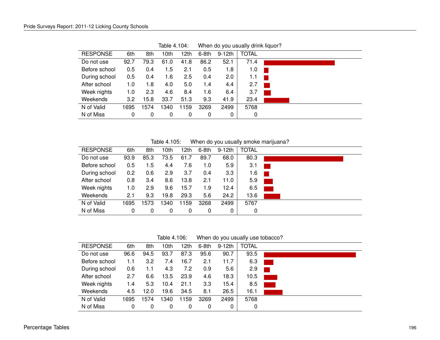| <b>RESPONSE</b> | 6th  | 8th  | 10th | 12th | 6-8th | 9-12th | <b>TOTAL</b> |  |
|-----------------|------|------|------|------|-------|--------|--------------|--|
| Do not use      | 92.7 | 79.3 | 61.0 | 41.8 | 86.2  | 52.1   | 71.4         |  |
| Before school   | 0.5  | 0.4  | 1.5  | 2.1  | 0.5   | 1.8    | 1.0          |  |
| During school   | 0.5  | 0.4  | 1.6  | 2.5  | 0.4   | 2.0    | 1.1          |  |
| After school    | 1.0  | 1.8  | 4.0  | 5.0  | 1.4   | 4.4    | 2.7          |  |
| Week nights     | 1.0  | 2.3  | 4.6  | 8.4  | 1.6   | 6.4    | 3.7          |  |
| Weekends        | 3.2  | 15.8 | 33.7 | 51.3 | 9.3   | 41.9   | 23.4         |  |
| N of Valid      | 1695 | 1574 | 1340 | 1159 | 3269  | 2499   | 5768         |  |
| N of Miss       | 0    | 0    | 0    | 0    | 0     | 0      | 0            |  |
|                 |      |      |      |      |       |        |              |  |

Table 4.104: When do you usually drink liquor?

Table 4.105: When do you usually smoke marijuana?

| <b>RESPONSE</b> | 6th  | 8th  | 10th | 12th | 6-8th | $9-12th$ | <b>TOTAL</b> |  |
|-----------------|------|------|------|------|-------|----------|--------------|--|
| Do not use      | 93.9 | 85.3 | 73.5 | 61.7 | 89.7  | 68.0     | 80.3         |  |
| Before school   | 0.5  | 1.5  | 4.4  | 7.6  | 1.0   | 5.9      | 3.1          |  |
| During school   | 0.2  | 0.6  | 2.9  | 3.7  | 0.4   | 3.3      | 1.6          |  |
| After school    | 0.8  | 3.4  | 8.6  | 13.8 | 2.1   | 11.0     | 5.9          |  |
| Week nights     | 1.0  | 2.9  | 9.6  | 15.7 | 1.9   | 12.4     | 6.5          |  |
| Weekends        | 2.1  | 9.3  | 19.8 | 29.3 | 5.6   | 24.2     | 13.6         |  |
| N of Valid      | 1695 | 1573 | 1340 | 1159 | 3268  | 2499     | 5767         |  |
| N of Miss       | 0    | 0    | 0    | 0    | 0     | 0        | 0            |  |

Table 4.106: When do you usually use tobacco?

| <b>RESPONSE</b> | 6th  | 8th  | 10th | 12th | $6-8th$ | $9-12th$ | <b>TOTAL</b> |  |
|-----------------|------|------|------|------|---------|----------|--------------|--|
| Do not use      | 96.6 | 94.5 | 93.7 | 87.3 | 95.6    | 90.7     | 93.5         |  |
| Before school   | 1.1  | 3.2  | 7.4  | 16.7 | 2.1     | 11.7     | 6.3          |  |
| During school   | 0.6  | 1.1  | 4.3  | 7.2  | 0.9     | 5.6      | 2.9          |  |
| After school    | 2.7  | 6.6  | 13.5 | 23.9 | 4.6     | 18.3     | 10.5         |  |
| Week nights     | 1.4  | 5.3  | 10.4 | 21.1 | 3.3     | 15.4     | 8.5          |  |
| Weekends        | 4.5  | 12.0 | 19.6 | 34.5 | 8.1     | 26.5     | 16.1         |  |
| N of Valid      | 1695 | 1574 | 1340 | 1159 | 3269    | 2499     | 5768         |  |
| N of Miss       | 0    | 0    | 0    | 0    | 0       | 0        | 0            |  |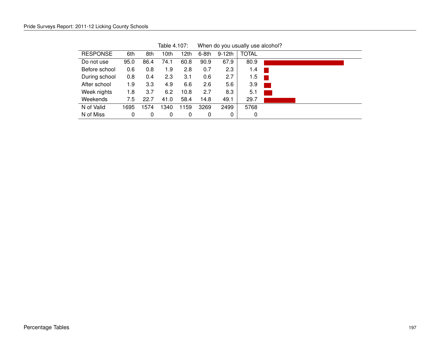| <b>RESPONSE</b><br>Do not use | 6th<br>95.0<br>0.6 | 8th<br>86.4 | 10th<br>74.1 | 12th | $6-8th$ | 9-12th | <b>TOTAL</b> |  |
|-------------------------------|--------------------|-------------|--------------|------|---------|--------|--------------|--|
|                               |                    |             |              |      |         |        |              |  |
|                               |                    |             |              | 60.8 | 90.9    | 67.9   | 80.9         |  |
| Before school                 |                    | 0.8         | 1.9          | 2.8  | 0.7     | 2.3    | 1.4          |  |
| During school                 | 0.8                | 0.4         | 2.3          | 3.1  | 0.6     | 2.7    | 1.5          |  |
| After school                  | 1.9                | 3.3         | 4.9          | 6.6  | 2.6     | 5.6    | 3.9          |  |
| Week nights                   | 1.8                | 3.7         | 6.2          | 10.8 | 2.7     | 8.3    | 5.1          |  |
| Weekends                      | 7.5                | 22.7        | 41.0         | 58.4 | 14.8    | 49.1   | 29.7         |  |
| N of Valid                    | 1695               | 1574        | 340          | 1159 | 3269    | 2499   | 5768         |  |
| N of Miss                     | 0                  | 0           | 0            | 0    | 0       | 0      | 0            |  |

Table 4.107: When do you usually use alcohol?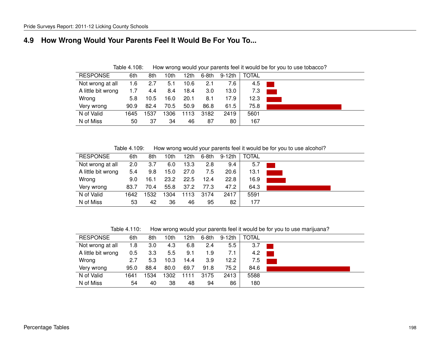#### **4.9 How Wrong Would Your Parents Feel It Would Be For You To...**

RESPONSE 6th 8th 10th 12th 6-8th 9-12th TOTAL Not wrong at all 1.6 2.7 5.1 10.6 2.1 7.6 4.5 A little bit wrong 1.7 4.4 8.4 18.4 3.0 13.0 7.3 Wrong 5.8 10.5 16.0 20.1 8.1 17.9 | 12.3 <mark> </mark> Very wrong 90.9 82.4 70.5 50.9 86.8 61.5 75.8 N of Valid 1645 1537 1306 1113 3182 2419 5601 N of Miss 50 37 34 46 87 80 167

Table 4.108: How wrong would your parents feel it would be for you to use tobacco?

Table 4.109: How wrong would your parents feel it would be for you to use alcohol?

| <b>RESPONSE</b>    | 6th  | 8th  | 10th | 12th | 6-8th | 9-12th | <b>TOTAL</b> |  |
|--------------------|------|------|------|------|-------|--------|--------------|--|
| Not wrong at all   | 2.0  | 3.7  | 6.0  | 13.3 | 2.8   | 9.4    | 5.7          |  |
| A little bit wrong | 5.4  | 9.8  | 15.0 | 27.0 | 7.5   | 20.6   | 13.1         |  |
| Wrong              | 9.0  | 16.1 | 23.2 | 22.5 | 12.4  | 22.8   | 16.9         |  |
| Very wrong         | 83.7 | 70.4 | 55.8 | 37.2 | 77.3  | 47.2   | 64.3         |  |
| N of Valid         | 1642 | 1532 | 1304 | 1113 | 3174  | 2417   | 5591         |  |
| N of Miss          | 53   | 42   | 36   | 46   | 95    | 82     | 177          |  |

Table 4.110: How wrong would your parents feel it would be for you to use marijuana?

| <b>RESPONSE</b>    | 6th  | 8th  | 10th | 12th | 6-8th | 9-12th | <b>TOTAL</b> |  |
|--------------------|------|------|------|------|-------|--------|--------------|--|
| Not wrong at all   | 1.8  | 3.0  | 4.3  | 6.8  | 2.4   | 5.5    | 3.7          |  |
| A little bit wrong | 0.5  | 3.3  | 5.5  | 9.1  | 1.9   | 7.1    | 4.2          |  |
| Wrong              | 2.7  | 5.3  | 10.3 | 14.4 | 3.9   | 12.2   | 7.5          |  |
| Very wrong         | 95.0 | 88.4 | 80.0 | 69.7 | 91.8  | 75.2   | 84.6         |  |
| N of Valid         | 1641 | 1534 | 1302 | 1111 | 3175  | 2413   | 5588         |  |
| N of Miss          | 54   | 40   | 38   | 48   | 94    | 86     | 180          |  |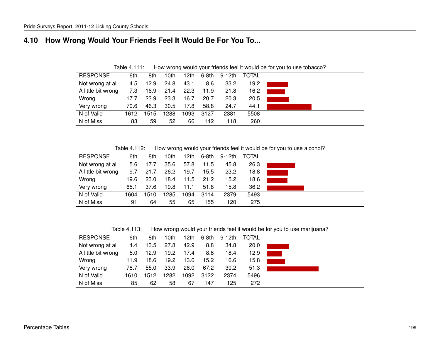### **4.10 How Wrong Would Your Friends Feel It Would Be For You To...**

| <b>RESPONSE</b>    | 6th  | 8th  | 10th | 12th | $6-8th$ | 9-12th | <b>TOTAL</b> |  |
|--------------------|------|------|------|------|---------|--------|--------------|--|
| Not wrong at all   | 4.5  | 12.9 | 24.8 | 43.1 | 8.6     | 33.2   | 19.2         |  |
| A little bit wrong | 7.3  | 16.9 | 21.4 | 22.3 | 11.9    | 21.8   | 16.2         |  |
| Wrong              | 17.7 | 23.9 | 23.3 | 16.7 | 20.7    | 20.3   | 20.5         |  |
| Very wrong         | 70.6 | 46.3 | 30.5 | 17.8 | 58.8    | 24.7   | 44.1         |  |
| N of Valid         | 1612 | 1515 | 1288 | 1093 | 3127    | 2381   | 5508         |  |
| N of Miss          | 83   | 59   | 52   | 66   | 142     | 118    | 260          |  |

Table 4.111: How wrong would your friends feel it would be for you to use tobacco?

Table 4.112: How wrong would your friends feel it would be for you to use alcohol?

| <b>RESPONSE</b>    | 6th  | 8th  | l 0th | 12th | 6-8th | 9-12th | <b>TOTAL</b> |  |
|--------------------|------|------|-------|------|-------|--------|--------------|--|
| Not wrong at all   | 5.6  | 17.7 | 35.6  | 57.8 | 11.5  | 45.8   | 26.3         |  |
| A little bit wrong | 9.7  | 21.7 | 26.2  | 19.7 | 15.5  | 23.2   | 18.8         |  |
| Wrong              | 19.6 | 23.0 | 18.4  | 11.5 | 21.2  | 15.2   | 18.6         |  |
| Very wrong         | 65.1 | 37.6 | 19.8  | 11.1 | 51.8  | 15.8   | 36.2         |  |
| N of Valid         | 1604 | 1510 | 1285  | 1094 | 3114  | 2379   | 5493         |  |
| N of Miss          | 91   | 64   | 55    | 65   | 155   | 120    | 275          |  |

Table 4.113: How wrong would your friends feel it would be for you to use marijuana?

| <b>RESPONSE</b>    | 6th  | 8th  | 10th | 12th | 6-8th | 9-12th | <b>TOTAL</b> |  |
|--------------------|------|------|------|------|-------|--------|--------------|--|
| Not wrong at all   | 4.4  | 13.5 | 27.8 | 42.9 | 8.8   | 34.8   | 20.0         |  |
| A little bit wrong | 5.0  | 12.9 | 19.2 | 17.4 | 8.8   | 18.4   | 12.9         |  |
| Wrong              | 11.9 | 18.6 | 19.2 | 13.6 | 15.2  | 16.6   | 15.8         |  |
| Very wrong         | 78.7 | 55.0 | 33.9 | 26.0 | 67.2  | 30.2   | 51.3         |  |
| N of Valid         | 1610 | 1512 | 1282 | 1092 | 3122  | 2374   | 5496         |  |
| N of Miss          | 85   | 62   | 58   | 67   | 147   | 125    | 272          |  |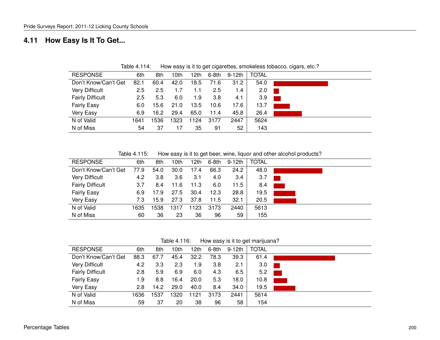### **4.11 How Easy Is It To Get...**

| <b>RESPONSE</b>         | 6th           | 8th  | 10th | 12th | 6-8th | 9-12th | <b>TOTAL</b> |  |
|-------------------------|---------------|------|------|------|-------|--------|--------------|--|
| Don't Know/Can't Get    | 82.1          | 60.4 | 42.0 | 18.5 | 71.6  | 31.2   | 54.0         |  |
| <b>Very Difficult</b>   | $2.5\,$       | 2.5  | 1.7  | 1.1  | 2.5   | 1.4    | 2.0          |  |
| <b>Fairly Difficult</b> | $2.5^{\circ}$ | 5.3  | 6.0  | 1.9  | 3.8   | 4.1    | 3.9          |  |
| <b>Fairly Easy</b>      | 6.0           | 15.6 | 21.0 | 13.5 | 10.6  | 17.6   | 13.7         |  |
| Very Easy               | 6.9           | 16.2 | 29.4 | 65.0 | 11.4  | 45.8   | 26.4         |  |
| N of Valid              | 1641          | 1536 | 1323 | 1124 | 3177  | 2447   | 5624         |  |
| N of Miss               | 54            | 37   |      | 35   | 91    | 52     | 143          |  |

Table 4.114: How easy is it to get cigarettes, smokeless tobacco, cigars, etc.?

Table 4.115: How easy is it to get beer, wine, liquor and other alcohol products?

| <b>RESPONSE</b>         | 6th  | 8th  | 10th | 12th | 6-8th | 9-12th | <b>TOTAL</b> |  |
|-------------------------|------|------|------|------|-------|--------|--------------|--|
| Don't Know/Can't Get    | 77.9 | 54.0 | 30.0 | 17.4 | 66.3  | 24.2   | 48.0         |  |
| <b>Very Difficult</b>   | 4.2  | 3.8  | 3.6  | 3.1  | 4.0   | 3.4    | 3.7          |  |
| <b>Fairly Difficult</b> | 3.7  | 8.4  | 11.6 | 11.3 | 6.0   | 11.5   | 8.4          |  |
| <b>Fairly Easy</b>      | 6.9  | 17.9 | 27.5 | 30.4 | 12.3  | 28.8   | 19.5         |  |
| Very Easy               | 7.3  | 15.9 | 27.3 | 37.8 | 11.5  | 32.1   | 20.5         |  |
| N of Valid              | 1635 | 1538 | 1317 | 1123 | 3173  | 2440   | 5613         |  |
| N of Miss               | 60   | 36   | 23   | 36   | 96    | 59     | 155          |  |

Table 4.116: How easy is it to get marijuana?

| <b>RESPONSE</b>         | 6th  | 8th  | 10th | 12th | $6-8th$ | 9-12th | <b>TOTAL</b> |  |
|-------------------------|------|------|------|------|---------|--------|--------------|--|
| Don't Know/Can't Get    | 88.3 | 67.7 | 45.4 | 32.2 | 78.3    | 39.3   | 61.4         |  |
| <b>Very Difficult</b>   | 4.2  | 3.3  | 2.3  | 1.9  | 3.8     | 2.1    | 3.0          |  |
| <b>Fairly Difficult</b> | 2.8  | 5.9  | 6.9  | 6.0  | 4.3     | 6.5    | 5.2          |  |
| <b>Fairly Easy</b>      | 1.9  | 8.8  | 16.4 | 20.0 | 5.3     | 18.0   | 10.8         |  |
| Very Easy               | 2.8  | 14.2 | 29.0 | 40.0 | 8.4     | 34.0   | 19.5         |  |
| N of Valid              | 1636 | 1537 | 1320 | 1121 | 3173    | 2441   | 5614         |  |
| N of Miss               | 59   | 37   | 20   | 38   | 96      | 58     | 154          |  |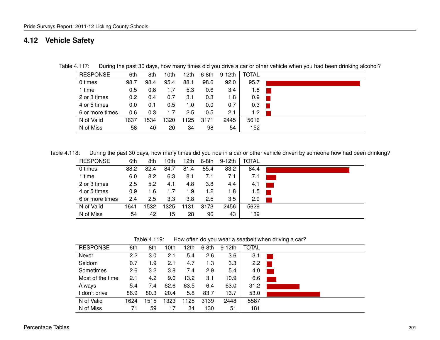#### **4.12 Vehicle Safety**

| <b>RESPONSE</b> | 6th  | 8th  | 10th | l 2th | 6-8th | $9-12th$ | TOTAL |  |
|-----------------|------|------|------|-------|-------|----------|-------|--|
| 0 times         | 98.7 | 98.4 | 95.4 | 88.1  | 98.6  | 92.0     | 95.7  |  |
| 1 time          | 0.5  | 0.8  | 1.7  | 5.3   | 0.6   | 3.4      | 1.8   |  |
| 2 or 3 times    | 0.2  | 0.4  | 0.7  | 3.1   | 0.3   | 1.8      | 0.9   |  |
| 4 or 5 times    | 0.0  | 0.1  | 0.5  | 1.0   | 0.0   | 0.7      | 0.3   |  |
| 6 or more times | 0.6  | 0.3  | 1.7  | 2.5   | 0.5   | 2.1      | 1.2   |  |
| N of Valid      | 1637 | 1534 | 1320 | 1125  | 3171  | 2445     | 5616  |  |
| N of Miss       | 58   | 40   | 20   | 34    | 98    | 54       | 152   |  |

Table 4.117: During the past 30 days, how many times did you drive a car or other vehicle when you had been drinking alcohol?

Table 4.118: During the past 30 days, how many times did you ride in a car or other vehicle driven by someone how had been drinking?

| <b>RESPONSE</b> | 6th  | 8th  | 10th | ∣2th | $6-8th$ | 9-12th | <b>TOTAL</b> |  |
|-----------------|------|------|------|------|---------|--------|--------------|--|
| 0 times         | 88.2 | 82.4 | 84.7 | 81.4 | 85.4    | 83.2   | 84.4         |  |
| 1 time          | 6.0  | 8.2  | 6.3  | 8.1  | 7.1     | 7.1    | 7.1          |  |
| 2 or 3 times    | 2.5  | 5.2  | 4.1  | 4.8  | 3.8     | 4.4    | 4.1          |  |
| 4 or 5 times    | 0.9  | 1.6  | 1.7  | 1.9  | 1.2     | 1.8    | 1.5          |  |
| 6 or more times | 2.4  | 2.5  | 3.3  | 3.8  | 2.5     | 3.5    | 2.9          |  |
| N of Valid      | 1641 | 1532 | 1325 | 131  | 3173    | 2456   | 5629         |  |
| N of Miss       | 54   | 42   | 15   | 28   | 96      | 43     | 139          |  |

Table 4.119: How often do you wear a seatbelt when driving a car?

| <b>RESPONSE</b>  | 6th  | 8th  | 10th | 12th | $6-8th$ | $9-12th$ | <b>TOTAL</b> |  |
|------------------|------|------|------|------|---------|----------|--------------|--|
| Never            | 2.2  | 3.0  | 2.1  | 5.4  | 2.6     | 3.6      | 3.1          |  |
| Seldom           | 0.7  | 1.9  | 2.1  | 4.7  | 1.3     | 3.3      | 2.2          |  |
| Sometimes        | 2.6  | 3.2  | 3.8  | 7.4  | 2.9     | 5.4      | 4.0          |  |
| Most of the time | 2.1  | 4.2  | 9.0  | 13.2 | 3.1     | 10.9     | 6.6          |  |
| Always           | 5.4  | 7.4  | 62.6 | 63.5 | 6.4     | 63.0     | 31.2         |  |
| I don't drive    | 86.9 | 80.3 | 20.4 | 5.8  | 83.7    | 13.7     | 53.0         |  |
| N of Valid       | 1624 | 1515 | 1323 | 1125 | 3139    | 2448     | 5587         |  |
| N of Miss        | 71   | 59   | 17   | 34   | 130     | 51       | 181          |  |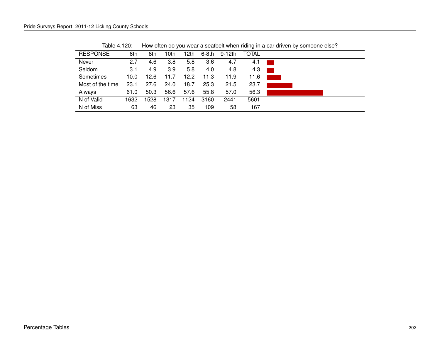| <b>RESPONSE</b>  | 6th  | 8th  | 10th | 12th | $6-8th$ | 9-12th | TOTAL |  |
|------------------|------|------|------|------|---------|--------|-------|--|
| Never            | 2.7  | 4.6  | 3.8  | 5.8  | 3.6     | 4.7    | 4.1   |  |
| Seldom           | 3.1  | 4.9  | 3.9  | 5.8  | 4.0     | 4.8    | 4.3   |  |
| Sometimes        | 10.0 | 12.6 | 11.7 | 12.2 | 11.3    | 11.9   | 11.6  |  |
| Most of the time | 23.1 | 27.6 | 24.0 | 18.7 | 25.3    | 21.5   | 23.7  |  |
| Always           | 61.0 | 50.3 | 56.6 | 57.6 | 55.8    | 57.0   | 56.3  |  |
| N of Valid       | 1632 | 1528 | 1317 | 1124 | 3160    | 2441   | 5601  |  |
| N of Miss        | 63   | 46   | 23   | 35   | 109     | 58     | 167   |  |

Table 4.120: How often do you wear a seatbelt when riding in a car driven by someone else?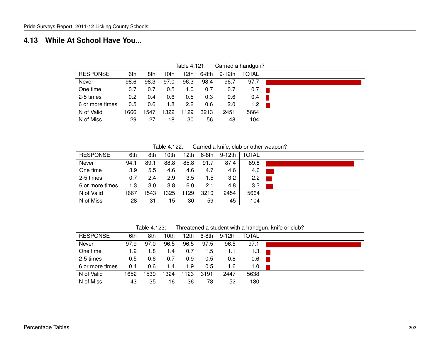#### **4.13 While At School Have You...**

|                 |      |      |      |      |       |          | ັ            |  |
|-----------------|------|------|------|------|-------|----------|--------------|--|
| <b>RESPONSE</b> | 6th  | 8th  | 10th | 12th | 6-8th | $9-12th$ | <b>TOTAL</b> |  |
| Never           | 98.6 | 98.3 | 97.0 | 96.3 | 98.4  | 96.7     | 97.7         |  |
| One time        | 0.7  | 0.7  | 0.5  | 1.0  | 0.7   | 0.7      | 0.7          |  |
| 2-5 times       | 0.2  | 0.4  | 0.6  | 0.5  | 0.3   | 0.6      | 0.4          |  |
| 6 or more times | 0.5  | 0.6  | 1.8  | 2.2  | 0.6   | 2.0      | 1.2          |  |
| N of Valid      | 1666 | 1547 | 1322 | 1129 | 3213  | 2451     | 5664         |  |
| N of Miss       | 29   | 27   | 18   | 30   | 56    | 48       | 104          |  |

Table 4.121: Carried a handgun?

Table 4.122: Carried a knife, club or other weapon?

| <b>RESPONSE</b> | 6th  | 8th  | 10th | 12th | $6-8th$ | 9-12th | TOTAL |
|-----------------|------|------|------|------|---------|--------|-------|
| Never           | 94.1 | 89.1 | 88.8 | 85.8 | 91.7    | 87.4   | 89.8  |
| One time        | 3.9  | 5.5  | 4.6  | 4.6  | 4.7     | 4.6    | 4.6   |
| 2-5 times       | 0.7  | 2.4  | 2.9  | 3.5  | 1.5     | 3.2    | 2.2   |
| 6 or more times | 1.3  | 3.0  | 3.8  | 6.0  | 2.1     | 4.8    | 3.3   |
| N of Valid      | 1667 | 1543 | 1325 | 1129 | 3210    | 2454   | 5664  |
| N of Miss       | 28   | 31   | 15   | 30   | 59      | 45     | 104   |

Table 4.123: Threatened a student with a handgun, knife or club?

| <b>RESPONSE</b> | 6th  | 8th  | 10th | 12th | $6-8th$ | 9-12th | TOTAL |  |
|-----------------|------|------|------|------|---------|--------|-------|--|
| Never           | 97.9 | 97.0 | 96.5 | 96.5 | 97.5    | 96.5   | 97.1  |  |
| One time        | 1.2  | 1.8  | 1.4  | 0.7  | 1.5     | 1.1    | 1.3   |  |
| 2-5 times       | 0.5  | 0.6  | 0.7  | 0.9  | 0.5     | 0.8    | 0.6   |  |
| 6 or more times | 0.4  | 0.6  | 1.4  | 1.9  | 0.5     | 1.6    | 1.0   |  |
| N of Valid      | 1652 | 1539 | 1324 | 123  | 3191    | 2447   | 5638  |  |
| N of Miss       | 43   | 35   | 16   | 36   | 78      | 52     | 130   |  |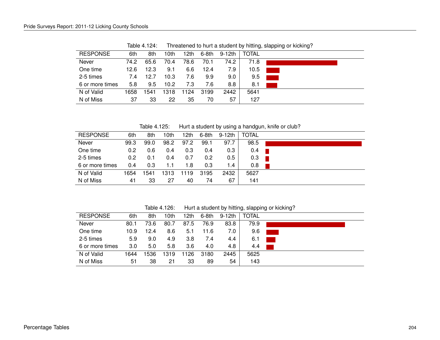| <b>RESPONSE</b> | 6th  | 8th  | 10th | ∣2th | $6-8th$ | 9-12th | <b>TOTAL</b> |  |
|-----------------|------|------|------|------|---------|--------|--------------|--|
| Never           | 74.2 | 65.6 | 70.4 | 78.6 | 70.1    | 74.2   | 71.8         |  |
| One time        | 12.6 | 12.3 | 9.1  | 6.6  | 12.4    | 7.9    | 10.5         |  |
| 2-5 times       | 7.4  | 12.7 | 10.3 | 7.6  | 9.9     | 9.0    | 9.5          |  |
| 6 or more times | 5.8  | 9.5  | 10.2 | 7.3  | 7.6     | 8.8    | 8.1          |  |
| N of Valid      | 1658 | 1541 | 1318 | 1124 | 3199    | 2442   | 5641         |  |
| N of Miss       | 37   | 33   | 22   | 35   | 70      | 57     | 127          |  |
|                 |      |      |      |      |         |        |              |  |

Table 4.124: Threatened to hurt a student by hitting, slapping or kicking?

Table 4.125: Hurt a student by using a handgun, knife or club?

| <b>RESPONSE</b> | 6th  | 8th  | 10th | 12th | 6-8th | 9-12th | <b>TOTAL</b> |  |
|-----------------|------|------|------|------|-------|--------|--------------|--|
| Never           | 99.3 | 99.0 | 98.2 | 97.2 | 99.1  | 97.7   | 98.5         |  |
| One time        | 0.2  | 0.6  | 0.4  | 0.3  | 0.4   | 0.3    | 0.4          |  |
| 2-5 times       | 0.2  | 0.1  | 0.4  | 0.7  | 0.2   | 0.5    | 0.3          |  |
| 6 or more times | 0.4  | 0.3  | 1.1  | 1.8  | 0.3   | 1.4    | 0.8          |  |
| N of Valid      | 1654 | 1541 | 1313 | 1119 | 3195  | 2432   | 5627         |  |
| N of Miss       | 41   | 33   | 27   | 40   | 74    | 67     | 141          |  |

Table 4.126: Hurt a student by hitting, slapping or kicking?

| <b>RESPONSE</b><br>TOTAL<br>6th<br>12th<br>8th<br>10th<br>6-8th<br>9-12th<br>Never<br>79.9<br>73.6<br>83.8<br>80.1<br>76.9<br>80.7<br>87.5<br>One time<br>12.4<br>9.6<br>10.9<br>8.6<br>5.1<br>11.6<br>7.0<br>2-5 times<br>5.9<br>4.9<br>9.0<br>3.8<br>7.4<br>4.4<br>6.1<br>3.0<br>5.8<br>5.0<br>4.8<br>3.6<br>4.0<br>6 or more times<br>4.4<br>N of Valid<br>2445<br>1536<br>1126<br>3180<br>5625<br>1644<br>1319<br>N of Miss<br>54<br>51<br>38<br>33<br>143<br>21<br>89 |  |  |  |  |  |
|----------------------------------------------------------------------------------------------------------------------------------------------------------------------------------------------------------------------------------------------------------------------------------------------------------------------------------------------------------------------------------------------------------------------------------------------------------------------------|--|--|--|--|--|
|                                                                                                                                                                                                                                                                                                                                                                                                                                                                            |  |  |  |  |  |
|                                                                                                                                                                                                                                                                                                                                                                                                                                                                            |  |  |  |  |  |
|                                                                                                                                                                                                                                                                                                                                                                                                                                                                            |  |  |  |  |  |
|                                                                                                                                                                                                                                                                                                                                                                                                                                                                            |  |  |  |  |  |
|                                                                                                                                                                                                                                                                                                                                                                                                                                                                            |  |  |  |  |  |
|                                                                                                                                                                                                                                                                                                                                                                                                                                                                            |  |  |  |  |  |
|                                                                                                                                                                                                                                                                                                                                                                                                                                                                            |  |  |  |  |  |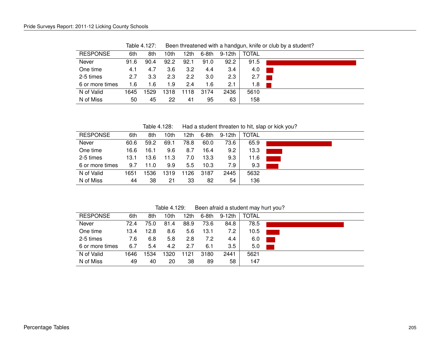| <b>RESPONSE</b> | 6th  | 8th  | 10th | ∣2th             | 6-8th | 9-12th | <b>TOTAL</b> |
|-----------------|------|------|------|------------------|-------|--------|--------------|
| Never           | 91.6 | 90.4 | 92.2 | 92.1             | 91.0  | 92.2   | 91.5         |
| One time        | 4.1  | 4.7  | 3.6  | 3.2              | 4.4   | 3.4    | 4.0          |
| 2-5 times       | 2.7  | 3.3  | 2.3  | $2.2\phantom{0}$ | 3.0   | 2.3    | 2.7          |
| 6 or more times | 1.6  | 1.6  | 1.9  | 2.4              | 1.6   | 2.1    | 1.8          |
| N of Valid      | 1645 | 1529 | 1318 | 18<br>11         | 3174  | 2436   | 5610         |
| N of Miss       | 50   | 45   | 22   | 41               | 95    | 63     | 158          |

Table 4.127: Been threatened with a handgun, knife or club by a student?

Table 4.128: Had a student threaten to hit, slap or kick you?

| <b>RESPONSE</b> | 6th  | 8th  | 10th | 12th | $6-8th$ | 9-12th | <b>TOTAL</b> |  |
|-----------------|------|------|------|------|---------|--------|--------------|--|
| Never           | 60.6 | 59.2 | 69.1 | 78.8 | 60.0    | 73.6   | 65.9         |  |
| One time        | 16.6 | 16.1 | 9.6  | 8.7  | 16.4    | 9.2    | 13.3         |  |
| 2-5 times       | 13.1 | 13.6 | 11.3 | 7.0  | 13.3    | 9.3    | 11.6         |  |
| 6 or more times | 9.7  | 11.0 | 9.9  | 5.5  | 10.3    | 7.9    | 9.3          |  |
| N of Valid      | 1651 | 1536 | 1319 | 1126 | 3187    | 2445   | 5632         |  |
| N of Miss       | 44   | 38   | 21   | 33   | 82      | 54     | 136          |  |

Table 4.129: Been afraid a student may hurt you?

| <b>RESPONSE</b> | 6th  | 8th  | 10th | <sup>12th</sup> | $6-8th$ | 9-12th | TOTAL |  |
|-----------------|------|------|------|-----------------|---------|--------|-------|--|
| Never           | 72.4 | 75.0 | 81.4 | 88.9            | 73.6    | 84.8   | 78.5  |  |
| One time        | 13.4 | 12.8 | 8.6  | 5.6             | 13.1    | 7.2    | 10.5  |  |
| 2-5 times       | 7.6  | 6.8  | 5.8  | 2.8             | 7.2     | 4.4    | 6.0   |  |
| 6 or more times | 6.7  | 5.4  | 4.2  | 2.7             | 6.1     | 3.5    | 5.0   |  |
| N of Valid      | 1646 | 1534 | 1320 | 1121            | 3180    | 2441   | 5621  |  |
| N of Miss       | 49   | 40   | 20   | 38              | 89      | 58     | 147   |  |
|                 |      |      |      |                 |         |        |       |  |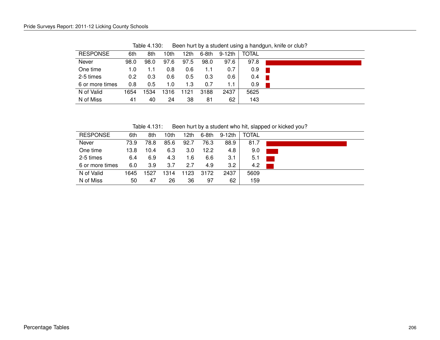| <b>RESPONSE</b> | 6th  | 8th  | 10th | 12th | 6-8th | 9-12th | <b>TOTAL</b> |  |
|-----------------|------|------|------|------|-------|--------|--------------|--|
| Never           | 98.0 | 98.0 | 97.6 | 97.5 | 98.0  | 97.6   | 97.8         |  |
| One time        | 1.0  | l .1 | 0.8  | 0.6  | 1.1   | 0.7    | 0.9          |  |
| 2-5 times       | 0.2  | 0.3  | 0.6  | 0.5  | 0.3   | 0.6    | 0.4          |  |
| 6 or more times | 0.8  | 0.5  | 1.0  | 1.3  | 0.7   | 1.1    | 0.9          |  |
| N of Valid      | 1654 | 1534 | 1316 | 1121 | 3188  | 2437   | 5625         |  |
| N of Miss       | 41   | 40   | 24   | 38   | 81    | 62     | 143          |  |

Table 4.130: Been hurt by a student using a handgun, knife or club?

Table 4.131: Been hurt by a student who hit, slapped or kicked you?

| <b>RESPONSE</b> | 6th  | 8th  | 10th | 12th | $6-8th$ | $9-12th$ | <b>TOTAL</b> |  |
|-----------------|------|------|------|------|---------|----------|--------------|--|
| Never           | 73.9 | 78.8 | 85.6 | 92.7 | 76.3    | 88.9     | 81.7         |  |
| One time        | 13.8 | 10.4 | 6.3  | 3.0  | 12.2    | 4.8      | 9.0          |  |
| 2-5 times       | 6.4  | 6.9  | 4.3  | 1.6  | 6.6     | 3.1      | 5.1          |  |
| 6 or more times | 6.0  | 3.9  | 3.7  | 2.7  | 4.9     | 3.2      | 4.2          |  |
| N of Valid      | 1645 | 1527 | 1314 | 1123 | 3172    | 2437     | 5609         |  |
| N of Miss       | 50   | 47   | 26   | 36   | 97      | 62       | 159          |  |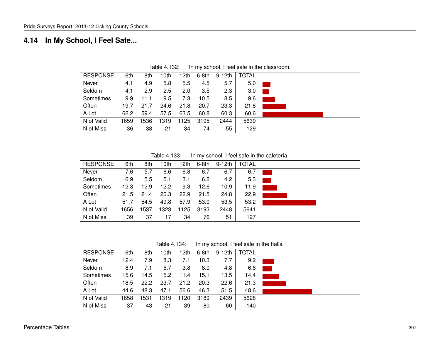### **4.14 In My School, I Feel Safe...**

| <b>RESPONSE</b> | 6th  | 8th  | 10th | 12th | $6-8th$ | $9-12th$ | <b>TOTAL</b> |  |
|-----------------|------|------|------|------|---------|----------|--------------|--|
| Never           | 4.1  | 4.9  | 5.8  | 5.5  | 4.5     | 5.7      | 5.0          |  |
| Seldom          | 4.1  | 2.9  | 2.5  | 2.0  | 3.5     | 2.3      | 3.0          |  |
| Sometimes       | 9.9  | 11.1 | 9.5  | 7.3  | 10.5    | 8.5      | 9.6          |  |
| Often           | 19.7 | 21.7 | 24.6 | 21.8 | 20.7    | 23.3     | 21.8         |  |
| A Lot           | 62.2 | 59.4 | 57.5 | 63.5 | 60.8    | 60.3     | 60.6         |  |
| N of Valid      | 1659 | 536  | 1319 | 1125 | 3195    | 2444     | 5639         |  |
| N of Miss       | 36   | 38   | 21   | 34   | 74      | 55       | 129          |  |

Table 4.132: In my school, I feel safe in the classroom.

Table 4.133: In my school, I feel safe in the cafeteria.

| <b>RESPONSE</b> | 6th  | 8th  | 10th | 12th | $6-8th$ | $9-12th$ | <b>TOTAL</b> |  |
|-----------------|------|------|------|------|---------|----------|--------------|--|
| Never           | 7.6  | 5.7  | 6.6  | 6.8  | 6.7     | 6.7      | 6.7          |  |
| Seldom          | 6.9  | 5.5  | 5.1  | 3.1  | 6.2     | 4.2      | 5.3          |  |
| Sometimes       | 12.3 | 12.9 | 12.2 | 9.3  | 12.6    | 10.9     | 11.9         |  |
| Often           | 21.5 | 21.4 | 26.3 | 22.9 | 21.5    | 24.8     | 22.9         |  |
| A Lot           | 51.7 | 54.5 | 49.8 | 57.9 | 53.0    | 53.5     | 53.2         |  |
| N of Valid      | 1656 | 1537 | 1323 | 1125 | 3193    | 2448     | 5641         |  |
| N of Miss       | 39   | 37   | 17   | 34   | 76      | 51       | 127          |  |

Table 4.134: In my school, I feel safe in the halls.

| <b>RESPONSE</b><br><b>TOTAL</b><br>6th<br>8th<br>12th<br>10th<br>6-8th<br>9-12th<br>Never<br>12.4<br>10.3<br>7.7<br>8.3<br>9.2<br>7.9<br>7.1<br>Seldom<br>5.7<br>3.8<br>4.8<br>6.6<br>8.9<br>8.0<br>7.1<br>$\mathcal{L}(\mathcal{L})$ and $\mathcal{L}(\mathcal{L})$ and $\mathcal{L}(\mathcal{L})$<br>Sometimes<br>15.2<br>15.6<br>14.5<br>15.1<br>13.5<br>14.4<br>11.4<br>Often<br>22.2<br>21.2<br>20.3<br>22.6<br>23.7<br>21.3<br>18.5<br>A Lot<br>46.3<br>47.1<br>56.6<br>51.5<br>48.6<br>44.6<br>48.3<br>N of Valid<br>2439<br>5628<br>1658<br>1531<br>1120<br>3189<br>1319<br>N of Miss<br>37<br>43<br>39<br>21<br>80<br>60<br>140 |  |  |  |  |  |
|------------------------------------------------------------------------------------------------------------------------------------------------------------------------------------------------------------------------------------------------------------------------------------------------------------------------------------------------------------------------------------------------------------------------------------------------------------------------------------------------------------------------------------------------------------------------------------------------------------------------------------------|--|--|--|--|--|
|                                                                                                                                                                                                                                                                                                                                                                                                                                                                                                                                                                                                                                          |  |  |  |  |  |
|                                                                                                                                                                                                                                                                                                                                                                                                                                                                                                                                                                                                                                          |  |  |  |  |  |
|                                                                                                                                                                                                                                                                                                                                                                                                                                                                                                                                                                                                                                          |  |  |  |  |  |
|                                                                                                                                                                                                                                                                                                                                                                                                                                                                                                                                                                                                                                          |  |  |  |  |  |
|                                                                                                                                                                                                                                                                                                                                                                                                                                                                                                                                                                                                                                          |  |  |  |  |  |
|                                                                                                                                                                                                                                                                                                                                                                                                                                                                                                                                                                                                                                          |  |  |  |  |  |
|                                                                                                                                                                                                                                                                                                                                                                                                                                                                                                                                                                                                                                          |  |  |  |  |  |
|                                                                                                                                                                                                                                                                                                                                                                                                                                                                                                                                                                                                                                          |  |  |  |  |  |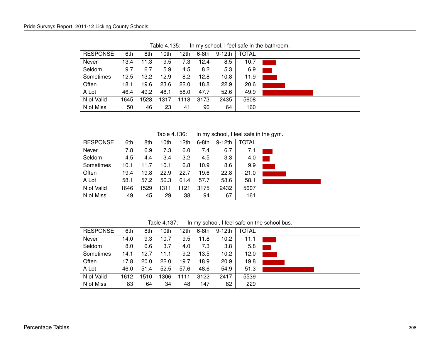| <b>RESPONSE</b> | 6th  | 8th  | 10th | 12th | $6-8th$ | 9-12th | <b>TOTAL</b> |  |
|-----------------|------|------|------|------|---------|--------|--------------|--|
| Never           | 13.4 | 11.3 | 9.5  | 7.3  | 12.4    | 8.5    | 10.7         |  |
| Seldom          | 9.7  | 6.7  | 5.9  | 4.5  | 8.2     | 5.3    | 6.9          |  |
| Sometimes       | 12.5 | 13.2 | 12.9 | 8.2  | 12.8    | 10.8   | 11.9         |  |
| Often           | 18.1 | 19.6 | 23.6 | 22.0 | 18.8    | 22.9   | 20.6         |  |
| A Lot           | 46.4 | 49.2 | 48.1 | 58.0 | 47.7    | 52.6   | 49.9         |  |
| N of Valid      | 1645 | 1528 | 1317 | 1118 | 3173    | 2435   | 5608         |  |
| N of Miss       | 50   | 46   | 23   | 41   | 96      | 64     | 160          |  |

Table 4.135: In my school, I feel safe in the bathroom.

Table 4.136: In my school, I feel safe in the gym.

| <b>RESPONSE</b> | 6th  | 8th  | 10th | 12th | 6-8th | 9-12th           | <b>TOTAL</b> |  |
|-----------------|------|------|------|------|-------|------------------|--------------|--|
| Never           | 7.8  | 6.9  | 7.3  | 6.0  | 7.4   | 6.7              | 7.1          |  |
| Seldom          | 4.5  | 4.4  | 3.4  | 3.2  | 4.5   | 3.3 <sub>2</sub> | 4.0          |  |
| Sometimes       | 10.1 | 11.7 | 10.1 | 6.8  | 10.9  | 8.6              | 9.9          |  |
| Often           | 19.4 | 19.8 | 22.9 | 22.7 | 19.6  | 22.8             | 21.0         |  |
| A Lot           | 58.1 | 57.2 | 56.3 | 61.4 | 57.7  | 58.6             | 58.1         |  |
| N of Valid      | 1646 | 1529 | 1311 | 1121 | 3175  | 2432             | 5607         |  |
| N of Miss       | 49   | 45   | 29   | 38   | 94    | 67               | 161          |  |

Table 4.137: In my school, I feel safe on the school bus.

| <b>RESPONSE</b> | 6th  | 8th  | 10th | 12th | 6-8th | 9-12th            | TOTAL |  |
|-----------------|------|------|------|------|-------|-------------------|-------|--|
| Never           | 14.0 | 9.3  | 10.7 | 9.5  | 11.8  | 10.2              | 11.1  |  |
| Seldom          | 8.0  | 6.6  | 3.7  | 4.0  | 7.3   | 3.8               | 5.8   |  |
| Sometimes       | 14.1 | 12.7 | 11.1 | 9.2  | 13.5  | 10.2 <sub>2</sub> | 12.0  |  |
| Often           | 17.8 | 20.0 | 22.0 | 19.7 | 18.9  | 20.9              | 19.8  |  |
| A Lot           | 46.0 | 51.4 | 52.5 | 57.6 | 48.6  | 54.9              | 51.3  |  |
| N of Valid      | 1612 | 1510 | 1306 | 1111 | 3122  | 2417              | 5539  |  |
| N of Miss       | 83   | 64   | 34   | 48   | 147   | 82                | 229   |  |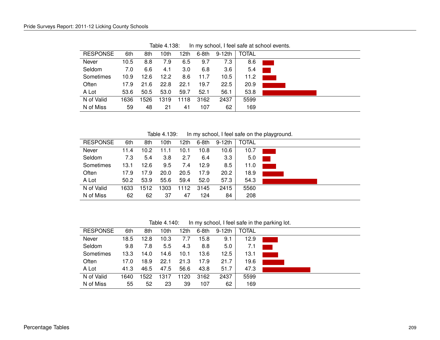| <b>RESPONSE</b> | 6th  | 8th  | 10th | 12th | $6-8th$ | 9-12th | <b>TOTAL</b> |  |
|-----------------|------|------|------|------|---------|--------|--------------|--|
| Never           | 10.5 | 8.8  | 7.9  | 6.5  | 9.7     | 7.3    | 8.6          |  |
| Seldom          | 7.0  | 6.6  | 4.1  | 3.0  | 6.8     | 3.6    | 5.4          |  |
| Sometimes       | 10.9 | 12.6 | 12.2 | 8.6  | 11.7    | 10.5   | 11.2         |  |
| Often           | 17.9 | 21.6 | 22.8 | 22.1 | 19.7    | 22.5   | 20.9         |  |
| A Lot           | 53.6 | 50.5 | 53.0 | 59.7 | 52.1    | 56.1   | 53.8         |  |
| N of Valid      | 1636 | 1526 | 1319 | 1118 | 3162    | 2437   | 5599         |  |
| N of Miss       | 59   | 48   | 21   | 41   | 107     | 62     | 169          |  |

Table 4.138: In my school, I feel safe at school events.

Table 4.139: In my school, I feel safe on the playground.

| <b>RESPONSE</b> | 6th  | 8th  | 10th | 12th | 6-8th | $9-12th$         | <b>TOTAL</b> |  |
|-----------------|------|------|------|------|-------|------------------|--------------|--|
| Never           | 11.4 | 10.2 | 11.1 | 10.1 | 10.8  | 10.6             | 10.7         |  |
| Seldom          | 7.3  | 5.4  | 3.8  | 2.7  | 6.4   | 3.3 <sub>2</sub> | 5.0          |  |
| Sometimes       | 13.1 | 12.6 | 9.5  | 7.4  | 12.9  | 8.5              | 11.0         |  |
| Often           | 17.9 | 17.9 | 20.0 | 20.5 | 17.9  | 20.2             | 18.9         |  |
| A Lot           | 50.2 | 53.9 | 55.6 | 59.4 | 52.0  | 57.3             | 54.3         |  |
| N of Valid      | 1633 | 1512 | 1303 | 1112 | 3145  | 2415             | 5560         |  |
| N of Miss       | 62   | 62   | 37   | 47   | 124   | 84               | 208          |  |

Table 4.140: In my school, I feel safe in the parking lot.

| <b>RESPONSE</b> | 6th  | 8th  | 10th | 12th | $6-8th$ | $9-12th$ | <b>TOTAL</b> |  |
|-----------------|------|------|------|------|---------|----------|--------------|--|
| Never           | 18.5 | 12.8 | 10.3 | 7.7  | 15.8    | 9.1      | 12.9         |  |
| Seldom          | 9.8  | 7.8  | 5.5  | 4.3  | 8.8     | 5.0      | 7.1          |  |
| Sometimes       | 13.3 | 14.0 | 14.6 | 10.1 | 13.6    | 12.5     | 13.1         |  |
| Often           | 17.0 | 18.9 | 22.1 | 21.3 | 17.9    | 21.7     | 19.6         |  |
| A Lot           | 41.3 | 46.5 | 47.5 | 56.6 | 43.8    | 51.7     | 47.3         |  |
| N of Valid      | 1640 | 1522 | 1317 | 1120 | 3162    | 2437     | 5599         |  |
| N of Miss       | 55   | 52   | 23   | 39   | 107     | 62       | 169          |  |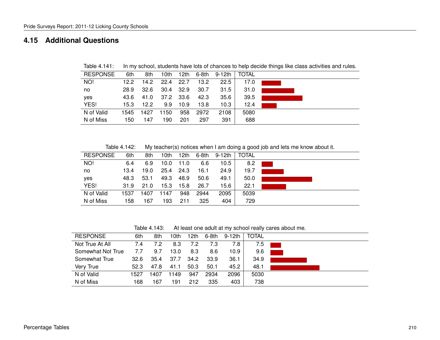#### **4.15 Additional Questions**

| <b>RESPONSE</b> | 6th  | 8th  | 10th      |       | 12th 6-8th     | 9-12th | <b>TOTAL</b> |  |
|-----------------|------|------|-----------|-------|----------------|--------|--------------|--|
| NO!             | 12.2 | 14.2 | 22.4      | 22.7  | $13.2^{\circ}$ | 22.5   | 17.0         |  |
| no              | 28.9 | 32.6 | 30.4      | -32.9 | 30.7           | 31.5   | 31.0         |  |
| yes             | 43.6 | 41.0 | 37.2 33.6 |       | 42.3           | 35.6   | 39.5         |  |
| YES!            | 15.3 | 12.2 | 9.9       | 10.9  | 13.8           | 10.3   | 12.4         |  |
| N of Valid      | 1545 | 1427 | 1150      | 958   | 2972           | 2108   | 5080         |  |
| N of Miss       | 150  | 147  | 190       | 201   | 297            | 391    | 688          |  |

Table 4.141: In my school, students have lots of chances to help decide things like class activities and rules.

Table 4.142: My teacher(s) notices when I am doing a good job and lets me know about it.

| <b>RESPONSE</b> | 6th  | 8th  | 10th | 12th | 6-8th | 9-12th | TOTAL |  |
|-----------------|------|------|------|------|-------|--------|-------|--|
| NO!             | 6.4  | 6.9  | 10.0 | 11.0 | 6.6   | 10.5   | 8.2   |  |
| no              | 13.4 | 19.0 | 25.4 | 24.3 | 16.1  | 24.9   | 19.7  |  |
| yes             | 48.3 | 53.1 | 49.3 | 48.9 | 50.6  | 49.1   | 50.0  |  |
| YES!            | 31.9 | 21.0 | 15.3 | 15.8 | 26.7  | 15.6   | 22.1  |  |
| N of Valid      | 1537 | 1407 | 1147 | 948  | 2944  | 2095   | 5039  |  |
| N of Miss       | 158  | 67ء  | 193  | 211  | 325   | 404    | 729   |  |

Table 4.143: At least one adult at my school really cares about me.

| <b>RESPONSE</b>   | 6th  | 8th  | 10th | 12th | 6-8th | 9-12th | TOTAL |  |
|-------------------|------|------|------|------|-------|--------|-------|--|
| Not True At All   | 7.4  | 7.2  | 8.3  | 7.2  | 7.3   | 7.8    | 7.5   |  |
| Somewhat Not True | 7.7  | 9.7  | 13.0 | 8.3  | 8.6   | 10.9   | 9.6   |  |
| Somewhat True     | 32.6 | 35.4 | 37.7 | 34.2 | 33.9  | 36.1   | 34.9  |  |
| Very True         | 52.3 | 47.8 | 41.1 | 50.3 | 50.1  | 45.2   | 48.1  |  |
| N of Valid        | 1527 | 1407 | 1149 | 947  | 2934  | 2096   | 5030  |  |
| N of Miss         | 168  | 167  | 191  | 212  | 335   | 403    | 738   |  |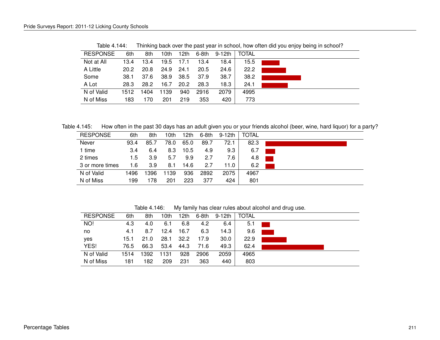|                 |      |      |      |      |       |        |              | ັ |
|-----------------|------|------|------|------|-------|--------|--------------|---|
| <b>RESPONSE</b> | 6th  | 8th  | 10th | 12th | 6-8th | 9-12th | <b>TOTAL</b> |   |
| Not at All      | 13.4 | 13.4 | 19.5 | 17.1 | 13.4  | 18.4   | 15.5         |   |
| A Little        | 20.2 | 20.8 | 24.9 | 24.1 | 20.5  | 24.6   | 22.2         |   |
| Some            | 38.1 | 37.6 | 38.9 | 38.5 | 37.9  | 38.7   | 38.2         |   |
| A Lot           | 28.3 | 28.2 | 16.7 | 20.2 | 28.3  | 18.3   | 24.1         |   |
| N of Valid      | 1512 | 1404 | 1139 | 940  | 2916  | 2079   | 4995         |   |
| N of Miss       | 183  | 170  | 201  | 219  | 353   | 420    | 773          |   |

Table 4.144: Thinking back over the past year in school, how often did you enjoy being in school?

Table 4.145: How often in the past 30 days has an adult given you or your friends alcohol (beer, wine, hard liquor) for a party?

| <b>RESPONSE</b> | 6th  | 8th  | 10th | 12th | 6-8th | 9-12th | <b>TOTAL</b> |  |
|-----------------|------|------|------|------|-------|--------|--------------|--|
| Never           | 93.4 | 85.7 | 78.0 | 65.0 | 89.7  | 72.1   | 82.3         |  |
| 1 time          | 3.4  | 6.4  | 8.3  | 10.5 | 4.9   | 9.3    | 6.7          |  |
| 2 times         | 1.5  | 3.9  | 5.7  | 9.9  | 2.7   | 7.6    | 4.8          |  |
| 3 or more times | 1.6  | 3.9  | 8.1  | 14.6 | 2.7   | 11.0   | 6.2          |  |
| N of Valid      | 496  | 1396 | 1139 | 936  | 2892  | 2075   | 4967         |  |
| N of Miss       | 199  | 178  | 201  | 223  | 377   | 424    | 801          |  |

Table 4.146: My family has clear rules about alcohol and drug use.

| <b>RESPONSE</b> | 6th  | 8th  | 10th | 12th | 6-8th | 9-12th            | <b>TOTAL</b> |  |
|-----------------|------|------|------|------|-------|-------------------|--------------|--|
| NO!             | 4.3  | 4.0  | 6.1  | 6.8  | 4.2   | 6.4               | 5.1          |  |
| no              | 4.1  | 8.7  | 12.4 | 16.7 | 6.3   | 14.3              | 9.6          |  |
| yes             | 15.1 | 21.0 | 28.1 | 32.2 | 17.9  | 30.0 <sub>1</sub> | 22.9         |  |
| YES!            | 76.5 | 66.3 | 53.4 | 44.3 | 71.6  | 49.3              | 62.4         |  |
| N of Valid      | 1514 | 1392 | 1131 | 928  | 2906  | 2059              | 4965         |  |
| N of Miss       | 181  | 182  | 209  | 231  | 363   | 440               | 803          |  |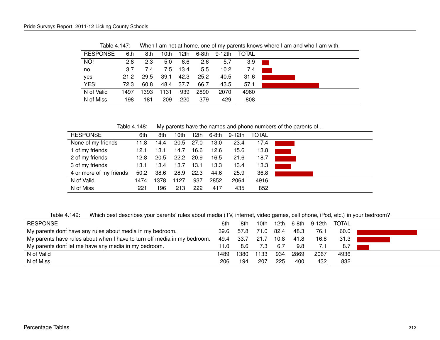| <b>RESPONSE</b> | 6th  | 8th  | 10th | 12th | 6-8th | $9-12th$ | <b>TOTAL</b> |  |
|-----------------|------|------|------|------|-------|----------|--------------|--|
| NO!             | 2.8  | 2.3  | 5.0  | 6.6  | 2.6   | 5.7      | 3.9          |  |
| no              | 3.7  | 7.4  | 7.5  | 13.4 | 5.5   | 10.2     | 7.4          |  |
| yes             | 21.2 | 29.5 | 39.1 | 42.3 | 25.2  | 40.5     | 31.6         |  |
| YES!            | 72.3 | 60.8 | 48.4 | 37.7 | 66.7  | 43.5     | 57.1         |  |
| N of Valid      | 1497 | 1393 | 1131 | 939  | 2890  | 2070     | 4960         |  |
| N of Miss       | 198  | 181  | 209  | 220  | 379   | 429      | 808          |  |
|                 |      |      |      |      |       |          |              |  |

Table 4.147: When I am not at home, one of my parents knows where I am and who I am with.

Table 4.148: My parents have the names and phone numbers of the parents of...

| <b>RESPONSE</b>         | 6th  | 8th  | 10th | 12th | 6-8th | 9-12th | <b>TOTAL</b> |  |
|-------------------------|------|------|------|------|-------|--------|--------------|--|
| None of my friends      | 11.8 | 14.4 | 20.5 | 27.0 | 13.0  | 23.4   | 17.4         |  |
| 1 of my friends         | 12.1 | 13.1 | 14.7 | 16.6 | 12.6  | 15.6   | 13.8         |  |
| 2 of my friends         | 12.8 | 20.5 | 22.2 | 20.9 | 16.5  | 21.6   | 18.7         |  |
| 3 of my friends         | 13.1 | 13.4 | 13.7 | 13.1 | 13.3  | 13.4   | 13.3         |  |
| 4 or more of my friends | 50.2 | 38.6 | 28.9 | 22.3 | 44.6  | 25.9   | 36.8         |  |
| N of Valid              | 1474 | 1378 | 1127 | 937  | 2852  | 2064   | 4916         |  |
| N of Miss               | 221  | 196  | 213  | 222  | 417   | 435    | 852          |  |

Table 4.149: Which best describes your parents' rules about media (TV, internet, video games, cell phone, iPod, etc.) in your bedroom?

| <b>RESPONSE</b>                                                          | 6th  | 8th  | 10th | 12th  |      | 6-8th 9-12th | <b>TOTAL</b> |  |
|--------------------------------------------------------------------------|------|------|------|-------|------|--------------|--------------|--|
| My parents dont have any rules about media in my bedroom.                | 39.6 | 57.8 | 71.0 | -82.4 | 48.3 | 76.1         | 60.0         |  |
| My parents have rules about when I have to turn off media in my bedroom. | 49.4 | 33.7 | 21.7 | 10.8  | 41.8 | 16.8         | 31.3         |  |
| My parents dont let me have any media in my bedroom.                     | 11.0 | 8.6  | 7.3  | -6.7  | 9.8  |              | 8.7          |  |
| N of Valid                                                               | 1489 | 1380 | 1133 | 934   | 2869 | 2067         | 4936         |  |
| N of Miss                                                                | 206  | 194  | 207  | 225   | 400  | 432          | 832          |  |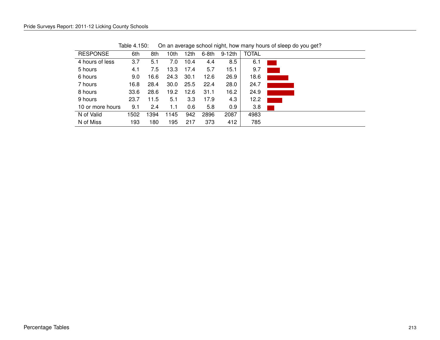| 6th  | 8th  | 10th | 12th | 6-8th | $9-12th$ | <b>TOTAL</b> |  |
|------|------|------|------|-------|----------|--------------|--|
| 3.7  | 5.1  | 7.0  | 10.4 | 4.4   | 8.5      | 6.1          |  |
| 4.1  | 7.5  | 13.3 | 17.4 | 5.7   | 15.1     | 9.7          |  |
| 9.0  | 16.6 | 24.3 | 30.1 | 12.6  | 26.9     | 18.6         |  |
| 16.8 | 28.4 | 30.0 | 25.5 | 22.4  | 28.0     | 24.7         |  |
| 33.6 | 28.6 | 19.2 | 12.6 | 31.1  | 16.2     | 24.9         |  |
| 23.7 | 11.5 | 5.1  | 3.3  | 17.9  | 4.3      | 12.2         |  |
| 9.1  | 2.4  | 1.1  | 0.6  | 5.8   | 0.9      | 3.8          |  |
| 1502 | 1394 | 1145 | 942  | 2896  | 2087     | 4983         |  |
| 193  | 180  | 195  | 217  | 373   | 412      | 785          |  |
|      |      |      |      |       |          |              |  |

Table 4.150: On an average school night, how many hours of sleep do you get?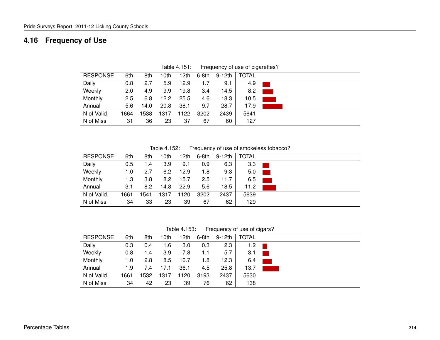## **4.16 Frequency of Use**

| <b>RESPONSE</b> | 6th  | 8th  | 10th | 12th | 6-8th | 9-12th | <b>TOTAL</b> |  |
|-----------------|------|------|------|------|-------|--------|--------------|--|
| Daily           | 0.8  | 2.7  | 5.9  | 12.9 | 1.7   | 9.1    | 4.9          |  |
| Weekly          | 2.0  | 4.9  | 9.9  | 19.8 | 3.4   | 14.5   | 8.2          |  |
| Monthly         | 2.5  | 6.8  | 12.2 | 25.5 | 4.6   | 18.3   | 10.5         |  |
| Annual          | 5.6  | 14.0 | 20.8 | 38.1 | 9.7   | 28.7   | 17.9         |  |
| N of Valid      | 1664 | 538  | 1317 | 1122 | 3202  | 2439   | 5641         |  |
| N of Miss       | 31   | 36   | 23   | 37   | 67    | 60     | 127          |  |

Table 4.151: Frequency of use of cigarettes?

Table 4.152: Frequency of use of smokeless tobacco?

| <b>RESPONSE</b> | 6th  | 8th | 10th | 12th | 6-8th | 9-12th | <b>TOTAL</b> |
|-----------------|------|-----|------|------|-------|--------|--------------|
| Daily           | 0.5  | 1.4 | 3.9  | 9.1  | 0.9   | 6.3    | 3.3          |
| Weekly          | 1.0  | 2.7 | 6.2  | 12.9 | 1.8   | 9.3    | 5.0          |
| Monthly         | 1.3  | 3.8 | 8.2  | 15.7 | 2.5   | 11.7   | 6.5          |
| Annual          | 3.1  | 8.2 | 14.8 | 22.9 | 5.6   | 18.5   | 11.2         |
| N of Valid      | 1661 | 541 | 1317 | 1120 | 3202  | 2437   | 5639         |
| N of Miss       | 34   | 33  | 23   | 39   | 67    | 62     | 129          |

Table 4.153: Frequency of use of cigars?

| <b>RESPONSE</b> | 6th  | 8th  | 10th | 12th | $6-8th$ | 9-12th | <b>TOTAL</b> |
|-----------------|------|------|------|------|---------|--------|--------------|
| Daily           | 0.3  | 0.4  | 1.6  | 3.0  | 0.3     | 2.3    | 1.2          |
| Weekly          | 0.8  | 1.4  | 3.9  | 7.8  | 1.1     | 5.7    | 3.1          |
| Monthly         | 1.0  | 2.8  | 8.5  | 16.7 | 1.8     | 12.3   | 6.4          |
| Annual          | 1.9  | 7.4  | 17.1 | 36.1 | 4.5     | 25.8   | 13.7         |
| N of Valid      | 1661 | 1532 | 1317 | 1120 | 3193    | 2437   | 5630         |
| N of Miss       | 34   | 42   | 23   | 39   | 76      | 62     | 138          |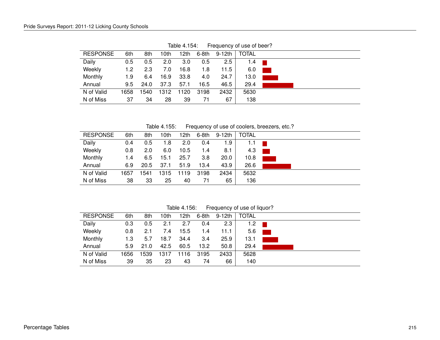| <b>RESPONSE</b> | 6th  | 8th  | 10th | 12th | 6-8th | 9-12th  | <b>TOTAL</b> |  |
|-----------------|------|------|------|------|-------|---------|--------------|--|
| Daily           | 0.5  | 0.5  | 2.0  | 3.0  | 0.5   | $2.5\,$ | 1.4          |  |
| Weekly          | 1.2  | 2.3  | 7.0  | 16.8 | 1.8   | 11.5    | 6.0          |  |
| Monthly         | 1.9  | 6.4  | 16.9 | 33.8 | 4.0   | 24.7    | 13.0         |  |
| Annual          | 9.5  | 24.0 | 37.3 | 57.1 | 16.5  | 46.5    | 29.4         |  |
| N of Valid      | 1658 | 1540 | 1312 | 1120 | 3198  | 2432    | 5630         |  |
| N of Miss       | 37   | 34   | 28   | 39   | 71    | 67      | 138          |  |
|                 |      |      |      |      |       |         |              |  |

Table 4.154: Frequency of use of beer?

Table 4.155: Frequency of use of coolers, breezers, etc.?

| <b>RESPONSE</b> | 6th            | 8th  | 10th | 12th | 6-8th | 9-12th | <b>TOTAL</b> |
|-----------------|----------------|------|------|------|-------|--------|--------------|
| Daily           | 0.4            | 0.5  | 1.8  | 2.0  | 0.4   | 1.9    | 1.1          |
| Weekly          | 0.8            | 2.0  | 6.0  | 10.5 | 1.4   | 8.1    | 4.3          |
| Monthly         | $^{\prime}$ .4 | 6.5  | 15.1 | 25.7 | 3.8   | 20.0   | 10.8         |
| Annual          | 6.9            | 20.5 | 37.1 | 51.9 | 13.4  | 43.9   | 26.6         |
| N of Valid      | 1657           | 1541 | 1315 | 119  | 3198  | 2434   | 5632         |
| N of Miss       | 38             | 33   | 25   | 40   | 71    | 65     | 136          |

Table 4.156: Frequency of use of liquor?

| <b>RESPONSE</b><br><b>TOTAL</b><br>6th<br>8th<br>10th<br>9-12th<br>12th<br>$6-8th$<br>Daily<br>2.3<br>0.3<br>2.7<br>1.2<br>0.5<br>2.1<br>0.4<br>Weekly<br>15.5<br>5.6<br>0.8<br>7.4<br>1.4<br>11.1<br>2.1<br>Monthly<br>25.9<br>18.7<br>34.4<br>3.4<br>13.1<br>1.3<br>5.7<br>50.8<br>13.2<br>29.4<br>42.5<br>Annual<br>60.5<br>21.0<br>5.9<br>N of Valid<br>2433<br>5628<br>1656<br>1539<br>1317<br>1116<br>3195<br>N of Miss<br>35<br>39<br>23<br>66<br>140<br>74<br>43 |  |  |  |  |  |
|--------------------------------------------------------------------------------------------------------------------------------------------------------------------------------------------------------------------------------------------------------------------------------------------------------------------------------------------------------------------------------------------------------------------------------------------------------------------------|--|--|--|--|--|
|                                                                                                                                                                                                                                                                                                                                                                                                                                                                          |  |  |  |  |  |
|                                                                                                                                                                                                                                                                                                                                                                                                                                                                          |  |  |  |  |  |
|                                                                                                                                                                                                                                                                                                                                                                                                                                                                          |  |  |  |  |  |
|                                                                                                                                                                                                                                                                                                                                                                                                                                                                          |  |  |  |  |  |
|                                                                                                                                                                                                                                                                                                                                                                                                                                                                          |  |  |  |  |  |
|                                                                                                                                                                                                                                                                                                                                                                                                                                                                          |  |  |  |  |  |
|                                                                                                                                                                                                                                                                                                                                                                                                                                                                          |  |  |  |  |  |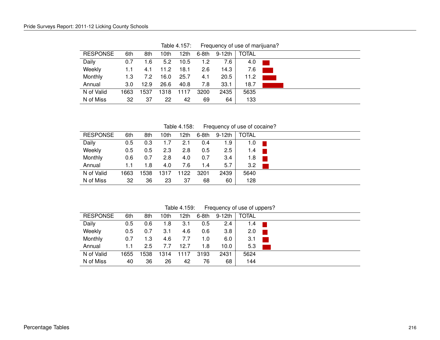| <b>RESPONSE</b> | 6th  | 8th  | 10th | 12th | 6-8th | 9-12th | <b>TOTAL</b> |
|-----------------|------|------|------|------|-------|--------|--------------|
| Daily           | 0.7  | 1.6  | 5.2  | 10.5 | 1.2   | 7.6    | 4.0          |
| Weekly          | 1.1  | 4.1  | 11.2 | 18.1 | 2.6   | 14.3   | 7.6          |
| Monthly         | 1.3  | 7.2  | 16.0 | 25.7 | 4.1   | 20.5   | 11.2         |
| Annual          | 3.0  | 12.9 | 26.6 | 40.8 | 7.8   | 33.1   | 18.7         |
| N of Valid      | 1663 | 1537 | 1318 | 1117 | 3200  | 2435   | 5635         |
| N of Miss       | 32   | 37   | 22   | 42   | 69    | 64     | 133          |

Table 4.157: Frequency of use of marijuana?

Table 4.158: Frequency of use of cocaine?

| <b>RESPONSE</b> | 6th  | 8th  | 10th | 12th | $6-8th$ | 9-12th | <b>TOTAL</b> |
|-----------------|------|------|------|------|---------|--------|--------------|
| Daily           | 0.5  | 0.3  | 1.7  | 2.1  | 0.4     | 1.9    | 1.0          |
| Weekly          | 0.5  | 0.5  | 2.3  | 2.8  | 0.5     | 2.5    | 1.4          |
| Monthly         | 0.6  | 0.7  | 2.8  | 4.0  | 0.7     | 3.4    | 1.8          |
| Annual          | 1.1  | 1.8  | 4.0  | 7.6  | 1.4     | 5.7    | 3.2          |
| N of Valid      | 1663 | 1538 | 1317 | 1122 | 3201    | 2439   | 5640         |
| N of Miss       | 32   | 36   | 23   | 37   | 68      | 60     | 128          |

Table 4.159: Frequency of use of uppers?

| <b>RESPONSE</b> | 6th  | 8th  | 10th | 12th | $6-8th$ | 9-12th | <b>TOTAL</b> |  |
|-----------------|------|------|------|------|---------|--------|--------------|--|
| Daily           | 0.5  | 0.6  | 1.8  | 3.1  | 0.5     | 2.4    | 1.4          |  |
| Weekly          | 0.5  | 0.7  | 3.1  | 4.6  | 0.6     | 3.8    | 2.0          |  |
| Monthly         | 0.7  | 1.3  | 4.6  | 7.7  | 1.0     | 6.0    | 3.1          |  |
| Annual          | 1.1  | 2.5  | 7.7  | 12.7 | 1.8     | 10.0   | 5.3          |  |
| N of Valid      | 1655 | 1538 | 1314 | 1117 | 3193    | 2431   | 5624         |  |
| N of Miss       | 40   | 36   | 26   | 42   | 76      | 68     | 144          |  |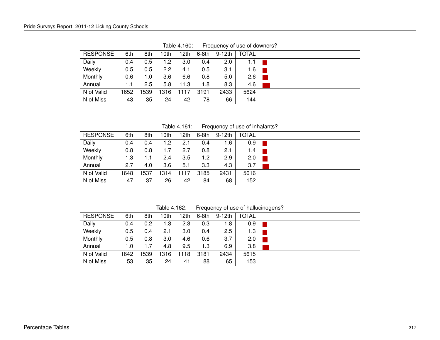| <b>RESPONSE</b> | 6th  | 8th  | 10th             | 12th | 6-8th | 9-12th | <b>TOTAL</b> |
|-----------------|------|------|------------------|------|-------|--------|--------------|
| Daily           | 0.4  | 0.5  | 1.2              | 3.0  | 0.4   | 2.0    | 1.1          |
| Weekly          | 0.5  | 0.5  | $2.2\phantom{0}$ | 4.1  | 0.5   | 3.1    | 1.6          |
| Monthly         | 0.6  | 1.0  | 3.6              | 6.6  | 0.8   | 5.0    | 2.6          |
| Annual          | 1.1  | 2.5  | 5.8              | 11.3 | 1.8   | 8.3    | 4.6          |
| N of Valid      | 1652 | 1539 | 1316             | 1117 | 3191  | 2433   | 5624         |
| N of Miss       | 43   | 35   | 24               | 42   | 78    | 66     | 144          |

Table 4.160: Frequency of use of downers?

Table 4.161: Frequency of use of inhalants?

| <b>RESPONSE</b> | 6th  | 8th  | 10th | 12th | $6-8th$ | 9-12th | <b>TOTAL</b> |
|-----------------|------|------|------|------|---------|--------|--------------|
| Daily           | 0.4  | 0.4  | 1.2  | 2.1  | 0.4     | 1.6    | 0.9          |
| Weekly          | 0.8  | 0.8  | 1.7  | 2.7  | 0.8     | 2.1    | 1.4          |
| Monthly         | 1.3  | 1.1  | 2.4  | 3.5  | 1.2     | 2.9    | 2.0          |
| Annual          | 2.7  | 4.0  | 3.6  | 5.1  | 3.3     | 4.3    | 3.7          |
| N of Valid      | 1648 | 1537 | 1314 | 1117 | 3185    | 2431   | 5616         |
| N of Miss       | 47   | 37   | 26   | 42   | 84      | 68     | 152          |

Table 4.162: Frequency of use of hallucinogens?

| <b>RESPONSE</b> | 6th  | 8th | 10th | 12th | 6-8th | 9-12th | <b>TOTAL</b> |  |
|-----------------|------|-----|------|------|-------|--------|--------------|--|
| Daily           | 0.4  | 0.2 | 1.3  | 2.3  | 0.3   | 1.8    | 0.9          |  |
| Weekly          | 0.5  | 0.4 | 2.1  | 3.0  | 0.4   | 2.5    | 1.3          |  |
| Monthly         | 0.5  | 0.8 | 3.0  | 4.6  | 0.6   | 3.7    | 2.0          |  |
| Annual          | 1.0  | 1.7 | 4.8  | 9.5  | 1.3   | 6.9    | 3.8          |  |
| N of Valid      | 1642 | 539 | 1316 | 1118 | 3181  | 2434   | 5615         |  |
| N of Miss       | 53   | 35  | 24   | 41   | 88    | 65     | 153          |  |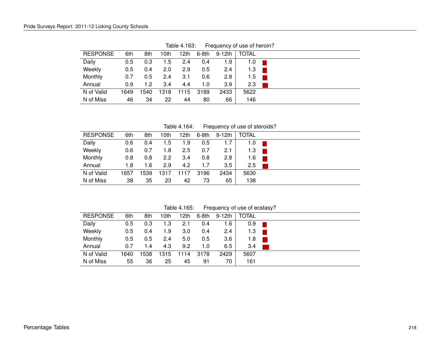| <b>RESPONSE</b> | 6th  | 8th  | l Oth | 12th | 6-8th | 9-12th | <b>TOTAL</b> |  |
|-----------------|------|------|-------|------|-------|--------|--------------|--|
| Daily           | 0.5  | 0.3  | 1.5   | 2.4  | 0.4   | 1.9    | 1.0          |  |
| Weekly          | 0.5  | 0.4  | 2.0   | 2.9  | 0.5   | 2.4    | 1.3          |  |
| Monthly         | 0.7  | 0.5  | 2.4   | 3.1  | 0.6   | 2.8    | 1.5          |  |
| Annual          | 0.9  | 1.2  | 3.4   | 4.4  | 1.0   | 3.9    | 2.3          |  |
| N of Valid      | 1649 | 1540 | 1318  | 1115 | 3189  | 2433   | 5622         |  |
| N of Miss       | 46   | 34   | 22    | 44   | 80    | 66     | 146          |  |
|                 |      |      |       |      |       |        |              |  |

Table 4.163: Frequency of use of heroin?

Table 4.164: Frequency of use of steroids?

| <b>RESPONSE</b> | 6th  | 8th  | 10th | 12th | $6-8th$ | 9-12th | <b>TOTAL</b> |
|-----------------|------|------|------|------|---------|--------|--------------|
| Daily           | 0.6  | 0.4  | 1.5  | 1.9  | 0.5     | 1.7    | 1.0          |
| Weekly          | 0.6  | 0.7  | 1.8  | 2.5  | 0.7     | 2.1    | 1.3          |
| Monthly         | 0.8  | 0.8  | 2.2  | 3.4  | 0.8     | 2.8    | 1.6          |
| Annual          | 1.8  | 1.6  | 2.9  | 4.2  | 1.7     | 3.5    | 2.5          |
| N of Valid      | 1657 | 1539 | 1317 | 1117 | 3196    | 2434   | 5630         |
| N of Miss       | 38   | 35   | 23   | 42   | 73      | 65     | 138          |

Table 4.165: Frequency of use of ecstasy?

| <b>RESPONSE</b> | 6th  | 8th | 10th | 12th             | 6-8th | 9-12th        | <b>TOTAL</b> |  |
|-----------------|------|-----|------|------------------|-------|---------------|--------------|--|
| Daily           | 0.5  | 0.3 | 1.3  | 2.1              | 0.4   | 1.6           | 0.9          |  |
| Weekly          | 0.5  | 0.4 | 1.9  | 3.0 <sub>2</sub> | 0.4   | $2.4^{\circ}$ | 1.3          |  |
| Monthly         | 0.5  | 0.5 | 2.4  | 5.0              | 0.5   | 3.6           | 1.8          |  |
| Annual          | 0.7  | 1.4 | 4.3  | 9.2              | 1.0   | 6.5           | 3.4          |  |
| N of Valid      | 1640 | 538 | 1315 | 1114             | 3178  | 2429          | 5607         |  |
| N of Miss       | 55   | 36  | 25   | 45               | 91    | 70            | 161          |  |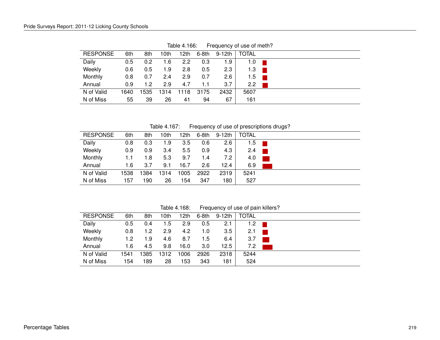| <b>RESPONSE</b> | 6th  | 8th  | l Oth | 12th | 6-8th | 9-12th | <b>TOTAL</b> |  |
|-----------------|------|------|-------|------|-------|--------|--------------|--|
| Daily           | 0.5  | 0.2  | 1.6   | 2.2  | 0.3   | 1.9    | 1.0          |  |
| Weekly          | 0.6  | 0.5  | 1.9   | 2.8  | 0.5   | 2.3    | 1.3          |  |
| Monthly         | 0.8  | 0.7  | 2.4   | 2.9  | 0.7   | 2.6    | 1.5          |  |
| Annual          | 0.9  | 1.2  | 2.9   | 4.7  | 1.1   | 3.7    | 2.2          |  |
| N of Valid      | 1640 | 1535 | 1314  | 1118 | 3175  | 2432   | 5607         |  |
| N of Miss       | 55   | 39   | 26    | 41   | 94    | 67     | 161          |  |
|                 |      |      |       |      |       |        |              |  |

Table 4.166: Frequency of use of meth?

Table 4.167: Frequency of use of prescriptions drugs?

| <b>RESPONSE</b> | 6th  | 8th  | 10th | 12 <sub>th</sub> | $6-8th$ | $9-12th$ | <b>TOTAL</b> |
|-----------------|------|------|------|------------------|---------|----------|--------------|
| Daily           | 0.8  | 0.3  | 1.9  | 3.5              | 0.6     | 2.6      | 1.5          |
| Weekly          | 0.9  | 0.9  | 3.4  | 5.5              | 0.9     | 4.3      | 2.4          |
| Monthly         | 1.1  | 1.8  | 5.3  | 9.7              | 1.4     | 7.2      | 4.0          |
| Annual          | 1.6  | 3.7  | 9.1  | 16.7             | 2.6     | 12.4     | 6.9          |
| N of Valid      | 1538 | '384 | 1314 | 1005             | 2922    | 2319     | 5241         |
| N of Miss       | 157  | 190  | 26   | 154              | 347     | 180      | 527          |

Table 4.168: Frequency of use of pain killers?

| <b>RESPONSE</b> | 6th  | 8th  | 10th | 12th | 6-8th | 9-12th | <b>TOTAL</b> |  |
|-----------------|------|------|------|------|-------|--------|--------------|--|
| Daily           | 0.5  | 0.4  | 1.5  | 2.9  | 0.5   | 2.1    | 1.2          |  |
| Weekly          | 0.8  | 1.2  | 2.9  | 4.2  | 1.0   | 3.5    | 2.1          |  |
| Monthly         | 1.2  | 1.9  | 4.6  | 8.7  | 1.5   | 6.4    | 3.7          |  |
| Annual          | 1.6  | 4.5  | 9.8  | 16.0 | 3.0   | 12.5   | 7.2          |  |
| N of Valid      | 1541 | 1385 | 1312 | 1006 | 2926  | 2318   | 5244         |  |
| N of Miss       | 154  | 189  | 28   | 53   | 343   | 181    | 524          |  |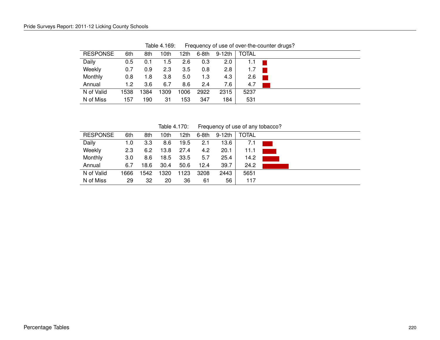| <b>RESPONSE</b> | 6th  | 8th  | 10th | 12th | 6-8th | 9-12th | <b>TOTAL</b> |  |
|-----------------|------|------|------|------|-------|--------|--------------|--|
| Daily           | 0.5  | 0.1  | 1.5  | 2.6  | 0.3   | 2.0    | 1.1          |  |
| Weekly          | 0.7  | 0.9  | 2.3  | 3.5  | 0.8   | 2.8    | 1.7          |  |
| Monthly         | 0.8  | 1.8  | 3.8  | 5.0  | 1.3   | 4.3    | 2.6          |  |
| Annual          | 1.2  | 3.6  | 6.7  | 8.6  | 2.4   | 7.6    | 4.7          |  |
| N of Valid      | 1538 | 1384 | 1309 | 1006 | 2922  | 2315   | 5237         |  |
| N of Miss       | 157  | 190  | 31   | 153  | 347   | 184    | 531          |  |
|                 |      |      |      |      |       |        |              |  |

Table 4.169: Frequency of use of over-the-counter drugs?

Table 4.170: Frequency of use of any tobacco?

| <b>RESPONSE</b> | 6th  | 8th  | 10th | 12th | 6-8th | 9-12th | <b>TOTAL</b> |  |
|-----------------|------|------|------|------|-------|--------|--------------|--|
| Daily           | 1.0  | 3.3  | 8.6  | 19.5 | 2.1   | 13.6   | 7.1          |  |
| Weekly          | 2.3  | 6.2  | 13.8 | 27.4 | 4.2   | 20.1   | 11.1         |  |
| Monthly         | 3.0  | 8.6  | 18.5 | 33.5 | 5.7   | 25.4   | 14.2         |  |
| Annual          | 6.7  | 18.6 | 30.4 | 50.6 | 12.4  | 39.7   | 24.2         |  |
| N of Valid      | 1666 | 542  | 1320 | 123  | 3208  | 2443   | 5651         |  |
| N of Miss       | 29   | 32   | 20   | 36   | 61    | 56     | 117          |  |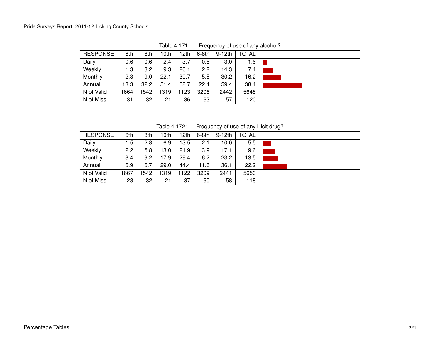| <b>RESPONSE</b> | 6th  | 8th  | 10th | 12th | 6-8th | 9-12th | <b>TOTAL</b> |  |
|-----------------|------|------|------|------|-------|--------|--------------|--|
| Daily           | 0.6  | 0.6  | 2.4  | 3.7  | 0.6   | 3.0    | 1.6          |  |
| Weekly          | 1.3  | 3.2  | 9.3  | 20.1 | 2.2   | 14.3   | 7.4          |  |
| Monthly         | 2.3  | 9.0  | 22.1 | 39.7 | 5.5   | 30.2   | 16.2         |  |
| Annual          | 13.3 | 32.2 | 51.4 | 68.7 | 22.4  | 59.4   | 38.4         |  |
| N of Valid      | 1664 | 1542 | 1319 | 1123 | 3206  | 2442   | 5648         |  |
| N of Miss       | 31   | 32   | 21   | 36   | 63    | 57     | 120          |  |

Table 4.171: Frequency of use of any alcohol?

Table 4.172: Frequency of use of any illicit drug?

| <b>RESPONSE</b> | 6th  | 8th  | 10th | 12th | 6-8th | 9-12th | <b>TOTAL</b> |  |
|-----------------|------|------|------|------|-------|--------|--------------|--|
| Daily           | 1.5  | 2.8  | 6.9  | 13.5 | 2.1   | 10.0   | 5.5          |  |
| Weekly          | 2.2  | 5.8  | 13.0 | 21.9 | 3.9   | 17.1   | 9.6          |  |
| Monthly         | 3.4  | 9.2  | 17.9 | 29.4 | 6.2   | 23.2   | 13.5         |  |
| Annual          | 6.9  | 16.7 | 29.0 | 44.4 | 11.6  | 36.1   | 22.2         |  |
| N of Valid      | 1667 | 1542 | 1319 | 122  | 3209  | 2441   | 5650         |  |
| N of Miss       | 28   | 32   | 21   | 37   | 60    | 58     | 118          |  |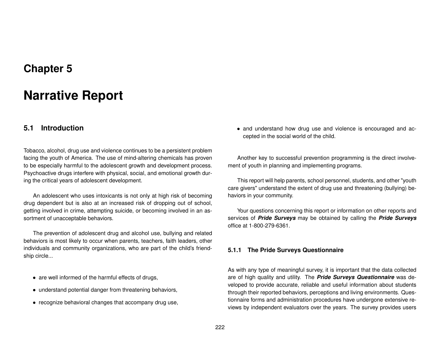## **Chapter 5**

# **Narrative Report**

## **5.1 Introduction**

Tobacco, alcohol, drug use and violence continues to be a persistent problem facing the youth of America. The use of mind-altering chemicals has proven to be especially harmful to the adolescent growth and development process. Psychoactive drugs interfere with physical, social, and emotional growth during the critical years of adolescent development.

An adolescent who uses intoxicants is not only at high risk of becoming drug dependent but is also at an increased risk of dropping out of school, getting involved in crime, attempting suicide, or becoming involved in an assortment of unacceptable behaviors.

The prevention of adolescent drug and alcohol use, bullying and related behaviors is most likely to occur when parents, teachers, faith leaders, other individuals and community organizations, who are part of the child's friendship circle...

- are well informed of the harmful effects of drugs,
- understand potential danger from threatening behaviors,
- recognize behavioral changes that accompany drug use,

• and understand how drug use and violence is encouraged and accepted in the social world of the child.

Another key to successful prevention programming is the direct involvement of youth in planning and implementing programs.

This report will help parents, school personnel, students, and other "youth care givers" understand the extent of drug use and threatening (bullying) behaviors in your community.

Your questions concerning this report or information on other reports and services of *Pride Surveys* may be obtained by calling the *Pride Surveys* office at 1-800-279-6361.

### **5.1.1 The Pride Surveys Questionnaire**

As with any type of meaningful survey, it is important that the data collected are of high quality and utility. The *Pride Surveys Questionnaire* was developed to provide accurate, reliable and useful information about students through their reported behaviors, perceptions and living environments. Questionnaire forms and administration procedures have undergone extensive reviews by independent evaluators over the years. The survey provides users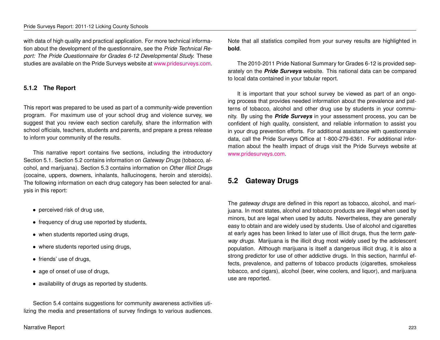#### Pride Surveys Report: 2011-12 Licking County Schools

with data of high quality and practical application. For more technical information about the development of the questionnaire, see the *Pride Technical Report: The Pride Questionnaire for Grades 6-12 Developmental Study.* These studies are available on the Pride Surveys website at [www.pridesurveys.com.](http://www.pridesurveys.com)

## **5.1.2 The Report**

This report was prepared to be used as part of a community-wide prevention program. For maximum use of your school drug and violence survey, we suggest that you review each section carefully, share the information with school officials, teachers, students and parents, and prepare a press release to inform your community of the results.

This narrative report contains five sections, including the introductory Section 5.1. Section 5.2 contains information on *Gateway Drugs* (tobacco, alcohol, and marijuana). Section 5.3 contains information on *Other Illicit Drugs* (cocaine, uppers, downers, inhalants, hallucinogens, heroin and steroids). The following information on each drug category has been selected for analysis in this report:

- perceived risk of drug use,
- frequency of drug use reported by students,
- when students reported using drugs,
- where students reported using drugs,
- friends' use of drugs,
- age of onset of use of drugs,
- availability of drugs as reported by students.

Section 5.4 contains suggestions for community awareness activities utilizing the media and presentations of survey findings to various audiences. Note that all statistics compiled from your survey results are highlighted in **bold**.

The 2010-2011 Pride National Summary for Grades 6-12 is provided separately on the *Pride Surveys* website. This national data can be compared to local data contained in your tabular report.

It is important that your school survey be viewed as part of an ongoing process that provides needed information about the prevalence and patterns of tobacco, alcohol and other drug use by students in your community. By using the *Pride Surveys* in your assessment process, you can be confident of high quality, consistent, and reliable information to assist you in your drug prevention efforts. For additional assistance with questionnaire data, call the Pride Surveys Office at 1-800-279-6361. For additional information about the health impact of drugs visit the Pride Surveys website at [www.pridesurveys.com.](http://www.pridesurveys.com)

## **5.2 Gateway Drugs**

The *gateway drugs* are defined in this report as tobacco, alcohol, and marijuana. In most states, alcohol and tobacco products are illegal when used by minors, but are legal when used by adults. Nevertheless, they are generally easy to obtain and are widely used by students. Use of alcohol and cigarettes at early ages has been linked to later use of illicit drugs, thus the term *gateway drugs*. Marijuana is the illicit drug most widely used by the adolescent population. Although marijuana is itself a dangerous illicit drug, it is also a strong predictor for use of other addictive drugs. In this section, harmful effects, prevalence, and patterns of tobacco products (cigarettes, smokeless tobacco, and cigars), alcohol (beer, wine coolers, and liquor), and marijuana use are reported.

#### Narrative Report 223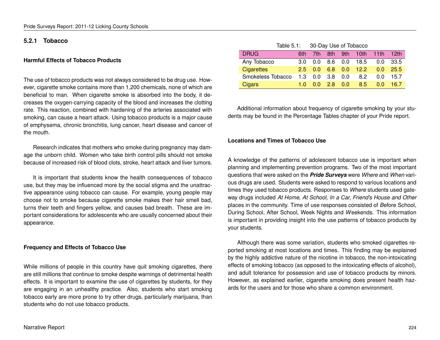### **5.2.1 Tobacco**

#### **Harmful Effects of Tobacco Products**

The use of tobacco products was not always considered to be drug use. However, cigarette smoke contains more than 1,200 chemicals, none of which are beneficial to man. When cigarette smoke is absorbed into the body, it decreases the oxygen-carrying capacity of the blood and increases the clotting rate. This reaction, combined with hardening of the arteries associated with smoking, can cause a heart attack. Using tobacco products is a major cause of emphysema, chronic bronchitis, lung cancer, heart disease and cancer of the mouth.

Research indicates that mothers who smoke during pregnancy may damage the unborn child. Women who take birth control pills should not smoke because of increased risk of blood clots, stroke, heart attack and liver tumors.

It is important that students know the health consequences of tobacco use, but they may be influenced more by the social stigma and the unattractive appearance using tobacco can cause. For example, young people may choose not to smoke because cigarette smoke makes their hair smell bad, turns their teeth and fingers yellow, and causes bad breath. These are important considerations for adolescents who are usually concerned about their appearance.

#### **Frequency and Effects of Tobacco Use**

While millions of people in this country have quit smoking cigarettes, there are still millions that continue to smoke despite warnings of detrimental health effects. It is important to examine the use of cigarettes by students, for they are engaging in an unhealthy practice. Also, students who start smoking tobacco early are more prone to try other drugs, particularly marijuana, than students who do not use tobacco products.

| Table 5.1: 30-Day Use of Tobacco |         |              |       |     |                        |         |        |
|----------------------------------|---------|--------------|-------|-----|------------------------|---------|--------|
| <b>DRUG</b>                      | 6th.    | 7th          |       |     | 8th 9th 10th 11th 12th |         |        |
| Any Tobacco                      | 3.0     | 0.0          | 8.6   |     | $0.0$ 18.5             | $0.0^-$ | - 33.5 |
| <b>Cigarettes</b>                |         | $2.5 \t 0.0$ |       |     | 6.8 0.0 12.2           | 0.0     | 25.5   |
| Smokeless Tobacco                | $1.3 -$ | 0.0          | 3.8   | 0.0 | 8.2                    | $0.0^-$ | 15.7   |
| Cigars                           | 1 O     | 0 Q          | $-28$ | 0.0 | $8.5^{\circ}$          | 0.0     | 16.7   |

Additional information about frequency of cigarette smoking by your students may be found in the Percentage Tables chapter of your Pride report.

#### **Locations and Times of Tobacco Use**

A knowledge of the patterns of adolescent tobacco use is important when planning and implementing prevention programs. Two of the most important questions that were asked on the *Pride Surveys* were *Where* and *When* various drugs are used. Students were asked to respond to various locations and times they used tobacco products. Responses to *Where* students used gateway drugs included *At Home, At School, In a Car, Friend's House and Other* places in the community. Time of use responses consisted of *B*efore School, During School, After School, Week Nights and *W*eekends. This information is important in providing insight into the use patterns of tobacco products by your students.

Although there was some variation, students who smoked cigarettes reported smoking at most locations and times. This finding may be explained by the highly addictive nature of the nicotine in tobacco, the non-intoxicating effects of smoking tobacco (as opposed to the intoxicating effects of alcohol), and adult tolerance for possession and use of tobacco products by minors. However, as explained earlier, cigarette smoking does present health hazards for the users and for those who share a common environment.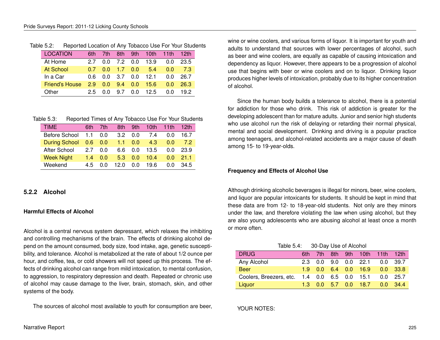| <b>LOCATION</b>  | 6th | 7th | 8th             |     | 9th 10th   | 11th | 12th |
|------------------|-----|-----|-----------------|-----|------------|------|------|
| At Home          | 27  | n n | 7.2 0.0         |     | 13.9       | 0.0  | 23.5 |
| <b>At School</b> | 07  | 0 Q | $1.7 \quad 0.0$ |     | $-5.4$     | 0.0  | 7.3  |
| In a Car         | 0 G |     | $0.0 \quad 3.7$ |     | $0.0$ 12.1 | 0 O  | 26.7 |
| Friend's House   | 2.9 | 0.0 | 9.4             | 0.0 | 15.6       | 0.0  | 26.3 |
| Other            | 25  | 0 O | 9.7             | 0.0 | 12.5       | 0.0  | 192  |

## Table 5.2: Reported Location of Any Tobacco Use For Your Students

| Table 5.3: |  |  | Reported Times of Any Tobacco Use For Your Students |
|------------|--|--|-----------------------------------------------------|
|            |  |  |                                                     |

| <b>TIME</b>          | 6th            | 7th | 8th  | 9th | 10th | 11th | 12 <sub>th</sub> |
|----------------------|----------------|-----|------|-----|------|------|------------------|
| Before School        | 1.1            | 0.0 | 32   | 0.0 | 7.4  | 0.0  | 16.7             |
| <b>During School</b> | $0.6\quad 0.0$ |     | 1.1  | 0.0 | 4.3  | 0 O  | 72               |
| After School         | 27             | ი ი | 66   | 0.0 | 13.5 | 0 O  | 23.9             |
| <b>Week Night</b>    | 1.4            | 0.0 | 5.3  | 0.0 | 10.4 | 0.0  | 21.1             |
| Weekend              | 45             | ი ი | 12 በ | 0.0 | 19.6 | 0 O  | 34.5             |

## **5.2.2 Alcohol**

## **Harmful Effects of Alcohol**

Alcohol is a central nervous system depressant, which relaxes the inhibiting and controlling mechanisms of the brain. The effects of drinking alcohol depend on the amount consumed, body size, food intake, age, genetic susceptibility, and tolerance. Alcohol is metabolized at the rate of about 1/2 ounce per hour, and coffee, tea, or cold showers will not speed up this process. The effects of drinking alcohol can range from mild intoxication, to mental confusion, to aggression, to respiratory depression and death. Repeated or chronic use of alcohol may cause damage to the liver, brain, stomach, skin, and other systems of the body.

The sources of alcohol most available to youth for consumption are beer,

wine or wine coolers, and various forms of liquor. It is important for youth and adults to understand that sources with lower percentages of alcohol, such as beer and wine coolers, are equally as capable of causing intoxication and dependency as liquor. However, there appears to be a progression of alcohol use that begins with beer or wine coolers and on to liquor. Drinking liquor produces higher levels of intoxication, probably due to its higher concentration of alcohol.

Since the human body builds a tolerance to alcohol, there is a potential for addiction for those who drink. This risk of addiction is greater for the developing adolescent than for mature adults. Junior and senior high students who use alcohol run the risk of delaying or retarding their normal physical, mental and social development. Drinking and driving is a popular practice among teenagers, and alcohol-related accidents are a major cause of death among 15- to 19-year-olds.

## **Frequency and Effects of Alcohol Use**

Although drinking alcoholic beverages is illegal for minors, beer, wine coolers, and liquor are popular intoxicants for students. It should be kept in mind that these data are from 12- to 18-year-old students. Not only are they minors under the law, and therefore violating the law when using alcohol, but they are also young adolescents who are abusing alcohol at least once a month or more often.

| Table 5.4: | 30-Day Use of Alcohol |
|------------|-----------------------|
|------------|-----------------------|

| <b>DRUG</b>             | 6th. |  | 7th 8th 9th 10th 11th 12th    |            |
|-------------------------|------|--|-------------------------------|------------|
| Any Alcohol             |      |  | 2.3 0.0 9.0 0.0 22.1 0.0 39.7 |            |
| <b>Beer</b>             |      |  | $1.9$ 0.0 6.4 0.0 16.9        | $0.0$ 33.8 |
| Coolers, Breezers, etc. |      |  | 1.4 0.0 6.5 0.0 15.1          | $0.0$ 25.7 |
| Liquor                  |      |  | $1.3$ 0.0 5.7 0.0 18.7        | $0.0$ 34.4 |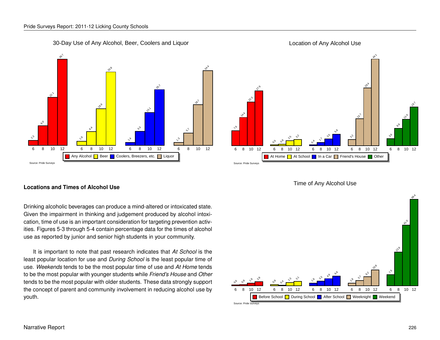30-Day Use of Any Alcohol, Beer, Coolers and Liquor



#### Source: Pride Surveys At Home **At School In a Car Friend's House Co**ther 6 8 10 12 6 8 10 12 6 8 10 12 6 8 10 12 6 8 10 12 7.6 **14.4**  $v^3$  $\frac{1}{2}$  0.5  $o_{\hat{\mathcal{O}}}$ r, 3.2  $\circ_{\triangleright}$  $\mathcal{L}$ م.<br>م  $e_5$  $3^2$  $\frac{1}{2}$  $2^{\circ}$ **44.7**  3.6  $e_{\hat{\mathbf{e}}}$  $\mathcal{S}^{\mathfrak{p}}$  $\frac{1}{2}$

### Time of Any Alcohol Use



#### **Locations and Times of Alcohol Use**

Drinking alcoholic beverages can produce a mind-altered or intoxicated state. Given the impairment in thinking and judgement produced by alcohol intoxication, time of use is an important consideration for targeting prevention activities. Figures 5-3 through 5-4 contain percentage data for the times of alcohol use as reported by junior and senior high students in your community.

It is important to note that past research indicates that *At School* is the least popular location for use and *During School* is the least popular time of use. *Weekends* tends to be the most popular time of use and *At Home* tends to be the most popular with younger students while *Friend's House* and *Other* tends to be the most popular with older students. These data strongly support the concept of parent and community involvement in reducing alcohol use by youth.

Location of Any Alcohol Use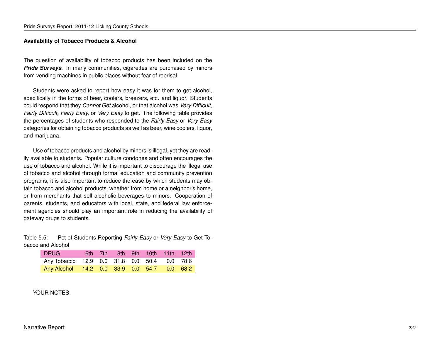### **Availability of Tobacco Products & Alcohol**

The question of availability of tobacco products has been included on the **Pride Surveys**. In many communities, cigarettes are purchased by minors from vending machines in public places without fear of reprisal.

Students were asked to report how easy it was for them to get alcohol, specifically in the forms of beer, coolers, breezers, etc. and liquor. Students could respond that they *Cannot Get* alcohol, or that alcohol was *Very Difficult, Fairly Difficult, Fairly Easy,* or *Very Easy* to get. The following table provides the percentages of students who responded to the *Fairly Easy* or *Very Easy* categories for obtaining tobacco products as well as beer, wine coolers, liquor, and marijuana.

Use of tobacco products and alcohol by minors is illegal, yet they are readily available to students. Popular culture condones and often encourages the use of tobacco and alcohol. While it is important to discourage the illegal use of tobacco and alcohol through formal education and community prevention programs, it is also important to reduce the ease by which students may obtain tobacco and alcohol products, whether from home or a neighbor's home, or from merchants that sell alcoholic beverages to minors. Cooperation of parents, students, and educators with local, state, and federal law enforcement agencies should play an important role in reducing the availability of gateway drugs to students.

Table 5.5: Pct of Students Reporting *Fairly Easy* or *Very Easy* to Get Tobacco and Alcohol

| <b>DRUG</b>                                 | 6th 7th |  | 8th 9th 10th 11th 12th |  |
|---------------------------------------------|---------|--|------------------------|--|
| Any Tobacco 12.9 0.0 31.8 0.0 50.4 0.0 78.6 |         |  |                        |  |
| Any Alcohol 14.2 0.0 33.9 0.0 54.7 0.0 68.2 |         |  |                        |  |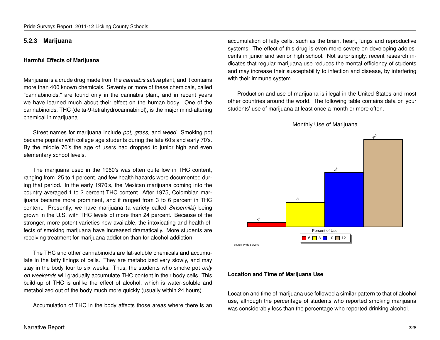## **5.2.3 Marijuana**

#### **Harmful Effects of Marijuana**

Marijuana is a crude drug made from the *cannabis sativa* plant, and it contains more than 400 known chemicals. Seventy or more of these chemicals, called "cannabinoids," are found only in the cannabis plant, and in recent years we have learned much about their effect on the human body. One of the cannabinoids, THC (delta-9-tetrahydrocannabinol), is the major mind-altering chemical in marijuana.

Street names for marijuana include *pot, grass,* and *weed.* Smoking pot became popular with college age students during the late 60's and early 70's. By the middle 70's the age of users had dropped to junior high and even elementary school levels.

The marijuana used in the 1960's was often quite low in THC content, ranging from .25 to 1 percent, and few health hazards were documented during that period. In the early 1970's, the Mexican marijuana coming into the country averaged 1 to 2 percent THC content. After 1975, Colombian marijuana became more prominent, and it ranged from 3 to 6 percent in THC content. Presently, we have marijuana (a variety called *Sinsemilla*) being grown in the U.S. with THC levels of more than 24 percent. Because of the stronger, more potent varieties now available, the intoxicating and health effects of smoking marijuana have increased dramatically. More students are receiving treatment for marijuana addiction than for alcohol addiction.

The THC and other cannabinoids are fat-soluble chemicals and accumulate in the fatty linings of cells. They are metabolized very slowly, and may stay in the body four to six weeks. Thus, the students who smoke pot *only on weekends* will gradually accumulate THC content in their body cells. This build-up of THC is unlike the effect of alcohol, which is water-soluble and metabolized out of the body much more quickly (usually within 24 hours).

Accumulation of THC in the body affects those areas where there is an

accumulation of fatty cells, such as the brain, heart, lungs and reproductive systems. The effect of this drug is even more severe on developing adolescents in junior and senior high school. Not surprisingly, recent research indicates that regular marijuana use reduces the mental efficiency of students and may increase their susceptability to infection and disease, by interfering with their immune system.

Production and use of marijuana is illegal in the United States and most other countries around the world. The following table contains data on your students' use of marijuana at least once a month or more often.



Monthly Use of Marijuana

**Location and Time of Marijuana Use**

Location and time of marijuana use followed a similar pattern to that of alcohol use, although the percentage of students who reported smoking marijuana was considerably less than the percentage who reported drinking alcohol.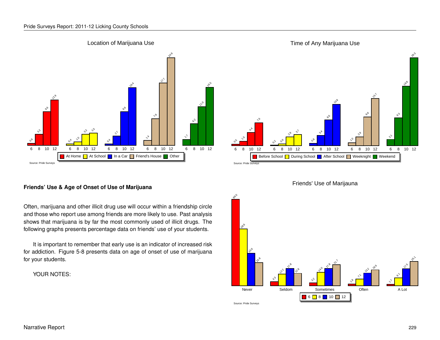#### Location of Marijuana Use



#### **Friends' Use & Age of Onset of Use of Marijuana**

Often, marijuana and other illicit drug use will occur within a friendship circle and those who report use among friends are more likely to use. Past analysis shows that marijuana is by far the most commonly used of illicit drugs. The following graphs presents percentage data on friends' use of your students.

It is important to remember that early use is an indicator of increased risk for addiction. Figure 5-8 presents data on age of onset of use of marijuana for your students.





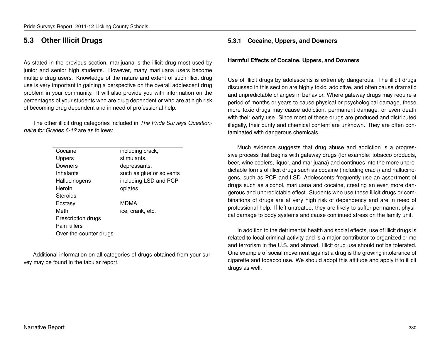## **5.3 Other Illicit Drugs**

As stated in the previous section, marijuana is the illicit drug most used by junior and senior high students. However, many marijuana users become multiple drug users. Knowledge of the nature and extent of such illicit drug use is very important in gaining a perspective on the overall adolescent drug problem in your community. It will also provide you with information on the percentages of your students who are drug dependent or who are at high risk of becoming drug dependent and in need of professional help.

The other illicit drug categories included in *The Pride Surveys Questionnaire for Grades 6-12* are as follows:

| Cocaine                | including crack,         |
|------------------------|--------------------------|
| <b>Uppers</b>          | stimulants.              |
| Downers                | depressants,             |
| Inhalants              | such as glue or solvents |
| Hallucinogens          | including LSD and PCP    |
| Heroin                 | opiates                  |
| Steroids               |                          |
| Ecstasy                | <b>MDMA</b>              |
| Meth                   | ice, crank, etc.         |
| Prescription drugs     |                          |
| Pain killers           |                          |
| Over-the-counter drugs |                          |

Additional information on all categories of drugs obtained from your survey may be found in the tabular report.

## **5.3.1 Cocaine, Uppers, and Downers**

#### **Harmful Effects of Cocaine, Uppers, and Downers**

Use of illicit drugs by adolescents is extremely dangerous. The illicit drugs discussed in this section are highly toxic, addictive, and often cause dramatic and unpredictable changes in behavior. Where gateway drugs may require a period of months or years to cause physical or psychological damage, these more toxic drugs may cause addiction, permanent damage, or even death with their early use. Since most of these drugs are produced and distributed illegally, their purity and chemical content are unknown. They are often contaminated with dangerous chemicals.

Much evidence suggests that drug abuse and addiction is a progressive process that begins with gateway drugs (for example: tobacco products, beer, wine coolers, liquor, and marijuana) and continues into the more unpredictable forms of illicit drugs such as cocaine (including crack) and hallucinogens, such as PCP and LSD. Adolescents frequently use an assortment of drugs such as alcohol, marijuana and cocaine, creating an even more dangerous and unpredictable effect. Students who use these illicit drugs or combinations of drugs are at very high risk of dependency and are in need of professional help. If left untreated, they are likely to suffer permanent physical damage to body systems and cause continued stress on the family unit.

In addition to the detrimental health and social effects, use of illicit drugs is related to local criminal activity and is a major contributor to organized crime and terrorism in the U.S. and abroad. Illicit drug use should not be tolerated. One example of social movement against a drug is the growing intolerance of cigarette and tobacco use. We should adopt this attitude and apply it to illicit drugs as well.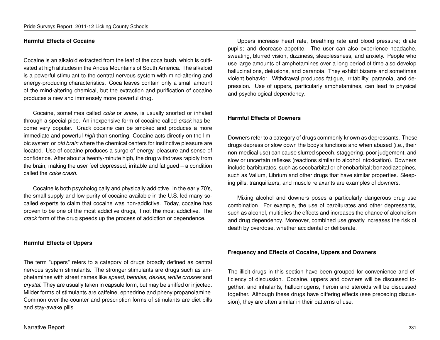#### **Harmful Effects of Cocaine**

Cocaine is an alkaloid extracted from the leaf of the coca bush, which is cultivated at high altitudes in the Andes Mountains of South America. The alkaloid is a powerful stimulant to the central nervous system with mind-altering and energy-producing characteristics. Coca leaves contain only a small amount of the mind-altering chemical, but the extraction and purification of cocaine produces a new and immensely more powerful drug.

Cocaine, sometimes called *coke* or *snow,* is usually snorted or inhaled through a special pipe. An inexpensive form of cocaine called *crack* has become very popular. Crack cocaine can be smoked and produces a more immediate and powerful *high* than snorting. Cocaine acts directly on the limbic system or *old brain* where the chemical centers for instinctive pleasure are located. Use of cocaine produces a surge of energy, pleasure and sense of confidence. After about a twenty-minute high, the drug withdraws rapidly from the brain, making the user feel depressed, irritable and fatigued – a condition called the *coke crash.*

Cocaine is both psychologically and physically addictive. In the early 70's, the small supply and low purity of cocaine available in the U.S. led many socalled experts to claim that cocaine was non-addictive. Today, cocaine has proven to be one of the most addictive drugs, if not **the** most addictive. The *crack* form of the drug speeds up the process of addiction or dependence.

#### **Harmful Effects of Uppers**

The term "uppers" refers to a category of drugs broadly defined as central nervous system stimulants. The stronger stimulants are drugs such as amphetamines with street names like *speed, bennies, dexies, white crosses* and *crystal.* They are usually taken in capsule form, but may be sniffed or injected. Milder forms of stimulants are caffeine, ephedrine and phenylpropanolamine. Common over-the-counter and prescription forms of stimulants are diet pills and stay-awake pills.

Uppers increase heart rate, breathing rate and blood pressure; dilate pupils; and decrease appetite. The user can also experience headache, sweating, blurred vision, dizziness, sleeplessness, and anxiety. People who use large amounts of amphetamines over a long period of time also develop hallucinations, delusions, and paranoia. They exhibit bizarre and sometimes violent behavior. Withdrawal produces fatigue, irritability, paranoia, and depression. Use of uppers, particularly amphetamines, can lead to physical and psychological dependency.

#### **Harmful Effects of Downers**

Downers refer to a category of drugs commonly known as depressants. These drugs depress or slow down the body's functions and when abused (i.e., their non-medical use) can cause slurred speech, staggering, poor judgement, and slow or uncertain reflexes (reactions similar to alcohol intoxication). Downers include barbiturates, such as secobarbital or phenobarbital; benzodiazepines, such as Valium, Librium and other drugs that have similar properties. Sleeping pills, tranquilizers, and muscle relaxants are examples of downers.

Mixing alcohol and downers poses a particularly dangerous drug use combination. For example, the use of barbiturates and other depressants, such as alcohol, multiplies the effects and increases the chance of alcoholism and drug dependency. Moreover, combined use greatly increases the risk of death by overdose, whether accidental or deliberate.

#### **Frequency and Effects of Cocaine, Uppers and Downers**

The illicit drugs in this section have been grouped for convenience and efficiency of discussion. Cocaine, uppers and downers will be discussed together, and inhalants, hallucinogens, heroin and steroids will be discussed together. Although these drugs have differing effects (see preceding discussion), they are often similar in their patterns of use.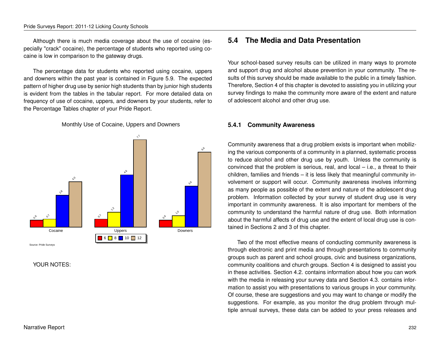Although there is much media coverage about the use of cocaine (especially "crack" cocaine), the percentage of students who reported using cocaine is low in comparison to the gateway drugs.

The percentage data for students who reported using cocaine, uppers and downers within the past year is contained in Figure 5.9. The expected pattern of higher drug use by senior high students than by junior high students is evident from the tables in the tabular report. For more detailed data on frequency of use of cocaine, uppers, and downers by your students, refer to the Percentage Tables chapter of your Pride Report.

Monthly Use of Cocaine, Uppers and Downers



#### YOUR NOTES:

## **5.4 The Media and Data Presentation**

Your school-based survey results can be utilized in many ways to promote and support drug and alcohol abuse prevention in your community. The results of this survey should be made available to the public in a timely fashion. Therefore, Section 4 of this chapter is devoted to assisting you in utilizing your survey findings to make the community more aware of the extent and nature of adolescent alcohol and other drug use.

### **5.4.1 Community Awareness**

Community awareness that a drug problem exists is important when mobilizing the various components of a community in a planned, systematic process to reduce alcohol and other drug use by youth. Unless the community is convinced that the problem is serious, real, and local – i.e., a threat to their children, families and friends – it is less likely that meaningful community involvement or support will occur. Community awareness involves informing as many people as possible of the extent and nature of the adolescent drug problem. Information collected by your survey of student drug use is very important in community awareness. It is also important for members of the community to understand the harmful nature of drug use. Both information about the harmful affects of drug use and the extent of local drug use is contained in Sections 2 and 3 of this chapter.

Two of the most effective means of conducting community awareness is through electronic and print media and through presentations to community groups such as parent and school groups, civic and business organizations, community coalitions and church groups. Section 4 is designed to assist you in these activities. Section 4.2. contains information about how you can work with the media in releasing your survey data and Section 4.3. contains information to assist you with presentations to various groups in your community. Of course, these are suggestions and you may want to change or modify the suggestions. For example, as you monitor the drug problem through multiple annual surveys, these data can be added to your press releases and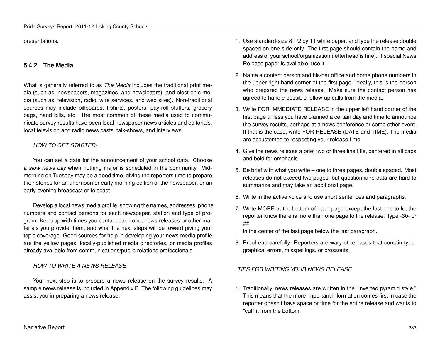presentations.

## **5.4.2 The Media**

What is generally referred to as *The Media* includes the traditional print media (such as, newspapers, magazines, and newsletters), and electronic media (such as, television, radio, wire services, and web sites). Non-traditional sources may include billboards, t-shirts, posters, pay-roll stuffers, grocery bags, hand bills, etc. The most common of these media used to communicate survey results have been local newspaper news articles and editorials, local television and radio news casts, talk-shows, and interviews.

## *HOW TO GET STARTED!*

You can set a date for the announcement of your school data. Choose a *slow news day* when nothing major is scheduled in the community. Midmorning on Tuesday may be a good time, giving the reporters time to prepare their stories for an afternoon or early morning edition of the newspaper, or an early evening broadcast or telecast.

Develop a local news media profile, showing the names, addresses, phone numbers and contact persons for each newspaper, station and type of program. Keep up with times you contact each one, news releases or other materials you provide them, and what the next steps will be toward giving your topic coverage. Good sources for help in developing your news media profile are the yellow pages, locally-published media directories, or media profiles already available from communications/public relations professionals.

### *HOW TO WRITE A NEWS RELEASE*

Your next step is to prepare a news release on the survey results. A sample news release is included in Appendix B. The following guidelines may assist you in preparing a news release:

- 1. Use standard-size 8 1/2 by 11 white paper, and type the release double spaced on one side only. The first page should contain the name and address of your school/organization (letterhead is fine). If special News Release paper is available, use it.
- 2. Name a contact person and his/her office and home phone numbers in the upper right hand corner of the first page. Ideally, this is the person who prepared the news release. Make sure the contact person has agreed to handle possible follow-up calls from the media.
- 3. Write FOR IMMEDIATE RELEASE in the upper left hand corner of the first page unless you have planned a certain day and time to announce the survey results, perhaps at a news conference or some other event. If that is the case, write FOR RELEASE (DATE and TIME). The media are accustomed to respecting your release time.
- 4. Give the news release a brief two or three line title, centered in all caps and bold for emphasis.
- 5. Be brief with what you write one to three pages, double spaced. Most releases do not exceed two pages, but questionnaire data are hard to summarize and may take an additional page.
- 6. Write in the active voice and use short sentences and paragraphs.
- 7. Write MORE at the bottom of each page except the last one to let the reporter know there is more than one page to the release. Type -30- or ##

in the center of the last page below the last paragraph.

8. Proofread carefully. Reporters are wary of releases that contain typographical errors, misspellings, or crossouts.

### *TIPS FOR WRITING YOUR NEWS RELEASE*

1. Traditionally, news releases are written in the "inverted pyramid style." This means that the more important information comes first in case the reporter doesn't have space or time for the entire release and wants to "cut" it from the bottom.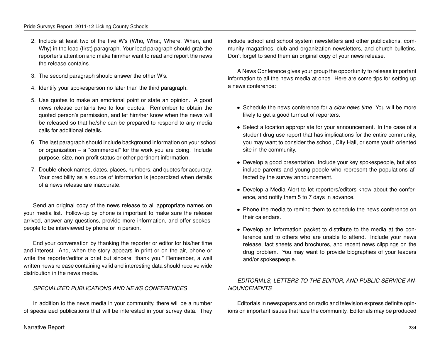- 2. Include at least two of the five W's (Who, What, Where, When, and Why) in the lead (first) paragraph. Your lead paragraph should grab the reporter's attention and make him/her want to read and report the news the release contains.
- 3. The second paragraph should answer the other W's.
- 4. Identify your spokesperson no later than the third paragraph.
- 5. Use quotes to make an emotional point or state an opinion. A good news release contains two to four quotes. Remember to obtain the quoted person's permission, and let him/her know when the news will be released so that he/she can be prepared to respond to any media calls for additional details.
- 6. The last paragraph should include background information on your school or organization – a "commercial" for the work you are doing. Include purpose, size, non-profit status or other pertinent information.
- 7. Double-check names, dates, places, numbers, and quotes for accuracy. Your credibility as a source of information is jeopardized when details of a news release are inaccurate.

Send an original copy of the news release to all appropriate names on your media list. Follow-up by phone is important to make sure the release arrived, answer any questions, provide more information, and offer spokespeople to be interviewed by phone or in person.

End your conversation by thanking the reporter or editor for his/her time and interest. And, when the story appears in print or on the air, phone or write the reporter/editor a brief but sincere "thank you." Remember, a well written news release containing valid and interesting data should receive wide distribution in the news media.

### *SPECIALIZED PUBLICATIONS AND NEWS CONFERENCES*

In addition to the news media in your community, there will be a number of specialized publications that will be interested in your survey data. They include school and school system newsletters and other publications, community magazines, club and organization newsletters, and church bulletins. Don't forget to send them an original copy of your news release.

A News Conference gives your group the opportunity to release important information to all the news media at once. Here are some tips for setting up a news conference:

- Schedule the news conference for a *slow news time.* You will be more likely to get a good turnout of reporters.
- Select a location appropriate for your announcement. In the case of a student drug use report that has implications for the entire community, you may want to consider the school, City Hall, or some youth oriented site in the community.
- Develop a good presentation. Include your key spokespeople, but also include parents and young people who represent the populations affected by the survey announcement.
- Develop a Media Alert to let reporters/editors know about the conference, and notify them 5 to 7 days in advance.
- Phone the media to remind them to schedule the news conference on their calendars.
- Develop an information packet to distribute to the media at the conference and to others who are unable to attend. Include your news release, fact sheets and brochures, and recent news clippings on the drug problem. You may want to provide biographies of your leaders and/or spokespeople.

## *EDITORIALS, LETTERS TO THE EDITOR, AND PUBLIC SERVICE AN-NOUNCEMENTS*

Editorials in newspapers and on radio and television express definite opinions on important issues that face the community. Editorials may be produced

#### Narrative Report 234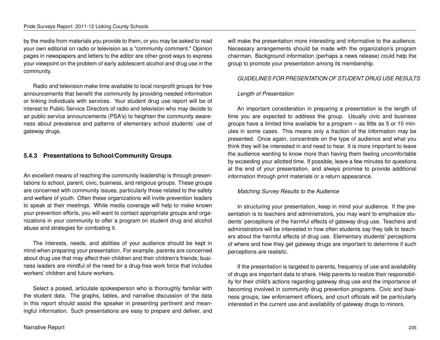by the media from materials you provide to them, or you may be asked to read your own editorial on radio or television as a "community comment." Opinion pages in newspapers and letters to the editor are other good ways to express your viewpoint on the problem of early adolescent alcohol and drug use in the community.

Radio and television make time available to local nonprofit groups for free announcements that benefit the community by providing needed information or linking individuals with services. Your student drug use report will be of interest to Public Service Directors of radio and television who may decide to air public service announcements (PSA's) to heighten the community awareness about prevalence and patterns of elementary school students' use of gateway drugs.

## **5.4.3 Presentations to School/Community Groups**

An excellent means of reaching the community leadership is through presentations to school, parent, civic, business, and religious groups. These groups are concerned with community issues, particularly those related to the safety and welfare of youth. Often these organizations will invite prevention leaders to speak at their meetings. While media coverage will help to make known your prevention efforts, you will want to contact appropriate groups and organizations in your community to offer a program on student drug and alcohol abuse and strategies for combating it.

The interests, needs, and abilities of your audience should be kept in mind when preparing your presentation. For example, parents are concerned about drug use that may affect their children and their children's friends; business leaders are mindful of the need for a drug-free work force that includes workers' children and future workers.

Select a poised, articulate spokesperson who is thoroughly familiar with the student data. The graphs, tables, and narrative discussion of the data in this report should assist the speaker in presenting pertinent and meaningful information. Such presentations are easy to prepare and deliver, and will make the presentation more interesting and informative to the audience. Necessary arrangements should be made with the organization's program chairman. Background information (perhaps a news release) could help the group to promote your presentation among its membership.

#### *GUIDELINES FOR PRESENTATION OF STUDENT DRUG USE RESULTS*

#### *Length of Presentation*

An important consideration in preparing a presentation is the length of time you are expected to address the group. Usually civic and business groups have a limited time available for a program – as little as 5 or 10 minutes in some cases. This means only a fraction of the information may be presented. Once again, concentrate on the type of audience and what you think they will be interested in and need to hear. It is more important to leave the audience wanting to know more than having them feeling uncomfortable by exceeding your allotted time. If possible, leave a few minutes for questions at the end of your presentation, and always promise to provide additional information through print materials or a return appearance.

### *Matching Survey Results to the Audience*

In structuring your presentation, keep in mind your audience. If the presentation is to teachers and administrators, you may want to emphasize students' perceptions of the harmful effects of gateway drug use. Teachers and administrators will be interested in how often students say they talk to teachers about the harmful effects of drug use. Elementary students' perceptions of where and how they get gateway drugs are important to determine if such perceptions are realistic.

If the presentation is targeted to parents, frequency of use and availability of drugs are important data to share. Help parents to realize their responsibility for their child's actions regarding gateway drug use and the importance of becoming involved in community drug prevention programs. Civic and business groups, law enforcement officers, and court officials will be particularly interested in the current use and availability of gateway drugs to minors.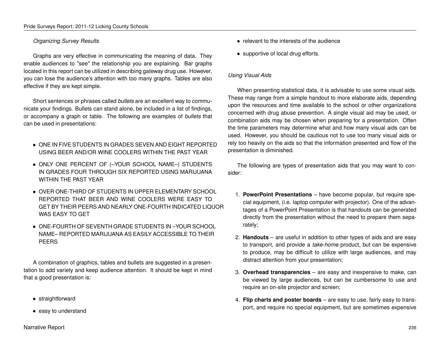## *Organizing Survey Results*

Graphs are very effective in communicating the meaning of data. They enable audiences to "see" the relationship you are explaining. Bar graphs located in this report can be utilized in describing gateway drug use. However, you can lose the audience's attention with too many graphs. Tables are also effective if they are kept simple.

Short sentences or phrases called *bullets* are an excellent way to communicate your findings. Bullets can stand alone, be included in a list of findings, or accompany a graph or table. The following are examples of *bullets* that can be used in presentations:

- ONE IN FIVE STUDENTS IN GRADES SEVEN AND EIGHT REPORTED USING BEER AND/OR WINE COOLERS WITHIN THE PAST YEAR
- ONLY ONE PERCENT OF (–YOUR SCHOOL NAME–) STUDENTS IN GRADES FOUR THROUGH SIX REPORTED USING MARIJUANA WITHIN THE PAST YEAR
- OVER ONE-THIRD OF STUDENTS IN UPPER ELEMENTARY SCHOOL REPORTED THAT BEER AND WINE COOLERS WERE EASY TO GET BY THEIR PEERS AND NEARLY ONE-FOURTH INDICATED LIQUOR WAS EASY TO GET
- ONE-FOURTH OF SEVENTH GRADE STUDENTS IN –YOUR SCHOOL NAME– REPORTED MARIJUANA AS EASILY ACCESSIBLE TO THEIR PEERS

A combination of graphics, tables and bullets are suggested in a presentation to add variety and keep audience attention. It should be kept in mind that a good presentation is:

- straightforward
- easy to understand
- relevant to the interests of the audience
- supportive of local drug efforts.

## *Using Visual Aids*

When presenting statistical data, it is advisable to use some visual aids. These may range from a simple handout to more elaborate aids, depending upon the resources and time available to the school or other organizations concerned with drug abuse prevention. A single visual aid may be used, or combination aids may be chosen when preparing for a presentation. Often the time parameters may determine what and how many visual aids can be used. However, you should be cautious not to use too many visual aids or rely too heavily on the aids so that the information presented and flow of the presentation is diminished.

The following are types of presentation aids that you may want to consider:

- 1. **PowerPoint Presentations** have become popular, but require special equipment, (i.e. laptop computer with projector). One of the advantages of a PowerPoint Presentation is that handouts can be generated directly from the presentation without the need to prepare them separately;
- 2. **Handouts** are useful in addition to other types of aids and are easy to transport, and provide a *take-home* product, but can be expensive to produce, may be difficult to utilize with large audiences, and may distract attention from your presentation;
- 3. **Overhead transparencies** are easy and inexpensive to make, can be viewed by large audiences, but can be cumbersome to use and require an on-site projector and screen;
- 4. **Flip charts and poster boards** are easy to use, fairly easy to transport, and require no special equipment, but are sometimes expensive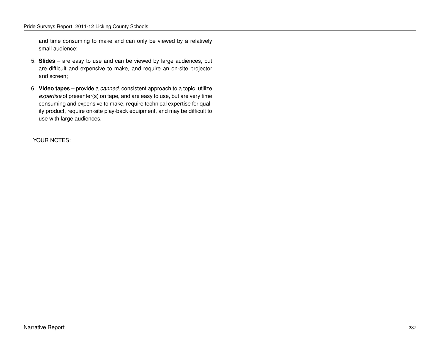and time consuming to make and can only be viewed by a relatively small audience;

- 5. **Slides** are easy to use and can be viewed by large audiences, but are difficult and expensive to make, and require an on-site projector and screen;
- 6. **Video tapes** provide a *canned,* consistent approach to a topic, utilize *expertise* of presenter(s) on tape, and are easy to use, but are very time consuming and expensive to make, require technical expertise for quality product, require on-site play-back equipment, and may be difficult to use with large audiences.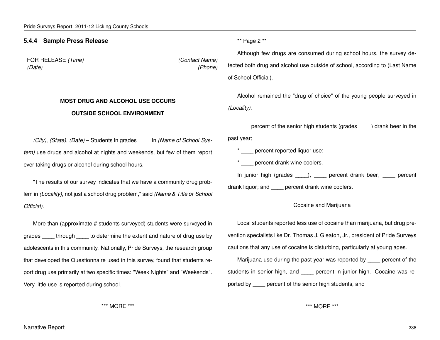## **5.4.4 Sample Press Release**

FOR RELEASE *(Time) (Contact Name) (Date) (Phone)*

## **MOST DRUG AND ALCOHOL USE OCCURS OUTSIDE SCHOOL ENVIRONMENT**

\*\* Page 2 \*\*

Although few drugs are consumed during school hours, the survey detected both drug and alcohol use outside of school, according to (Last Name of School Official).

Alcohol remained the "drug of choice" of the young people surveyed in *(Locality)*.

percent of the senior high students (grades \_\_\_\_) drank beer in the past year;

\* percent reported liquor use;

\* percent drank wine coolers.

In junior high (grades \_\_\_\_), \_\_\_\_ percent drank beer; \_\_\_\_ percent

drank liquor; and **percent drank wine coolers.** 

#### Cocaine and Marijuana

Local students reported less use of cocaine than marijuana, but drug prevention specialists like Dr. Thomas J. Gleaton, Jr., president of Pride Surveys cautions that any use of cocaine is disturbing, particularly at young ages.

Marijuana use during the past year was reported by \_\_\_\_ percent of the students in senior high, and \_\_\_\_ percent in junior high. Cocaine was reported by \_\_\_\_ percent of the senior high students, and

\*\*\* MORE \*\*\*

*(City)*, *(State)*, *(Date)* – Students in grades *\_\_\_\_* in *(Name of School System)* use drugs and alcohol at nights and weekends, but few of them report ever taking drugs or alcohol during school hours.

"The results of our survey indicates that we have a community drug problem in *(Locality)*, not just a school drug problem," said *(Name & Title of School Official)*.

More than (approximate # students surveyed) students were surveyed in grades \_\_\_\_ through \_\_\_\_ to determine the extent and nature of drug use by adolescents in this community. Nationally, Pride Surveys, the research group that developed the Questionnaire used in this survey, found that students report drug use primarily at two specific times: "Week Nights" and "Weekends". Very little use is reported during school.

\*\*\* MORE \*\*\*

Narrative Report 238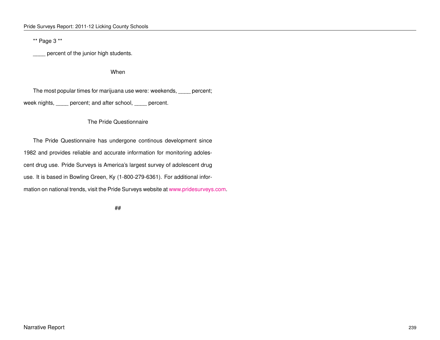\*\* Page 3 \*\*

percent of the junior high students.

When

The most popular times for marijuana use were: weekends, \_\_\_\_ percent; week nights, \_\_\_\_ percent; and after school, \_\_\_\_ percent.

## The Pride Questionnaire

The Pride Questionnaire has undergone continous development since 1982 and provides reliable and accurate information for monitoring adolescent drug use. Pride Surveys is America's largest survey of adolescent drug use. It is based in Bowling Green, Ky (1-800-279-6361). For additional information on national trends, visit the Pride Surveys website at [www.pridesurveys.com.](http://www.pridesurveys.com)

##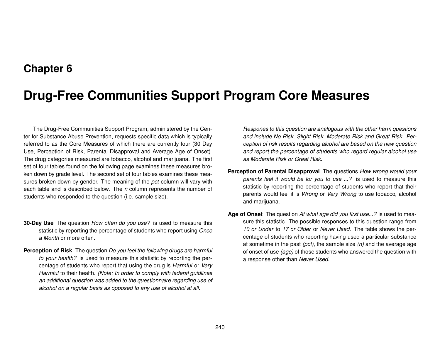## **Chapter 6**

# **Drug-Free Communities Support Program Core Measures**

The Drug-Free Communities Support Program, administered by the Center for Substance Abuse Prevention, requests specific data which is typically referred to as the Core Measures of which there are currently four (30 Day Use, Perception of Risk, Parental Disapproval and Average Age of Onset). The drug categories measured are tobacco, alcohol and marijuana. The first set of four tables found on the following page examines these measures broken down by grade level. The second set of four tables examines these measures broken down by gender. The meaning of the *pct* column will vary with each table and is described below. The *n* column represents the number of students who responded to the question (i.e. sample size).

- **30-Day Use** The question *How often do you use?* is used to measure this statistic by reporting the percentage of students who report using *Once a Month* or more often.
- **Perception of Risk** The question *Do you feel the following drugs are harmful to your health?* is used to measure this statistic by reporting the percentage of students who report that using the drug is *Harmful* or *Very Harmful* to their health. *(Note: In order to comply with federal guidlines an additional question was added to the questionnaire regarding use of alcohol on a regular basis as opposed to any use of alcohol at all.*

*Respones to this question are analogous with the other harm questions and include No Risk, Slight Risk, Moderate Risk and Great Risk. Perception of risk results regarding alcohol are based on the new question and report the percentage of students who regard regular alcohol use as Moderate Risk or Great Risk.*

- **Perception of Parental Disapproval** The questions *How wrong would your parents feel it would be for you to use ...?* is used to measure this statistic by reporting the percentage of students who report that their parents would feel it is *Wrong* or *Very Wrong* to use tobacco, alcohol and marijuana.
- **Age of Onset** The question *At what age did you first use...?* is used to measure this statistic. The possible responses to this question range from *10 or Under* to *17 or Older* or *Never Used*. The table shows the percentage of students who reporting having used a particular substance at sometime in the past *(pct)*, the sample size *(n)* and the average age of onset of use *(age)* of those students who answered the question with a response other than *Never Used*.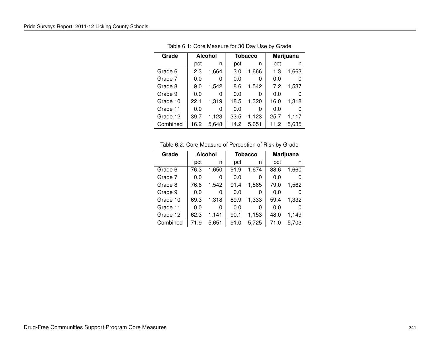| Grade    | <b>Alcohol</b> |       |      | <b>Tobacco</b> |      | Marijuana |
|----------|----------------|-------|------|----------------|------|-----------|
|          | pct            | n     | pct  | n              | pct  | n         |
| Grade 6  | 2.3            | 1,664 | 3.0  | 1,666          | 1.3  | 1,663     |
| Grade 7  | 0.0            | 0     | 0.0  |                | 0.0  |           |
| Grade 8  | 9.0            | 1,542 | 8.6  | 1,542          | 7.2  | 1,537     |
| Grade 9  | 0.0            | 0     | 0.0  | O              | 0.0  |           |
| Grade 10 | 22.1           | 1,319 | 18.5 | 1,320          | 16.0 | 1,318     |
| Grade 11 | 0.0            | O     | 0.0  |                | 0.0  |           |
| Grade 12 | 39.7           | 1,123 | 33.5 | 1,123          | 25.7 | 1.117     |
| Combined | 16.2           | 5.648 | 14.2 | 5.651          | 11.2 | 5.635     |

Table 6.1: Core Measure for 30 Day Use by Grade

Table 6.2: Core Measure of Perception of Risk by Grade

| Grade    | <b>Alcohol</b> |       |      | <b>Tobacco</b> |      | Marijuana |
|----------|----------------|-------|------|----------------|------|-----------|
|          | pct            | n     | pct  | n              | pct  | n         |
| Grade 6  | 76.3           | 1,650 | 91.9 | 1,674          | 88.6 | 1,660     |
| Grade 7  | 0.0            |       | 0.0  |                | 0.0  |           |
| Grade 8  | 76.6           | 1,542 | 91.4 | 1,565          | 79.0 | 1,562     |
| Grade 9  | 0.0            |       | 0.0  | O              | 0.0  |           |
| Grade 10 | 69.3           | 1,318 | 89.9 | 1,333          | 59.4 | 1,332     |
| Grade 11 | 0.0            |       | 0.0  | O              | 0.0  |           |
| Grade 12 | 62.3           | 1,141 | 90.1 | 1,153          | 48.0 | 1,149     |
| Combined | 71.9           | 5,651 | 91.0 | 5,725          | 71.0 | 5,703     |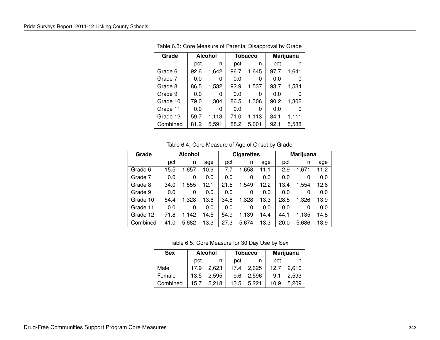| Grade    | <b>Alcohol</b> |       |      | <b>Tobacco</b> |      | Marijuana |
|----------|----------------|-------|------|----------------|------|-----------|
|          | pct            | n     | pct  | n              | pct  | n         |
| Grade 6  | 92.6           | 1,642 | 96.7 | 1,645          | 97.7 | 1.641     |
| Grade 7  | 0.0            | O     | 0.0  |                | 0.0  |           |
| Grade 8  | 86.5           | 1,532 | 92.9 | 1,537          | 93.7 | 1,534     |
| Grade 9  | 0.0            | 0     | 0.0  | O              | 0.0  |           |
| Grade 10 | 79.0           | 1.304 | 86.5 | 1,306          | 90.2 | 1,302     |
| Grade 11 | 0.0            | O     | 0.0  |                | 0.0  |           |
| Grade 12 | 59.7           | 1,113 | 71.0 | 1,113          | 84.1 | 1,111     |
| Combined | 81.2           | 5.591 | 88.2 | 5,601          | 92.1 | 5,588     |

Table 6.3: Core Measure of Parental Disapproval by Grade

Table 6.4: Core Measure of Age of Onset by Grade

| Grade    | <b>Alcohol</b> |          |      |      |       | <b>Cigarettes</b> |      |       | Marijuana |  |
|----------|----------------|----------|------|------|-------|-------------------|------|-------|-----------|--|
|          | pct            | n        | age  | pct  | n     | age               | pct  | n     | age       |  |
| Grade 6  | 15.5           | 1,657    | 10.9 | 7.7  | 1,658 | 11.1              | 2.9  | 1,671 | 11.2      |  |
| Grade 7  | 0.0            | 0        | 0.0  | 0.0  | 0     | 0.0               | 0.0  | 0     | 0.0       |  |
| Grade 8  | 34.0           | 1,555    | 12.1 | 21.5 | 1,549 | 12.2              | 13.4 | 1.554 | 12.6      |  |
| Grade 9  | 0.0            | $\Omega$ | 0.0  | 0.0  | 0     | 0.0               | 0.0  | 0     | 0.0       |  |
| Grade 10 | 54.4           | 1.328    | 13.6 | 34.8 | 1.328 | 13.3              | 28.5 | 1.326 | 13.9      |  |
| Grade 11 | 0.0            | 0        | 0.0  | 0.0  | 0     | 0.0               | 0.0  | 0     | 0.0       |  |
| Grade 12 | 71.8           | 1.142    | 14.5 | 54.9 | 1,139 | 14.4              | 44.1 | 1,135 | 14.8      |  |
| Combined | 41.0           | 5,682    | 13.3 | 27.3 | 5,674 | 13.3              | 20.0 | 5,686 | 13.9      |  |

Table 6.5: Core Measure for 30 Day Use by Sex

| <b>Sex</b> | <b>Alcohol</b> |       | <b>Tobacco</b> |       | <b>Marijuana</b> |       |  |
|------------|----------------|-------|----------------|-------|------------------|-------|--|
|            | pct            |       | pct            |       | pct              |       |  |
| Male       | 17.9           | 2,623 | 17.4           | 2,625 | 12.7             | 2,616 |  |
| Female     | 13.5           | 2,595 | 9.6            | 2,596 | 9.1              | 2,593 |  |
| Combined   | 15.7           | 5,218 | 13.5           | 5.221 | 10.9             | 5.209 |  |